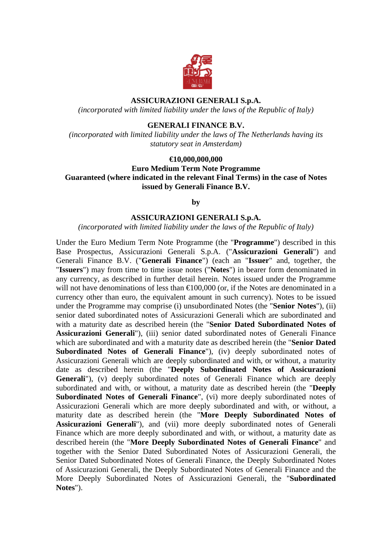

### **ASSICURAZIONI GENERALI S.p.A.**

*(incorporated with limited liability under the laws of the Republic of Italy)* 

#### **GENERALI FINANCE B.V.**

*(incorporated with limited liability under the laws of The Netherlands having its statutory seat in Amsterdam)* 

#### **€10,000,000,000**

**Euro Medium Term Note Programme Guaranteed (where indicated in the relevant Final Terms) in the case of Notes issued by Generali Finance B.V.** 

**by** 

#### **ASSICURAZIONI GENERALI S.p.A.**

*(incorporated with limited liability under the laws of the Republic of Italy)* 

Under the Euro Medium Term Note Programme (the "**Programme**") described in this Base Prospectus, Assicurazioni Generali S.p.A. ("**Assicurazioni Generali**") and Generali Finance B.V. ("**Generali Finance**") (each an "**Issuer**" and, together, the "**Issuers**") may from time to time issue notes ("**Notes**") in bearer form denominated in any currency, as described in further detail herein. Notes issued under the Programme will not have denominations of less than  $\bigoplus$  00,000 (or, if the Notes are denominated in a currency other than euro, the equivalent amount in such currency). Notes to be issued under the Programme may comprise (i) unsubordinated Notes (the "**Senior Notes**"), (ii) senior dated subordinated notes of Assicurazioni Generali which are subordinated and with a maturity date as described herein (the "**Senior Dated Subordinated Notes of Assicurazioni Generali**"), (iii) senior dated subordinated notes of Generali Finance which are subordinated and with a maturity date as described herein (the "**Senior Dated Subordinated Notes of Generali Finance**"), (iv) deeply subordinated notes of Assicurazioni Generali which are deeply subordinated and with, or without, a maturity date as described herein (the "**Deeply Subordinated Notes of Assicurazioni**  Generali<sup>"</sup>), (v) deeply subordinated notes of Generali Finance which are deeply subordinated and with, or without, a maturity date as described herein (the "**Deeply Subordinated Notes of Generali Finance**", (vi) more deeply subordinated notes of Assicurazioni Generali which are more deeply subordinated and with, or without, a maturity date as described herein (the "**More Deeply Subordinated Notes of Assicurazioni Generali**"), and (vii) more deeply subordinated notes of Generali Finance which are more deeply subordinated and with, or without, a maturity date as described herein (the "**More Deeply Subordinated Notes of Generali Finance**" and together with the Senior Dated Subordinated Notes of Assicurazioni Generali, the Senior Dated Subordinated Notes of Generali Finance, the Deeply Subordinated Notes of Assicurazioni Generali, the Deeply Subordinated Notes of Generali Finance and the More Deeply Subordinated Notes of Assicurazioni Generali, the "**Subordinated Notes**").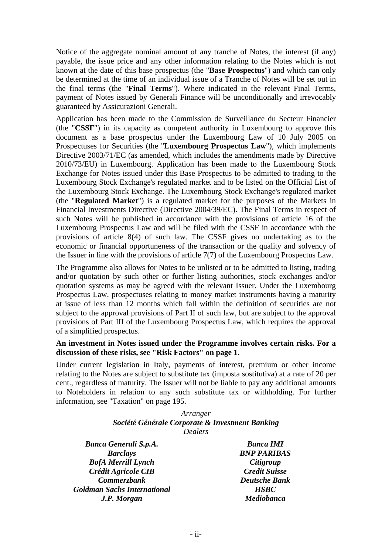Notice of the aggregate nominal amount of any tranche of Notes, the interest (if any) payable, the issue price and any other information relating to the Notes which is not known at the date of this base prospectus (the "**Base Prospectus**") and which can only be determined at the time of an individual issue of a Tranche of Notes will be set out in the final terms (the "**Final Terms**"). Where indicated in the relevant Final Terms, payment of Notes issued by Generali Finance will be unconditionally and irrevocably guaranteed by Assicurazioni Generali.

Application has been made to the Commission de Surveillance du Secteur Financier (the "**CSSF**") in its capacity as competent authority in Luxembourg to approve this document as a base prospectus under the Luxembourg Law of 10 July 2005 on Prospectuses for Securities (the "**Luxembourg Prospectus Law**"), which implements Directive 2003/71/EC (as amended, which includes the amendments made by Directive 2010/73/EU) in Luxembourg. Application has been made to the Luxembourg Stock Exchange for Notes issued under this Base Prospectus to be admitted to trading to the Luxembourg Stock Exchange's regulated market and to be listed on the Official List of the Luxembourg Stock Exchange. The Luxembourg Stock Exchange's regulated market (the "**Regulated Market**") is a regulated market for the purposes of the Markets in Financial Investments Directive (Directive 2004/39/EC). The Final Terms in respect of such Notes will be published in accordance with the provisions of article 16 of the Luxembourg Prospectus Law and will be filed with the CSSF in accordance with the provisions of article 8(4) of such law. The CSSF gives no undertaking as to the economic or financial opportuneness of the transaction or the quality and solvency of the Issuer in line with the provisions of article 7(7) of the Luxembourg Prospectus Law.

The Programme also allows for Notes to be unlisted or to be admitted to listing, trading and/or quotation by such other or further listing authorities, stock exchanges and/or quotation systems as may be agreed with the relevant Issuer. Under the Luxembourg Prospectus Law, prospectuses relating to money market instruments having a maturity at issue of less than 12 months which fall within the definition of securities are not subject to the approval provisions of Part II of such law, but are subject to the approval provisions of Part III of the Luxembourg Prospectus Law, which requires the approval of a simplified prospectus.

### **An investment in Notes issued under the Programme involves certain risks. For a discussion of these risks, see "Risk Factors" on page 1.**

Under current legislation in Italy, payments of interest, premium or other income relating to the Notes are subject to substitute tax (imposta sostitutiva) at a rate of 20 per cent., regardless of maturity. The Issuer will not be liable to pay any additional amounts to Noteholders in relation to any such substitute tax or withholding. For further information, see "Taxation" on page 195.

### *Arranger Société Générale Corporate & Investment Banking Dealers*

*Banca Generali S.p.A. Banca IMI Barclays BNP PARIBAS BofA Merrill Lynch Citigroup Crédit Agricole CIB Credit Suisse Commerzbank Deutsche Bank Goldman Sachs International HSBC J.P. Morgan Mediobanca*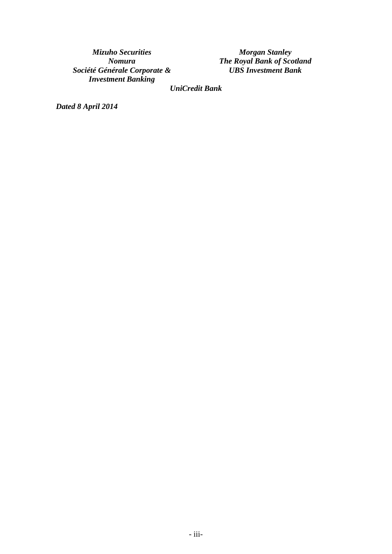*Mizuho Securities Morgan Stanley Société Générale Corporate & Investment Banking*

*Nomura The Royal Bank of Scotland UBS Investment Bank*

*UniCredit Bank*

*Dated 8 April 2014*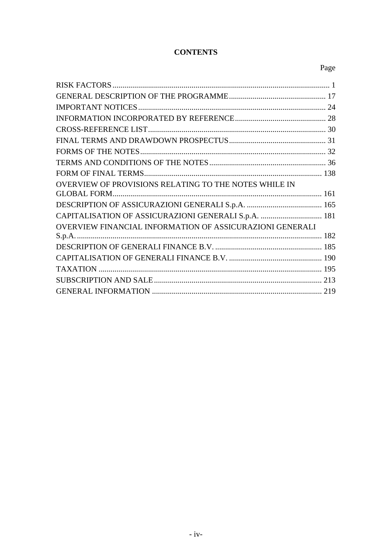# **CONTENTS**

# Page

| OVERVIEW OF PROVISIONS RELATING TO THE NOTES WHILE IN           |  |
|-----------------------------------------------------------------|--|
|                                                                 |  |
|                                                                 |  |
| CAPITALISATION OF ASSICURAZIONI GENERALI S.p.A.  181            |  |
| <b>OVERVIEW FINANCIAL INFORMATION OF ASSICURAZIONI GENERALI</b> |  |
|                                                                 |  |
|                                                                 |  |
|                                                                 |  |
|                                                                 |  |
|                                                                 |  |
|                                                                 |  |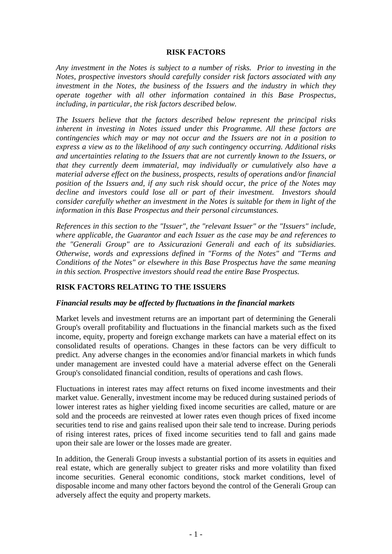### **RISK FACTORS**

*Any investment in the Notes is subject to a number of risks. Prior to investing in the Notes, prospective investors should carefully consider risk factors associated with any investment in the Notes, the business of the Issuers and the industry in which they operate together with all other information contained in this Base Prospectus, including, in particular, the risk factors described below.* 

*The Issuers believe that the factors described below represent the principal risks inherent in investing in Notes issued under this Programme. All these factors are contingencies which may or may not occur and the Issuers are not in a position to express a view as to the likelihood of any such contingency occurring. Additional risks and uncertainties relating to the Issuers that are not currently known to the Issuers, or that they currently deem immaterial, may individually or cumulatively also have a material adverse effect on the business, prospects, results of operations and/or financial position of the Issuers and, if any such risk should occur, the price of the Notes may decline and investors could lose all or part of their investment. Investors should consider carefully whether an investment in the Notes is suitable for them in light of the information in this Base Prospectus and their personal circumstances.* 

*References in this section to the "Issuer", the "relevant Issuer" or the "Issuers" include, where applicable, the Guarantor and each Issuer as the case may be and references to the "Generali Group" are to Assicurazioni Generali and each of its subsidiaries. Otherwise, words and expressions defined in "Forms of the Notes" and "Terms and Conditions of the Notes" or elsewhere in this Base Prospectus have the same meaning in this section. Prospective investors should read the entire Base Prospectus.* 

# **RISK FACTORS RELATING TO THE ISSUERS**

### *Financial results may be affected by fluctuations in the financial markets*

Market levels and investment returns are an important part of determining the Generali Group's overall profitability and fluctuations in the financial markets such as the fixed income, equity, property and foreign exchange markets can have a material effect on its consolidated results of operations. Changes in these factors can be very difficult to predict. Any adverse changes in the economies and/or financial markets in which funds under management are invested could have a material adverse effect on the Generali Group's consolidated financial condition, results of operations and cash flows.

Fluctuations in interest rates may affect returns on fixed income investments and their market value. Generally, investment income may be reduced during sustained periods of lower interest rates as higher yielding fixed income securities are called, mature or are sold and the proceeds are reinvested at lower rates even though prices of fixed income securities tend to rise and gains realised upon their sale tend to increase. During periods of rising interest rates, prices of fixed income securities tend to fall and gains made upon their sale are lower or the losses made are greater.

In addition, the Generali Group invests a substantial portion of its assets in equities and real estate, which are generally subject to greater risks and more volatility than fixed income securities. General economic conditions, stock market conditions, level of disposable income and many other factors beyond the control of the Generali Group can adversely affect the equity and property markets.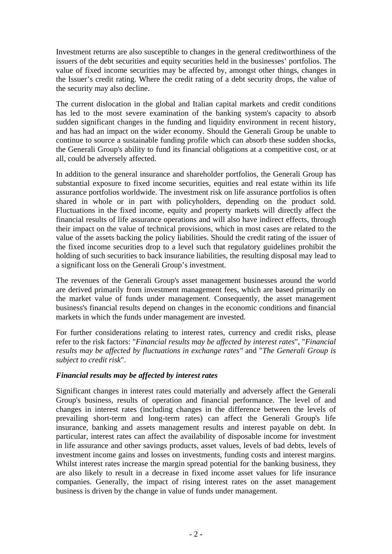Investment returns are also susceptible to changes in the general creditworthiness of the issuers of the debt securities and equity securities held in the businesses' portfolios. The value of fixed income securities may be affected by, amongst other things, changes in the Issuer's credit rating. Where the credit rating of a debt security drops, the value of the security may also decline.

The current dislocation in the global and Italian capital markets and credit conditions has led to the most severe examination of the banking system's capacity to absorb sudden significant changes in the funding and liquidity environment in recent history, and has had an impact on the wider economy. Should the Generali Group be unable to continue to source a sustainable funding profile which can absorb these sudden shocks, the Generali Group's ability to fund its financial obligations at a competitive cost, or at all, could be adversely affected.

In addition to the general insurance and shareholder portfolios, the Generali Group has substantial exposure to fixed income securities, equities and real estate within its life assurance portfolios worldwide. The investment risk on life assurance portfolios is often shared in whole or in part with policyholders, depending on the product sold. Fluctuations in the fixed income, equity and property markets will directly affect the financial results of life assurance operations and will also have indirect effects, through their impact on the value of technical provisions, which in most cases are related to the value of the assets backing the policy liabilities. Should the credit rating of the issuer of the fixed income securities drop to a level such that regulatory guidelines prohibit the holding of such securities to back insurance liabilities, the resulting disposal may lead to a significant loss on the Generali Group's investment.

The revenues of the Generali Group's asset management businesses around the world are derived primarily from investment management fees, which are based primarily on the market value of funds under management. Consequently, the asset management business's financial results depend on changes in the economic conditions and financial markets in which the funds under management are invested.

For further considerations relating to interest rates, currency and credit risks, please refer to the risk factors: "*Financial results may be affected by interest rates*", "*Financial results may be affected by fluctuations in exchange rates"* and "*The Generali Group is subject to credit risk*".

# *Financial results may be affected by interest rates*

Significant changes in interest rates could materially and adversely affect the Generali Group's business, results of operation and financial performance. The level of and changes in interest rates (including changes in the difference between the levels of prevailing short-term and long-term rates) can affect the Generali Group's life insurance, banking and assets management results and interest payable on debt. In particular, interest rates can affect the availability of disposable income for investment in life assurance and other savings products, asset values, levels of bad debts, levels of investment income gains and losses on investments, funding costs and interest margins. Whilst interest rates increase the margin spread potential for the banking business, they are also likely to result in a decrease in fixed income asset values for life insurance companies. Generally, the impact of rising interest rates on the asset management business is driven by the change in value of funds under management.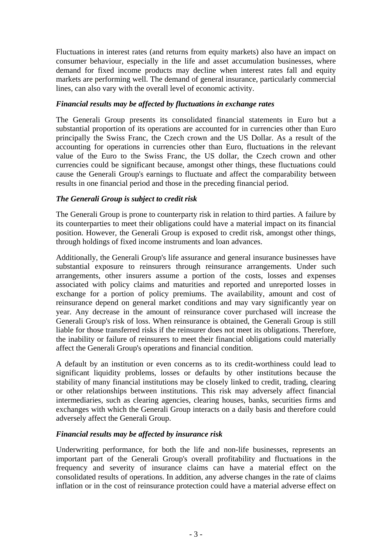Fluctuations in interest rates (and returns from equity markets) also have an impact on consumer behaviour, especially in the life and asset accumulation businesses, where demand for fixed income products may decline when interest rates fall and equity markets are performing well. The demand of general insurance, particularly commercial lines, can also vary with the overall level of economic activity.

# *Financial results may be affected by fluctuations in exchange rates*

The Generali Group presents its consolidated financial statements in Euro but a substantial proportion of its operations are accounted for in currencies other than Euro principally the Swiss Franc, the Czech crown and the US Dollar. As a result of the accounting for operations in currencies other than Euro, fluctuations in the relevant value of the Euro to the Swiss Franc, the US dollar, the Czech crown and other currencies could be significant because, amongst other things, these fluctuations could cause the Generali Group's earnings to fluctuate and affect the comparability between results in one financial period and those in the preceding financial period.

# *The Generali Group is subject to credit risk*

The Generali Group is prone to counterparty risk in relation to third parties. A failure by its counterparties to meet their obligations could have a material impact on its financial position. However, the Generali Group is exposed to credit risk, amongst other things, through holdings of fixed income instruments and loan advances.

Additionally, the Generali Group's life assurance and general insurance businesses have substantial exposure to reinsurers through reinsurance arrangements. Under such arrangements, other insurers assume a portion of the costs, losses and expenses associated with policy claims and maturities and reported and unreported losses in exchange for a portion of policy premiums. The availability, amount and cost of reinsurance depend on general market conditions and may vary significantly year on year. Any decrease in the amount of reinsurance cover purchased will increase the Generali Group's risk of loss. When reinsurance is obtained, the Generali Group is still liable for those transferred risks if the reinsurer does not meet its obligations. Therefore, the inability or failure of reinsurers to meet their financial obligations could materially affect the Generali Group's operations and financial condition.

A default by an institution or even concerns as to its credit-worthiness could lead to significant liquidity problems, losses or defaults by other institutions because the stability of many financial institutions may be closely linked to credit, trading, clearing or other relationships between institutions. This risk may adversely affect financial intermediaries, such as clearing agencies, clearing houses, banks, securities firms and exchanges with which the Generali Group interacts on a daily basis and therefore could adversely affect the Generali Group.

# *Financial results may be affected by insurance risk*

Underwriting performance, for both the life and non-life businesses, represents an important part of the Generali Group's overall profitability and fluctuations in the frequency and severity of insurance claims can have a material effect on the consolidated results of operations. In addition, any adverse changes in the rate of claims inflation or in the cost of reinsurance protection could have a material adverse effect on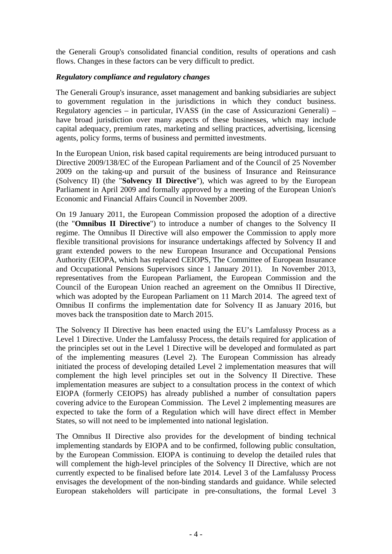the Generali Group's consolidated financial condition, results of operations and cash flows. Changes in these factors can be very difficult to predict.

### *Regulatory compliance and regulatory changes*

The Generali Group's insurance, asset management and banking subsidiaries are subject to government regulation in the jurisdictions in which they conduct business. Regulatory agencies – in particular, IVASS (in the case of Assicurazioni Generali) – have broad jurisdiction over many aspects of these businesses, which may include capital adequacy, premium rates, marketing and selling practices, advertising, licensing agents, policy forms, terms of business and permitted investments.

In the European Union, risk based capital requirements are being introduced pursuant to Directive 2009/138/EC of the European Parliament and of the Council of 25 November 2009 on the taking-up and pursuit of the business of Insurance and Reinsurance (Solvency II) (the "**Solvency II Directive**"), which was agreed to by the European Parliament in April 2009 and formally approved by a meeting of the European Union's Economic and Financial Affairs Council in November 2009.

On 19 January 2011, the European Commission proposed the adoption of a directive (the "**Omnibus II Directive**") to introduce a number of changes to the Solvency II regime. The Omnibus II Directive will also empower the Commission to apply more flexible transitional provisions for insurance undertakings affected by Solvency II and grant extended powers to the new European Insurance and Occupational Pensions Authority (EIOPA, which has replaced CEIOPS, The Committee of European Insurance and Occupational Pensions Supervisors since 1 January 2011). In November 2013, representatives from the European Parliament, the European Commission and the Council of the European Union reached an agreement on the Omnibus II Directive, which was adopted by the European Parliament on 11 March 2014. The agreed text of Omnibus II confirms the implementation date for Solvency II as January 2016, but moves back the transposition date to March 2015.

The Solvency II Directive has been enacted using the EU's Lamfalussy Process as a Level 1 Directive. Under the Lamfalussy Process, the details required for application of the principles set out in the Level 1 Directive will be developed and formulated as part of the implementing measures (Level 2). The European Commission has already initiated the process of developing detailed Level 2 implementation measures that will complement the high level principles set out in the Solvency II Directive. These implementation measures are subject to a consultation process in the context of which EIOPA (formerly CEIOPS) has already published a number of consultation papers covering advice to the European Commission. The Level 2 implementing measures are expected to take the form of a Regulation which will have direct effect in Member States, so will not need to be implemented into national legislation.

The Omnibus II Directive also provides for the development of binding technical implementing standards by EIOPA and to be confirmed, following public consultation, by the European Commission. EIOPA is continuing to develop the detailed rules that will complement the high-level principles of the Solvency II Directive, which are not currently expected to be finalised before late 2014. Level 3 of the Lamfalussy Process envisages the development of the non-binding standards and guidance. While selected European stakeholders will participate in pre-consultations, the formal Level 3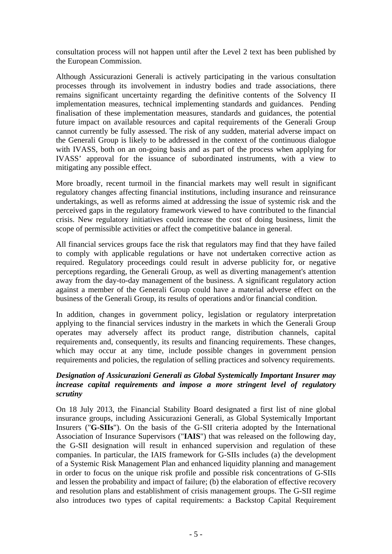consultation process will not happen until after the Level 2 text has been published by the European Commission.

Although Assicurazioni Generali is actively participating in the various consultation processes through its involvement in industry bodies and trade associations, there remains significant uncertainty regarding the definitive contents of the Solvency II implementation measures, technical implementing standards and guidances. Pending finalisation of these implementation measures, standards and guidances, the potential future impact on available resources and capital requirements of the Generali Group cannot currently be fully assessed. The risk of any sudden, material adverse impact on the Generali Group is likely to be addressed in the context of the continuous dialogue with IVASS, both on an on-going basis and as part of the process when applying for IVASS' approval for the issuance of subordinated instruments, with a view to mitigating any possible effect.

More broadly, recent turmoil in the financial markets may well result in significant regulatory changes affecting financial institutions, including insurance and reinsurance undertakings, as well as reforms aimed at addressing the issue of systemic risk and the perceived gaps in the regulatory framework viewed to have contributed to the financial crisis. New regulatory initiatives could increase the cost of doing business, limit the scope of permissible activities or affect the competitive balance in general.

All financial services groups face the risk that regulators may find that they have failed to comply with applicable regulations or have not undertaken corrective action as required. Regulatory proceedings could result in adverse publicity for, or negative perceptions regarding, the Generali Group, as well as diverting management's attention away from the day-to-day management of the business. A significant regulatory action against a member of the Generali Group could have a material adverse effect on the business of the Generali Group, its results of operations and/or financial condition.

In addition, changes in government policy, legislation or regulatory interpretation applying to the financial services industry in the markets in which the Generali Group operates may adversely affect its product range, distribution channels, capital requirements and, consequently, its results and financing requirements. These changes, which may occur at any time, include possible changes in government pension requirements and policies, the regulation of selling practices and solvency requirements.

# *Designation of Assicurazioni Generali as Global Systemically Important Insurer may increase capital requirements and impose a more stringent level of regulatory scrutiny*

On 18 July 2013, the Financial Stability Board designated a first list of nine global insurance groups, including Assicurazioni Generali, as Global Systemically Important Insurers ("**G-SIIs**"). On the basis of the G-SII criteria adopted by the International Association of Insurance Supervisors ("**IAIS**") that was released on the following day, the G-SII designation will result in enhanced supervision and regulation of these companies. In particular, the IAIS framework for G-SIIs includes (a) the development of a Systemic Risk Management Plan and enhanced liquidity planning and management in order to focus on the unique risk profile and possible risk concentrations of G-SIIs and lessen the probability and impact of failure; (b) the elaboration of effective recovery and resolution plans and establishment of crisis management groups. The G-SII regime also introduces two types of capital requirements: a Backstop Capital Requirement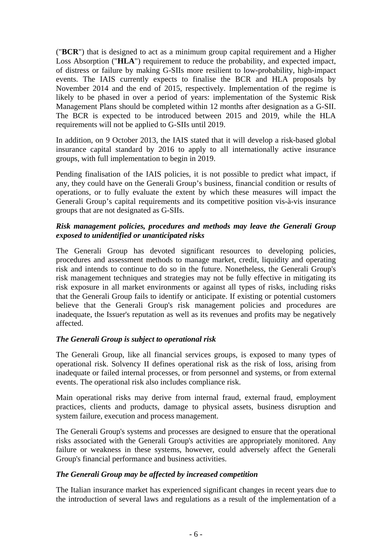("**BCR**") that is designed to act as a minimum group capital requirement and a Higher Loss Absorption ("**HLA**") requirement to reduce the probability, and expected impact, of distress or failure by making G-SIIs more resilient to low-probability, high-impact events. The IAIS currently expects to finalise the BCR and HLA proposals by November 2014 and the end of 2015, respectively. Implementation of the regime is likely to be phased in over a period of years: implementation of the Systemic Risk Management Plans should be completed within 12 months after designation as a G-SII. The BCR is expected to be introduced between 2015 and 2019, while the HLA requirements will not be applied to G-SIIs until 2019.

In addition, on 9 October 2013, the IAIS stated that it will develop a risk-based global insurance capital standard by 2016 to apply to all internationally active insurance groups, with full implementation to begin in 2019.

Pending finalisation of the IAIS policies, it is not possible to predict what impact, if any, they could have on the Generali Group's business, financial condition or results of operations, or to fully evaluate the extent by which these measures will impact the Generali Group's capital requirements and its competitive position vis-à-vis insurance groups that are not designated as G-SIIs.

# *Risk management policies, procedures and methods may leave the Generali Group exposed to unidentified or unanticipated risks*

The Generali Group has devoted significant resources to developing policies, procedures and assessment methods to manage market, credit, liquidity and operating risk and intends to continue to do so in the future. Nonetheless, the Generali Group's risk management techniques and strategies may not be fully effective in mitigating its risk exposure in all market environments or against all types of risks, including risks that the Generali Group fails to identify or anticipate. If existing or potential customers believe that the Generali Group's risk management policies and procedures are inadequate, the Issuer's reputation as well as its revenues and profits may be negatively affected.

# *The Generali Group is subject to operational risk*

The Generali Group, like all financial services groups, is exposed to many types of operational risk. Solvency II defines operational risk as the risk of loss, arising from inadequate or failed internal processes, or from personnel and systems, or from external events. The operational risk also includes compliance risk.

Main operational risks may derive from internal fraud, external fraud, employment practices, clients and products, damage to physical assets, business disruption and system failure, execution and process management.

The Generali Group's systems and processes are designed to ensure that the operational risks associated with the Generali Group's activities are appropriately monitored. Any failure or weakness in these systems, however, could adversely affect the Generali Group's financial performance and business activities.

# *The Generali Group may be affected by increased competition*

The Italian insurance market has experienced significant changes in recent years due to the introduction of several laws and regulations as a result of the implementation of a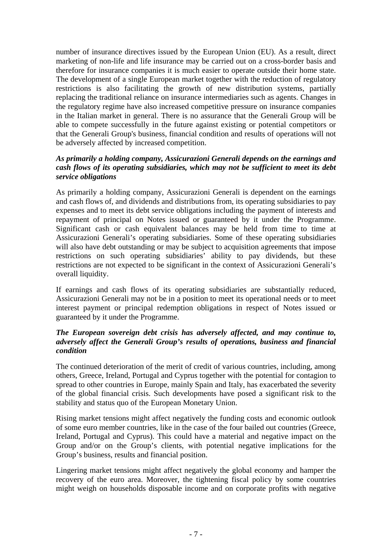number of insurance directives issued by the European Union (EU). As a result, direct marketing of non-life and life insurance may be carried out on a cross-border basis and therefore for insurance companies it is much easier to operate outside their home state. The development of a single European market together with the reduction of regulatory restrictions is also facilitating the growth of new distribution systems, partially replacing the traditional reliance on insurance intermediaries such as agents. Changes in the regulatory regime have also increased competitive pressure on insurance companies in the Italian market in general. There is no assurance that the Generali Group will be able to compete successfully in the future against existing or potential competitors or that the Generali Group's business, financial condition and results of operations will not be adversely affected by increased competition.

# *As primarily a holding company, Assicurazioni Generali depends on the earnings and cash flows of its operating subsidiaries, which may not be sufficient to meet its debt service obligations*

As primarily a holding company, Assicurazioni Generali is dependent on the earnings and cash flows of, and dividends and distributions from, its operating subsidiaries to pay expenses and to meet its debt service obligations including the payment of interests and repayment of principal on Notes issued or guaranteed by it under the Programme. Significant cash or cash equivalent balances may be held from time to time at Assicurazioni Generali's operating subsidiaries. Some of these operating subsidiaries will also have debt outstanding or may be subject to acquisition agreements that impose restrictions on such operating subsidiaries' ability to pay dividends, but these restrictions are not expected to be significant in the context of Assicurazioni Generali's overall liquidity.

If earnings and cash flows of its operating subsidiaries are substantially reduced, Assicurazioni Generali may not be in a position to meet its operational needs or to meet interest payment or principal redemption obligations in respect of Notes issued or guaranteed by it under the Programme.

# *The European sovereign debt crisis has adversely affected, and may continue to, adversely affect the Generali Group's results of operations, business and financial condition*

The continued deterioration of the merit of credit of various countries, including, among others, Greece, Ireland, Portugal and Cyprus together with the potential for contagion to spread to other countries in Europe, mainly Spain and Italy, has exacerbated the severity of the global financial crisis. Such developments have posed a significant risk to the stability and status quo of the European Monetary Union.

Rising market tensions might affect negatively the funding costs and economic outlook of some euro member countries, like in the case of the four bailed out countries (Greece, Ireland, Portugal and Cyprus). This could have a material and negative impact on the Group and/or on the Group's clients, with potential negative implications for the Group's business, results and financial position.

Lingering market tensions might affect negatively the global economy and hamper the recovery of the euro area. Moreover, the tightening fiscal policy by some countries might weigh on households disposable income and on corporate profits with negative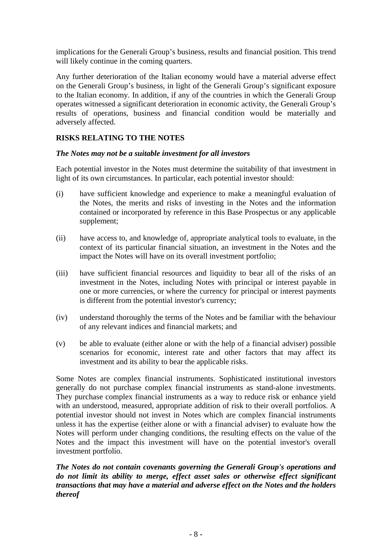implications for the Generali Group's business, results and financial position. This trend will likely continue in the coming quarters.

Any further deterioration of the Italian economy would have a material adverse effect on the Generali Group's business, in light of the Generali Group's significant exposure to the Italian economy. In addition, if any of the countries in which the Generali Group operates witnessed a significant deterioration in economic activity, the Generali Group's results of operations, business and financial condition would be materially and adversely affected.

# **RISKS RELATING TO THE NOTES**

### *The Notes may not be a suitable investment for all investors*

Each potential investor in the Notes must determine the suitability of that investment in light of its own circumstances. In particular, each potential investor should:

- (i) have sufficient knowledge and experience to make a meaningful evaluation of the Notes, the merits and risks of investing in the Notes and the information contained or incorporated by reference in this Base Prospectus or any applicable supplement;
- (ii) have access to, and knowledge of, appropriate analytical tools to evaluate, in the context of its particular financial situation, an investment in the Notes and the impact the Notes will have on its overall investment portfolio;
- (iii) have sufficient financial resources and liquidity to bear all of the risks of an investment in the Notes, including Notes with principal or interest payable in one or more currencies, or where the currency for principal or interest payments is different from the potential investor's currency;
- (iv) understand thoroughly the terms of the Notes and be familiar with the behaviour of any relevant indices and financial markets; and
- (v) be able to evaluate (either alone or with the help of a financial adviser) possible scenarios for economic, interest rate and other factors that may affect its investment and its ability to bear the applicable risks.

Some Notes are complex financial instruments. Sophisticated institutional investors generally do not purchase complex financial instruments as stand-alone investments. They purchase complex financial instruments as a way to reduce risk or enhance yield with an understood, measured, appropriate addition of risk to their overall portfolios. A potential investor should not invest in Notes which are complex financial instruments unless it has the expertise (either alone or with a financial adviser) to evaluate how the Notes will perform under changing conditions, the resulting effects on the value of the Notes and the impact this investment will have on the potential investor's overall investment portfolio.

*The Notes do not contain covenants governing the Generali Group's operations and do not limit its ability to merge, effect asset sales or otherwise effect significant transactions that may have a material and adverse effect on the Notes and the holders thereof*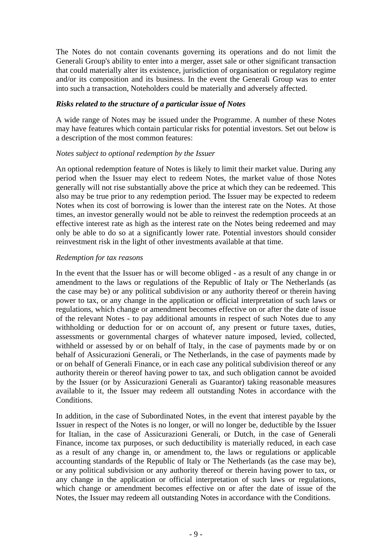The Notes do not contain covenants governing its operations and do not limit the Generali Group's ability to enter into a merger, asset sale or other significant transaction that could materially alter its existence, jurisdiction of organisation or regulatory regime and/or its composition and its business. In the event the Generali Group was to enter into such a transaction, Noteholders could be materially and adversely affected.

# *Risks related to the structure of a particular issue of Notes*

A wide range of Notes may be issued under the Programme. A number of these Notes may have features which contain particular risks for potential investors. Set out below is a description of the most common features:

### *Notes subject to optional redemption by the Issuer*

An optional redemption feature of Notes is likely to limit their market value. During any period when the Issuer may elect to redeem Notes, the market value of those Notes generally will not rise substantially above the price at which they can be redeemed. This also may be true prior to any redemption period. The Issuer may be expected to redeem Notes when its cost of borrowing is lower than the interest rate on the Notes. At those times, an investor generally would not be able to reinvest the redemption proceeds at an effective interest rate as high as the interest rate on the Notes being redeemed and may only be able to do so at a significantly lower rate. Potential investors should consider reinvestment risk in the light of other investments available at that time.

### *Redemption for tax reasons*

In the event that the Issuer has or will become obliged - as a result of any change in or amendment to the laws or regulations of the Republic of Italy or The Netherlands (as the case may be) or any political subdivision or any authority thereof or therein having power to tax, or any change in the application or official interpretation of such laws or regulations, which change or amendment becomes effective on or after the date of issue of the relevant Notes - to pay additional amounts in respect of such Notes due to any withholding or deduction for or on account of, any present or future taxes, duties, assessments or governmental charges of whatever nature imposed, levied, collected, withheld or assessed by or on behalf of Italy, in the case of payments made by or on behalf of Assicurazioni Generali, or The Netherlands, in the case of payments made by or on behalf of Generali Finance, or in each case any political subdivision thereof or any authority therein or thereof having power to tax, and such obligation cannot be avoided by the Issuer (or by Assicurazioni Generali as Guarantor) taking reasonable measures available to it, the Issuer may redeem all outstanding Notes in accordance with the Conditions.

In addition, in the case of Subordinated Notes, in the event that interest payable by the Issuer in respect of the Notes is no longer, or will no longer be, deductible by the Issuer for Italian, in the case of Assicurazioni Generali, or Dutch, in the case of Generali Finance, income tax purposes, or such deductibility is materially reduced, in each case as a result of any change in, or amendment to, the laws or regulations or applicable accounting standards of the Republic of Italy or The Netherlands (as the case may be), or any political subdivision or any authority thereof or therein having power to tax, or any change in the application or official interpretation of such laws or regulations, which change or amendment becomes effective on or after the date of issue of the Notes, the Issuer may redeem all outstanding Notes in accordance with the Conditions.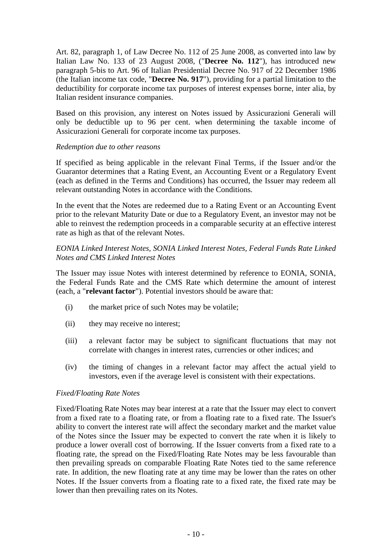Art. 82, paragraph 1, of Law Decree No. 112 of 25 June 2008, as converted into law by Italian Law No. 133 of 23 August 2008, ("**Decree No. 112**"), has introduced new paragraph 5-bis to Art. 96 of Italian Presidential Decree No. 917 of 22 December 1986 (the Italian income tax code, "**Decree No. 917**"), providing for a partial limitation to the deductibility for corporate income tax purposes of interest expenses borne, inter alia, by Italian resident insurance companies.

Based on this provision, any interest on Notes issued by Assicurazioni Generali will only be deductible up to 96 per cent. when determining the taxable income of Assicurazioni Generali for corporate income tax purposes.

### *Redemption due to other reasons*

If specified as being applicable in the relevant Final Terms, if the Issuer and/or the Guarantor determines that a Rating Event, an Accounting Event or a Regulatory Event (each as defined in the Terms and Conditions) has occurred, the Issuer may redeem all relevant outstanding Notes in accordance with the Conditions.

In the event that the Notes are redeemed due to a Rating Event or an Accounting Event prior to the relevant Maturity Date or due to a Regulatory Event, an investor may not be able to reinvest the redemption proceeds in a comparable security at an effective interest rate as high as that of the relevant Notes.

# *EONIA Linked Interest Notes, SONIA Linked Interest Notes, Federal Funds Rate Linked Notes and CMS Linked Interest Notes*

The Issuer may issue Notes with interest determined by reference to EONIA, SONIA, the Federal Funds Rate and the CMS Rate which determine the amount of interest (each, a "**relevant factor**"). Potential investors should be aware that:

- (i) the market price of such Notes may be volatile;
- (ii) they may receive no interest;
- (iii) a relevant factor may be subject to significant fluctuations that may not correlate with changes in interest rates, currencies or other indices; and
- (iv) the timing of changes in a relevant factor may affect the actual yield to investors, even if the average level is consistent with their expectations.

### *Fixed/Floating Rate Notes*

Fixed/Floating Rate Notes may bear interest at a rate that the Issuer may elect to convert from a fixed rate to a floating rate, or from a floating rate to a fixed rate. The Issuer's ability to convert the interest rate will affect the secondary market and the market value of the Notes since the Issuer may be expected to convert the rate when it is likely to produce a lower overall cost of borrowing. If the Issuer converts from a fixed rate to a floating rate, the spread on the Fixed/Floating Rate Notes may be less favourable than then prevailing spreads on comparable Floating Rate Notes tied to the same reference rate. In addition, the new floating rate at any time may be lower than the rates on other Notes. If the Issuer converts from a floating rate to a fixed rate, the fixed rate may be lower than then prevailing rates on its Notes.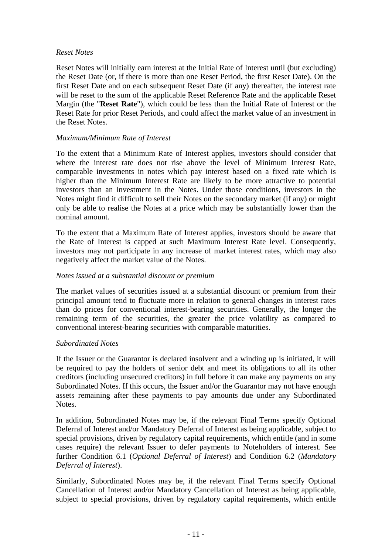### *Reset Notes*

Reset Notes will initially earn interest at the Initial Rate of Interest until (but excluding) the Reset Date (or, if there is more than one Reset Period, the first Reset Date). On the first Reset Date and on each subsequent Reset Date (if any) thereafter, the interest rate will be reset to the sum of the applicable Reset Reference Rate and the applicable Reset Margin (the "**Reset Rate**"), which could be less than the Initial Rate of Interest or the Reset Rate for prior Reset Periods, and could affect the market value of an investment in the Reset Notes.

# *Maximum/Minimum Rate of Interest*

To the extent that a Minimum Rate of Interest applies, investors should consider that where the interest rate does not rise above the level of Minimum Interest Rate, comparable investments in notes which pay interest based on a fixed rate which is higher than the Minimum Interest Rate are likely to be more attractive to potential investors than an investment in the Notes. Under those conditions, investors in the Notes might find it difficult to sell their Notes on the secondary market (if any) or might only be able to realise the Notes at a price which may be substantially lower than the nominal amount.

To the extent that a Maximum Rate of Interest applies, investors should be aware that the Rate of Interest is capped at such Maximum Interest Rate level. Consequently, investors may not participate in any increase of market interest rates, which may also negatively affect the market value of the Notes.

### *Notes issued at a substantial discount or premium*

The market values of securities issued at a substantial discount or premium from their principal amount tend to fluctuate more in relation to general changes in interest rates than do prices for conventional interest-bearing securities. Generally, the longer the remaining term of the securities, the greater the price volatility as compared to conventional interest-bearing securities with comparable maturities.

### *Subordinated Notes*

If the Issuer or the Guarantor is declared insolvent and a winding up is initiated, it will be required to pay the holders of senior debt and meet its obligations to all its other creditors (including unsecured creditors) in full before it can make any payments on any Subordinated Notes. If this occurs, the Issuer and/or the Guarantor may not have enough assets remaining after these payments to pay amounts due under any Subordinated Notes.

In addition, Subordinated Notes may be, if the relevant Final Terms specify Optional Deferral of Interest and/or Mandatory Deferral of Interest as being applicable, subject to special provisions, driven by regulatory capital requirements, which entitle (and in some cases require) the relevant Issuer to defer payments to Noteholders of interest. See further Condition 6.1 (*Optional Deferral of Interest*) and Condition 6.2 (*Mandatory Deferral of Interest*).

Similarly, Subordinated Notes may be, if the relevant Final Terms specify Optional Cancellation of Interest and/or Mandatory Cancellation of Interest as being applicable, subject to special provisions, driven by regulatory capital requirements, which entitle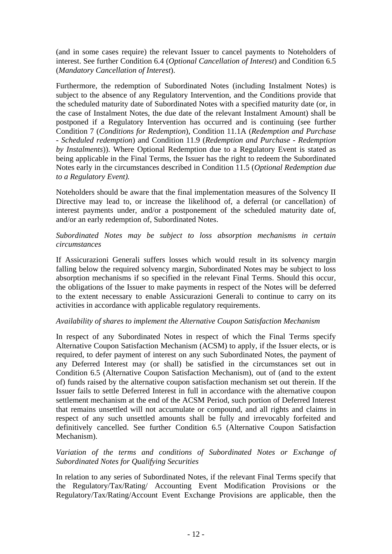(and in some cases require) the relevant Issuer to cancel payments to Noteholders of interest. See further Condition 6.4 (*Optional Cancellation of Interest*) and Condition 6.5 (*Mandatory Cancellation of Interest*).

Furthermore, the redemption of Subordinated Notes (including Instalment Notes) is subject to the absence of any Regulatory Intervention, and the Conditions provide that the scheduled maturity date of Subordinated Notes with a specified maturity date (or, in the case of Instalment Notes, the due date of the relevant Instalment Amount) shall be postponed if a Regulatory Intervention has occurred and is continuing (see further Condition 7 (*Conditions for Redemption*), Condition 11.1A (*Redemption and Purchase - Scheduled redemption*) and Condition 11.9 (*Redemption and Purchase - Redemption by Instalments*)). Where Optional Redemption due to a Regulatory Event is stated as being applicable in the Final Terms, the Issuer has the right to redeem the Subordinated Notes early in the circumstances described in Condition 11.5 (*Optional Redemption due to a Regulatory Event).*

Noteholders should be aware that the final implementation measures of the Solvency II Directive may lead to, or increase the likelihood of, a deferral (or cancellation) of interest payments under, and/or a postponement of the scheduled maturity date of, and/or an early redemption of, Subordinated Notes.

# *Subordinated Notes may be subject to loss absorption mechanisms in certain circumstances*

If Assicurazioni Generali suffers losses which would result in its solvency margin falling below the required solvency margin, Subordinated Notes may be subject to loss absorption mechanisms if so specified in the relevant Final Terms. Should this occur, the obligations of the Issuer to make payments in respect of the Notes will be deferred to the extent necessary to enable Assicurazioni Generali to continue to carry on its activities in accordance with applicable regulatory requirements.

# *Availability of shares to implement the Alternative Coupon Satisfaction Mechanism*

In respect of any Subordinated Notes in respect of which the Final Terms specify Alternative Coupon Satisfaction Mechanism (ACSM) to apply, if the Issuer elects, or is required, to defer payment of interest on any such Subordinated Notes, the payment of any Deferred Interest may (or shall) be satisfied in the circumstances set out in Condition 6.5 (Alternative Coupon Satisfaction Mechanism), out of (and to the extent of) funds raised by the alternative coupon satisfaction mechanism set out therein. If the Issuer fails to settle Deferred Interest in full in accordance with the alternative coupon settlement mechanism at the end of the ACSM Period, such portion of Deferred Interest that remains unsettled will not accumulate or compound, and all rights and claims in respect of any such unsettled amounts shall be fully and irrevocably forfeited and definitively cancelled. See further Condition 6.5 (Alternative Coupon Satisfaction Mechanism).

### *Variation of the terms and conditions of Subordinated Notes or Exchange of Subordinated Notes for Qualifying Securities*

In relation to any series of Subordinated Notes, if the relevant Final Terms specify that the Regulatory/Tax/Rating/ Accounting Event Modification Provisions or the Regulatory/Tax/Rating/Account Event Exchange Provisions are applicable, then the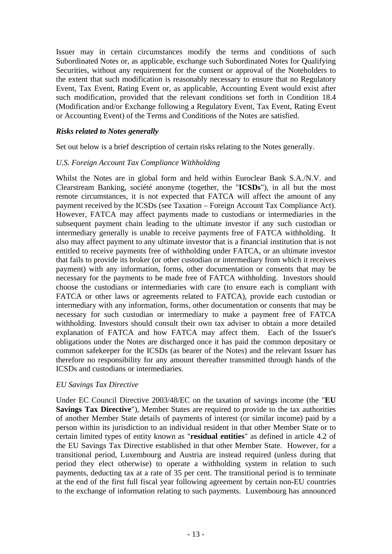Issuer may in certain circumstances modify the terms and conditions of such Subordinated Notes or, as applicable, exchange such Subordinated Notes for Qualifying Securities, without any requirement for the consent or approval of the Noteholders to the extent that such modification is reasonably necessary to ensure that no Regulatory Event, Tax Event, Rating Event or, as applicable, Accounting Event would exist after such modification, provided that the relevant conditions set forth in Condition 18.4 (Modification and/or Exchange following a Regulatory Event, Tax Event, Rating Event or Accounting Event) of the Terms and Conditions of the Notes are satisfied.

### *Risks related to Notes generally*

Set out below is a brief description of certain risks relating to the Notes generally.

#### *U.S. Foreign Account Tax Compliance Withholding*

Whilst the Notes are in global form and held within Euroclear Bank S.A./N.V. and Clearstream Banking, société anonyme (together, the "**ICSDs**"), in all but the most remote circumstances, it is not expected that FATCA will affect the amount of any payment received by the ICSDs (see Taxation – Foreign Account Tax Compliance Act). However, FATCA may affect payments made to custodians or intermediaries in the subsequent payment chain leading to the ultimate investor if any such custodian or intermediary generally is unable to receive payments free of FATCA withholding. It also may affect payment to any ultimate investor that is a financial institution that is not entitled to receive payments free of withholding under FATCA, or an ultimate investor that fails to provide its broker (or other custodian or intermediary from which it receives payment) with any information, forms, other documentation or consents that may be necessary for the payments to be made free of FATCA withholding. Investors should choose the custodians or intermediaries with care (to ensure each is compliant with FATCA or other laws or agreements related to FATCA), provide each custodian or intermediary with any information, forms, other documentation or consents that may be necessary for such custodian or intermediary to make a payment free of FATCA withholding. Investors should consult their own tax adviser to obtain a more detailed explanation of FATCA and how FATCA may affect them. Each of the Issuer's obligations under the Notes are discharged once it has paid the common depositary or common safekeeper for the ICSDs (as bearer of the Notes) and the relevant Issuer has therefore no responsibility for any amount thereafter transmitted through hands of the ICSDs and custodians or intermediaries.

### *EU Savings Tax Directive*

Under EC Council Directive 2003/48/EC on the taxation of savings income (the "**EU Savings Tax Directive**"), Member States are required to provide to the tax authorities of another Member State details of payments of interest (or similar income) paid by a person within its jurisdiction to an individual resident in that other Member State or to certain limited types of entity known as "**residual entities**" as defined in article 4.2 of the EU Savings Tax Directive established in that other Member State. However, for a transitional period, Luxembourg and Austria are instead required (unless during that period they elect otherwise) to operate a withholding system in relation to such payments, deducting tax at a rate of 35 per cent. The transitional period is to terminate at the end of the first full fiscal year following agreement by certain non-EU countries to the exchange of information relating to such payments. Luxembourg has announced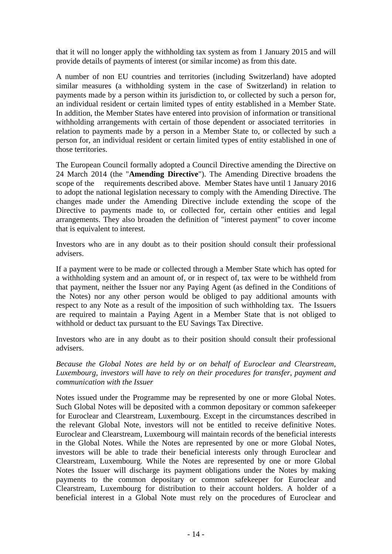that it will no longer apply the withholding tax system as from 1 January 2015 and will provide details of payments of interest (or similar income) as from this date.

A number of non EU countries and territories (including Switzerland) have adopted similar measures (a withholding system in the case of Switzerland) in relation to payments made by a person within its jurisdiction to, or collected by such a person for, an individual resident or certain limited types of entity established in a Member State. In addition, the Member States have entered into provision of information or transitional withholding arrangements with certain of those dependent or associated territories in relation to payments made by a person in a Member State to, or collected by such a person for, an individual resident or certain limited types of entity established in one of those territories.

The European Council formally adopted a Council Directive amending the Directive on 24 March 2014 (the "**Amending Directive**"). The Amending Directive broadens the scope of the requirements described above. Member States have until 1 January 2016 to adopt the national legislation necessary to comply with the Amending Directive. The changes made under the Amending Directive include extending the scope of the Directive to payments made to, or collected for, certain other entities and legal arrangements. They also broaden the definition of "interest payment" to cover income that is equivalent to interest.

Investors who are in any doubt as to their position should consult their professional advisers.

If a payment were to be made or collected through a Member State which has opted for a withholding system and an amount of, or in respect of, tax were to be withheld from that payment, neither the Issuer nor any Paying Agent (as defined in the Conditions of the Notes) nor any other person would be obliged to pay additional amounts with respect to any Note as a result of the imposition of such withholding tax. The Issuers are required to maintain a Paying Agent in a Member State that is not obliged to withhold or deduct tax pursuant to the EU Savings Tax Directive.

Investors who are in any doubt as to their position should consult their professional advisers.

*Because the Global Notes are held by or on behalf of Euroclear and Clearstream, Luxembourg, investors will have to rely on their procedures for transfer, payment and communication with the Issuer* 

Notes issued under the Programme may be represented by one or more Global Notes. Such Global Notes will be deposited with a common depositary or common safekeeper for Euroclear and Clearstream, Luxembourg. Except in the circumstances described in the relevant Global Note, investors will not be entitled to receive definitive Notes. Euroclear and Clearstream, Luxembourg will maintain records of the beneficial interests in the Global Notes. While the Notes are represented by one or more Global Notes, investors will be able to trade their beneficial interests only through Euroclear and Clearstream, Luxembourg. While the Notes are represented by one or more Global Notes the Issuer will discharge its payment obligations under the Notes by making payments to the common depositary or common safekeeper for Euroclear and Clearstream, Luxembourg for distribution to their account holders. A holder of a beneficial interest in a Global Note must rely on the procedures of Euroclear and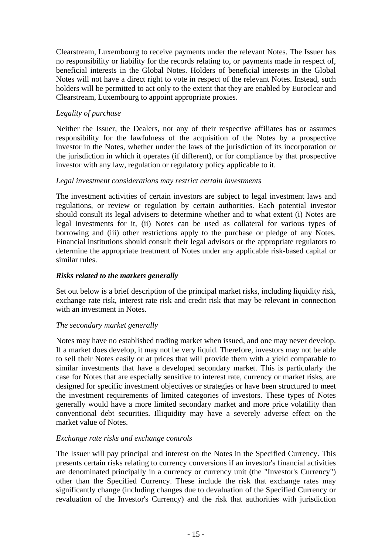Clearstream, Luxembourg to receive payments under the relevant Notes. The Issuer has no responsibility or liability for the records relating to, or payments made in respect of, beneficial interests in the Global Notes. Holders of beneficial interests in the Global Notes will not have a direct right to vote in respect of the relevant Notes. Instead, such holders will be permitted to act only to the extent that they are enabled by Euroclear and Clearstream, Luxembourg to appoint appropriate proxies.

# *Legality of purchase*

Neither the Issuer, the Dealers, nor any of their respective affiliates has or assumes responsibility for the lawfulness of the acquisition of the Notes by a prospective investor in the Notes, whether under the laws of the jurisdiction of its incorporation or the jurisdiction in which it operates (if different), or for compliance by that prospective investor with any law, regulation or regulatory policy applicable to it.

# *Legal investment considerations may restrict certain investments*

The investment activities of certain investors are subject to legal investment laws and regulations, or review or regulation by certain authorities. Each potential investor should consult its legal advisers to determine whether and to what extent (i) Notes are legal investments for it, (ii) Notes can be used as collateral for various types of borrowing and (iii) other restrictions apply to the purchase or pledge of any Notes. Financial institutions should consult their legal advisors or the appropriate regulators to determine the appropriate treatment of Notes under any applicable risk-based capital or similar rules.

### *Risks related to the markets generally*

Set out below is a brief description of the principal market risks, including liquidity risk, exchange rate risk, interest rate risk and credit risk that may be relevant in connection with an investment in Notes.

### *The secondary market generally*

Notes may have no established trading market when issued, and one may never develop. If a market does develop, it may not be very liquid. Therefore, investors may not be able to sell their Notes easily or at prices that will provide them with a yield comparable to similar investments that have a developed secondary market. This is particularly the case for Notes that are especially sensitive to interest rate, currency or market risks, are designed for specific investment objectives or strategies or have been structured to meet the investment requirements of limited categories of investors. These types of Notes generally would have a more limited secondary market and more price volatility than conventional debt securities. Illiquidity may have a severely adverse effect on the market value of Notes.

### *Exchange rate risks and exchange controls*

The Issuer will pay principal and interest on the Notes in the Specified Currency. This presents certain risks relating to currency conversions if an investor's financial activities are denominated principally in a currency or currency unit (the "Investor's Currency") other than the Specified Currency. These include the risk that exchange rates may significantly change (including changes due to devaluation of the Specified Currency or revaluation of the Investor's Currency) and the risk that authorities with jurisdiction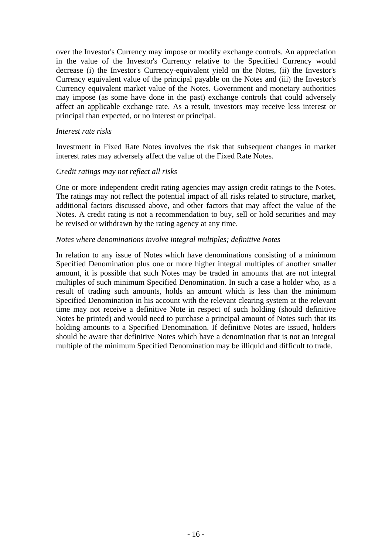over the Investor's Currency may impose or modify exchange controls. An appreciation in the value of the Investor's Currency relative to the Specified Currency would decrease (i) the Investor's Currency-equivalent yield on the Notes, (ii) the Investor's Currency equivalent value of the principal payable on the Notes and (iii) the Investor's Currency equivalent market value of the Notes. Government and monetary authorities may impose (as some have done in the past) exchange controls that could adversely affect an applicable exchange rate. As a result, investors may receive less interest or principal than expected, or no interest or principal.

#### *Interest rate risks*

Investment in Fixed Rate Notes involves the risk that subsequent changes in market interest rates may adversely affect the value of the Fixed Rate Notes.

### *Credit ratings may not reflect all risks*

One or more independent credit rating agencies may assign credit ratings to the Notes. The ratings may not reflect the potential impact of all risks related to structure, market, additional factors discussed above, and other factors that may affect the value of the Notes. A credit rating is not a recommendation to buy, sell or hold securities and may be revised or withdrawn by the rating agency at any time.

#### *Notes where denominations involve integral multiples; definitive Notes*

In relation to any issue of Notes which have denominations consisting of a minimum Specified Denomination plus one or more higher integral multiples of another smaller amount, it is possible that such Notes may be traded in amounts that are not integral multiples of such minimum Specified Denomination. In such a case a holder who, as a result of trading such amounts, holds an amount which is less than the minimum Specified Denomination in his account with the relevant clearing system at the relevant time may not receive a definitive Note in respect of such holding (should definitive Notes be printed) and would need to purchase a principal amount of Notes such that its holding amounts to a Specified Denomination. If definitive Notes are issued, holders should be aware that definitive Notes which have a denomination that is not an integral multiple of the minimum Specified Denomination may be illiquid and difficult to trade.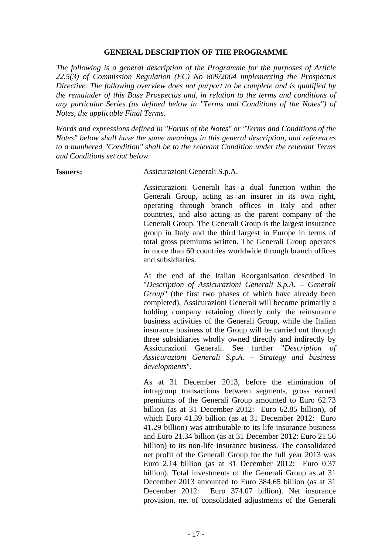#### **GENERAL DESCRIPTION OF THE PROGRAMME**

*The following is a general description of the Programme for the purposes of Article 22.5(3) of Commission Regulation (EC) No 809/2004 implementing the Prospectus Directive. The following overview does not purport to be complete and is qualified by the remainder of this Base Prospectus and, in relation to the terms and conditions of any particular Series (as defined below in "Terms and Conditions of the Notes") of Notes, the applicable Final Terms.* 

*Words and expressions defined in "Forms of the Notes" or "Terms and Conditions of the Notes" below shall have the same meanings in this general description, and references to a numbered "Condition" shall be to the relevant Condition under the relevant Terms and Conditions set out below.* 

**Issuers:** Assicurazioni Generali S.p.A.

Assicurazioni Generali has a dual function within the Generali Group, acting as an insurer in its own right, operating through branch offices in Italy and other countries, and also acting as the parent company of the Generali Group. The Generali Group is the largest insurance group in Italy and the third largest in Europe in terms of total gross premiums written. The Generali Group operates in more than 60 countries worldwide through branch offices and subsidiaries.

At the end of the Italian Reorganisation described in "*Description of Assicurazioni Generali S.p.A. – Generali Group*" (the first two phases of which have already been completed), Assicurazioni Generali will become primarily a holding company retaining directly only the reinsurance business activities of the Generali Group, while the Italian insurance business of the Group will be carried out through three subsidiaries wholly owned directly and indirectly by Assicurazioni Generali. See further "*Description of Assicurazioni Generali S.p.A. – Strategy and business developments*".

As at 31 December 2013, before the elimination of intragroup transactions between segments, gross earned premiums of the Generali Group amounted to Euro 62.73 billion (as at 31 December 2012: Euro 62.85 billion), of which Euro 41.39 billion (as at 31 December 2012: Euro 41.29 billion) was attributable to its life insurance business and Euro 21.34 billion (as at 31 December 2012: Euro 21.56 billion) to its non-life insurance business. The consolidated net profit of the Generali Group for the full year 2013 was Euro 2.14 billion (as at 31 December 2012: Euro 0.37 billion). Total investments of the Generali Group as at 31 December 2013 amounted to Euro 384.65 billion (as at 31 December 2012: Euro 374.07 billion). Net insurance provision, net of consolidated adjustments of the Generali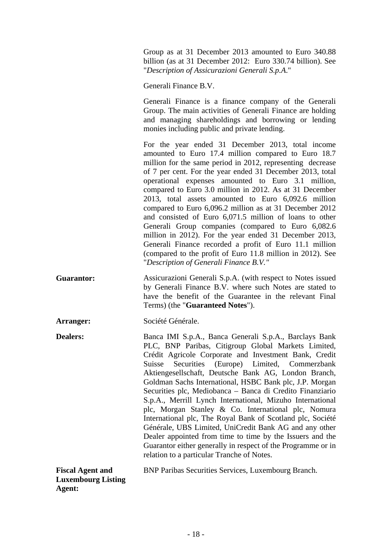Group as at 31 December 2013 amounted to Euro 340.88 billion (as at 31 December 2012: Euro 330.74 billion). See "*Description of Assicurazioni Generali S.p.A*."

Generali Finance B.V.

Generali Finance is a finance company of the Generali Group. The main activities of Generali Finance are holding and managing shareholdings and borrowing or lending monies including public and private lending.

For the year ended 31 December 2013, total income amounted to Euro 17.4 million compared to Euro 18.7 million for the same period in 2012, representing decrease of 7 per cent. For the year ended 31 December 2013, total operational expenses amounted to Euro 3.1 million, compared to Euro 3.0 million in 2012. As at 31 December 2013, total assets amounted to Euro 6,092.6 million compared to Euro 6,096.2 million as at 31 December 2012 and consisted of Euro 6,071.5 million of loans to other Generali Group companies (compared to Euro 6,082.6 million in 2012). For the year ended 31 December 2013, Generali Finance recorded a profit of Euro 11.1 million (compared to the profit of Euro 11.8 million in 2012). See "*Description of Generali Finance B.V."*

**Guarantor:** Assicurazioni Generali S.p.A. (with respect to Notes issued by Generali Finance B.V. where such Notes are stated to have the benefit of the Guarantee in the relevant Final Terms) (the "**Guaranteed Notes**").

**Arranger:** Société Générale.

**Dealers:** Banca IMI S.p.A., Banca Generali S.p.A., Barclays Bank PLC, BNP Paribas, Citigroup Global Markets Limited, Crédit Agricole Corporate and Investment Bank, Credit Suisse Securities (Europe) Limited, Commerzbank Aktiengesellschaft, Deutsche Bank AG, London Branch, Goldman Sachs International, HSBC Bank plc, J.P. Morgan Securities plc, Mediobanca – Banca di Credito Finanziario S.p.A., Merrill Lynch International, Mizuho International plc, Morgan Stanley & Co. International plc, Nomura International plc, The Royal Bank of Scotland plc, Société Générale, UBS Limited, UniCredit Bank AG and any other Dealer appointed from time to time by the Issuers and the Guarantor either generally in respect of the Programme or in relation to a particular Tranche of Notes.

| <b>Fiscal Agent and</b>   | <b>BNP Paribas Securities Services, Luxembourg Branch.</b> |
|---------------------------|------------------------------------------------------------|
| <b>Luxembourg Listing</b> |                                                            |

**Agent:**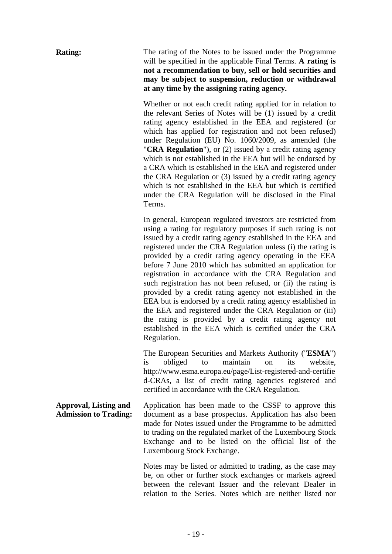**Rating:** The rating of the Notes to be issued under the Programme will be specified in the applicable Final Terms. **A rating is not a recommendation to buy, sell or hold securities and may be subject to suspension, reduction or withdrawal at any time by the assigning rating agency.**

> Whether or not each credit rating applied for in relation to the relevant Series of Notes will be (1) issued by a credit rating agency established in the EEA and registered (or which has applied for registration and not been refused) under Regulation (EU) No. 1060/2009, as amended (the "**CRA Regulation**"), or (2) issued by a credit rating agency which is not established in the EEA but will be endorsed by a CRA which is established in the EEA and registered under the CRA Regulation or (3) issued by a credit rating agency which is not established in the EEA but which is certified under the CRA Regulation will be disclosed in the Final Terms.

> In general, European regulated investors are restricted from using a rating for regulatory purposes if such rating is not issued by a credit rating agency established in the EEA and registered under the CRA Regulation unless (i) the rating is provided by a credit rating agency operating in the EEA before 7 June 2010 which has submitted an application for registration in accordance with the CRA Regulation and such registration has not been refused, or (ii) the rating is provided by a credit rating agency not established in the EEA but is endorsed by a credit rating agency established in the EEA and registered under the CRA Regulation or (iii) the rating is provided by a credit rating agency not established in the EEA which is certified under the CRA Regulation.

> The European Securities and Markets Authority ("**ESMA**") is obliged to maintain on its website, http://www.esma.europa.eu/page/List-registered-and-certifie d-CRAs, a list of credit rating agencies registered and certified in accordance with the CRA Regulation.

**Approval, Listing and Admission to Trading:** Application has been made to the CSSF to approve this document as a base prospectus. Application has also been made for Notes issued under the Programme to be admitted to trading on the regulated market of the Luxembourg Stock Exchange and to be listed on the official list of the Luxembourg Stock Exchange.

> Notes may be listed or admitted to trading, as the case may be, on other or further stock exchanges or markets agreed between the relevant Issuer and the relevant Dealer in relation to the Series. Notes which are neither listed nor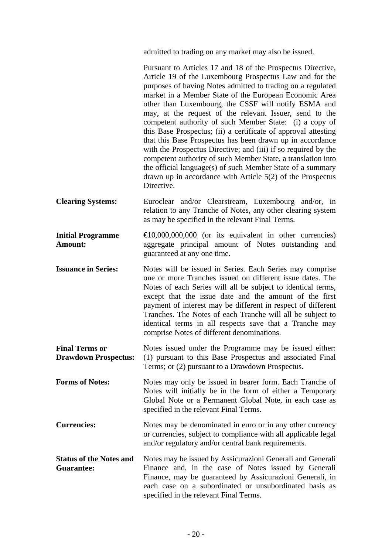admitted to trading on any market may also be issued.

|                                                      | Pursuant to Articles 17 and 18 of the Prospectus Directive,<br>Article 19 of the Luxembourg Prospectus Law and for the<br>purposes of having Notes admitted to trading on a regulated<br>market in a Member State of the European Economic Area<br>other than Luxembourg, the CSSF will notify ESMA and<br>may, at the request of the relevant Issuer, send to the<br>competent authority of such Member State: (i) a copy of<br>this Base Prospectus; (ii) a certificate of approval attesting<br>that this Base Prospectus has been drawn up in accordance<br>with the Prospectus Directive; and (iii) if so required by the<br>competent authority of such Member State, a translation into<br>the official language(s) of such Member State of a summary<br>drawn up in accordance with Article $5(2)$ of the Prospectus<br>Directive. |
|------------------------------------------------------|--------------------------------------------------------------------------------------------------------------------------------------------------------------------------------------------------------------------------------------------------------------------------------------------------------------------------------------------------------------------------------------------------------------------------------------------------------------------------------------------------------------------------------------------------------------------------------------------------------------------------------------------------------------------------------------------------------------------------------------------------------------------------------------------------------------------------------------------|
| <b>Clearing Systems:</b>                             | Euroclear and/or Clearstream, Luxembourg and/or, in<br>relation to any Tranche of Notes, any other clearing system<br>as may be specified in the relevant Final Terms.                                                                                                                                                                                                                                                                                                                                                                                                                                                                                                                                                                                                                                                                     |
| <b>Initial Programme</b><br>Amount:                  | $\bigoplus$ 0,000,000,000 (or its equivalent in other currencies)<br>aggregate principal amount of Notes outstanding and<br>guaranteed at any one time.                                                                                                                                                                                                                                                                                                                                                                                                                                                                                                                                                                                                                                                                                    |
| <b>Issuance in Series:</b>                           | Notes will be issued in Series. Each Series may comprise<br>one or more Tranches issued on different issue dates. The<br>Notes of each Series will all be subject to identical terms,<br>except that the issue date and the amount of the first<br>payment of interest may be different in respect of different<br>Tranches. The Notes of each Tranche will all be subject to<br>identical terms in all respects save that a Tranche may<br>comprise Notes of different denominations.                                                                                                                                                                                                                                                                                                                                                     |
| <b>Final Terms or</b><br><b>Drawdown Prospectus:</b> | Notes issued under the Programme may be issued either:<br>(1) pursuant to this Base Prospectus and associated Final<br>Terms; or (2) pursuant to a Drawdown Prospectus.                                                                                                                                                                                                                                                                                                                                                                                                                                                                                                                                                                                                                                                                    |
| <b>Forms of Notes:</b>                               | Notes may only be issued in bearer form. Each Tranche of<br>Notes will initially be in the form of either a Temporary<br>Global Note or a Permanent Global Note, in each case as<br>specified in the relevant Final Terms.                                                                                                                                                                                                                                                                                                                                                                                                                                                                                                                                                                                                                 |
| <b>Currencies:</b>                                   | Notes may be denominated in euro or in any other currency<br>or currencies, subject to compliance with all applicable legal<br>and/or regulatory and/or central bank requirements.                                                                                                                                                                                                                                                                                                                                                                                                                                                                                                                                                                                                                                                         |
| <b>Status of the Notes and</b><br><b>Guarantee:</b>  | Notes may be issued by Assicurazioni Generali and Generali<br>Finance and, in the case of Notes issued by Generali<br>Finance, may be guaranteed by Assicurazioni Generali, in<br>each case on a subordinated or unsubordinated basis as<br>specified in the relevant Final Terms.                                                                                                                                                                                                                                                                                                                                                                                                                                                                                                                                                         |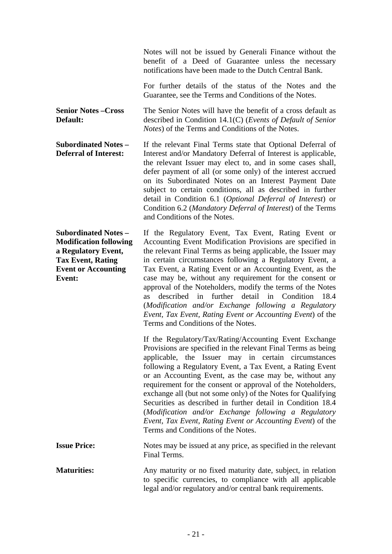Notes will not be issued by Generali Finance without the benefit of a Deed of Guarantee unless the necessary notifications have been made to the Dutch Central Bank.

For further details of the status of the Notes and the Guarantee, see the Terms and Conditions of the Notes.

**Senior Notes –Cross Default:** The Senior Notes will have the benefit of a cross default as described in Condition 14.1(C) (*Events of Default of Senior Notes*) of the Terms and Conditions of the Notes.

**Subordinated Notes – Deferral of Interest:** If the relevant Final Terms state that Optional Deferral of Interest and/or Mandatory Deferral of Interest is applicable, the relevant Issuer may elect to, and in some cases shall, defer payment of all (or some only) of the interest accrued on its Subordinated Notes on an Interest Payment Date subject to certain conditions, all as described in further detail in Condition 6.1 (*Optional Deferral of Interest*) or Condition 6.2 (*Mandatory Deferral of Interest*) of the Terms and Conditions of the Notes.

**Subordinated Notes – Modification following a Regulatory Event, Tax Event, Rating Event or Accounting Event:** If the Regulatory Event, Tax Event, Rating Event or Accounting Event Modification Provisions are specified in the relevant Final Terms as being applicable, the Issuer may in certain circumstances following a Regulatory Event, a Tax Event, a Rating Event or an Accounting Event, as the case may be, without any requirement for the consent or approval of the Noteholders, modify the terms of the Notes as described in further detail in Condition 18.4 (*Modification and/or Exchange following a Regulatory Event, Tax Event, Rating Event or Accounting Event*) of the Terms and Conditions of the Notes.

> If the Regulatory/Tax/Rating/Accounting Event Exchange Provisions are specified in the relevant Final Terms as being applicable, the Issuer may in certain circumstances following a Regulatory Event, a Tax Event, a Rating Event or an Accounting Event, as the case may be, without any requirement for the consent or approval of the Noteholders, exchange all (but not some only) of the Notes for Qualifying Securities as described in further detail in Condition 18.4 (*Modification and/or Exchange following a Regulatory Event, Tax Event, Rating Event or Accounting Event*) of the Terms and Conditions of the Notes.

**Issue Price:** Notes may be issued at any price, as specified in the relevant Final Terms.

**Maturities:** Any maturity or no fixed maturity date, subject, in relation to specific currencies, to compliance with all applicable legal and/or regulatory and/or central bank requirements.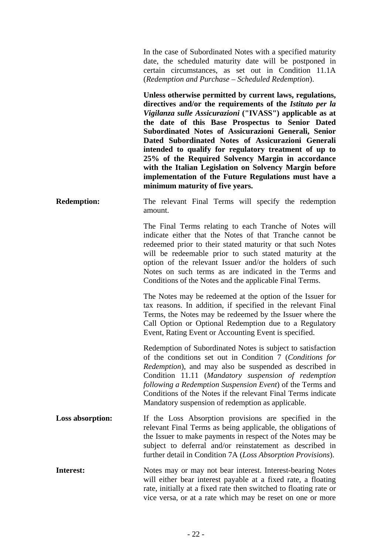In the case of Subordinated Notes with a specified maturity date, the scheduled maturity date will be postponed in certain circumstances, as set out in Condition 11.1A (*Redemption and Purchase – Scheduled Redemption*).

**Unless otherwise permitted by current laws, regulations, directives and/or the requirements of the** *Istituto per la Vigilanza sulle Assicurazioni* **("IVASS") applicable as at the date of this Base Prospectus to Senior Dated Subordinated Notes of Assicurazioni Generali, Senior Dated Subordinated Notes of Assicurazioni Generali intended to qualify for regulatory treatment of up to 25% of the Required Solvency Margin in accordance with the Italian Legislation on Solvency Margin before implementation of the Future Regulations must have a minimum maturity of five years.**

**Redemption:** The relevant Final Terms will specify the redemption amount.

> The Final Terms relating to each Tranche of Notes will indicate either that the Notes of that Tranche cannot be redeemed prior to their stated maturity or that such Notes will be redeemable prior to such stated maturity at the option of the relevant Issuer and/or the holders of such Notes on such terms as are indicated in the Terms and Conditions of the Notes and the applicable Final Terms.

> The Notes may be redeemed at the option of the Issuer for tax reasons. In addition, if specified in the relevant Final Terms, the Notes may be redeemed by the Issuer where the Call Option or Optional Redemption due to a Regulatory Event, Rating Event or Accounting Event is specified.

> Redemption of Subordinated Notes is subject to satisfaction of the conditions set out in Condition 7 (*Conditions for Redemption*), and may also be suspended as described in Condition 11.11 (*Mandatory suspension of redemption following a Redemption Suspension Event*) of the Terms and Conditions of the Notes if the relevant Final Terms indicate Mandatory suspension of redemption as applicable.

- **Loss absorption:** If the Loss Absorption provisions are specified in the relevant Final Terms as being applicable, the obligations of the Issuer to make payments in respect of the Notes may be subject to deferral and/or reinstatement as described in further detail in Condition 7A (*Loss Absorption Provisions*).
- **Interest:** Notes may or may not bear interest. Interest-bearing Notes will either bear interest payable at a fixed rate, a floating rate, initially at a fixed rate then switched to floating rate or vice versa, or at a rate which may be reset on one or more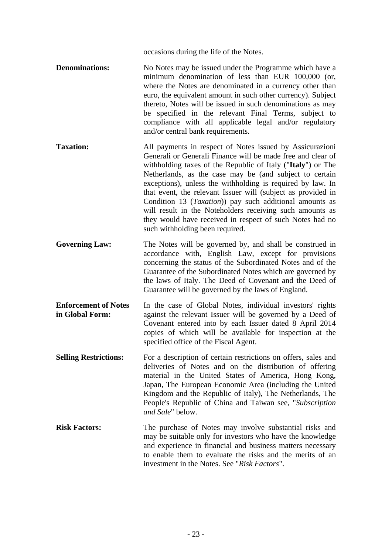occasions during the life of the Notes.

- **Denominations:** No Notes may be issued under the Programme which have a minimum denomination of less than EUR 100,000 (or, where the Notes are denominated in a currency other than euro, the equivalent amount in such other currency). Subject thereto, Notes will be issued in such denominations as may be specified in the relevant Final Terms, subject to compliance with all applicable legal and/or regulatory and/or central bank requirements.
- **Taxation:** All payments in respect of Notes issued by Assicurazioni Generali or Generali Finance will be made free and clear of withholding taxes of the Republic of Italy ("**Italy**") or The Netherlands, as the case may be (and subject to certain exceptions), unless the withholding is required by law. In that event, the relevant Issuer will (subject as provided in Condition 13 (*Taxation*)) pay such additional amounts as will result in the Noteholders receiving such amounts as they would have received in respect of such Notes had no such withholding been required.
- Governing Law: The Notes will be governed by, and shall be construed in accordance with, English Law, except for provisions concerning the status of the Subordinated Notes and of the Guarantee of the Subordinated Notes which are governed by the laws of Italy. The Deed of Covenant and the Deed of Guarantee will be governed by the laws of England.
- **Enforcement of Notes in Global Form:** In the case of Global Notes, individual investors' rights against the relevant Issuer will be governed by a Deed of Covenant entered into by each Issuer dated 8 April 2014 copies of which will be available for inspection at the specified office of the Fiscal Agent.
- **Selling Restrictions:** For a description of certain restrictions on offers, sales and deliveries of Notes and on the distribution of offering material in the United States of America, Hong Kong, Japan, The European Economic Area (including the United Kingdom and the Republic of Italy), The Netherlands, The People's Republic of China and Taiwan see, "*Subscription and Sale*" below.
- **Risk Factors:** The purchase of Notes may involve substantial risks and may be suitable only for investors who have the knowledge and experience in financial and business matters necessary to enable them to evaluate the risks and the merits of an investment in the Notes. See "*Risk Factors*".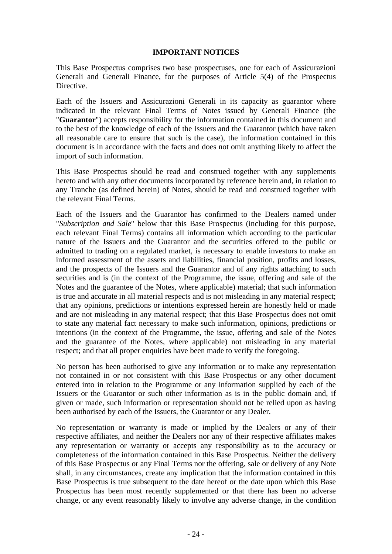### **IMPORTANT NOTICES**

This Base Prospectus comprises two base prospectuses, one for each of Assicurazioni Generali and Generali Finance, for the purposes of Article 5(4) of the Prospectus **Directive** 

Each of the Issuers and Assicurazioni Generali in its capacity as guarantor where indicated in the relevant Final Terms of Notes issued by Generali Finance (the "**Guarantor**") accepts responsibility for the information contained in this document and to the best of the knowledge of each of the Issuers and the Guarantor (which have taken all reasonable care to ensure that such is the case), the information contained in this document is in accordance with the facts and does not omit anything likely to affect the import of such information.

This Base Prospectus should be read and construed together with any supplements hereto and with any other documents incorporated by reference herein and, in relation to any Tranche (as defined herein) of Notes, should be read and construed together with the relevant Final Terms.

Each of the Issuers and the Guarantor has confirmed to the Dealers named under "*Subscription and Sale*" below that this Base Prospectus (including for this purpose, each relevant Final Terms) contains all information which according to the particular nature of the Issuers and the Guarantor and the securities offered to the public or admitted to trading on a regulated market, is necessary to enable investors to make an informed assessment of the assets and liabilities, financial position, profits and losses, and the prospects of the Issuers and the Guarantor and of any rights attaching to such securities and is (in the context of the Programme, the issue, offering and sale of the Notes and the guarantee of the Notes, where applicable) material; that such information is true and accurate in all material respects and is not misleading in any material respect; that any opinions, predictions or intentions expressed herein are honestly held or made and are not misleading in any material respect; that this Base Prospectus does not omit to state any material fact necessary to make such information, opinions, predictions or intentions (in the context of the Programme, the issue, offering and sale of the Notes and the guarantee of the Notes, where applicable) not misleading in any material respect; and that all proper enquiries have been made to verify the foregoing.

No person has been authorised to give any information or to make any representation not contained in or not consistent with this Base Prospectus or any other document entered into in relation to the Programme or any information supplied by each of the Issuers or the Guarantor or such other information as is in the public domain and, if given or made, such information or representation should not be relied upon as having been authorised by each of the Issuers, the Guarantor or any Dealer.

No representation or warranty is made or implied by the Dealers or any of their respective affiliates, and neither the Dealers nor any of their respective affiliates makes any representation or warranty or accepts any responsibility as to the accuracy or completeness of the information contained in this Base Prospectus. Neither the delivery of this Base Prospectus or any Final Terms nor the offering, sale or delivery of any Note shall, in any circumstances, create any implication that the information contained in this Base Prospectus is true subsequent to the date hereof or the date upon which this Base Prospectus has been most recently supplemented or that there has been no adverse change, or any event reasonably likely to involve any adverse change, in the condition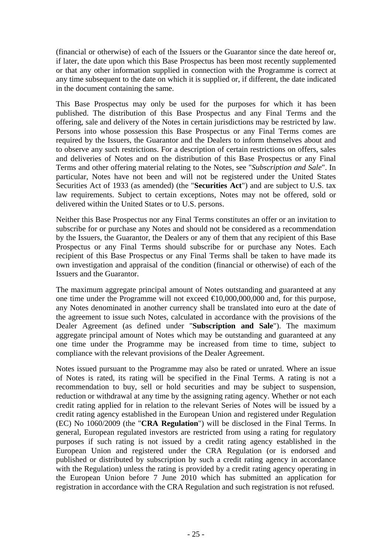(financial or otherwise) of each of the Issuers or the Guarantor since the date hereof or, if later, the date upon which this Base Prospectus has been most recently supplemented or that any other information supplied in connection with the Programme is correct at any time subsequent to the date on which it is supplied or, if different, the date indicated in the document containing the same.

This Base Prospectus may only be used for the purposes for which it has been published. The distribution of this Base Prospectus and any Final Terms and the offering, sale and delivery of the Notes in certain jurisdictions may be restricted by law. Persons into whose possession this Base Prospectus or any Final Terms comes are required by the Issuers, the Guarantor and the Dealers to inform themselves about and to observe any such restrictions. For a description of certain restrictions on offers, sales and deliveries of Notes and on the distribution of this Base Prospectus or any Final Terms and other offering material relating to the Notes, see "*Subscription and Sale*". In particular, Notes have not been and will not be registered under the United States Securities Act of 1933 (as amended) (the "**Securities Act**") and are subject to U.S. tax law requirements. Subject to certain exceptions, Notes may not be offered, sold or delivered within the United States or to U.S. persons.

Neither this Base Prospectus nor any Final Terms constitutes an offer or an invitation to subscribe for or purchase any Notes and should not be considered as a recommendation by the Issuers, the Guarantor, the Dealers or any of them that any recipient of this Base Prospectus or any Final Terms should subscribe for or purchase any Notes. Each recipient of this Base Prospectus or any Final Terms shall be taken to have made its own investigation and appraisal of the condition (financial or otherwise) of each of the Issuers and the Guarantor.

The maximum aggregate principal amount of Notes outstanding and guaranteed at any one time under the Programme will not exceed  $\epsilon 10,000,000,000$  and, for this purpose, any Notes denominated in another currency shall be translated into euro at the date of the agreement to issue such Notes, calculated in accordance with the provisions of the Dealer Agreement (as defined under "**Subscription and Sale**"). The maximum aggregate principal amount of Notes which may be outstanding and guaranteed at any one time under the Programme may be increased from time to time, subject to compliance with the relevant provisions of the Dealer Agreement.

Notes issued pursuant to the Programme may also be rated or unrated. Where an issue of Notes is rated, its rating will be specified in the Final Terms. A rating is not a recommendation to buy, sell or hold securities and may be subject to suspension, reduction or withdrawal at any time by the assigning rating agency. Whether or not each credit rating applied for in relation to the relevant Series of Notes will be issued by a credit rating agency established in the European Union and registered under Regulation (EC) No 1060/2009 (the "**CRA Regulation**") will be disclosed in the Final Terms. In general, European regulated investors are restricted from using a rating for regulatory purposes if such rating is not issued by a credit rating agency established in the European Union and registered under the CRA Regulation (or is endorsed and published or distributed by subscription by such a credit rating agency in accordance with the Regulation) unless the rating is provided by a credit rating agency operating in the European Union before 7 June 2010 which has submitted an application for registration in accordance with the CRA Regulation and such registration is not refused.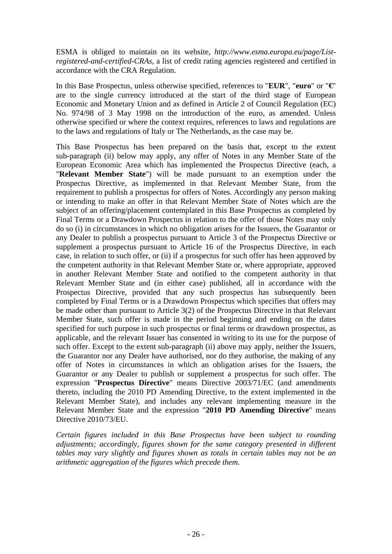ESMA is obliged to maintain on its website, *http://www.esma.europa.eu/page/Listregistered-and-certified-CRAs*, a list of credit rating agencies registered and certified in accordance with the CRA Regulation.

In this Base Prospectus, unless otherwise specified, references to "**EUR**", "**euro**" or "**€**" are to the single currency introduced at the start of the third stage of European Economic and Monetary Union and as defined in Article 2 of Council Regulation (EC) No. 974/98 of 3 May 1998 on the introduction of the euro, as amended. Unless otherwise specified or where the context requires, references to laws and regulations are to the laws and regulations of Italy or The Netherlands, as the case may be.

This Base Prospectus has been prepared on the basis that, except to the extent sub-paragraph (ii) below may apply, any offer of Notes in any Member State of the European Economic Area which has implemented the Prospectus Directive (each, a "**Relevant Member State**") will be made pursuant to an exemption under the Prospectus Directive, as implemented in that Relevant Member State, from the requirement to publish a prospectus for offers of Notes. Accordingly any person making or intending to make an offer in that Relevant Member State of Notes which are the subject of an offering/placement contemplated in this Base Prospectus as completed by Final Terms or a Drawdown Prospectus in relation to the offer of those Notes may only do so (i) in circumstances in which no obligation arises for the Issuers, the Guarantor or any Dealer to publish a prospectus pursuant to Article 3 of the Prospectus Directive or supplement a prospectus pursuant to Article 16 of the Prospectus Directive, in each case, in relation to such offer, or (ii) if a prospectus for such offer has been approved by the competent authority in that Relevant Member State or, where appropriate, approved in another Relevant Member State and notified to the competent authority in that Relevant Member State and (in either case) published, all in accordance with the Prospectus Directive, provided that any such prospectus has subsequently been completed by Final Terms or is a Drawdown Prospectus which specifies that offers may be made other than pursuant to Article 3(2) of the Prospectus Directive in that Relevant Member State, such offer is made in the period beginning and ending on the dates specified for such purpose in such prospectus or final terms or drawdown prospectus, as applicable, and the relevant Issuer has consented in writing to its use for the purpose of such offer. Except to the extent sub-paragraph (ii) above may apply, neither the Issuers, the Guarantor nor any Dealer have authorised, nor do they authorise, the making of any offer of Notes in circumstances in which an obligation arises for the Issuers, the Guarantor or any Dealer to publish or supplement a prospectus for such offer. The expression "**Prospectus Directive**" means Directive 2003/71/EC (and amendments thereto, including the 2010 PD Amending Directive, to the extent implemented in the Relevant Member State), and includes any relevant implementing measure in the Relevant Member State and the expression "**2010 PD Amending Directive**" means Directive 2010/73/EU.

*Certain figures included in this Base Prospectus have been subject to rounding adjustments; accordingly, figures shown for the same category presented in different tables may vary slightly and figures shown as totals in certain tables may not be an arithmetic aggregation of the figures which precede them.*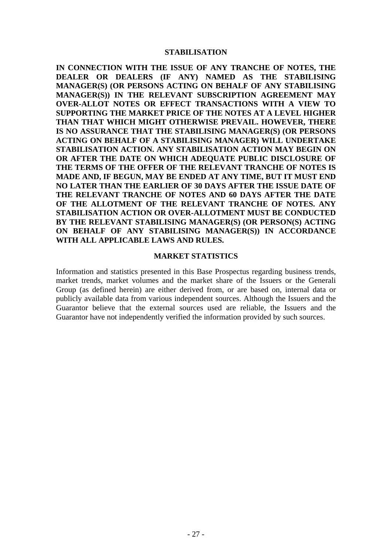#### **STABILISATION**

**IN CONNECTION WITH THE ISSUE OF ANY TRANCHE OF NOTES, THE DEALER OR DEALERS (IF ANY) NAMED AS THE STABILISING MANAGER(S) (OR PERSONS ACTING ON BEHALF OF ANY STABILISING MANAGER(S)) IN THE RELEVANT SUBSCRIPTION AGREEMENT MAY OVER-ALLOT NOTES OR EFFECT TRANSACTIONS WITH A VIEW TO SUPPORTING THE MARKET PRICE OF THE NOTES AT A LEVEL HIGHER THAN THAT WHICH MIGHT OTHERWISE PREVAIL. HOWEVER, THERE IS NO ASSURANCE THAT THE STABILISING MANAGER(S) (OR PERSONS ACTING ON BEHALF OF A STABILISING MANAGER) WILL UNDERTAKE STABILISATION ACTION. ANY STABILISATION ACTION MAY BEGIN ON OR AFTER THE DATE ON WHICH ADEQUATE PUBLIC DISCLOSURE OF THE TERMS OF THE OFFER OF THE RELEVANT TRANCHE OF NOTES IS MADE AND, IF BEGUN, MAY BE ENDED AT ANY TIME, BUT IT MUST END NO LATER THAN THE EARLIER OF 30 DAYS AFTER THE ISSUE DATE OF THE RELEVANT TRANCHE OF NOTES AND 60 DAYS AFTER THE DATE OF THE ALLOTMENT OF THE RELEVANT TRANCHE OF NOTES. ANY STABILISATION ACTION OR OVER-ALLOTMENT MUST BE CONDUCTED BY THE RELEVANT STABILISING MANAGER(S) (OR PERSON(S) ACTING ON BEHALF OF ANY STABILISING MANAGER(S)) IN ACCORDANCE WITH ALL APPLICABLE LAWS AND RULES.** 

#### **MARKET STATISTICS**

Information and statistics presented in this Base Prospectus regarding business trends, market trends, market volumes and the market share of the Issuers or the Generali Group (as defined herein) are either derived from, or are based on, internal data or publicly available data from various independent sources. Although the Issuers and the Guarantor believe that the external sources used are reliable, the Issuers and the Guarantor have not independently verified the information provided by such sources.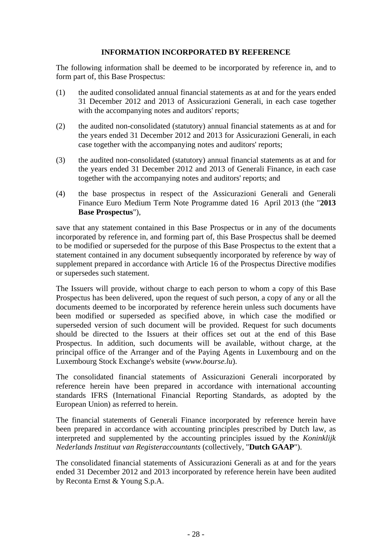# **INFORMATION INCORPORATED BY REFERENCE**

The following information shall be deemed to be incorporated by reference in, and to form part of, this Base Prospectus:

- (1) the audited consolidated annual financial statements as at and for the years ended 31 December 2012 and 2013 of Assicurazioni Generali, in each case together with the accompanying notes and auditors' reports;
- (2) the audited non-consolidated (statutory) annual financial statements as at and for the years ended 31 December 2012 and 2013 for Assicurazioni Generali, in each case together with the accompanying notes and auditors' reports;
- (3) the audited non-consolidated (statutory) annual financial statements as at and for the years ended 31 December 2012 and 2013 of Generali Finance, in each case together with the accompanying notes and auditors' reports; and
- (4) the base prospectus in respect of the Assicurazioni Generali and Generali Finance Euro Medium Term Note Programme dated 16 April 2013 (the "**2013 Base Prospectus**"),

save that any statement contained in this Base Prospectus or in any of the documents incorporated by reference in, and forming part of, this Base Prospectus shall be deemed to be modified or superseded for the purpose of this Base Prospectus to the extent that a statement contained in any document subsequently incorporated by reference by way of supplement prepared in accordance with Article 16 of the Prospectus Directive modifies or supersedes such statement.

The Issuers will provide, without charge to each person to whom a copy of this Base Prospectus has been delivered, upon the request of such person, a copy of any or all the documents deemed to be incorporated by reference herein unless such documents have been modified or superseded as specified above, in which case the modified or superseded version of such document will be provided. Request for such documents should be directed to the Issuers at their offices set out at the end of this Base Prospectus. In addition, such documents will be available, without charge, at the principal office of the Arranger and of the Paying Agents in Luxembourg and on the Luxembourg Stock Exchange's website (*www.bourse.lu*).

The consolidated financial statements of Assicurazioni Generali incorporated by reference herein have been prepared in accordance with international accounting standards IFRS (International Financial Reporting Standards, as adopted by the European Union) as referred to herein.

The financial statements of Generali Finance incorporated by reference herein have been prepared in accordance with accounting principles prescribed by Dutch law, as interpreted and supplemented by the accounting principles issued by the *Koninklijk Nederlands Instituut van Registeraccountants* (collectively, "**Dutch GAAP**").

The consolidated financial statements of Assicurazioni Generali as at and for the years ended 31 December 2012 and 2013 incorporated by reference herein have been audited by Reconta Ernst & Young S.p.A.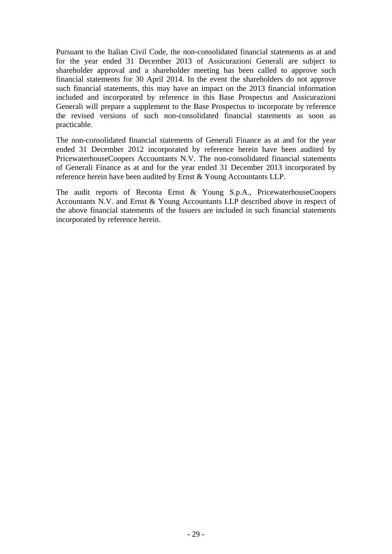Pursuant to the Italian Civil Code, the non-consolidated financial statements as at and for the year ended 31 December 2013 of Assicurazioni Generali are subject to shareholder approval and a shareholder meeting has been called to approve such financial statements for 30 April 2014. In the event the shareholders do not approve such financial statements, this may have an impact on the 2013 financial information included and incorporated by reference in this Base Prospectus and Assicurazioni Generali will prepare a supplement to the Base Prospectus to incorporate by reference the revised versions of such non-consolidated financial statements as soon as practicable.

The non-consolidated financial statements of Generali Finance as at and for the year ended 31 December 2012 incorporated by reference herein have been audited by PricewaterhouseCoopers Accountants N.V. The non-consolidated financial statements of Generali Finance as at and for the year ended 31 December 2013 incorporated by reference herein have been audited by Ernst & Young Accountants LLP.

The audit reports of Reconta Ernst & Young S.p.A., PricewaterhouseCoopers Accountants N.V. and Ernst & Young Accountants LLP described above in respect of the above financial statements of the Issuers are included in such financial statements incorporated by reference herein.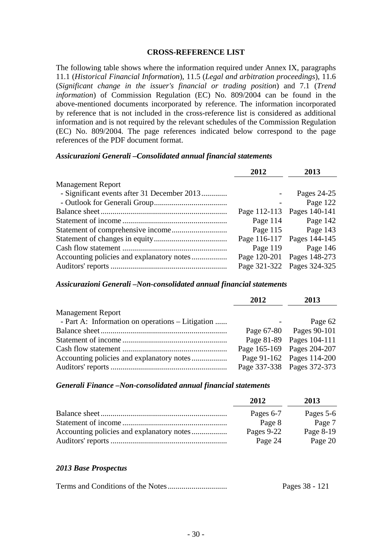#### **CROSS-REFERENCE LIST**

The following table shows where the information required under Annex IX, paragraphs 11.1 (*Historical Financial Information*), 11.5 (*Legal and arbitration proceedings*), 11.6 (*Significant change in the issuer's financial or trading position*) and 7.1 (*Trend information*) of Commission Regulation (EC) No. 809/2004 can be found in the above-mentioned documents incorporated by reference. The information incorporated by reference that is not included in the cross-reference list is considered as additional information and is not required by the relevant schedules of the Commission Regulation (EC) No. 809/2004. The page references indicated below correspond to the page references of the PDF document format.

#### *Assicurazioni Generali –Consolidated annual financial statements*

|                                             | 2012       | 2013                       |
|---------------------------------------------|------------|----------------------------|
| <b>Management Report</b>                    |            |                            |
| - Significant events after 31 December 2013 |            | Pages 24-25                |
|                                             |            | Page 122                   |
|                                             |            | Page 112-113 Pages 140-141 |
|                                             | Page $114$ | Page 142                   |
|                                             |            | Page 115 Page 143          |
|                                             |            | Page 116-117 Pages 144-145 |
|                                             |            | Page 119 Page 146          |
|                                             |            | Page 120-201 Pages 148-273 |
|                                             |            | Page 321-322 Pages 324-325 |

#### *Assicurazioni Generali –Non-consolidated annual financial statements*

|                                                  | 2012 | 2013                       |
|--------------------------------------------------|------|----------------------------|
| <b>Management Report</b>                         |      |                            |
| - Part A: Information on operations – Litigation |      | Page 62                    |
|                                                  |      | Page 67-80 Pages 90-101    |
|                                                  |      | Page 81-89 Pages 104-111   |
|                                                  |      | Page 165-169 Pages 204-207 |
|                                                  |      | Page 91-162 Pages 114-200  |
|                                                  |      | Page 337-338 Pages 372-373 |

#### *Generali Finance –Non-consolidated annual financial statements*

| 2012       | 2013      |
|------------|-----------|
| Pages 6-7  | Pages 5-6 |
| Page 8     | Page 7    |
| Pages 9-22 | Page 8-19 |
| Page 24    | Page 20   |

#### *2013 Base Prospectus*

|  | Pages 38 - 121 |
|--|----------------|
|--|----------------|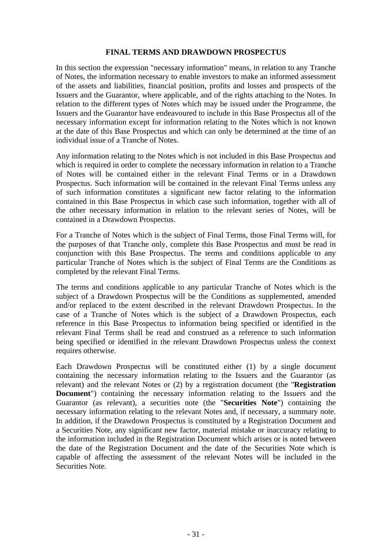### **FINAL TERMS AND DRAWDOWN PROSPECTUS**

In this section the expression "necessary information" means, in relation to any Tranche of Notes, the information necessary to enable investors to make an informed assessment of the assets and liabilities, financial position, profits and losses and prospects of the Issuers and the Guarantor, where applicable, and of the rights attaching to the Notes. In relation to the different types of Notes which may be issued under the Programme, the Issuers and the Guarantor have endeavoured to include in this Base Prospectus all of the necessary information except for information relating to the Notes which is not known at the date of this Base Prospectus and which can only be determined at the time of an individual issue of a Tranche of Notes.

Any information relating to the Notes which is not included in this Base Prospectus and which is required in order to complete the necessary information in relation to a Tranche of Notes will be contained either in the relevant Final Terms or in a Drawdown Prospectus. Such information will be contained in the relevant Final Terms unless any of such information constitutes a significant new factor relating to the information contained in this Base Prospectus in which case such information, together with all of the other necessary information in relation to the relevant series of Notes, will be contained in a Drawdown Prospectus.

For a Tranche of Notes which is the subject of Final Terms, those Final Terms will, for the purposes of that Tranche only, complete this Base Prospectus and must be read in conjunction with this Base Prospectus. The terms and conditions applicable to any particular Tranche of Notes which is the subject of Final Terms are the Conditions as completed by the relevant Final Terms.

The terms and conditions applicable to any particular Tranche of Notes which is the subject of a Drawdown Prospectus will be the Conditions as supplemented, amended and/or replaced to the extent described in the relevant Drawdown Prospectus. In the case of a Tranche of Notes which is the subject of a Drawdown Prospectus, each reference in this Base Prospectus to information being specified or identified in the relevant Final Terms shall be read and construed as a reference to such information being specified or identified in the relevant Drawdown Prospectus unless the context requires otherwise.

Each Drawdown Prospectus will be constituted either (1) by a single document containing the necessary information relating to the Issuers and the Guarantor (as relevant) and the relevant Notes or (2) by a registration document (the "**Registration Document**") containing the necessary information relating to the Issuers and the Guarantor (as relevant), a securities note (the "**Securities Note**") containing the necessary information relating to the relevant Notes and, if necessary, a summary note. In addition, if the Drawdown Prospectus is constituted by a Registration Document and a Securities Note, any significant new factor, material mistake or inaccuracy relating to the information included in the Registration Document which arises or is noted between the date of the Registration Document and the date of the Securities Note which is capable of affecting the assessment of the relevant Notes will be included in the Securities Note.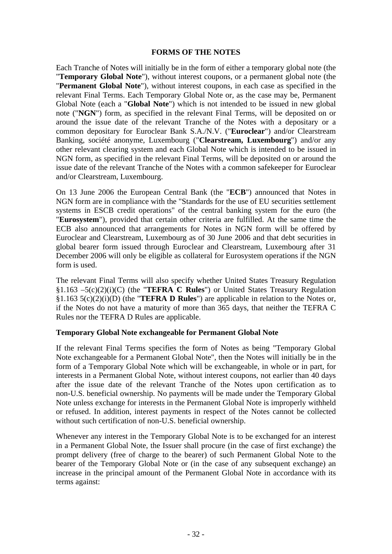#### **FORMS OF THE NOTES**

Each Tranche of Notes will initially be in the form of either a temporary global note (the "**Temporary Global Note**"), without interest coupons, or a permanent global note (the "**Permanent Global Note**"), without interest coupons, in each case as specified in the relevant Final Terms. Each Temporary Global Note or, as the case may be, Permanent Global Note (each a "**Global Note**") which is not intended to be issued in new global note ("**NGN**") form, as specified in the relevant Final Terms, will be deposited on or around the issue date of the relevant Tranche of the Notes with a depositary or a common depositary for Euroclear Bank S.A./N.V. ("**Euroclear**") and/or Clearstream Banking, société anonyme, Luxembourg ("**Clearstream, Luxembourg**") and/or any other relevant clearing system and each Global Note which is intended to be issued in NGN form, as specified in the relevant Final Terms, will be deposited on or around the issue date of the relevant Tranche of the Notes with a common safekeeper for Euroclear and/or Clearstream, Luxembourg.

On 13 June 2006 the European Central Bank (the "**ECB**") announced that Notes in NGN form are in compliance with the "Standards for the use of EU securities settlement systems in ESCB credit operations" of the central banking system for the euro (the "**Eurosystem**"), provided that certain other criteria are fulfilled. At the same time the ECB also announced that arrangements for Notes in NGN form will be offered by Euroclear and Clearstream, Luxembourg as of 30 June 2006 and that debt securities in global bearer form issued through Euroclear and Clearstream, Luxembourg after 31 December 2006 will only be eligible as collateral for Eurosystem operations if the NGN form is used.

The relevant Final Terms will also specify whether United States Treasury Regulation §1.163 –5(c)(2)(i)(C) (the "**TEFRA C Rules**") or United States Treasury Regulation §1.163 5(c)(2)(i)(D) (the "**TEFRA D Rules**") are applicable in relation to the Notes or, if the Notes do not have a maturity of more than 365 days, that neither the TEFRA C Rules nor the TEFRA D Rules are applicable.

### **Temporary Global Note exchangeable for Permanent Global Note**

If the relevant Final Terms specifies the form of Notes as being "Temporary Global Note exchangeable for a Permanent Global Note", then the Notes will initially be in the form of a Temporary Global Note which will be exchangeable, in whole or in part, for interests in a Permanent Global Note, without interest coupons, not earlier than 40 days after the issue date of the relevant Tranche of the Notes upon certification as to non-U.S. beneficial ownership. No payments will be made under the Temporary Global Note unless exchange for interests in the Permanent Global Note is improperly withheld or refused. In addition, interest payments in respect of the Notes cannot be collected without such certification of non-U.S. beneficial ownership.

Whenever any interest in the Temporary Global Note is to be exchanged for an interest in a Permanent Global Note, the Issuer shall procure (in the case of first exchange) the prompt delivery (free of charge to the bearer) of such Permanent Global Note to the bearer of the Temporary Global Note or (in the case of any subsequent exchange) an increase in the principal amount of the Permanent Global Note in accordance with its terms against: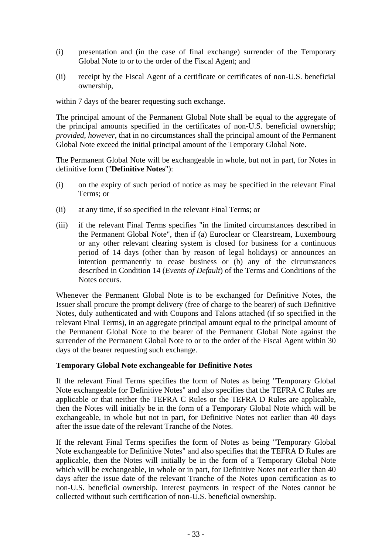- (i) presentation and (in the case of final exchange) surrender of the Temporary Global Note to or to the order of the Fiscal Agent; and
- (ii) receipt by the Fiscal Agent of a certificate or certificates of non-U.S. beneficial ownership,

within 7 days of the bearer requesting such exchange.

The principal amount of the Permanent Global Note shall be equal to the aggregate of the principal amounts specified in the certificates of non-U.S. beneficial ownership; *provided*, *however*, that in no circumstances shall the principal amount of the Permanent Global Note exceed the initial principal amount of the Temporary Global Note.

The Permanent Global Note will be exchangeable in whole, but not in part, for Notes in definitive form ("**Definitive Notes**"):

- (i) on the expiry of such period of notice as may be specified in the relevant Final Terms; or
- (ii) at any time, if so specified in the relevant Final Terms; or
- (iii) if the relevant Final Terms specifies "in the limited circumstances described in the Permanent Global Note", then if (a) Euroclear or Clearstream, Luxembourg or any other relevant clearing system is closed for business for a continuous period of 14 days (other than by reason of legal holidays) or announces an intention permanently to cease business or (b) any of the circumstances described in Condition 14 (*Events of Default*) of the Terms and Conditions of the Notes occurs.

Whenever the Permanent Global Note is to be exchanged for Definitive Notes, the Issuer shall procure the prompt delivery (free of charge to the bearer) of such Definitive Notes, duly authenticated and with Coupons and Talons attached (if so specified in the relevant Final Terms), in an aggregate principal amount equal to the principal amount of the Permanent Global Note to the bearer of the Permanent Global Note against the surrender of the Permanent Global Note to or to the order of the Fiscal Agent within 30 days of the bearer requesting such exchange.

### **Temporary Global Note exchangeable for Definitive Notes**

If the relevant Final Terms specifies the form of Notes as being "Temporary Global Note exchangeable for Definitive Notes" and also specifies that the TEFRA C Rules are applicable or that neither the TEFRA C Rules or the TEFRA D Rules are applicable, then the Notes will initially be in the form of a Temporary Global Note which will be exchangeable, in whole but not in part, for Definitive Notes not earlier than 40 days after the issue date of the relevant Tranche of the Notes.

If the relevant Final Terms specifies the form of Notes as being "Temporary Global Note exchangeable for Definitive Notes" and also specifies that the TEFRA D Rules are applicable, then the Notes will initially be in the form of a Temporary Global Note which will be exchangeable, in whole or in part, for Definitive Notes not earlier than 40 days after the issue date of the relevant Tranche of the Notes upon certification as to non-U.S. beneficial ownership. Interest payments in respect of the Notes cannot be collected without such certification of non-U.S. beneficial ownership.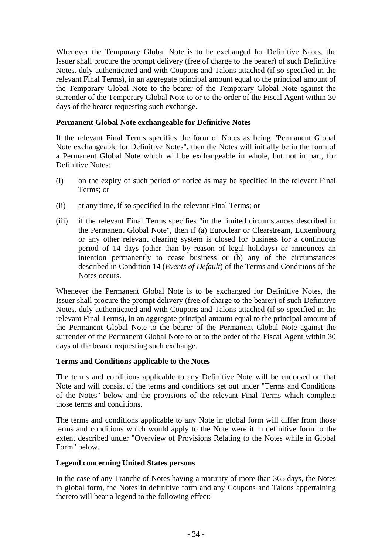Whenever the Temporary Global Note is to be exchanged for Definitive Notes, the Issuer shall procure the prompt delivery (free of charge to the bearer) of such Definitive Notes, duly authenticated and with Coupons and Talons attached (if so specified in the relevant Final Terms), in an aggregate principal amount equal to the principal amount of the Temporary Global Note to the bearer of the Temporary Global Note against the surrender of the Temporary Global Note to or to the order of the Fiscal Agent within 30 days of the bearer requesting such exchange.

# **Permanent Global Note exchangeable for Definitive Notes**

If the relevant Final Terms specifies the form of Notes as being "Permanent Global Note exchangeable for Definitive Notes", then the Notes will initially be in the form of a Permanent Global Note which will be exchangeable in whole, but not in part, for Definitive Notes:

- (i) on the expiry of such period of notice as may be specified in the relevant Final Terms; or
- (ii) at any time, if so specified in the relevant Final Terms; or
- (iii) if the relevant Final Terms specifies "in the limited circumstances described in the Permanent Global Note", then if (a) Euroclear or Clearstream, Luxembourg or any other relevant clearing system is closed for business for a continuous period of 14 days (other than by reason of legal holidays) or announces an intention permanently to cease business or (b) any of the circumstances described in Condition 14 (*Events of Default*) of the Terms and Conditions of the Notes occurs.

Whenever the Permanent Global Note is to be exchanged for Definitive Notes, the Issuer shall procure the prompt delivery (free of charge to the bearer) of such Definitive Notes, duly authenticated and with Coupons and Talons attached (if so specified in the relevant Final Terms), in an aggregate principal amount equal to the principal amount of the Permanent Global Note to the bearer of the Permanent Global Note against the surrender of the Permanent Global Note to or to the order of the Fiscal Agent within 30 days of the bearer requesting such exchange.

# **Terms and Conditions applicable to the Notes**

The terms and conditions applicable to any Definitive Note will be endorsed on that Note and will consist of the terms and conditions set out under "Terms and Conditions of the Notes" below and the provisions of the relevant Final Terms which complete those terms and conditions.

The terms and conditions applicable to any Note in global form will differ from those terms and conditions which would apply to the Note were it in definitive form to the extent described under "Overview of Provisions Relating to the Notes while in Global Form" below.

### **Legend concerning United States persons**

In the case of any Tranche of Notes having a maturity of more than 365 days, the Notes in global form, the Notes in definitive form and any Coupons and Talons appertaining thereto will bear a legend to the following effect: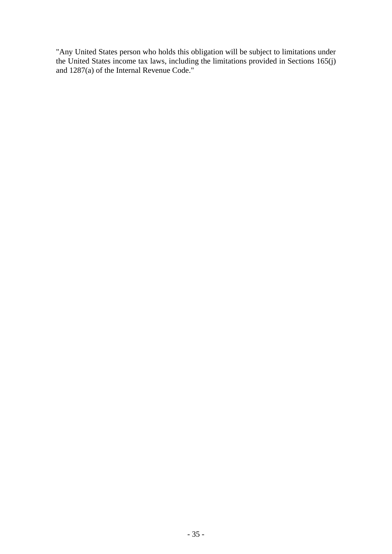"Any United States person who holds this obligation will be subject to limitations under the United States income tax laws, including the limitations provided in Sections 165(j) and 1287(a) of the Internal Revenue Code."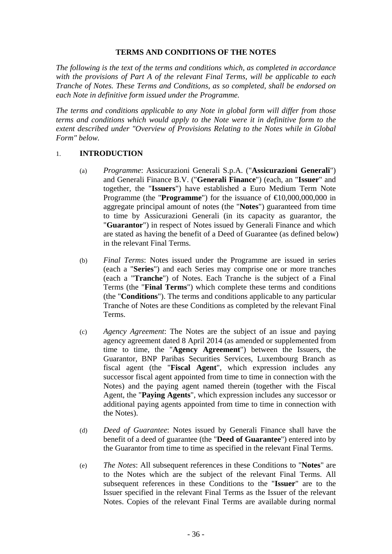#### **TERMS AND CONDITIONS OF THE NOTES**

*The following is the text of the terms and conditions which, as completed in accordance with the provisions of Part A of the relevant Final Terms, will be applicable to each Tranche of Notes. These Terms and Conditions, as so completed, shall be endorsed on each Note in definitive form issued under the Programme.* 

*The terms and conditions applicable to any Note in global form will differ from those terms and conditions which would apply to the Note were it in definitive form to the extent described under "Overview of Provisions Relating to the Notes while in Global Form" below.* 

### 1. **INTRODUCTION**

- (a) *Programme*: Assicurazioni Generali S.p.A. ("**Assicurazioni Generali**") and Generali Finance B.V. ("**Generali Finance**") (each, an "**Issuer**" and together, the "**Issuers**") have established a Euro Medium Term Note Programme (the "**Programme**") for the issuance of  $\in 0,000,000,000$  in aggregate principal amount of notes (the "**Notes**") guaranteed from time to time by Assicurazioni Generali (in its capacity as guarantor, the "**Guarantor**") in respect of Notes issued by Generali Finance and which are stated as having the benefit of a Deed of Guarantee (as defined below) in the relevant Final Terms.
- (b) *Final Terms*: Notes issued under the Programme are issued in series (each a "**Series**") and each Series may comprise one or more tranches (each a "**Tranche**") of Notes. Each Tranche is the subject of a Final Terms (the "**Final Terms**") which complete these terms and conditions (the "**Conditions**"). The terms and conditions applicable to any particular Tranche of Notes are these Conditions as completed by the relevant Final Terms.
- (c) *Agency Agreement*: The Notes are the subject of an issue and paying agency agreement dated 8 April 2014 (as amended or supplemented from time to time, the "**Agency Agreement**") between the Issuers, the Guarantor, BNP Paribas Securities Services, Luxembourg Branch as fiscal agent (the "**Fiscal Agent**", which expression includes any successor fiscal agent appointed from time to time in connection with the Notes) and the paying agent named therein (together with the Fiscal Agent, the "**Paying Agents**", which expression includes any successor or additional paying agents appointed from time to time in connection with the Notes).
- (d) *Deed of Guarantee*: Notes issued by Generali Finance shall have the benefit of a deed of guarantee (the "**Deed of Guarantee**") entered into by the Guarantor from time to time as specified in the relevant Final Terms.
- (e) *The Notes*: All subsequent references in these Conditions to "**Notes**" are to the Notes which are the subject of the relevant Final Terms. All subsequent references in these Conditions to the "**Issuer**" are to the Issuer specified in the relevant Final Terms as the Issuer of the relevant Notes. Copies of the relevant Final Terms are available during normal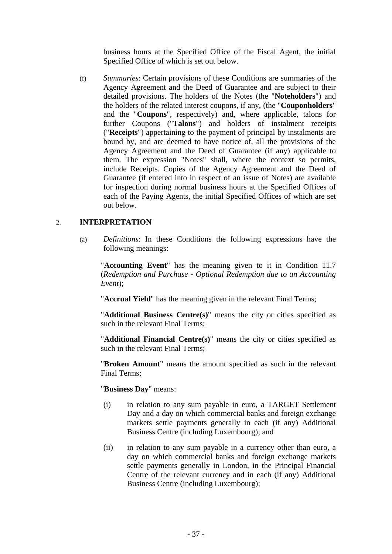business hours at the Specified Office of the Fiscal Agent, the initial Specified Office of which is set out below.

(f) *Summaries*: Certain provisions of these Conditions are summaries of the Agency Agreement and the Deed of Guarantee and are subject to their detailed provisions. The holders of the Notes (the "**Noteholders**") and the holders of the related interest coupons, if any, (the "**Couponholders**" and the "**Coupons**", respectively) and, where applicable, talons for further Coupons ("**Talons**") and holders of instalment receipts ("**Receipts**") appertaining to the payment of principal by instalments are bound by, and are deemed to have notice of, all the provisions of the Agency Agreement and the Deed of Guarantee (if any) applicable to them. The expression "Notes" shall, where the context so permits, include Receipts. Copies of the Agency Agreement and the Deed of Guarantee (if entered into in respect of an issue of Notes) are available for inspection during normal business hours at the Specified Offices of each of the Paying Agents, the initial Specified Offices of which are set out below.

## 2. **INTERPRETATION**

(a) *Definitions*: In these Conditions the following expressions have the following meanings:

"**Accounting Event**" has the meaning given to it in Condition 11.7 (*Redemption and Purchase - Optional Redemption due to an Accounting Event*);

"**Accrual Yield**" has the meaning given in the relevant Final Terms;

"**Additional Business Centre(s)**" means the city or cities specified as such in the relevant Final Terms;

"**Additional Financial Centre(s)**" means the city or cities specified as such in the relevant Final Terms;

"**Broken Amount**" means the amount specified as such in the relevant Final Terms;

"**Business Day**" means:

- (i) in relation to any sum payable in euro, a TARGET Settlement Day and a day on which commercial banks and foreign exchange markets settle payments generally in each (if any) Additional Business Centre (including Luxembourg); and
- (ii) in relation to any sum payable in a currency other than euro, a day on which commercial banks and foreign exchange markets settle payments generally in London, in the Principal Financial Centre of the relevant currency and in each (if any) Additional Business Centre (including Luxembourg);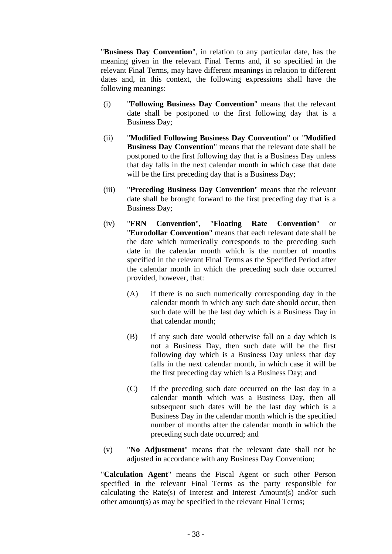"**Business Day Convention**", in relation to any particular date, has the meaning given in the relevant Final Terms and, if so specified in the relevant Final Terms, may have different meanings in relation to different dates and, in this context, the following expressions shall have the following meanings:

- (i) "**Following Business Day Convention**" means that the relevant date shall be postponed to the first following day that is a Business Day;
- (ii) "**Modified Following Business Day Convention**" or "**Modified Business Day Convention**" means that the relevant date shall be postponed to the first following day that is a Business Day unless that day falls in the next calendar month in which case that date will be the first preceding day that is a Business Day;
- (iii) "**Preceding Business Day Convention**" means that the relevant date shall be brought forward to the first preceding day that is a Business Day;
- (iv) "**FRN Convention**", "**Floating Rate Convention**" or "**Eurodollar Convention**" means that each relevant date shall be the date which numerically corresponds to the preceding such date in the calendar month which is the number of months specified in the relevant Final Terms as the Specified Period after the calendar month in which the preceding such date occurred provided, however, that:
	- (A) if there is no such numerically corresponding day in the calendar month in which any such date should occur, then such date will be the last day which is a Business Day in that calendar month;
	- (B) if any such date would otherwise fall on a day which is not a Business Day, then such date will be the first following day which is a Business Day unless that day falls in the next calendar month, in which case it will be the first preceding day which is a Business Day; and
	- (C) if the preceding such date occurred on the last day in a calendar month which was a Business Day, then all subsequent such dates will be the last day which is a Business Day in the calendar month which is the specified number of months after the calendar month in which the preceding such date occurred; and
- (v) "**No Adjustment**" means that the relevant date shall not be adjusted in accordance with any Business Day Convention;

"**Calculation Agent**" means the Fiscal Agent or such other Person specified in the relevant Final Terms as the party responsible for calculating the Rate(s) of Interest and Interest Amount(s) and/or such other amount(s) as may be specified in the relevant Final Terms;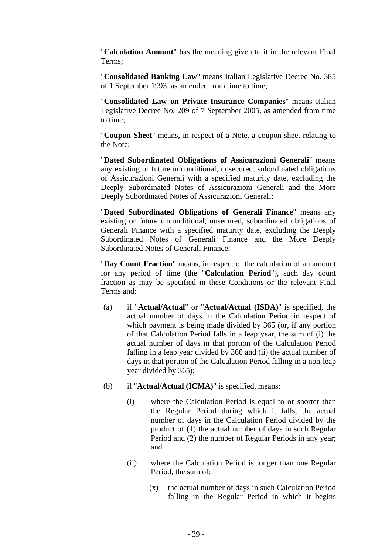"**Calculation Amount**" has the meaning given to it in the relevant Final Terms;

"**Consolidated Banking Law**" means Italian Legislative Decree No. 385 of 1 September 1993, as amended from time to time;

"**Consolidated Law on Private Insurance Companies**" means Italian Legislative Decree No. 209 of 7 September 2005, as amended from time to time;

"**Coupon Sheet**" means, in respect of a Note, a coupon sheet relating to the Note;

"**Dated Subordinated Obligations of Assicurazioni Generali**" means any existing or future unconditional, unsecured, subordinated obligations of Assicurazioni Generali with a specified maturity date, excluding the Deeply Subordinated Notes of Assicurazioni Generali and the More Deeply Subordinated Notes of Assicurazioni Generali;

"**Dated Subordinated Obligations of Generali Finance**" means any existing or future unconditional, unsecured, subordinated obligations of Generali Finance with a specified maturity date, excluding the Deeply Subordinated Notes of Generali Finance and the More Deeply Subordinated Notes of Generali Finance;

"**Day Count Fraction**" means, in respect of the calculation of an amount for any period of time (the "**Calculation Period**"), such day count fraction as may be specified in these Conditions or the relevant Final Terms and:

- (a) if "**Actual/Actual**" or "**Actual/Actual (ISDA)**" is specified, the actual number of days in the Calculation Period in respect of which payment is being made divided by 365 (or, if any portion of that Calculation Period falls in a leap year, the sum of (i) the actual number of days in that portion of the Calculation Period falling in a leap year divided by 366 and (ii) the actual number of days in that portion of the Calculation Period falling in a non-leap year divided by 365);
- (b) if "**Actual/Actual (ICMA)**" is specified, means:
	- (i) where the Calculation Period is equal to or shorter than the Regular Period during which it falls, the actual number of days in the Calculation Period divided by the product of (1) the actual number of days in such Regular Period and (2) the number of Regular Periods in any year; and
	- (ii) where the Calculation Period is longer than one Regular Period, the sum of:
		- (x) the actual number of days in such Calculation Period falling in the Regular Period in which it begins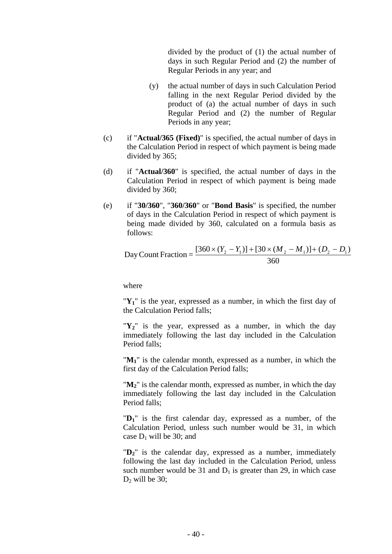divided by the product of (1) the actual number of days in such Regular Period and (2) the number of Regular Periods in any year; and

- (y) the actual number of days in such Calculation Period falling in the next Regular Period divided by the product of (a) the actual number of days in such Regular Period and (2) the number of Regular Periods in any year;
- (c) if "**Actual/365 (Fixed)**" is specified, the actual number of days in the Calculation Period in respect of which payment is being made divided by 365;
- (d) if "**Actual/360**" is specified, the actual number of days in the Calculation Period in respect of which payment is being made divided by 360;
- (e) if "**30/360**", "**360/360**" or "**Bond Basis**" is specified, the number of days in the Calculation Period in respect of which payment is being made divided by 360, calculated on a formula basis as follows:

Day Count Fraction = 
$$
\frac{[360 \times (Y_2 - Y_1)] + [30 \times (M_2 - M_1)] + (D_2 - D_1)}{360}
$$

where

" $Y_1$ " is the year, expressed as a number, in which the first day of the Calculation Period falls;

"**Y2**" is the year, expressed as a number, in which the day immediately following the last day included in the Calculation Period falls;

" $M_1$ " is the calendar month, expressed as a number, in which the first day of the Calculation Period falls;

" $M_2$ " is the calendar month, expressed as number, in which the day immediately following the last day included in the Calculation Period falls;

"**D1**" is the first calendar day, expressed as a number, of the Calculation Period, unless such number would be 31, in which case  $D_1$  will be 30; and

" $D_2$ " is the calendar day, expressed as a number, immediately following the last day included in the Calculation Period, unless such number would be 31 and  $D_1$  is greater than 29, in which case  $D<sub>2</sub>$  will be 30;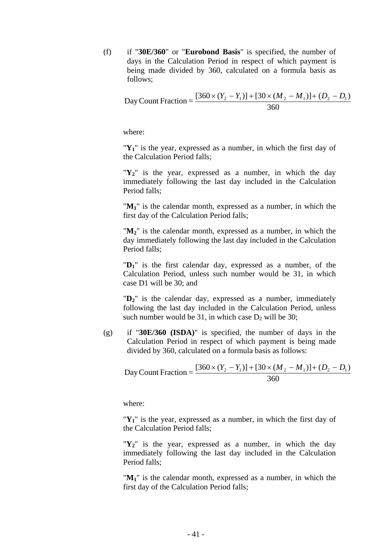(f) if "**30E/360**" or "**Eurobond Basis**" is specified, the number of days in the Calculation Period in respect of which payment is being made divided by 360, calculated on a formula basis as follows;

Day Count Fraction = 
$$
\frac{[360 \times (Y_2 - Y_1)] + [30 \times (M_2 - M_1)] + (D_2 - D_1)}{360}
$$

where:

" $Y_1$ " is the year, expressed as a number, in which the first day of the Calculation Period falls;

"**Y2**" is the year, expressed as a number, in which the day immediately following the last day included in the Calculation Period falls;

"**M1**" is the calendar month, expressed as a number, in which the first day of the Calculation Period falls;

" $M_2$ " is the calendar month, expressed as a number, in which the day immediately following the last day included in the Calculation Period falls;

"**D1**" is the first calendar day, expressed as a number, of the Calculation Period, unless such number would be 31, in which case D1 will be 30; and

" $D_2$ " is the calendar day, expressed as a number, immediately following the last day included in the Calculation Period, unless such number would be 31, in which case  $D_2$  will be 30;

(g) if "**30E/360 (ISDA)**" is specified, the number of days in the Calculation Period in respect of which payment is being made divided by 360, calculated on a formula basis as follows:

Day Count Fraction = 
$$
\frac{[360 \times (Y_2 - Y_1)] + [30 \times (M_2 - M_1)] + (D_2 - D_1)}{360}
$$

where:

"Y<sub>1</sub>" is the year, expressed as a number, in which the first day of the Calculation Period falls;

"**Y2**" is the year, expressed as a number, in which the day immediately following the last day included in the Calculation Period falls;

"M<sub>1</sub>" is the calendar month, expressed as a number, in which the first day of the Calculation Period falls;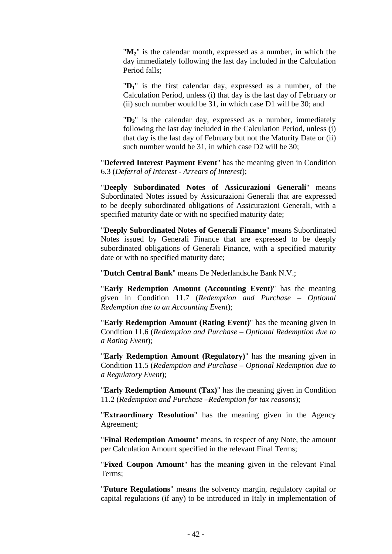"**M2**" is the calendar month, expressed as a number, in which the day immediately following the last day included in the Calculation Period falls;

"**D1**" is the first calendar day, expressed as a number, of the Calculation Period, unless (i) that day is the last day of February or (ii) such number would be 31, in which case D1 will be 30; and

" $D_2$ " is the calendar day, expressed as a number, immediately following the last day included in the Calculation Period, unless (i) that day is the last day of February but not the Maturity Date or (ii) such number would be 31, in which case D2 will be 30;

"**Deferred Interest Payment Event**" has the meaning given in Condition 6.3 (*Deferral of Interest - Arrears of Interest*);

"**Deeply Subordinated Notes of Assicurazioni Generali**" means Subordinated Notes issued by Assicurazioni Generali that are expressed to be deeply subordinated obligations of Assicurazioni Generali, with a specified maturity date or with no specified maturity date;

"**Deeply Subordinated Notes of Generali Finance**" means Subordinated Notes issued by Generali Finance that are expressed to be deeply subordinated obligations of Generali Finance, with a specified maturity date or with no specified maturity date;

"**Dutch Central Bank**" means De Nederlandsche Bank N.V.;

"**Early Redemption Amount (Accounting Event)**" has the meaning given in Condition 11.7 (*Redemption and Purchase – Optional Redemption due to an Accounting Event*);

"**Early Redemption Amount (Rating Event)**" has the meaning given in Condition 11.6 (*Redemption and Purchase – Optional Redemption due to a Rating Event*);

"**Early Redemption Amount (Regulatory)**" has the meaning given in Condition 11.5 (*Redemption and Purchase – Optional Redemption due to a Regulatory Event*);

"**Early Redemption Amount (Tax)**" has the meaning given in Condition 11.2 (*Redemption and Purchase –Redemption for tax reasons*);

"**Extraordinary Resolution**" has the meaning given in the Agency Agreement;

"**Final Redemption Amount**" means, in respect of any Note, the amount per Calculation Amount specified in the relevant Final Terms;

"**Fixed Coupon Amount**" has the meaning given in the relevant Final Terms;

"**Future Regulations**" means the solvency margin, regulatory capital or capital regulations (if any) to be introduced in Italy in implementation of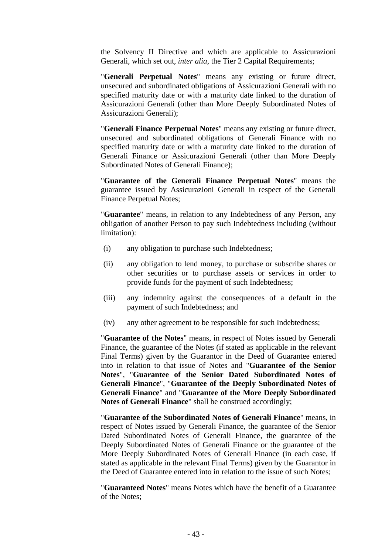the Solvency II Directive and which are applicable to Assicurazioni Generali, which set out, *inter alia*, the Tier 2 Capital Requirements;

"**Generali Perpetual Notes**" means any existing or future direct, unsecured and subordinated obligations of Assicurazioni Generali with no specified maturity date or with a maturity date linked to the duration of Assicurazioni Generali (other than More Deeply Subordinated Notes of Assicurazioni Generali);

"**Generali Finance Perpetual Notes**" means any existing or future direct, unsecured and subordinated obligations of Generali Finance with no specified maturity date or with a maturity date linked to the duration of Generali Finance or Assicurazioni Generali (other than More Deeply Subordinated Notes of Generali Finance);

"**Guarantee of the Generali Finance Perpetual Notes**" means the guarantee issued by Assicurazioni Generali in respect of the Generali Finance Perpetual Notes;

"**Guarantee**" means, in relation to any Indebtedness of any Person, any obligation of another Person to pay such Indebtedness including (without limitation):

- (i) any obligation to purchase such Indebtedness;
- (ii) any obligation to lend money, to purchase or subscribe shares or other securities or to purchase assets or services in order to provide funds for the payment of such Indebtedness;
- (iii) any indemnity against the consequences of a default in the payment of such Indebtedness; and
- (iv) any other agreement to be responsible for such Indebtedness;

"**Guarantee of the Notes**" means, in respect of Notes issued by Generali Finance, the guarantee of the Notes (if stated as applicable in the relevant Final Terms) given by the Guarantor in the Deed of Guarantee entered into in relation to that issue of Notes and "**Guarantee of the Senior Notes**", "**Guarantee of the Senior Dated Subordinated Notes of Generali Finance**", "**Guarantee of the Deeply Subordinated Notes of Generali Finance**" and "**Guarantee of the More Deeply Subordinated Notes of Generali Finance**" shall be construed accordingly;

"**Guarantee of the Subordinated Notes of Generali Finance**" means, in respect of Notes issued by Generali Finance, the guarantee of the Senior Dated Subordinated Notes of Generali Finance, the guarantee of the Deeply Subordinated Notes of Generali Finance or the guarantee of the More Deeply Subordinated Notes of Generali Finance (in each case, if stated as applicable in the relevant Final Terms) given by the Guarantor in the Deed of Guarantee entered into in relation to the issue of such Notes;

"**Guaranteed Notes**" means Notes which have the benefit of a Guarantee of the Notes;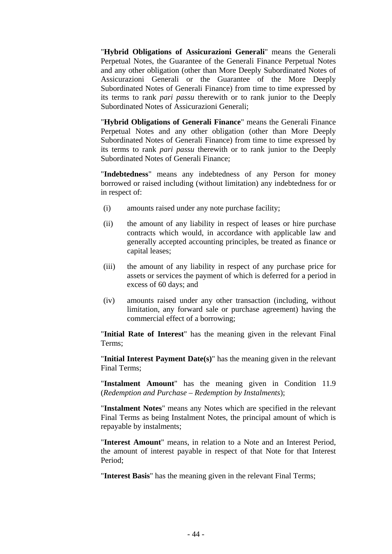"**Hybrid Obligations of Assicurazioni Generali**" means the Generali Perpetual Notes, the Guarantee of the Generali Finance Perpetual Notes and any other obligation (other than More Deeply Subordinated Notes of Assicurazioni Generali or the Guarantee of the More Deeply Subordinated Notes of Generali Finance) from time to time expressed by its terms to rank *pari passu* therewith or to rank junior to the Deeply Subordinated Notes of Assicurazioni Generali;

"**Hybrid Obligations of Generali Finance**" means the Generali Finance Perpetual Notes and any other obligation (other than More Deeply Subordinated Notes of Generali Finance) from time to time expressed by its terms to rank *pari passu* therewith or to rank junior to the Deeply Subordinated Notes of Generali Finance;

"**Indebtedness**" means any indebtedness of any Person for money borrowed or raised including (without limitation) any indebtedness for or in respect of:

- (i) amounts raised under any note purchase facility;
- (ii) the amount of any liability in respect of leases or hire purchase contracts which would, in accordance with applicable law and generally accepted accounting principles, be treated as finance or capital leases;
- (iii) the amount of any liability in respect of any purchase price for assets or services the payment of which is deferred for a period in excess of 60 days; and
- (iv) amounts raised under any other transaction (including, without limitation, any forward sale or purchase agreement) having the commercial effect of a borrowing;

"**Initial Rate of Interest**" has the meaning given in the relevant Final Terms;

"**Initial Interest Payment Date(s)**" has the meaning given in the relevant Final Terms;

"**Instalment Amount**" has the meaning given in Condition 11.9 (*Redemption and Purchase – Redemption by Instalments*);

"**Instalment Notes**" means any Notes which are specified in the relevant Final Terms as being Instalment Notes, the principal amount of which is repayable by instalments;

"**Interest Amount**" means, in relation to a Note and an Interest Period, the amount of interest payable in respect of that Note for that Interest Period;

"**Interest Basis**" has the meaning given in the relevant Final Terms;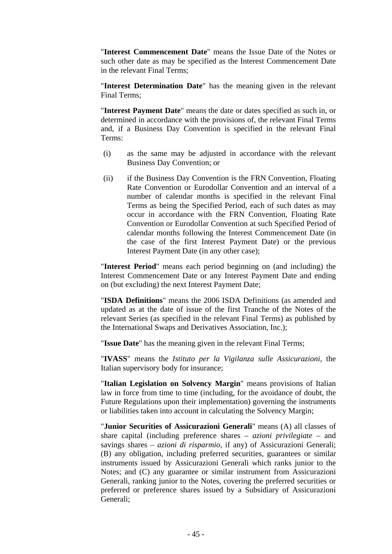"**Interest Commencement Date**" means the Issue Date of the Notes or such other date as may be specified as the Interest Commencement Date in the relevant Final Terms;

"**Interest Determination Date**" has the meaning given in the relevant Final Terms;

"**Interest Payment Date**" means the date or dates specified as such in, or determined in accordance with the provisions of, the relevant Final Terms and, if a Business Day Convention is specified in the relevant Final Terms:

- (i) as the same may be adjusted in accordance with the relevant Business Day Convention; or
- (ii) if the Business Day Convention is the FRN Convention, Floating Rate Convention or Eurodollar Convention and an interval of a number of calendar months is specified in the relevant Final Terms as being the Specified Period, each of such dates as may occur in accordance with the FRN Convention, Floating Rate Convention or Eurodollar Convention at such Specified Period of calendar months following the Interest Commencement Date (in the case of the first Interest Payment Date) or the previous Interest Payment Date (in any other case);

"**Interest Period**" means each period beginning on (and including) the Interest Commencement Date or any Interest Payment Date and ending on (but excluding) the next Interest Payment Date;

"**ISDA Definitions**" means the 2006 ISDA Definitions (as amended and updated as at the date of issue of the first Tranche of the Notes of the relevant Series (as specified in the relevant Final Terms) as published by the International Swaps and Derivatives Association, Inc.);

"**Issue Date**" has the meaning given in the relevant Final Terms;

"**IVASS**" means the *Istituto per la Vigilanza sulle Assicurazioni*, the Italian supervisory body for insurance;

"**Italian Legislation on Solvency Margin**" means provisions of Italian law in force from time to time (including, for the avoidance of doubt, the Future Regulations upon their implementation) governing the instruments or liabilities taken into account in calculating the Solvency Margin;

"**Junior Securities of Assicurazioni Generali**" means (A) all classes of share capital (including preference shares – *azioni privilegiate* – and savings shares – *azioni di risparmio*, if any) of Assicurazioni Generali; (B) any obligation, including preferred securities, guarantees or similar instruments issued by Assicurazioni Generali which ranks junior to the Notes; and (C) any guarantee or similar instrument from Assicurazioni Generali, ranking junior to the Notes, covering the preferred securities or preferred or preference shares issued by a Subsidiary of Assicurazioni Generali;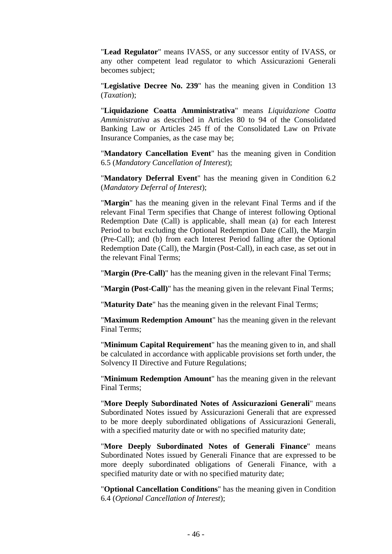"**Lead Regulator**" means IVASS, or any successor entity of IVASS, or any other competent lead regulator to which Assicurazioni Generali becomes subject;

"**Legislative Decree No. 239**" has the meaning given in Condition 13 (*Taxation*);

"**Liquidazione Coatta Amministrativa**" means *Liquidazione Coatta Amministrativa* as described in Articles 80 to 94 of the Consolidated Banking Law or Articles 245 ff of the Consolidated Law on Private Insurance Companies, as the case may be;

"**Mandatory Cancellation Event**" has the meaning given in Condition 6.5 (*Mandatory Cancellation of Interest*);

"**Mandatory Deferral Event**" has the meaning given in Condition 6.2 (*Mandatory Deferral of Interest*);

"**Margin**" has the meaning given in the relevant Final Terms and if the relevant Final Term specifies that Change of interest following Optional Redemption Date (Call) is applicable, shall mean (a) for each Interest Period to but excluding the Optional Redemption Date (Call), the Margin (Pre-Call); and (b) from each Interest Period falling after the Optional Redemption Date (Call), the Margin (Post-Call), in each case, as set out in the relevant Final Terms;

"**Margin (Pre-Call)**" has the meaning given in the relevant Final Terms;

"**Margin (Post-Call)**" has the meaning given in the relevant Final Terms;

"**Maturity Date**" has the meaning given in the relevant Final Terms;

"**Maximum Redemption Amount**" has the meaning given in the relevant Final Terms;

"**Minimum Capital Requirement**" has the meaning given to in, and shall be calculated in accordance with applicable provisions set forth under, the Solvency II Directive and Future Regulations;

"**Minimum Redemption Amount**" has the meaning given in the relevant Final Terms;

"**More Deeply Subordinated Notes of Assicurazioni Generali**" means Subordinated Notes issued by Assicurazioni Generali that are expressed to be more deeply subordinated obligations of Assicurazioni Generali, with a specified maturity date or with no specified maturity date;

"**More Deeply Subordinated Notes of Generali Finance**" means Subordinated Notes issued by Generali Finance that are expressed to be more deeply subordinated obligations of Generali Finance, with a specified maturity date or with no specified maturity date;

"**Optional Cancellation Conditions**" has the meaning given in Condition 6.4 (*Optional Cancellation of Interest*);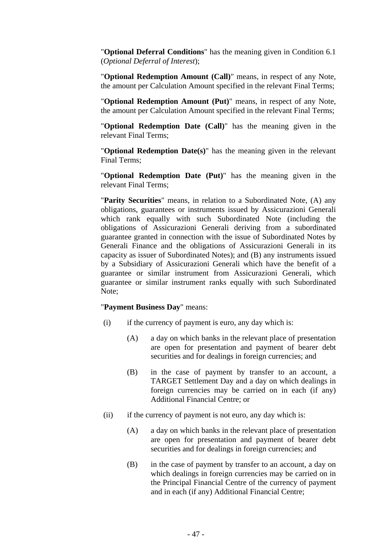"**Optional Deferral Conditions**" has the meaning given in Condition 6.1 (*Optional Deferral of Interest*);

"**Optional Redemption Amount (Call)**" means, in respect of any Note, the amount per Calculation Amount specified in the relevant Final Terms;

"**Optional Redemption Amount (Put)**" means, in respect of any Note, the amount per Calculation Amount specified in the relevant Final Terms;

"**Optional Redemption Date (Call)**" has the meaning given in the relevant Final Terms;

"**Optional Redemption Date(s)**" has the meaning given in the relevant Final Terms;

"**Optional Redemption Date (Put)**" has the meaning given in the relevant Final Terms;

"**Parity Securities**" means, in relation to a Subordinated Note, (A) any obligations, guarantees or instruments issued by Assicurazioni Generali which rank equally with such Subordinated Note (including the obligations of Assicurazioni Generali deriving from a subordinated guarantee granted in connection with the issue of Subordinated Notes by Generali Finance and the obligations of Assicurazioni Generali in its capacity as issuer of Subordinated Notes); and (B) any instruments issued by a Subsidiary of Assicurazioni Generali which have the benefit of a guarantee or similar instrument from Assicurazioni Generali, which guarantee or similar instrument ranks equally with such Subordinated Note;

#### "**Payment Business Day**" means:

- (i) if the currency of payment is euro, any day which is:
	- (A) a day on which banks in the relevant place of presentation are open for presentation and payment of bearer debt securities and for dealings in foreign currencies; and
	- (B) in the case of payment by transfer to an account, a TARGET Settlement Day and a day on which dealings in foreign currencies may be carried on in each (if any) Additional Financial Centre; or
- (ii) if the currency of payment is not euro, any day which is:
	- (A) a day on which banks in the relevant place of presentation are open for presentation and payment of bearer debt securities and for dealings in foreign currencies; and
	- (B) in the case of payment by transfer to an account, a day on which dealings in foreign currencies may be carried on in the Principal Financial Centre of the currency of payment and in each (if any) Additional Financial Centre;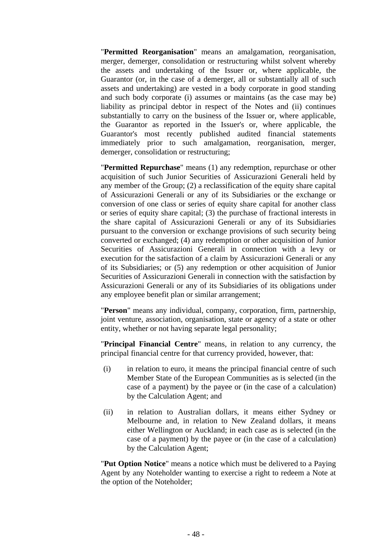"**Permitted Reorganisation**" means an amalgamation, reorganisation, merger, demerger, consolidation or restructuring whilst solvent whereby the assets and undertaking of the Issuer or, where applicable, the Guarantor (or, in the case of a demerger, all or substantially all of such assets and undertaking) are vested in a body corporate in good standing and such body corporate (i) assumes or maintains (as the case may be) liability as principal debtor in respect of the Notes and (ii) continues substantially to carry on the business of the Issuer or, where applicable, the Guarantor as reported in the Issuer's or, where applicable, the Guarantor's most recently published audited financial statements immediately prior to such amalgamation, reorganisation, merger, demerger, consolidation or restructuring;

"**Permitted Repurchase**" means (1) any redemption, repurchase or other acquisition of such Junior Securities of Assicurazioni Generali held by any member of the Group; (2) a reclassification of the equity share capital of Assicurazioni Generali or any of its Subsidiaries or the exchange or conversion of one class or series of equity share capital for another class or series of equity share capital; (3) the purchase of fractional interests in the share capital of Assicurazioni Generali or any of its Subsidiaries pursuant to the conversion or exchange provisions of such security being converted or exchanged; (4) any redemption or other acquisition of Junior Securities of Assicurazioni Generali in connection with a levy or execution for the satisfaction of a claim by Assicurazioni Generali or any of its Subsidiaries; or (5) any redemption or other acquisition of Junior Securities of Assicurazioni Generali in connection with the satisfaction by Assicurazioni Generali or any of its Subsidiaries of its obligations under any employee benefit plan or similar arrangement;

"**Person**" means any individual, company, corporation, firm, partnership, joint venture, association, organisation, state or agency of a state or other entity, whether or not having separate legal personality;

"**Principal Financial Centre**" means, in relation to any currency, the principal financial centre for that currency provided, however, that:

- (i) in relation to euro, it means the principal financial centre of such Member State of the European Communities as is selected (in the case of a payment) by the payee or (in the case of a calculation) by the Calculation Agent; and
- (ii) in relation to Australian dollars, it means either Sydney or Melbourne and, in relation to New Zealand dollars, it means either Wellington or Auckland; in each case as is selected (in the case of a payment) by the payee or (in the case of a calculation) by the Calculation Agent;

"**Put Option Notice**" means a notice which must be delivered to a Paying Agent by any Noteholder wanting to exercise a right to redeem a Note at the option of the Noteholder;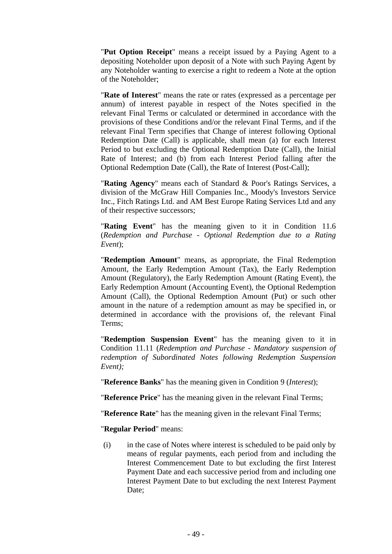"**Put Option Receipt**" means a receipt issued by a Paying Agent to a depositing Noteholder upon deposit of a Note with such Paying Agent by any Noteholder wanting to exercise a right to redeem a Note at the option of the Noteholder;

"**Rate of Interest**" means the rate or rates (expressed as a percentage per annum) of interest payable in respect of the Notes specified in the relevant Final Terms or calculated or determined in accordance with the provisions of these Conditions and/or the relevant Final Terms, and if the relevant Final Term specifies that Change of interest following Optional Redemption Date (Call) is applicable, shall mean (a) for each Interest Period to but excluding the Optional Redemption Date (Call), the Initial Rate of Interest; and (b) from each Interest Period falling after the Optional Redemption Date (Call), the Rate of Interest (Post-Call);

"**Rating Agency**" means each of Standard & Poor's Ratings Services, a division of the McGraw Hill Companies Inc., Moody's Investors Service Inc., Fitch Ratings Ltd. and AM Best Europe Rating Services Ltd and any of their respective successors;

"**Rating Event**" has the meaning given to it in Condition 11.6 (*Redemption and Purchase - Optional Redemption due to a Rating Event*);

"**Redemption Amount**" means, as appropriate, the Final Redemption Amount, the Early Redemption Amount (Tax), the Early Redemption Amount (Regulatory), the Early Redemption Amount (Rating Event), the Early Redemption Amount (Accounting Event), the Optional Redemption Amount (Call), the Optional Redemption Amount (Put) or such other amount in the nature of a redemption amount as may be specified in, or determined in accordance with the provisions of, the relevant Final Terms;

"**Redemption Suspension Event**" has the meaning given to it in Condition 11.11 (*Redemption and Purchase - Mandatory suspension of redemption of Subordinated Notes following Redemption Suspension Event);*

"**Reference Banks**" has the meaning given in Condition 9 (*Interest*);

"**Reference Price**" has the meaning given in the relevant Final Terms;

"**Reference Rate**" has the meaning given in the relevant Final Terms;

"**Regular Period**" means:

(i) in the case of Notes where interest is scheduled to be paid only by means of regular payments, each period from and including the Interest Commencement Date to but excluding the first Interest Payment Date and each successive period from and including one Interest Payment Date to but excluding the next Interest Payment Date: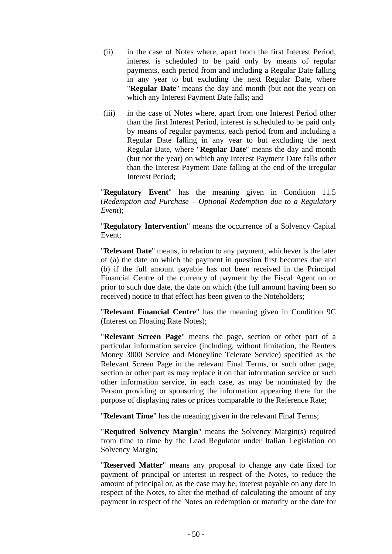- (ii) in the case of Notes where, apart from the first Interest Period, interest is scheduled to be paid only by means of regular payments, each period from and including a Regular Date falling in any year to but excluding the next Regular Date, where "**Regular Date**" means the day and month (but not the year) on which any Interest Payment Date falls; and
- (iii) in the case of Notes where, apart from one Interest Period other than the first Interest Period, interest is scheduled to be paid only by means of regular payments, each period from and including a Regular Date falling in any year to but excluding the next Regular Date, where "**Regular Date**" means the day and month (but not the year) on which any Interest Payment Date falls other than the Interest Payment Date falling at the end of the irregular Interest Period;

"**Regulatory Event**" has the meaning given in Condition 11.5 (*Redemption and Purchase – Optional Redemption due to a Regulatory Event*);

"**Regulatory Intervention**" means the occurrence of a Solvency Capital Event;

"**Relevant Date**" means, in relation to any payment, whichever is the later of (a) the date on which the payment in question first becomes due and (b) if the full amount payable has not been received in the Principal Financial Centre of the currency of payment by the Fiscal Agent on or prior to such due date, the date on which (the full amount having been so received) notice to that effect has been given to the Noteholders;

"**Relevant Financial Centre**" has the meaning given in Condition 9C (Interest on Floating Rate Notes);

"**Relevant Screen Page**" means the page, section or other part of a particular information service (including, without limitation, the Reuters Money 3000 Service and Moneyline Telerate Service) specified as the Relevant Screen Page in the relevant Final Terms, or such other page, section or other part as may replace it on that information service or such other information service, in each case, as may be nominated by the Person providing or sponsoring the information appearing there for the purpose of displaying rates or prices comparable to the Reference Rate;

"**Relevant Time**" has the meaning given in the relevant Final Terms;

"**Required Solvency Margin**" means the Solvency Margin(s) required from time to time by the Lead Regulator under Italian Legislation on Solvency Margin;

"**Reserved Matter**" means any proposal to change any date fixed for payment of principal or interest in respect of the Notes, to reduce the amount of principal or, as the case may be, interest payable on any date in respect of the Notes, to alter the method of calculating the amount of any payment in respect of the Notes on redemption or maturity or the date for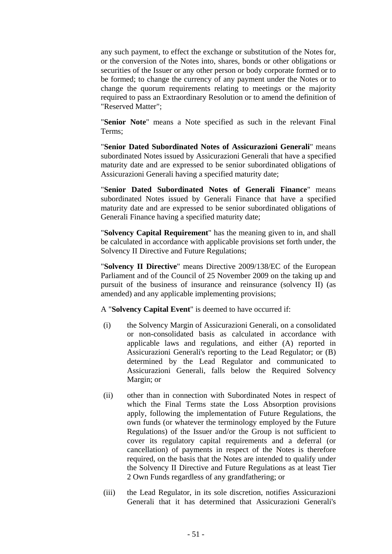any such payment, to effect the exchange or substitution of the Notes for, or the conversion of the Notes into, shares, bonds or other obligations or securities of the Issuer or any other person or body corporate formed or to be formed; to change the currency of any payment under the Notes or to change the quorum requirements relating to meetings or the majority required to pass an Extraordinary Resolution or to amend the definition of "Reserved Matter";

"**Senior Note**" means a Note specified as such in the relevant Final Terms;

"**Senior Dated Subordinated Notes of Assicurazioni Generali**" means subordinated Notes issued by Assicurazioni Generali that have a specified maturity date and are expressed to be senior subordinated obligations of Assicurazioni Generali having a specified maturity date;

"**Senior Dated Subordinated Notes of Generali Finance**" means subordinated Notes issued by Generali Finance that have a specified maturity date and are expressed to be senior subordinated obligations of Generali Finance having a specified maturity date;

"**Solvency Capital Requirement**" has the meaning given to in, and shall be calculated in accordance with applicable provisions set forth under, the Solvency II Directive and Future Regulations;

"**Solvency II Directive**" means Directive 2009/138/EC of the European Parliament and of the Council of 25 November 2009 on the taking up and pursuit of the business of insurance and reinsurance (solvency II) (as amended) and any applicable implementing provisions;

A "**Solvency Capital Event**" is deemed to have occurred if:

- (i) the Solvency Margin of Assicurazioni Generali, on a consolidated or non-consolidated basis as calculated in accordance with applicable laws and regulations, and either (A) reported in Assicurazioni Generali's reporting to the Lead Regulator; or (B) determined by the Lead Regulator and communicated to Assicurazioni Generali, falls below the Required Solvency Margin; or
- (ii) other than in connection with Subordinated Notes in respect of which the Final Terms state the Loss Absorption provisions apply, following the implementation of Future Regulations, the own funds (or whatever the terminology employed by the Future Regulations) of the Issuer and/or the Group is not sufficient to cover its regulatory capital requirements and a deferral (or cancellation) of payments in respect of the Notes is therefore required, on the basis that the Notes are intended to qualify under the Solvency II Directive and Future Regulations as at least Tier 2 Own Funds regardless of any grandfathering; or
- (iii) the Lead Regulator, in its sole discretion, notifies Assicurazioni Generali that it has determined that Assicurazioni Generali's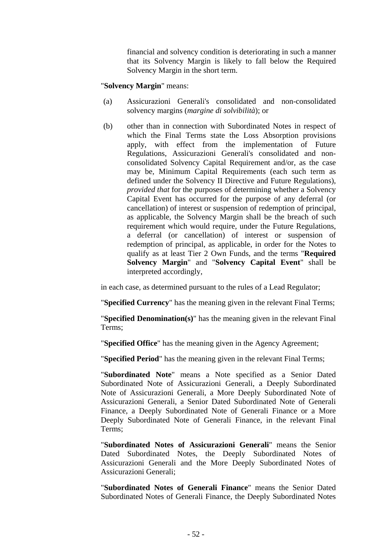financial and solvency condition is deteriorating in such a manner that its Solvency Margin is likely to fall below the Required Solvency Margin in the short term.

"**Solvency Margin**" means:

- (a) Assicurazioni Generali's consolidated and non-consolidated solvency margins (*margine di solvibilità*); or
- (b) other than in connection with Subordinated Notes in respect of which the Final Terms state the Loss Absorption provisions apply, with effect from the implementation of Future Regulations, Assicurazioni Generali's consolidated and nonconsolidated Solvency Capital Requirement and/or, as the case may be, Minimum Capital Requirements (each such term as defined under the Solvency II Directive and Future Regulations), *provided that* for the purposes of determining whether a Solvency Capital Event has occurred for the purpose of any deferral (or cancellation) of interest or suspension of redemption of principal, as applicable, the Solvency Margin shall be the breach of such requirement which would require, under the Future Regulations, a deferral (or cancellation) of interest or suspension of redemption of principal, as applicable, in order for the Notes to qualify as at least Tier 2 Own Funds, and the terms "**Required Solvency Margin**" and "**Solvency Capital Event**" shall be interpreted accordingly,

in each case, as determined pursuant to the rules of a Lead Regulator;

"**Specified Currency**" has the meaning given in the relevant Final Terms;

"**Specified Denomination(s)**" has the meaning given in the relevant Final Terms;

"**Specified Office**" has the meaning given in the Agency Agreement;

"**Specified Period**" has the meaning given in the relevant Final Terms;

"**Subordinated Note**" means a Note specified as a Senior Dated Subordinated Note of Assicurazioni Generali, a Deeply Subordinated Note of Assicurazioni Generali, a More Deeply Subordinated Note of Assicurazioni Generali, a Senior Dated Subordinated Note of Generali Finance, a Deeply Subordinated Note of Generali Finance or a More Deeply Subordinated Note of Generali Finance, in the relevant Final Terms;

"**Subordinated Notes of Assicurazioni Generali**" means the Senior Dated Subordinated Notes, the Deeply Subordinated Notes of Assicurazioni Generali and the More Deeply Subordinated Notes of Assicurazioni Generali;

"**Subordinated Notes of Generali Finance**" means the Senior Dated Subordinated Notes of Generali Finance, the Deeply Subordinated Notes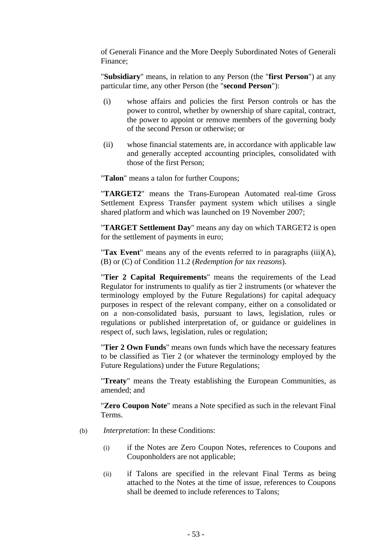of Generali Finance and the More Deeply Subordinated Notes of Generali Finance;

"**Subsidiary**" means, in relation to any Person (the "**first Person**") at any particular time, any other Person (the "**second Person**"):

- (i) whose affairs and policies the first Person controls or has the power to control, whether by ownership of share capital, contract, the power to appoint or remove members of the governing body of the second Person or otherwise; or
- (ii) whose financial statements are, in accordance with applicable law and generally accepted accounting principles, consolidated with those of the first Person;

"**Talon**" means a talon for further Coupons;

"**TARGET2**" means the Trans-European Automated real-time Gross Settlement Express Transfer payment system which utilises a single shared platform and which was launched on 19 November 2007;

"**TARGET Settlement Day**" means any day on which TARGET2 is open for the settlement of payments in euro;

"**Tax Event**" means any of the events referred to in paragraphs (iii)(A), (B) or (C) of Condition 11.2 (*Redemption for tax reasons*).

"**Tier 2 Capital Requirements**" means the requirements of the Lead Regulator for instruments to qualify as tier 2 instruments (or whatever the terminology employed by the Future Regulations) for capital adequacy purposes in respect of the relevant company, either on a consolidated or on a non-consolidated basis, pursuant to laws, legislation, rules or regulations or published interpretation of, or guidance or guidelines in respect of, such laws, legislation, rules or regulation;

"**Tier 2 Own Funds**" means own funds which have the necessary features to be classified as Tier 2 (or whatever the terminology employed by the Future Regulations) under the Future Regulations;

"**Treaty**" means the Treaty establishing the European Communities, as amended; and

"**Zero Coupon Note**" means a Note specified as such in the relevant Final **Terms** 

- (b) *Interpretation*: In these Conditions:
	- (i) if the Notes are Zero Coupon Notes, references to Coupons and Couponholders are not applicable;
	- (ii) if Talons are specified in the relevant Final Terms as being attached to the Notes at the time of issue, references to Coupons shall be deemed to include references to Talons;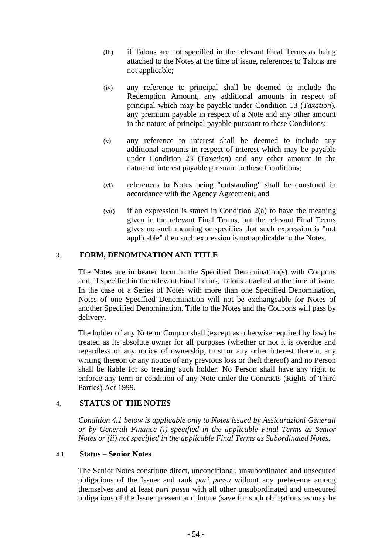- (iii) if Talons are not specified in the relevant Final Terms as being attached to the Notes at the time of issue, references to Talons are not applicable;
- (iv) any reference to principal shall be deemed to include the Redemption Amount, any additional amounts in respect of principal which may be payable under Condition 13 (*Taxation*), any premium payable in respect of a Note and any other amount in the nature of principal payable pursuant to these Conditions;
- (v) any reference to interest shall be deemed to include any additional amounts in respect of interest which may be payable under Condition 23 (*Taxation*) and any other amount in the nature of interest payable pursuant to these Conditions;
- (vi) references to Notes being "outstanding" shall be construed in accordance with the Agency Agreement; and
- (vii) if an expression is stated in Condition 2(a) to have the meaning given in the relevant Final Terms, but the relevant Final Terms gives no such meaning or specifies that such expression is "not applicable" then such expression is not applicable to the Notes.

## 3. **FORM, DENOMINATION AND TITLE**

The Notes are in bearer form in the Specified Denomination(s) with Coupons and, if specified in the relevant Final Terms, Talons attached at the time of issue. In the case of a Series of Notes with more than one Specified Denomination, Notes of one Specified Denomination will not be exchangeable for Notes of another Specified Denomination. Title to the Notes and the Coupons will pass by delivery.

The holder of any Note or Coupon shall (except as otherwise required by law) be treated as its absolute owner for all purposes (whether or not it is overdue and regardless of any notice of ownership, trust or any other interest therein, any writing thereon or any notice of any previous loss or theft thereof) and no Person shall be liable for so treating such holder. No Person shall have any right to enforce any term or condition of any Note under the Contracts (Rights of Third Parties) Act 1999.

### 4. **STATUS OF THE NOTES**

*Condition 4.1 below is applicable only to Notes issued by Assicurazioni Generali or by Generali Finance (i) specified in the applicable Final Terms as Senior Notes or (ii) not specified in the applicable Final Terms as Subordinated Notes.* 

### 4.1 **Status – Senior Notes**

The Senior Notes constitute direct, unconditional, unsubordinated and unsecured obligations of the Issuer and rank *pari passu* without any preference among themselves and at least *pari passu* with all other unsubordinated and unsecured obligations of the Issuer present and future (save for such obligations as may be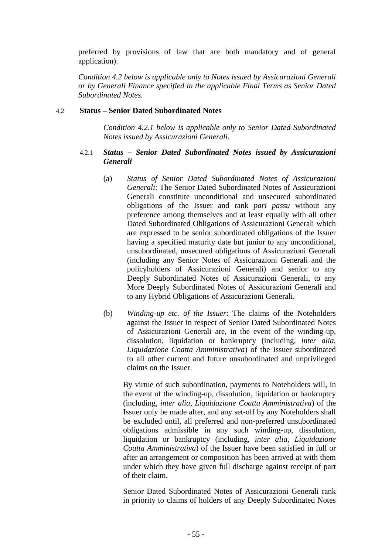preferred by provisions of law that are both mandatory and of general application).

*Condition 4.2 below is applicable only to Notes issued by Assicurazioni Generali or by Generali Finance specified in the applicable Final Terms as Senior Dated Subordinated Notes.*

### 4.2 **Status – Senior Dated Subordinated Notes**

*Condition 4.2.1 below is applicable only to Senior Dated Subordinated Notes issued by Assicurazioni Generali.* 

## 4.2.1 *Status – Senior Dated Subordinated Notes issued by Assicurazioni Generali*

- (a) *Status of Senior Dated Subordinated Notes of Assicurazioni Generali*: The Senior Dated Subordinated Notes of Assicurazioni Generali constitute unconditional and unsecured subordinated obligations of the Issuer and rank *pari passu* without any preference among themselves and at least equally with all other Dated Subordinated Obligations of Assicurazioni Generali which are expressed to be senior subordinated obligations of the Issuer having a specified maturity date but junior to any unconditional, unsubordinated, unsecured obligations of Assicurazioni Generali (including any Senior Notes of Assicurazioni Generali and the policyholders of Assicurazioni Generali) and senior to any Deeply Subordinated Notes of Assicurazioni Generali, to any More Deeply Subordinated Notes of Assicurazioni Generali and to any Hybrid Obligations of Assicurazioni Generali.
- (b) *Winding-up etc. of the Issuer*: The claims of the Noteholders against the Issuer in respect of Senior Dated Subordinated Notes of Assicurazioni Generali are, in the event of the winding-up, dissolution, liquidation or bankruptcy (including, *inter alia*, *Liquidazione Coatta Amministrativa*) of the Issuer subordinated to all other current and future unsubordinated and unprivileged claims on the Issuer.

By virtue of such subordination, payments to Noteholders will, in the event of the winding-up, dissolution, liquidation or bankruptcy (including, *inter alia*, *Liquidazione Coatta Amministrativa*) of the Issuer only be made after, and any set-off by any Noteholders shall be excluded until, all preferred and non-preferred unsubordinated obligations admissible in any such winding-up, dissolution, liquidation or bankruptcy (including, *inter alia*, *Liquidazione Coatta Amministrativa*) of the Issuer have been satisfied in full or after an arrangement or composition has been arrived at with them under which they have given full discharge against receipt of part of their claim.

Senior Dated Subordinated Notes of Assicurazioni Generali rank in priority to claims of holders of any Deeply Subordinated Notes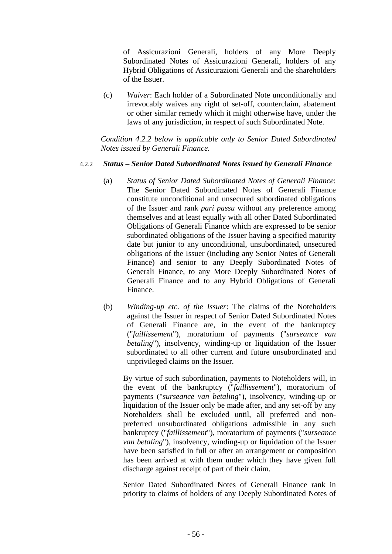of Assicurazioni Generali, holders of any More Deeply Subordinated Notes of Assicurazioni Generali, holders of any Hybrid Obligations of Assicurazioni Generali and the shareholders of the Issuer.

(c) *Waiver*: Each holder of a Subordinated Note unconditionally and irrevocably waives any right of set-off, counterclaim, abatement or other similar remedy which it might otherwise have, under the laws of any jurisdiction, in respect of such Subordinated Note.

*Condition 4.2.2 below is applicable only to Senior Dated Subordinated Notes issued by Generali Finance.* 

#### 4.2.2 *Status – Senior Dated Subordinated Notes issued by Generali Finance*

- (a) *Status of Senior Dated Subordinated Notes of Generali Finance*: The Senior Dated Subordinated Notes of Generali Finance constitute unconditional and unsecured subordinated obligations of the Issuer and rank *pari passu* without any preference among themselves and at least equally with all other Dated Subordinated Obligations of Generali Finance which are expressed to be senior subordinated obligations of the Issuer having a specified maturity date but junior to any unconditional, unsubordinated, unsecured obligations of the Issuer (including any Senior Notes of Generali Finance) and senior to any Deeply Subordinated Notes of Generali Finance, to any More Deeply Subordinated Notes of Generali Finance and to any Hybrid Obligations of Generali Finance.
- (b) *Winding-up etc. of the Issuer*: The claims of the Noteholders against the Issuer in respect of Senior Dated Subordinated Notes of Generali Finance are, in the event of the bankruptcy ("*faillissement*"), moratorium of payments ("*surseance van betaling*"), insolvency, winding-up or liquidation of the Issuer subordinated to all other current and future unsubordinated and unprivileged claims on the Issuer.

By virtue of such subordination, payments to Noteholders will, in the event of the bankruptcy ("*faillissement*"), moratorium of payments ("*surseance van betaling*"), insolvency, winding-up or liquidation of the Issuer only be made after, and any set-off by any Noteholders shall be excluded until, all preferred and nonpreferred unsubordinated obligations admissible in any such bankruptcy ("*faillissement*"), moratorium of payments ("*surseance van betaling*"), insolvency, winding-up or liquidation of the Issuer have been satisfied in full or after an arrangement or composition has been arrived at with them under which they have given full discharge against receipt of part of their claim.

Senior Dated Subordinated Notes of Generali Finance rank in priority to claims of holders of any Deeply Subordinated Notes of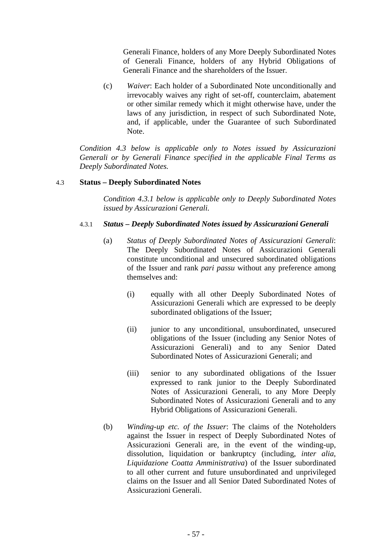Generali Finance, holders of any More Deeply Subordinated Notes of Generali Finance, holders of any Hybrid Obligations of Generali Finance and the shareholders of the Issuer.

(c) *Waiver*: Each holder of a Subordinated Note unconditionally and irrevocably waives any right of set-off, counterclaim, abatement or other similar remedy which it might otherwise have, under the laws of any jurisdiction, in respect of such Subordinated Note, and, if applicable, under the Guarantee of such Subordinated Note.

*Condition 4.3 below is applicable only to Notes issued by Assicurazioni Generali or by Generali Finance specified in the applicable Final Terms as Deeply Subordinated Notes.*

### 4.3 **Status – Deeply Subordinated Notes**

*Condition 4.3.1 below is applicable only to Deeply Subordinated Notes issued by Assicurazioni Generali.* 

## 4.3.1 *Status – Deeply Subordinated Notes issued by Assicurazioni Generali*

- (a) *Status of Deeply Subordinated Notes of Assicurazioni Generali*: The Deeply Subordinated Notes of Assicurazioni Generali constitute unconditional and unsecured subordinated obligations of the Issuer and rank *pari passu* without any preference among themselves and:
	- (i) equally with all other Deeply Subordinated Notes of Assicurazioni Generali which are expressed to be deeply subordinated obligations of the Issuer;
	- (ii) junior to any unconditional, unsubordinated, unsecured obligations of the Issuer (including any Senior Notes of Assicurazioni Generali) and to any Senior Dated Subordinated Notes of Assicurazioni Generali; and
	- (iii) senior to any subordinated obligations of the Issuer expressed to rank junior to the Deeply Subordinated Notes of Assicurazioni Generali, to any More Deeply Subordinated Notes of Assicurazioni Generali and to any Hybrid Obligations of Assicurazioni Generali.
- (b) *Winding-up etc. of the Issuer*: The claims of the Noteholders against the Issuer in respect of Deeply Subordinated Notes of Assicurazioni Generali are, in the event of the winding-up, dissolution, liquidation or bankruptcy (including, *inter alia*, *Liquidazione Coatta Amministrativa*) of the Issuer subordinated to all other current and future unsubordinated and unprivileged claims on the Issuer and all Senior Dated Subordinated Notes of Assicurazioni Generali.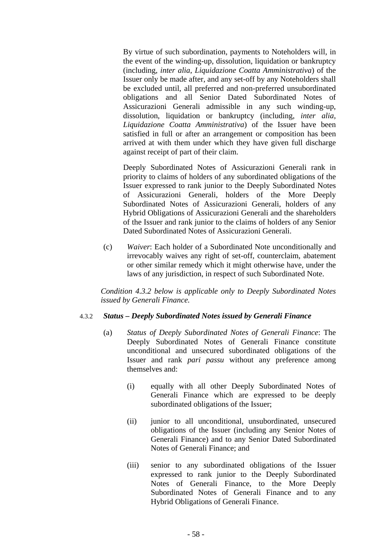By virtue of such subordination, payments to Noteholders will, in the event of the winding-up, dissolution, liquidation or bankruptcy (including, *inter alia*, *Liquidazione Coatta Amministrativa*) of the Issuer only be made after, and any set-off by any Noteholders shall be excluded until, all preferred and non-preferred unsubordinated obligations and all Senior Dated Subordinated Notes of Assicurazioni Generali admissible in any such winding-up, dissolution, liquidation or bankruptcy (including, *inter alia*, *Liquidazione Coatta Amministrativa*) of the Issuer have been satisfied in full or after an arrangement or composition has been arrived at with them under which they have given full discharge against receipt of part of their claim.

Deeply Subordinated Notes of Assicurazioni Generali rank in priority to claims of holders of any subordinated obligations of the Issuer expressed to rank junior to the Deeply Subordinated Notes of Assicurazioni Generali, holders of the More Deeply Subordinated Notes of Assicurazioni Generali, holders of any Hybrid Obligations of Assicurazioni Generali and the shareholders of the Issuer and rank junior to the claims of holders of any Senior Dated Subordinated Notes of Assicurazioni Generali.

(c) *Waiver*: Each holder of a Subordinated Note unconditionally and irrevocably waives any right of set-off, counterclaim, abatement or other similar remedy which it might otherwise have, under the laws of any jurisdiction, in respect of such Subordinated Note.

*Condition 4.3.2 below is applicable only to Deeply Subordinated Notes issued by Generali Finance.* 

### 4.3.2 *Status – Deeply Subordinated Notes issued by Generali Finance*

- (a) *Status of Deeply Subordinated Notes of Generali Finance*: The Deeply Subordinated Notes of Generali Finance constitute unconditional and unsecured subordinated obligations of the Issuer and rank *pari passu* without any preference among themselves and:
	- (i) equally with all other Deeply Subordinated Notes of Generali Finance which are expressed to be deeply subordinated obligations of the Issuer;
	- (ii) junior to all unconditional, unsubordinated, unsecured obligations of the Issuer (including any Senior Notes of Generali Finance) and to any Senior Dated Subordinated Notes of Generali Finance; and
	- (iii) senior to any subordinated obligations of the Issuer expressed to rank junior to the Deeply Subordinated Notes of Generali Finance, to the More Deeply Subordinated Notes of Generali Finance and to any Hybrid Obligations of Generali Finance.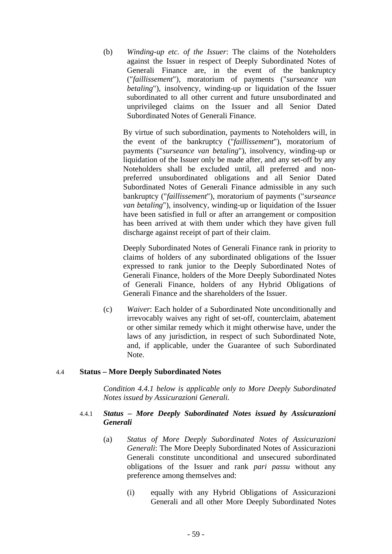(b) *Winding-up etc. of the Issuer*: The claims of the Noteholders against the Issuer in respect of Deeply Subordinated Notes of Generali Finance are, in the event of the bankruptcy ("*faillissement*"), moratorium of payments ("*surseance van betaling*"), insolvency, winding-up or liquidation of the Issuer subordinated to all other current and future unsubordinated and unprivileged claims on the Issuer and all Senior Dated Subordinated Notes of Generali Finance.

By virtue of such subordination, payments to Noteholders will, in the event of the bankruptcy ("*faillissement*"), moratorium of payments ("*surseance van betaling*"), insolvency, winding-up or liquidation of the Issuer only be made after, and any set-off by any Noteholders shall be excluded until, all preferred and nonpreferred unsubordinated obligations and all Senior Dated Subordinated Notes of Generali Finance admissible in any such bankruptcy ("*faillissement*"), moratorium of payments ("*surseance van betaling*"), insolvency, winding-up or liquidation of the Issuer have been satisfied in full or after an arrangement or composition has been arrived at with them under which they have given full discharge against receipt of part of their claim.

Deeply Subordinated Notes of Generali Finance rank in priority to claims of holders of any subordinated obligations of the Issuer expressed to rank junior to the Deeply Subordinated Notes of Generali Finance, holders of the More Deeply Subordinated Notes of Generali Finance, holders of any Hybrid Obligations of Generali Finance and the shareholders of the Issuer.

(c) *Waiver*: Each holder of a Subordinated Note unconditionally and irrevocably waives any right of set-off, counterclaim, abatement or other similar remedy which it might otherwise have, under the laws of any jurisdiction, in respect of such Subordinated Note, and, if applicable, under the Guarantee of such Subordinated Note.

### 4.4 **Status – More Deeply Subordinated Notes**

*Condition 4.4.1 below is applicable only to More Deeply Subordinated Notes issued by Assicurazioni Generali.* 

## 4.4.1 *Status – More Deeply Subordinated Notes issued by Assicurazioni Generali*

- (a) *Status of More Deeply Subordinated Notes of Assicurazioni Generali*: The More Deeply Subordinated Notes of Assicurazioni Generali constitute unconditional and unsecured subordinated obligations of the Issuer and rank *pari passu* without any preference among themselves and:
	- (i) equally with any Hybrid Obligations of Assicurazioni Generali and all other More Deeply Subordinated Notes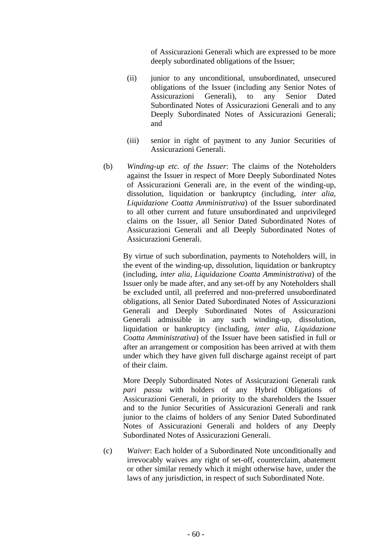of Assicurazioni Generali which are expressed to be more deeply subordinated obligations of the Issuer;

- (ii) junior to any unconditional, unsubordinated, unsecured obligations of the Issuer (including any Senior Notes of Assicurazioni Generali), to any Senior Dated Subordinated Notes of Assicurazioni Generali and to any Deeply Subordinated Notes of Assicurazioni Generali; and
- (iii) senior in right of payment to any Junior Securities of Assicurazioni Generali.
- (b) *Winding-up etc. of the Issuer*: The claims of the Noteholders against the Issuer in respect of More Deeply Subordinated Notes of Assicurazioni Generali are, in the event of the winding-up, dissolution, liquidation or bankruptcy (including, *inter alia*, *Liquidazione Coatta Amministrativa*) of the Issuer subordinated to all other current and future unsubordinated and unprivileged claims on the Issuer, all Senior Dated Subordinated Notes of Assicurazioni Generali and all Deeply Subordinated Notes of Assicurazioni Generali.

By virtue of such subordination, payments to Noteholders will, in the event of the winding-up, dissolution, liquidation or bankruptcy (including, *inter alia*, *Liquidazione Coatta Amministrativa*) of the Issuer only be made after, and any set-off by any Noteholders shall be excluded until, all preferred and non-preferred unsubordinated obligations, all Senior Dated Subordinated Notes of Assicurazioni Generali and Deeply Subordinated Notes of Assicurazioni Generali admissible in any such winding-up, dissolution, liquidation or bankruptcy (including, *inter alia*, *Liquidazione Coatta Amministrativa*) of the Issuer have been satisfied in full or after an arrangement or composition has been arrived at with them under which they have given full discharge against receipt of part of their claim.

More Deeply Subordinated Notes of Assicurazioni Generali rank *pari passu* with holders of any Hybrid Obligations of Assicurazioni Generali, in priority to the shareholders the Issuer and to the Junior Securities of Assicurazioni Generali and rank junior to the claims of holders of any Senior Dated Subordinated Notes of Assicurazioni Generali and holders of any Deeply Subordinated Notes of Assicurazioni Generali.

(c) *Waiver*: Each holder of a Subordinated Note unconditionally and irrevocably waives any right of set-off, counterclaim, abatement or other similar remedy which it might otherwise have, under the laws of any jurisdiction, in respect of such Subordinated Note.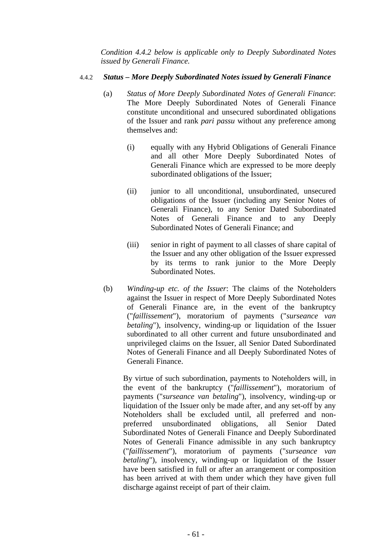*Condition 4.4.2 below is applicable only to Deeply Subordinated Notes issued by Generali Finance.* 

### 4.4.2 *Status – More Deeply Subordinated Notes issued by Generali Finance*

- (a) *Status of More Deeply Subordinated Notes of Generali Finance*: The More Deeply Subordinated Notes of Generali Finance constitute unconditional and unsecured subordinated obligations of the Issuer and rank *pari passu* without any preference among themselves and:
	- (i) equally with any Hybrid Obligations of Generali Finance and all other More Deeply Subordinated Notes of Generali Finance which are expressed to be more deeply subordinated obligations of the Issuer;
	- (ii) junior to all unconditional, unsubordinated, unsecured obligations of the Issuer (including any Senior Notes of Generali Finance), to any Senior Dated Subordinated Notes of Generali Finance and to any Deeply Subordinated Notes of Generali Finance; and
	- (iii) senior in right of payment to all classes of share capital of the Issuer and any other obligation of the Issuer expressed by its terms to rank junior to the More Deeply Subordinated Notes.
- (b) *Winding-up etc. of the Issuer*: The claims of the Noteholders against the Issuer in respect of More Deeply Subordinated Notes of Generali Finance are, in the event of the bankruptcy ("*faillissement*"), moratorium of payments ("*surseance van betaling*"), insolvency, winding-up or liquidation of the Issuer subordinated to all other current and future unsubordinated and unprivileged claims on the Issuer, all Senior Dated Subordinated Notes of Generali Finance and all Deeply Subordinated Notes of Generali Finance.

By virtue of such subordination, payments to Noteholders will, in the event of the bankruptcy ("*faillissement*"), moratorium of payments ("*surseance van betaling*"), insolvency, winding-up or liquidation of the Issuer only be made after, and any set-off by any Noteholders shall be excluded until, all preferred and nonpreferred unsubordinated obligations, all Senior Dated Subordinated Notes of Generali Finance and Deeply Subordinated Notes of Generali Finance admissible in any such bankruptcy ("*faillissement*"), moratorium of payments ("*surseance van betaling*"), insolvency, winding-up or liquidation of the Issuer have been satisfied in full or after an arrangement or composition has been arrived at with them under which they have given full discharge against receipt of part of their claim.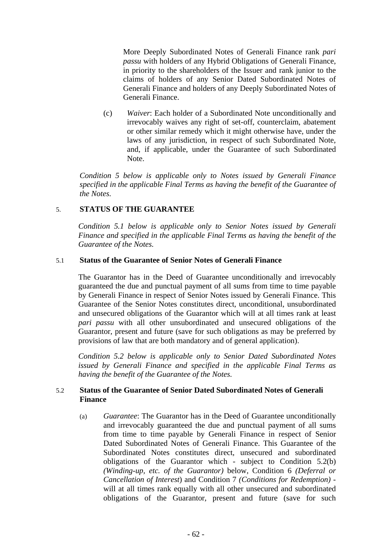More Deeply Subordinated Notes of Generali Finance rank *pari passu* with holders of any Hybrid Obligations of Generali Finance, in priority to the shareholders of the Issuer and rank junior to the claims of holders of any Senior Dated Subordinated Notes of Generali Finance and holders of any Deeply Subordinated Notes of Generali Finance.

(c) *Waiver*: Each holder of a Subordinated Note unconditionally and irrevocably waives any right of set-off, counterclaim, abatement or other similar remedy which it might otherwise have, under the laws of any jurisdiction, in respect of such Subordinated Note, and, if applicable, under the Guarantee of such Subordinated Note.

*Condition 5 below is applicable only to Notes issued by Generali Finance specified in the applicable Final Terms as having the benefit of the Guarantee of the Notes.* 

## 5. **STATUS OF THE GUARANTEE**

*Condition 5.1 below is applicable only to Senior Notes issued by Generali Finance and specified in the applicable Final Terms as having the benefit of the Guarantee of the Notes.* 

### 5.1 **Status of the Guarantee of Senior Notes of Generali Finance**

The Guarantor has in the Deed of Guarantee unconditionally and irrevocably guaranteed the due and punctual payment of all sums from time to time payable by Generali Finance in respect of Senior Notes issued by Generali Finance. This Guarantee of the Senior Notes constitutes direct, unconditional, unsubordinated and unsecured obligations of the Guarantor which will at all times rank at least *pari passu* with all other unsubordinated and unsecured obligations of the Guarantor, present and future (save for such obligations as may be preferred by provisions of law that are both mandatory and of general application).

*Condition 5.2 below is applicable only to Senior Dated Subordinated Notes issued by Generali Finance and specified in the applicable Final Terms as having the benefit of the Guarantee of the Notes.* 

## 5.2 **Status of the Guarantee of Senior Dated Subordinated Notes of Generali Finance**

(a) *Guarantee*: The Guarantor has in the Deed of Guarantee unconditionally and irrevocably guaranteed the due and punctual payment of all sums from time to time payable by Generali Finance in respect of Senior Dated Subordinated Notes of Generali Finance. This Guarantee of the Subordinated Notes constitutes direct, unsecured and subordinated obligations of the Guarantor which - subject to Condition 5.2(b) *(Winding-up, etc. of the Guarantor)* below, Condition 6 *(Deferral or Cancellation of Interest*) and Condition 7 *(Conditions for Redemption)* will at all times rank equally with all other unsecured and subordinated obligations of the Guarantor, present and future (save for such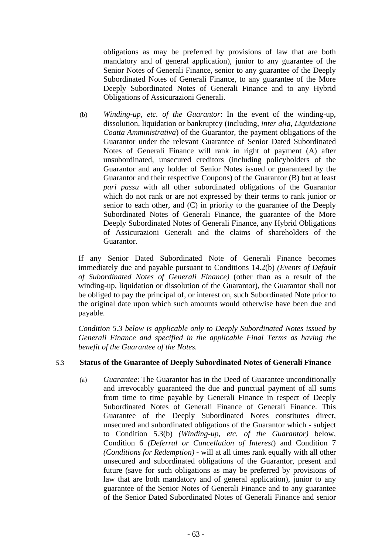obligations as may be preferred by provisions of law that are both mandatory and of general application), junior to any guarantee of the Senior Notes of Generali Finance, senior to any guarantee of the Deeply Subordinated Notes of Generali Finance, to any guarantee of the More Deeply Subordinated Notes of Generali Finance and to any Hybrid Obligations of Assicurazioni Generali.

(b) *Winding-up, etc. of the Guarantor*: In the event of the winding-up, dissolution, liquidation or bankruptcy (including, *inter alia*, *Liquidazione Coatta Amministrativa*) of the Guarantor, the payment obligations of the Guarantor under the relevant Guarantee of Senior Dated Subordinated Notes of Generali Finance will rank in right of payment (A) after unsubordinated, unsecured creditors (including policyholders of the Guarantor and any holder of Senior Notes issued or guaranteed by the Guarantor and their respective Coupons) of the Guarantor (B) but at least *pari passu* with all other subordinated obligations of the Guarantor which do not rank or are not expressed by their terms to rank junior or senior to each other, and (C) in priority to the guarantee of the Deeply Subordinated Notes of Generali Finance, the guarantee of the More Deeply Subordinated Notes of Generali Finance, any Hybrid Obligations of Assicurazioni Generali and the claims of shareholders of the Guarantor.

If any Senior Dated Subordinated Note of Generali Finance becomes immediately due and payable pursuant to Conditions 14.2(b) *(Events of Default of Subordinated Notes of Generali Finance)* (other than as a result of the winding-up, liquidation or dissolution of the Guarantor), the Guarantor shall not be obliged to pay the principal of, or interest on, such Subordinated Note prior to the original date upon which such amounts would otherwise have been due and payable.

*Condition 5.3 below is applicable only to Deeply Subordinated Notes issued by Generali Finance and specified in the applicable Final Terms as having the benefit of the Guarantee of the Notes.* 

### 5.3 **Status of the Guarantee of Deeply Subordinated Notes of Generali Finance**

(a) *Guarantee*: The Guarantor has in the Deed of Guarantee unconditionally and irrevocably guaranteed the due and punctual payment of all sums from time to time payable by Generali Finance in respect of Deeply Subordinated Notes of Generali Finance of Generali Finance. This Guarantee of the Deeply Subordinated Notes constitutes direct, unsecured and subordinated obligations of the Guarantor which - subject to Condition 5.3(b) *(Winding-up, etc. of the Guarantor)* below, Condition 6 *(Deferral or Cancellation of Interest*) and Condition 7 *(Conditions for Redemption)* - will at all times rank equally with all other unsecured and subordinated obligations of the Guarantor, present and future (save for such obligations as may be preferred by provisions of law that are both mandatory and of general application), junior to any guarantee of the Senior Notes of Generali Finance and to any guarantee of the Senior Dated Subordinated Notes of Generali Finance and senior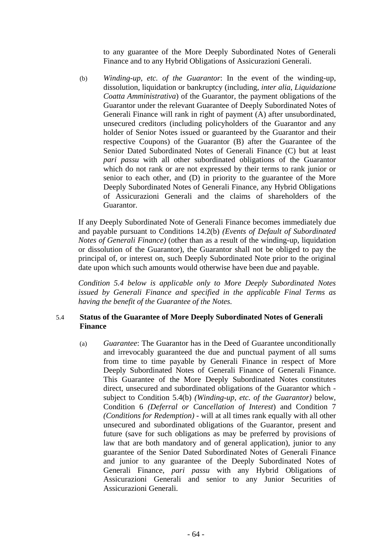to any guarantee of the More Deeply Subordinated Notes of Generali Finance and to any Hybrid Obligations of Assicurazioni Generali.

(b) *Winding-up, etc. of the Guarantor*: In the event of the winding-up, dissolution, liquidation or bankruptcy (including, *inter alia*, *Liquidazione Coatta Amministrativa*) of the Guarantor, the payment obligations of the Guarantor under the relevant Guarantee of Deeply Subordinated Notes of Generali Finance will rank in right of payment (A) after unsubordinated, unsecured creditors (including policyholders of the Guarantor and any holder of Senior Notes issued or guaranteed by the Guarantor and their respective Coupons) of the Guarantor (B) after the Guarantee of the Senior Dated Subordinated Notes of Generali Finance (C) but at least *pari passu* with all other subordinated obligations of the Guarantor which do not rank or are not expressed by their terms to rank junior or senior to each other, and (D) in priority to the guarantee of the More Deeply Subordinated Notes of Generali Finance, any Hybrid Obligations of Assicurazioni Generali and the claims of shareholders of the Guarantor.

If any Deeply Subordinated Note of Generali Finance becomes immediately due and payable pursuant to Conditions 14.2(b) *(Events of Default of Subordinated Notes of Generali Finance)* (other than as a result of the winding-up, liquidation or dissolution of the Guarantor), the Guarantor shall not be obliged to pay the principal of, or interest on, such Deeply Subordinated Note prior to the original date upon which such amounts would otherwise have been due and payable.

*Condition 5.4 below is applicable only to More Deeply Subordinated Notes issued by Generali Finance and specified in the applicable Final Terms as having the benefit of the Guarantee of the Notes.* 

## 5.4 **Status of the Guarantee of More Deeply Subordinated Notes of Generali Finance**

(a) *Guarantee*: The Guarantor has in the Deed of Guarantee unconditionally and irrevocably guaranteed the due and punctual payment of all sums from time to time payable by Generali Finance in respect of More Deeply Subordinated Notes of Generali Finance of Generali Finance. This Guarantee of the More Deeply Subordinated Notes constitutes direct, unsecured and subordinated obligations of the Guarantor which subject to Condition 5.4(b) *(Winding-up, etc. of the Guarantor)* below, Condition 6 *(Deferral or Cancellation of Interest*) and Condition 7 *(Conditions for Redemption)* - will at all times rank equally with all other unsecured and subordinated obligations of the Guarantor, present and future (save for such obligations as may be preferred by provisions of law that are both mandatory and of general application), junior to any guarantee of the Senior Dated Subordinated Notes of Generali Finance and junior to any guarantee of the Deeply Subordinated Notes of Generali Finance, *pari passu* with any Hybrid Obligations of Assicurazioni Generali and senior to any Junior Securities of Assicurazioni Generali.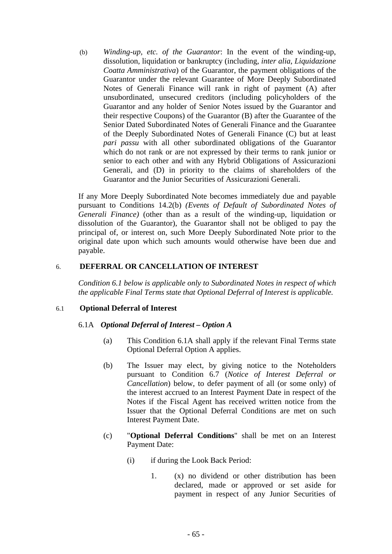(b) *Winding-up, etc. of the Guarantor*: In the event of the winding-up, dissolution, liquidation or bankruptcy (including, *inter alia*, *Liquidazione Coatta Amministrativa*) of the Guarantor, the payment obligations of the Guarantor under the relevant Guarantee of More Deeply Subordinated Notes of Generali Finance will rank in right of payment (A) after unsubordinated, unsecured creditors (including policyholders of the Guarantor and any holder of Senior Notes issued by the Guarantor and their respective Coupons) of the Guarantor (B) after the Guarantee of the Senior Dated Subordinated Notes of Generali Finance and the Guarantee of the Deeply Subordinated Notes of Generali Finance (C) but at least *pari passu* with all other subordinated obligations of the Guarantor which do not rank or are not expressed by their terms to rank junior or senior to each other and with any Hybrid Obligations of Assicurazioni Generali, and (D) in priority to the claims of shareholders of the Guarantor and the Junior Securities of Assicurazioni Generali.

If any More Deeply Subordinated Note becomes immediately due and payable pursuant to Conditions 14.2(b) *(Events of Default of Subordinated Notes of Generali Finance)* (other than as a result of the winding-up, liquidation or dissolution of the Guarantor), the Guarantor shall not be obliged to pay the principal of, or interest on, such More Deeply Subordinated Note prior to the original date upon which such amounts would otherwise have been due and payable.

## 6. **DEFERRAL OR CANCELLATION OF INTEREST**

*Condition 6.1 below is applicable only to Subordinated Notes in respect of which the applicable Final Terms state that Optional Deferral of Interest is applicable.* 

### 6.1 **Optional Deferral of Interest**

### 6.1A *Optional Deferral of Interest – Option A*

- (a) This Condition 6.1A shall apply if the relevant Final Terms state Optional Deferral Option A applies.
- (b) The Issuer may elect, by giving notice to the Noteholders pursuant to Condition 6.7 (*Notice of Interest Deferral or Cancellation*) below, to defer payment of all (or some only) of the interest accrued to an Interest Payment Date in respect of the Notes if the Fiscal Agent has received written notice from the Issuer that the Optional Deferral Conditions are met on such Interest Payment Date.
- (c) "**Optional Deferral Conditions**" shall be met on an Interest Payment Date:
	- (i) if during the Look Back Period:
		- 1. (x) no dividend or other distribution has been declared, made or approved or set aside for payment in respect of any Junior Securities of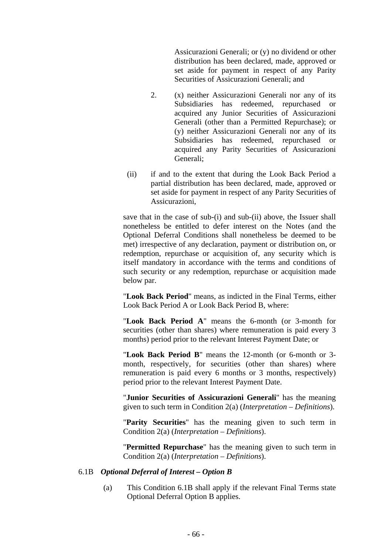Assicurazioni Generali; or (y) no dividend or other distribution has been declared, made, approved or set aside for payment in respect of any Parity Securities of Assicurazioni Generali; and

- 2. (x) neither Assicurazioni Generali nor any of its Subsidiaries has redeemed, repurchased or acquired any Junior Securities of Assicurazioni Generali (other than a Permitted Repurchase); or (y) neither Assicurazioni Generali nor any of its Subsidiaries has redeemed, repurchased or acquired any Parity Securities of Assicurazioni Generali;
- (ii) if and to the extent that during the Look Back Period a partial distribution has been declared, made, approved or set aside for payment in respect of any Parity Securities of Assicurazioni,

save that in the case of sub-(i) and sub-(ii) above, the Issuer shall nonetheless be entitled to defer interest on the Notes (and the Optional Deferral Conditions shall nonetheless be deemed to be met) irrespective of any declaration, payment or distribution on, or redemption, repurchase or acquisition of, any security which is itself mandatory in accordance with the terms and conditions of such security or any redemption, repurchase or acquisition made below par.

"**Look Back Period**" means, as indicted in the Final Terms, either Look Back Period A or Look Back Period B, where:

"**Look Back Period A**" means the 6-month (or 3-month for securities (other than shares) where remuneration is paid every 3 months) period prior to the relevant Interest Payment Date; or

"**Look Back Period B**" means the 12-month (or 6-month or 3 month, respectively, for securities (other than shares) where remuneration is paid every 6 months or 3 months, respectively) period prior to the relevant Interest Payment Date.

"**Junior Securities of Assicurazioni Generali**" has the meaning given to such term in Condition 2(a) (*Interpretation – Definitions*).

"**Parity Securities**" has the meaning given to such term in Condition 2(a) (*Interpretation – Definitions*).

"**Permitted Repurchase**" has the meaning given to such term in Condition 2(a) (*Interpretation – Definitions*).

### 6.1B *Optional Deferral of Interest – Option B*

(a) This Condition 6.1B shall apply if the relevant Final Terms state Optional Deferral Option B applies.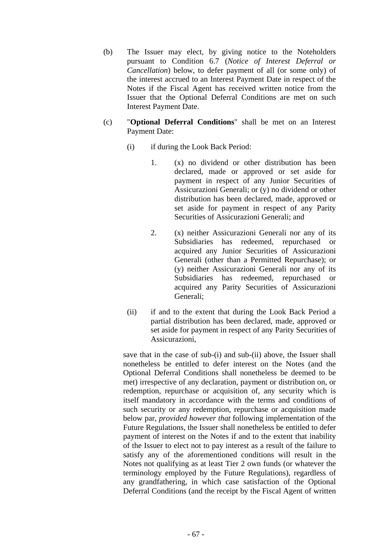- (b) The Issuer may elect, by giving notice to the Noteholders pursuant to Condition 6.7 (*Notice of Interest Deferral or Cancellation*) below, to defer payment of all (or some only) of the interest accrued to an Interest Payment Date in respect of the Notes if the Fiscal Agent has received written notice from the Issuer that the Optional Deferral Conditions are met on such Interest Payment Date.
- (c) "**Optional Deferral Conditions**" shall be met on an Interest Payment Date:
	- (i) if during the Look Back Period:
		- 1. (x) no dividend or other distribution has been declared, made or approved or set aside for payment in respect of any Junior Securities of Assicurazioni Generali; or (y) no dividend or other distribution has been declared, made, approved or set aside for payment in respect of any Parity Securities of Assicurazioni Generali; and
		- 2. (x) neither Assicurazioni Generali nor any of its Subsidiaries has redeemed, repurchased or acquired any Junior Securities of Assicurazioni Generali (other than a Permitted Repurchase); or (y) neither Assicurazioni Generali nor any of its Subsidiaries has redeemed, repurchased or acquired any Parity Securities of Assicurazioni Generali;
	- (ii) if and to the extent that during the Look Back Period a partial distribution has been declared, made, approved or set aside for payment in respect of any Parity Securities of Assicurazioni,

save that in the case of sub-(i) and sub-(ii) above, the Issuer shall nonetheless be entitled to defer interest on the Notes (and the Optional Deferral Conditions shall nonetheless be deemed to be met) irrespective of any declaration, payment or distribution on, or redemption, repurchase or acquisition of, any security which is itself mandatory in accordance with the terms and conditions of such security or any redemption, repurchase or acquisition made below par, *provided however that* following implementation of the Future Regulations, the Issuer shall nonetheless be entitled to defer payment of interest on the Notes if and to the extent that inability of the Issuer to elect not to pay interest as a result of the failure to satisfy any of the aforementioned conditions will result in the Notes not qualifying as at least Tier 2 own funds (or whatever the terminology employed by the Future Regulations), regardless of any grandfathering, in which case satisfaction of the Optional Deferral Conditions (and the receipt by the Fiscal Agent of written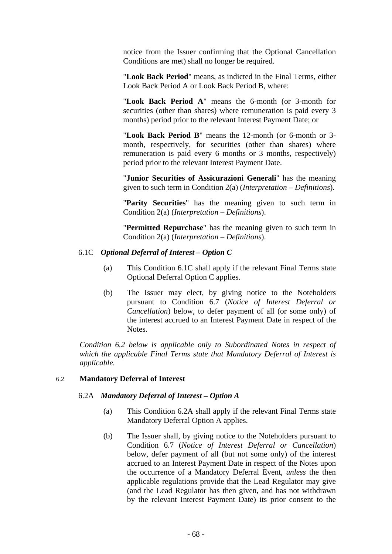notice from the Issuer confirming that the Optional Cancellation Conditions are met) shall no longer be required.

"**Look Back Period**" means, as indicted in the Final Terms, either Look Back Period A or Look Back Period B, where:

"**Look Back Period A**" means the 6-month (or 3-month for securities (other than shares) where remuneration is paid every 3 months) period prior to the relevant Interest Payment Date; or

"**Look Back Period B**" means the 12-month (or 6-month or 3 month, respectively, for securities (other than shares) where remuneration is paid every 6 months or 3 months, respectively) period prior to the relevant Interest Payment Date.

"**Junior Securities of Assicurazioni Generali**" has the meaning given to such term in Condition 2(a) (*Interpretation – Definitions*).

"**Parity Securities**" has the meaning given to such term in Condition 2(a) (*Interpretation – Definitions*).

"**Permitted Repurchase**" has the meaning given to such term in Condition 2(a) (*Interpretation – Definitions*).

### 6.1C *Optional Deferral of Interest – Option C*

- (a) This Condition 6.1C shall apply if the relevant Final Terms state Optional Deferral Option C applies.
- (b) The Issuer may elect, by giving notice to the Noteholders pursuant to Condition 6.7 (*Notice of Interest Deferral or Cancellation*) below, to defer payment of all (or some only) of the interest accrued to an Interest Payment Date in respect of the Notes.

*Condition 6.2 below is applicable only to Subordinated Notes in respect of which the applicable Final Terms state that Mandatory Deferral of Interest is applicable.* 

### 6.2 **Mandatory Deferral of Interest**

#### 6.2A *Mandatory Deferral of Interest – Option A*

- (a) This Condition 6.2A shall apply if the relevant Final Terms state Mandatory Deferral Option A applies.
- (b) The Issuer shall, by giving notice to the Noteholders pursuant to Condition 6.7 (*Notice of Interest Deferral or Cancellation*) below, defer payment of all (but not some only) of the interest accrued to an Interest Payment Date in respect of the Notes upon the occurrence of a Mandatory Deferral Event, *unless* the then applicable regulations provide that the Lead Regulator may give (and the Lead Regulator has then given, and has not withdrawn by the relevant Interest Payment Date) its prior consent to the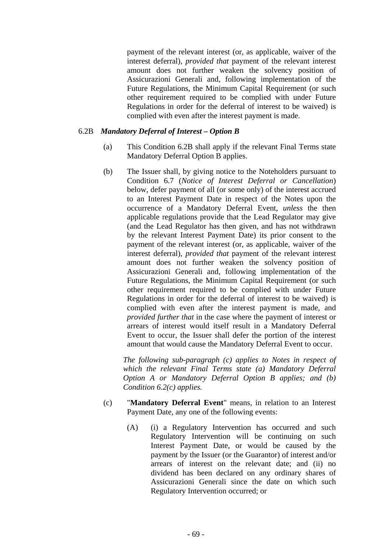payment of the relevant interest (or, as applicable, waiver of the interest deferral), *provided that* payment of the relevant interest amount does not further weaken the solvency position of Assicurazioni Generali and, following implementation of the Future Regulations, the Minimum Capital Requirement (or such other requirement required to be complied with under Future Regulations in order for the deferral of interest to be waived) is complied with even after the interest payment is made.

## 6.2B *Mandatory Deferral of Interest – Option B*

- (a) This Condition 6.2B shall apply if the relevant Final Terms state Mandatory Deferral Option B applies.
- (b) The Issuer shall, by giving notice to the Noteholders pursuant to Condition 6.7 (*Notice of Interest Deferral or Cancellation*) below, defer payment of all (or some only) of the interest accrued to an Interest Payment Date in respect of the Notes upon the occurrence of a Mandatory Deferral Event, *unless* the then applicable regulations provide that the Lead Regulator may give (and the Lead Regulator has then given, and has not withdrawn by the relevant Interest Payment Date) its prior consent to the payment of the relevant interest (or, as applicable, waiver of the interest deferral), *provided that* payment of the relevant interest amount does not further weaken the solvency position of Assicurazioni Generali and, following implementation of the Future Regulations, the Minimum Capital Requirement (or such other requirement required to be complied with under Future Regulations in order for the deferral of interest to be waived) is complied with even after the interest payment is made, and *provided further that* in the case where the payment of interest or arrears of interest would itself result in a Mandatory Deferral Event to occur, the Issuer shall defer the portion of the interest amount that would cause the Mandatory Deferral Event to occur.

*The following sub-paragraph (c) applies to Notes in respect of which the relevant Final Terms state (a) Mandatory Deferral Option A or Mandatory Deferral Option B applies; and (b) Condition 6.2(c) applies.* 

- (c) "**Mandatory Deferral Event**" means, in relation to an Interest Payment Date, any one of the following events:
	- (A) (i) a Regulatory Intervention has occurred and such Regulatory Intervention will be continuing on such Interest Payment Date, or would be caused by the payment by the Issuer (or the Guarantor) of interest and/or arrears of interest on the relevant date; and (ii) no dividend has been declared on any ordinary shares of Assicurazioni Generali since the date on which such Regulatory Intervention occurred; or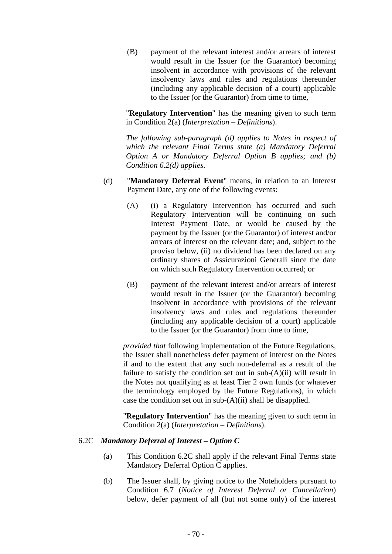(B) payment of the relevant interest and/or arrears of interest would result in the Issuer (or the Guarantor) becoming insolvent in accordance with provisions of the relevant insolvency laws and rules and regulations thereunder (including any applicable decision of a court) applicable to the Issuer (or the Guarantor) from time to time,

"**Regulatory Intervention**" has the meaning given to such term in Condition 2(a) (*Interpretation – Definitions*).

*The following sub-paragraph (d) applies to Notes in respect of which the relevant Final Terms state (a) Mandatory Deferral Option A or Mandatory Deferral Option B applies; and (b) Condition 6.2(d) applies.* 

- (d) "**Mandatory Deferral Event**" means, in relation to an Interest Payment Date, any one of the following events:
	- (A) (i) a Regulatory Intervention has occurred and such Regulatory Intervention will be continuing on such Interest Payment Date, or would be caused by the payment by the Issuer (or the Guarantor) of interest and/or arrears of interest on the relevant date; and, subject to the proviso below, (ii) no dividend has been declared on any ordinary shares of Assicurazioni Generali since the date on which such Regulatory Intervention occurred; or
	- (B) payment of the relevant interest and/or arrears of interest would result in the Issuer (or the Guarantor) becoming insolvent in accordance with provisions of the relevant insolvency laws and rules and regulations thereunder (including any applicable decision of a court) applicable to the Issuer (or the Guarantor) from time to time,

*provided that* following implementation of the Future Regulations, the Issuer shall nonetheless defer payment of interest on the Notes if and to the extent that any such non-deferral as a result of the failure to satisfy the condition set out in sub-(A)(ii) will result in the Notes not qualifying as at least Tier 2 own funds (or whatever the terminology employed by the Future Regulations), in which case the condition set out in sub-(A)(ii) shall be disapplied.

"**Regulatory Intervention**" has the meaning given to such term in Condition 2(a) (*Interpretation – Definitions*).

#### 6.2C *Mandatory Deferral of Interest – Option C*

- (a) This Condition 6.2C shall apply if the relevant Final Terms state Mandatory Deferral Option C applies.
- (b) The Issuer shall, by giving notice to the Noteholders pursuant to Condition 6.7 (*Notice of Interest Deferral or Cancellation*) below, defer payment of all (but not some only) of the interest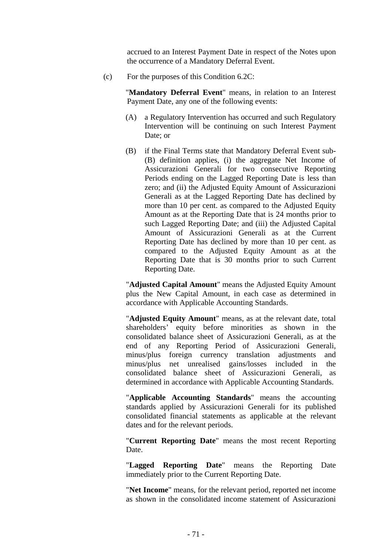accrued to an Interest Payment Date in respect of the Notes upon the occurrence of a Mandatory Deferral Event.

(c) For the purposes of this Condition 6.2C:

"**Mandatory Deferral Event**" means, in relation to an Interest Payment Date, any one of the following events:

- (A) a Regulatory Intervention has occurred and such Regulatory Intervention will be continuing on such Interest Payment Date; or
- (B) if the Final Terms state that Mandatory Deferral Event sub- (B) definition applies, (i) the aggregate Net Income of Assicurazioni Generali for two consecutive Reporting Periods ending on the Lagged Reporting Date is less than zero; and (ii) the Adjusted Equity Amount of Assicurazioni Generali as at the Lagged Reporting Date has declined by more than 10 per cent. as compared to the Adjusted Equity Amount as at the Reporting Date that is 24 months prior to such Lagged Reporting Date; and (iii) the Adjusted Capital Amount of Assicurazioni Generali as at the Current Reporting Date has declined by more than 10 per cent. as compared to the Adjusted Equity Amount as at the Reporting Date that is 30 months prior to such Current Reporting Date.

"**Adjusted Capital Amount**" means the Adjusted Equity Amount plus the New Capital Amount, in each case as determined in accordance with Applicable Accounting Standards.

"**Adjusted Equity Amount**" means, as at the relevant date, total shareholders' equity before minorities as shown in the consolidated balance sheet of Assicurazioni Generali, as at the end of any Reporting Period of Assicurazioni Generali, minus/plus foreign currency translation adjustments and minus/plus net unrealised gains/losses included in the consolidated balance sheet of Assicurazioni Generali, as determined in accordance with Applicable Accounting Standards.

"**Applicable Accounting Standards**" means the accounting standards applied by Assicurazioni Generali for its published consolidated financial statements as applicable at the relevant dates and for the relevant periods.

"**Current Reporting Date**" means the most recent Reporting Date.

"**Lagged Reporting Date**" means the Reporting Date immediately prior to the Current Reporting Date.

"**Net Income**" means, for the relevant period, reported net income as shown in the consolidated income statement of Assicurazioni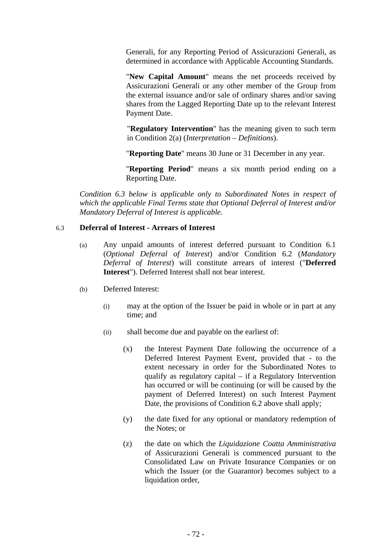Generali, for any Reporting Period of Assicurazioni Generali, as determined in accordance with Applicable Accounting Standards.

"**New Capital Amount**" means the net proceeds received by Assicurazioni Generali or any other member of the Group from the external issuance and/or sale of ordinary shares and/or saving shares from the Lagged Reporting Date up to the relevant Interest Payment Date.

"**Regulatory Intervention**" has the meaning given to such term in Condition 2(a) (*Interpretation – Definitions*).

"**Reporting Date**" means 30 June or 31 December in any year.

"**Reporting Period**" means a six month period ending on a Reporting Date.

*Condition 6.3 below is applicable only to Subordinated Notes in respect of which the applicable Final Terms state that Optional Deferral of Interest and/or Mandatory Deferral of Interest is applicable.* 

# 6.3 **Deferral of Interest - Arrears of Interest**

- (a) Any unpaid amounts of interest deferred pursuant to Condition 6.1 (*Optional Deferral of Interest*) and/or Condition 6.2 (*Mandatory Deferral of Interest*) will constitute arrears of interest ("**Deferred Interest**"). Deferred Interest shall not bear interest.
- (b) Deferred Interest:
	- (i) may at the option of the Issuer be paid in whole or in part at any time; and
	- (ii) shall become due and payable on the earliest of:
		- (x) the Interest Payment Date following the occurrence of a Deferred Interest Payment Event, provided that - to the extent necessary in order for the Subordinated Notes to qualify as regulatory capital – if a Regulatory Intervention has occurred or will be continuing (or will be caused by the payment of Deferred Interest) on such Interest Payment Date, the provisions of Condition 6.2 above shall apply;
		- (y) the date fixed for any optional or mandatory redemption of the Notes; or
		- (z) the date on which the *Liquidazione Coatta Amministrativa* of Assicurazioni Generali is commenced pursuant to the Consolidated Law on Private Insurance Companies or on which the Issuer (or the Guarantor) becomes subject to a liquidation order.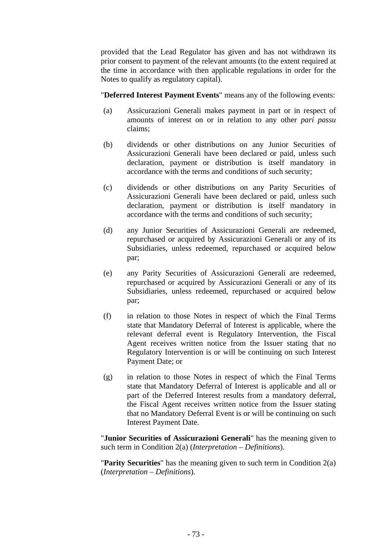provided that the Lead Regulator has given and has not withdrawn its prior consent to payment of the relevant amounts (to the extent required at the time in accordance with then applicable regulations in order for the Notes to qualify as regulatory capital).

"**Deferred Interest Payment Events**" means any of the following events:

- (a) Assicurazioni Generali makes payment in part or in respect of amounts of interest on or in relation to any other *pari passu* claims;
- (b) dividends or other distributions on any Junior Securities of Assicurazioni Generali have been declared or paid, unless such declaration, payment or distribution is itself mandatory in accordance with the terms and conditions of such security;
- (c) dividends or other distributions on any Parity Securities of Assicurazioni Generali have been declared or paid, unless such declaration, payment or distribution is itself mandatory in accordance with the terms and conditions of such security;
- (d) any Junior Securities of Assicurazioni Generali are redeemed, repurchased or acquired by Assicurazioni Generali or any of its Subsidiaries, unless redeemed, repurchased or acquired below par;
- (e) any Parity Securities of Assicurazioni Generali are redeemed, repurchased or acquired by Assicurazioni Generali or any of its Subsidiaries, unless redeemed, repurchased or acquired below par;
- (f) in relation to those Notes in respect of which the Final Terms state that Mandatory Deferral of Interest is applicable, where the relevant deferral event is Regulatory Intervention, the Fiscal Agent receives written notice from the Issuer stating that no Regulatory Intervention is or will be continuing on such Interest Payment Date; or
- (g) in relation to those Notes in respect of which the Final Terms state that Mandatory Deferral of Interest is applicable and all or part of the Deferred Interest results from a mandatory deferral, the Fiscal Agent receives written notice from the Issuer stating that no Mandatory Deferral Event is or will be continuing on such Interest Payment Date.

"**Junior Securities of Assicurazioni Generali**" has the meaning given to such term in Condition 2(a) (*Interpretation – Definitions*).

"**Parity Securities**" has the meaning given to such term in Condition 2(a) (*Interpretation – Definitions*).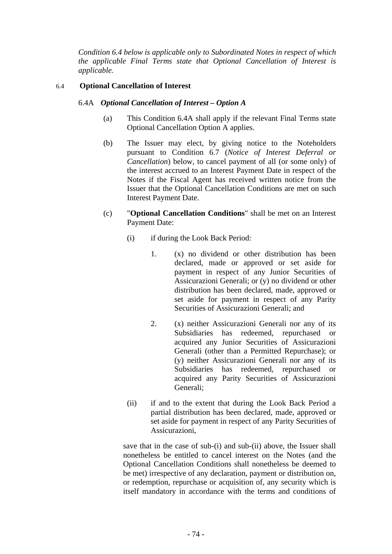*Condition 6.4 below is applicable only to Subordinated Notes in respect of which the applicable Final Terms state that Optional Cancellation of Interest is applicable.* 

# 6.4 **Optional Cancellation of Interest**

## 6.4A *Optional Cancellation of Interest – Option A*

- (a) This Condition 6.4A shall apply if the relevant Final Terms state Optional Cancellation Option A applies.
- (b) The Issuer may elect, by giving notice to the Noteholders pursuant to Condition 6.7 (*Notice of Interest Deferral or Cancellation*) below, to cancel payment of all (or some only) of the interest accrued to an Interest Payment Date in respect of the Notes if the Fiscal Agent has received written notice from the Issuer that the Optional Cancellation Conditions are met on such Interest Payment Date.
- (c) "**Optional Cancellation Conditions**" shall be met on an Interest Payment Date:
	- (i) if during the Look Back Period:
		- 1. (x) no dividend or other distribution has been declared, made or approved or set aside for payment in respect of any Junior Securities of Assicurazioni Generali; or (y) no dividend or other distribution has been declared, made, approved or set aside for payment in respect of any Parity Securities of Assicurazioni Generali; and
		- 2. (x) neither Assicurazioni Generali nor any of its Subsidiaries has redeemed, repurchased or acquired any Junior Securities of Assicurazioni Generali (other than a Permitted Repurchase); or (y) neither Assicurazioni Generali nor any of its Subsidiaries has redeemed, repurchased or acquired any Parity Securities of Assicurazioni Generali;
	- (ii) if and to the extent that during the Look Back Period a partial distribution has been declared, made, approved or set aside for payment in respect of any Parity Securities of Assicurazioni,

save that in the case of sub-(i) and sub-(ii) above, the Issuer shall nonetheless be entitled to cancel interest on the Notes (and the Optional Cancellation Conditions shall nonetheless be deemed to be met) irrespective of any declaration, payment or distribution on, or redemption, repurchase or acquisition of, any security which is itself mandatory in accordance with the terms and conditions of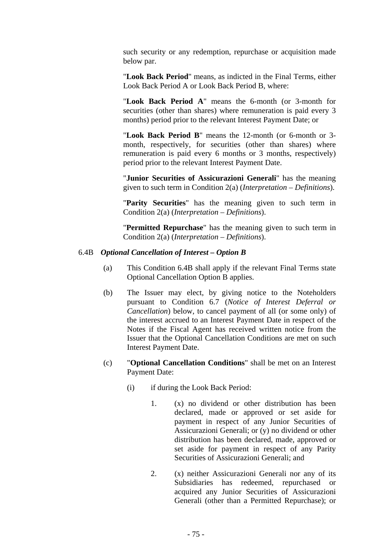such security or any redemption, repurchase or acquisition made below par.

"**Look Back Period**" means, as indicted in the Final Terms, either Look Back Period A or Look Back Period B, where:

"**Look Back Period A**" means the 6-month (or 3-month for securities (other than shares) where remuneration is paid every 3 months) period prior to the relevant Interest Payment Date; or

"**Look Back Period B**" means the 12-month (or 6-month or 3 month, respectively, for securities (other than shares) where remuneration is paid every 6 months or 3 months, respectively) period prior to the relevant Interest Payment Date.

"**Junior Securities of Assicurazioni Generali**" has the meaning given to such term in Condition 2(a) (*Interpretation – Definitions*).

"**Parity Securities**" has the meaning given to such term in Condition 2(a) (*Interpretation – Definitions*).

"**Permitted Repurchase**" has the meaning given to such term in Condition 2(a) (*Interpretation – Definitions*).

#### 6.4B *Optional Cancellation of Interest – Option B*

- (a) This Condition 6.4B shall apply if the relevant Final Terms state Optional Cancellation Option B applies.
- (b) The Issuer may elect, by giving notice to the Noteholders pursuant to Condition 6.7 (*Notice of Interest Deferral or Cancellation*) below, to cancel payment of all (or some only) of the interest accrued to an Interest Payment Date in respect of the Notes if the Fiscal Agent has received written notice from the Issuer that the Optional Cancellation Conditions are met on such Interest Payment Date.
- (c) "**Optional Cancellation Conditions**" shall be met on an Interest Payment Date:
	- (i) if during the Look Back Period:
		- 1. (x) no dividend or other distribution has been declared, made or approved or set aside for payment in respect of any Junior Securities of Assicurazioni Generali; or (y) no dividend or other distribution has been declared, made, approved or set aside for payment in respect of any Parity Securities of Assicurazioni Generali; and
		- 2. (x) neither Assicurazioni Generali nor any of its Subsidiaries has redeemed, repurchased or acquired any Junior Securities of Assicurazioni Generali (other than a Permitted Repurchase); or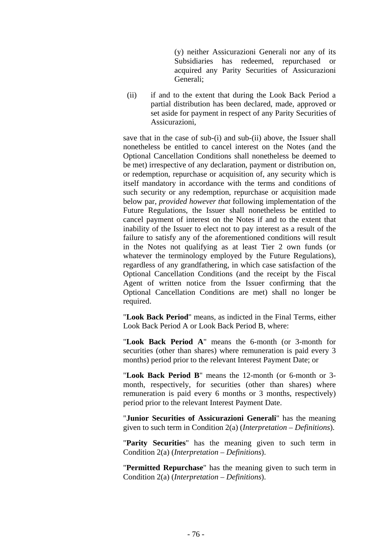(y) neither Assicurazioni Generali nor any of its Subsidiaries has redeemed, repurchased or acquired any Parity Securities of Assicurazioni Generali;

(ii) if and to the extent that during the Look Back Period a partial distribution has been declared, made, approved or set aside for payment in respect of any Parity Securities of Assicurazioni,

save that in the case of sub-(i) and sub-(ii) above, the Issuer shall nonetheless be entitled to cancel interest on the Notes (and the Optional Cancellation Conditions shall nonetheless be deemed to be met) irrespective of any declaration, payment or distribution on, or redemption, repurchase or acquisition of, any security which is itself mandatory in accordance with the terms and conditions of such security or any redemption, repurchase or acquisition made below par, *provided however that* following implementation of the Future Regulations, the Issuer shall nonetheless be entitled to cancel payment of interest on the Notes if and to the extent that inability of the Issuer to elect not to pay interest as a result of the failure to satisfy any of the aforementioned conditions will result in the Notes not qualifying as at least Tier 2 own funds (or whatever the terminology employed by the Future Regulations). regardless of any grandfathering, in which case satisfaction of the Optional Cancellation Conditions (and the receipt by the Fiscal Agent of written notice from the Issuer confirming that the Optional Cancellation Conditions are met) shall no longer be required.

"**Look Back Period**" means, as indicted in the Final Terms, either Look Back Period A or Look Back Period B, where:

"**Look Back Period A**" means the 6-month (or 3-month for securities (other than shares) where remuneration is paid every 3 months) period prior to the relevant Interest Payment Date; or

"**Look Back Period B**" means the 12-month (or 6-month or 3 month, respectively, for securities (other than shares) where remuneration is paid every 6 months or 3 months, respectively) period prior to the relevant Interest Payment Date.

"**Junior Securities of Assicurazioni Generali**" has the meaning given to such term in Condition 2(a) (*Interpretation – Definitions*).

"**Parity Securities**" has the meaning given to such term in Condition 2(a) (*Interpretation – Definitions*).

"**Permitted Repurchase**" has the meaning given to such term in Condition 2(a) (*Interpretation – Definitions*).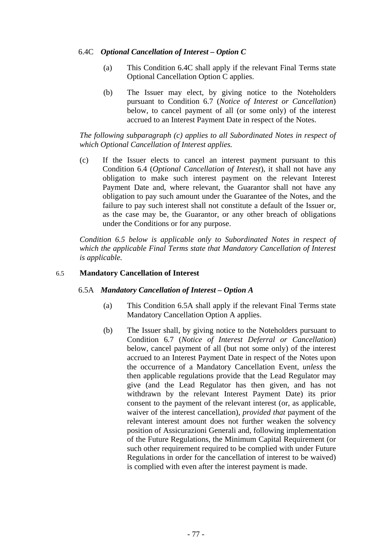# 6.4C *Optional Cancellation of Interest – Option C*

- (a) This Condition 6.4C shall apply if the relevant Final Terms state Optional Cancellation Option C applies.
- (b) The Issuer may elect, by giving notice to the Noteholders pursuant to Condition 6.7 (*Notice of Interest or Cancellation*) below, to cancel payment of all (or some only) of the interest accrued to an Interest Payment Date in respect of the Notes.

*The following subparagraph (c) applies to all Subordinated Notes in respect of which Optional Cancellation of Interest applies.* 

(c) If the Issuer elects to cancel an interest payment pursuant to this Condition 6.4 (*Optional Cancellation of Interest*), it shall not have any obligation to make such interest payment on the relevant Interest Payment Date and, where relevant, the Guarantor shall not have any obligation to pay such amount under the Guarantee of the Notes, and the failure to pay such interest shall not constitute a default of the Issuer or, as the case may be, the Guarantor, or any other breach of obligations under the Conditions or for any purpose.

*Condition 6.5 below is applicable only to Subordinated Notes in respect of which the applicable Final Terms state that Mandatory Cancellation of Interest is applicable.* 

#### 6.5 **Mandatory Cancellation of Interest**

## 6.5A *Mandatory Cancellation of Interest – Option A*

- (a) This Condition 6.5A shall apply if the relevant Final Terms state Mandatory Cancellation Option A applies.
- (b) The Issuer shall, by giving notice to the Noteholders pursuant to Condition 6.7 (*Notice of Interest Deferral or Cancellation*) below, cancel payment of all (but not some only) of the interest accrued to an Interest Payment Date in respect of the Notes upon the occurrence of a Mandatory Cancellation Event, *unless* the then applicable regulations provide that the Lead Regulator may give (and the Lead Regulator has then given, and has not withdrawn by the relevant Interest Payment Date) its prior consent to the payment of the relevant interest (or, as applicable, waiver of the interest cancellation), *provided that* payment of the relevant interest amount does not further weaken the solvency position of Assicurazioni Generali and, following implementation of the Future Regulations, the Minimum Capital Requirement (or such other requirement required to be complied with under Future Regulations in order for the cancellation of interest to be waived) is complied with even after the interest payment is made.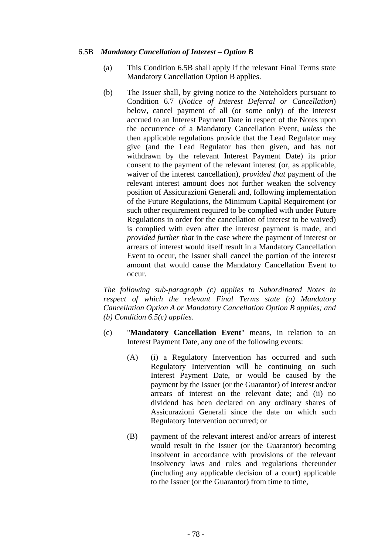# 6.5B *Mandatory Cancellation of Interest – Option B*

- (a) This Condition 6.5B shall apply if the relevant Final Terms state Mandatory Cancellation Option B applies.
- (b) The Issuer shall, by giving notice to the Noteholders pursuant to Condition 6.7 (*Notice of Interest Deferral or Cancellation*) below, cancel payment of all (or some only) of the interest accrued to an Interest Payment Date in respect of the Notes upon the occurrence of a Mandatory Cancellation Event, *unless* the then applicable regulations provide that the Lead Regulator may give (and the Lead Regulator has then given, and has not withdrawn by the relevant Interest Payment Date) its prior consent to the payment of the relevant interest (or, as applicable, waiver of the interest cancellation), *provided that* payment of the relevant interest amount does not further weaken the solvency position of Assicurazioni Generali and, following implementation of the Future Regulations, the Minimum Capital Requirement (or such other requirement required to be complied with under Future Regulations in order for the cancellation of interest to be waived) is complied with even after the interest payment is made, and *provided further that* in the case where the payment of interest or arrears of interest would itself result in a Mandatory Cancellation Event to occur, the Issuer shall cancel the portion of the interest amount that would cause the Mandatory Cancellation Event to occur.

*The following sub-paragraph (c) applies to Subordinated Notes in respect of which the relevant Final Terms state (a) Mandatory Cancellation Option A or Mandatory Cancellation Option B applies; and (b) Condition 6.5(c) applies.* 

- (c) "**Mandatory Cancellation Event**" means, in relation to an Interest Payment Date, any one of the following events:
	- (A) (i) a Regulatory Intervention has occurred and such Regulatory Intervention will be continuing on such Interest Payment Date, or would be caused by the payment by the Issuer (or the Guarantor) of interest and/or arrears of interest on the relevant date; and (ii) no dividend has been declared on any ordinary shares of Assicurazioni Generali since the date on which such Regulatory Intervention occurred; or
	- (B) payment of the relevant interest and/or arrears of interest would result in the Issuer (or the Guarantor) becoming insolvent in accordance with provisions of the relevant insolvency laws and rules and regulations thereunder (including any applicable decision of a court) applicable to the Issuer (or the Guarantor) from time to time,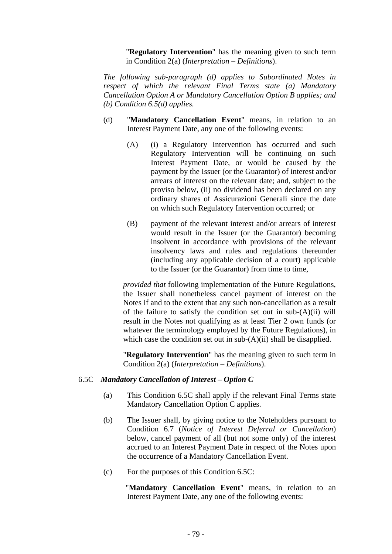"**Regulatory Intervention**" has the meaning given to such term in Condition 2(a) (*Interpretation – Definitions*).

*The following sub-paragraph (d) applies to Subordinated Notes in respect of which the relevant Final Terms state (a) Mandatory Cancellation Option A or Mandatory Cancellation Option B applies; and (b) Condition 6.5(d) applies.* 

- (d) "**Mandatory Cancellation Event**" means, in relation to an Interest Payment Date, any one of the following events:
	- (A) (i) a Regulatory Intervention has occurred and such Regulatory Intervention will be continuing on such Interest Payment Date, or would be caused by the payment by the Issuer (or the Guarantor) of interest and/or arrears of interest on the relevant date; and, subject to the proviso below, (ii) no dividend has been declared on any ordinary shares of Assicurazioni Generali since the date on which such Regulatory Intervention occurred; or
	- (B) payment of the relevant interest and/or arrears of interest would result in the Issuer (or the Guarantor) becoming insolvent in accordance with provisions of the relevant insolvency laws and rules and regulations thereunder (including any applicable decision of a court) applicable to the Issuer (or the Guarantor) from time to time,

*provided that* following implementation of the Future Regulations, the Issuer shall nonetheless cancel payment of interest on the Notes if and to the extent that any such non-cancellation as a result of the failure to satisfy the condition set out in  $sub-(A)(ii)$  will result in the Notes not qualifying as at least Tier 2 own funds (or whatever the terminology employed by the Future Regulations), in which case the condition set out in sub- $(A)(ii)$  shall be disapplied.

"**Regulatory Intervention**" has the meaning given to such term in Condition 2(a) (*Interpretation – Definitions*).

## 6.5C *Mandatory Cancellation of Interest – Option C*

- (a) This Condition 6.5C shall apply if the relevant Final Terms state Mandatory Cancellation Option C applies.
- (b) The Issuer shall, by giving notice to the Noteholders pursuant to Condition 6.7 (*Notice of Interest Deferral or Cancellation*) below, cancel payment of all (but not some only) of the interest accrued to an Interest Payment Date in respect of the Notes upon the occurrence of a Mandatory Cancellation Event.
- (c) For the purposes of this Condition 6.5C:

"**Mandatory Cancellation Event**" means, in relation to an Interest Payment Date, any one of the following events: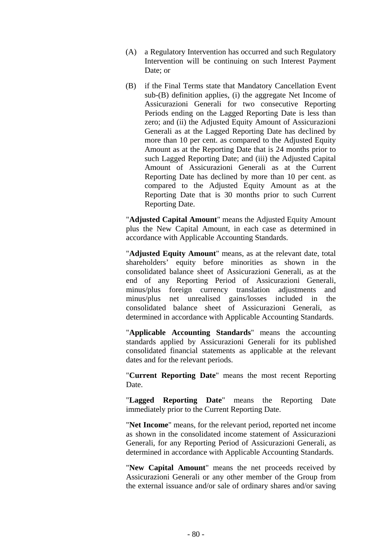- (A) a Regulatory Intervention has occurred and such Regulatory Intervention will be continuing on such Interest Payment Date; or
- (B) if the Final Terms state that Mandatory Cancellation Event sub-(B) definition applies, (i) the aggregate Net Income of Assicurazioni Generali for two consecutive Reporting Periods ending on the Lagged Reporting Date is less than zero; and (ii) the Adjusted Equity Amount of Assicurazioni Generali as at the Lagged Reporting Date has declined by more than 10 per cent. as compared to the Adjusted Equity Amount as at the Reporting Date that is 24 months prior to such Lagged Reporting Date; and (iii) the Adjusted Capital Amount of Assicurazioni Generali as at the Current Reporting Date has declined by more than 10 per cent. as compared to the Adjusted Equity Amount as at the Reporting Date that is 30 months prior to such Current Reporting Date.

"**Adjusted Capital Amount**" means the Adjusted Equity Amount plus the New Capital Amount, in each case as determined in accordance with Applicable Accounting Standards.

"**Adjusted Equity Amount**" means, as at the relevant date, total shareholders' equity before minorities as shown in the consolidated balance sheet of Assicurazioni Generali, as at the end of any Reporting Period of Assicurazioni Generali, minus/plus foreign currency translation adjustments and minus/plus net unrealised gains/losses included in the consolidated balance sheet of Assicurazioni Generali, as determined in accordance with Applicable Accounting Standards.

"**Applicable Accounting Standards**" means the accounting standards applied by Assicurazioni Generali for its published consolidated financial statements as applicable at the relevant dates and for the relevant periods.

"**Current Reporting Date**" means the most recent Reporting Date.

"**Lagged Reporting Date**" means the Reporting Date immediately prior to the Current Reporting Date.

"**Net Income**" means, for the relevant period, reported net income as shown in the consolidated income statement of Assicurazioni Generali, for any Reporting Period of Assicurazioni Generali, as determined in accordance with Applicable Accounting Standards.

"**New Capital Amount**" means the net proceeds received by Assicurazioni Generali or any other member of the Group from the external issuance and/or sale of ordinary shares and/or saving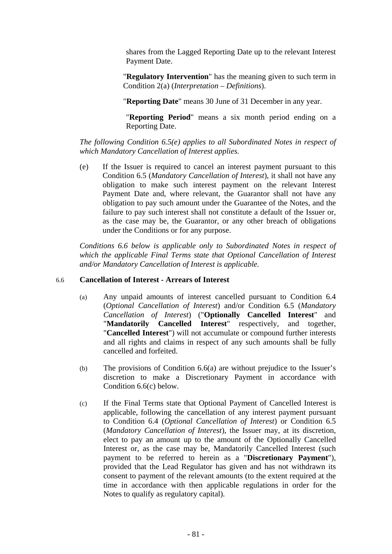shares from the Lagged Reporting Date up to the relevant Interest Payment Date.

"**Regulatory Intervention**" has the meaning given to such term in Condition 2(a) (*Interpretation – Definitions*).

"**Reporting Date**" means 30 June of 31 December in any year.

"**Reporting Period**" means a six month period ending on a Reporting Date.

*The following Condition 6.5(e) applies to all Subordinated Notes in respect of which Mandatory Cancellation of Interest applies.* 

(e) If the Issuer is required to cancel an interest payment pursuant to this Condition 6.5 (*Mandatory Cancellation of Interest*), it shall not have any obligation to make such interest payment on the relevant Interest Payment Date and, where relevant, the Guarantor shall not have any obligation to pay such amount under the Guarantee of the Notes, and the failure to pay such interest shall not constitute a default of the Issuer or, as the case may be, the Guarantor, or any other breach of obligations under the Conditions or for any purpose.

*Conditions 6.6 below is applicable only to Subordinated Notes in respect of which the applicable Final Terms state that Optional Cancellation of Interest and/or Mandatory Cancellation of Interest is applicable.* 

#### 6.6 **Cancellation of Interest - Arrears of Interest**

- (a) Any unpaid amounts of interest cancelled pursuant to Condition 6.4 (*Optional Cancellation of Interest*) and/or Condition 6.5 (*Mandatory Cancellation of Interest*) ("**Optionally Cancelled Interest**" and "**Mandatorily Cancelled Interest**" respectively, and together, "**Cancelled Interest**") will not accumulate or compound further interests and all rights and claims in respect of any such amounts shall be fully cancelled and forfeited.
- (b) The provisions of Condition 6.6(a) are without prejudice to the Issuer's discretion to make a Discretionary Payment in accordance with Condition 6.6(c) below.
- (c) If the Final Terms state that Optional Payment of Cancelled Interest is applicable, following the cancellation of any interest payment pursuant to Condition 6.4 (*Optional Cancellation of Interest*) or Condition 6.5 (*Mandatory Cancellation of Interest*), the Issuer may, at its discretion, elect to pay an amount up to the amount of the Optionally Cancelled Interest or, as the case may be, Mandatorily Cancelled Interest (such payment to be referred to herein as a "**Discretionary Payment**"), provided that the Lead Regulator has given and has not withdrawn its consent to payment of the relevant amounts (to the extent required at the time in accordance with then applicable regulations in order for the Notes to qualify as regulatory capital).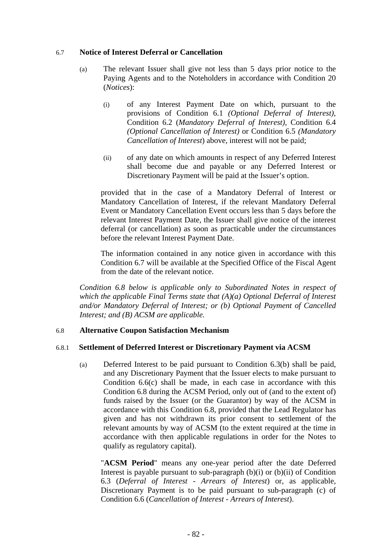#### 6.7 **Notice of Interest Deferral or Cancellation**

- (a) The relevant Issuer shall give not less than 5 days prior notice to the Paying Agents and to the Noteholders in accordance with Condition 20 (*Notices*):
	- (i) of any Interest Payment Date on which, pursuant to the provisions of Condition 6.1 *(Optional Deferral of Interest),* Condition 6.2 (*Mandatory Deferral of Interest)*, Condition 6.4 *(Optional Cancellation of Interest)* or Condition 6.5 *(Mandatory Cancellation of Interest*) above, interest will not be paid;
	- (ii) of any date on which amounts in respect of any Deferred Interest shall become due and payable or any Deferred Interest or Discretionary Payment will be paid at the Issuer's option.

provided that in the case of a Mandatory Deferral of Interest or Mandatory Cancellation of Interest, if the relevant Mandatory Deferral Event or Mandatory Cancellation Event occurs less than 5 days before the relevant Interest Payment Date, the Issuer shall give notice of the interest deferral (or cancellation) as soon as practicable under the circumstances before the relevant Interest Payment Date.

The information contained in any notice given in accordance with this Condition 6.7 will be available at the Specified Office of the Fiscal Agent from the date of the relevant notice.

*Condition 6.8 below is applicable only to Subordinated Notes in respect of which the applicable Final Terms state that (A)(a) Optional Deferral of Interest and/or Mandatory Deferral of Interest; or (b) Optional Payment of Cancelled Interest; and (B) ACSM are applicable.* 

## 6.8 **Alternative Coupon Satisfaction Mechanism**

# 6.8.1 **Settlement of Deferred Interest or Discretionary Payment via ACSM**

(a) Deferred Interest to be paid pursuant to Condition 6.3(b) shall be paid, and any Discretionary Payment that the Issuer elects to make pursuant to Condition 6.6(c) shall be made, in each case in accordance with this Condition 6.8 during the ACSM Period, only out of (and to the extent of) funds raised by the Issuer (or the Guarantor) by way of the ACSM in accordance with this Condition 6.8, provided that the Lead Regulator has given and has not withdrawn its prior consent to settlement of the relevant amounts by way of ACSM (to the extent required at the time in accordance with then applicable regulations in order for the Notes to qualify as regulatory capital).

"**ACSM Period**" means any one-year period after the date Deferred Interest is payable pursuant to sub-paragraph  $(b)(i)$  or  $(b)(ii)$  of Condition 6.3 (*Deferral of Interest - Arrears of Interest*) or, as applicable, Discretionary Payment is to be paid pursuant to sub-paragraph (c) of Condition 6.6 (*Cancellation of Interest* - *Arrears of Interest*).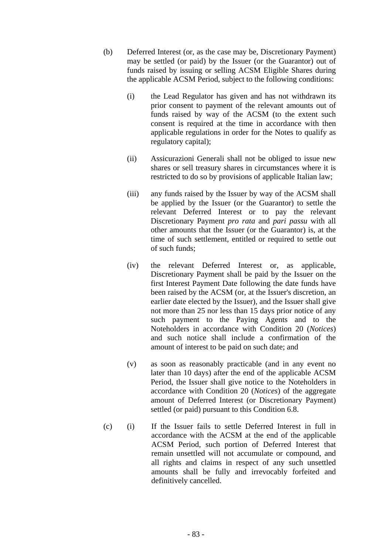- (b) Deferred Interest (or, as the case may be, Discretionary Payment) may be settled (or paid) by the Issuer (or the Guarantor) out of funds raised by issuing or selling ACSM Eligible Shares during the applicable ACSM Period, subject to the following conditions:
	- (i) the Lead Regulator has given and has not withdrawn its prior consent to payment of the relevant amounts out of funds raised by way of the ACSM (to the extent such consent is required at the time in accordance with then applicable regulations in order for the Notes to qualify as regulatory capital);
	- (ii) Assicurazioni Generali shall not be obliged to issue new shares or sell treasury shares in circumstances where it is restricted to do so by provisions of applicable Italian law;
	- (iii) any funds raised by the Issuer by way of the ACSM shall be applied by the Issuer (or the Guarantor) to settle the relevant Deferred Interest or to pay the relevant Discretionary Payment *pro rata* and *pari passu* with all other amounts that the Issuer (or the Guarantor) is, at the time of such settlement, entitled or required to settle out of such funds;
	- (iv) the relevant Deferred Interest or, as applicable, Discretionary Payment shall be paid by the Issuer on the first Interest Payment Date following the date funds have been raised by the ACSM (or, at the Issuer's discretion, an earlier date elected by the Issuer), and the Issuer shall give not more than 25 nor less than 15 days prior notice of any such payment to the Paying Agents and to the Noteholders in accordance with Condition 20 (*Notices*) and such notice shall include a confirmation of the amount of interest to be paid on such date; and
	- (v) as soon as reasonably practicable (and in any event no later than 10 days) after the end of the applicable ACSM Period, the Issuer shall give notice to the Noteholders in accordance with Condition 20 (*Notices*) of the aggregate amount of Deferred Interest (or Discretionary Payment) settled (or paid) pursuant to this Condition 6.8.
- (c) (i) If the Issuer fails to settle Deferred Interest in full in accordance with the ACSM at the end of the applicable ACSM Period, such portion of Deferred Interest that remain unsettled will not accumulate or compound, and all rights and claims in respect of any such unsettled amounts shall be fully and irrevocably forfeited and definitively cancelled.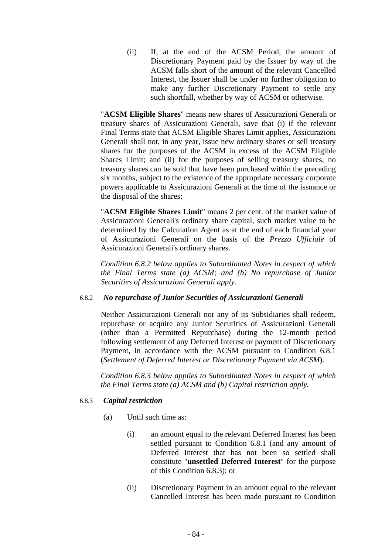(ii) If, at the end of the ACSM Period, the amount of Discretionary Payment paid by the Issuer by way of the ACSM falls short of the amount of the relevant Cancelled Interest, the Issuer shall be under no further obligation to make any further Discretionary Payment to settle any such shortfall, whether by way of ACSM or otherwise.

"**ACSM Eligible Shares**" means new shares of Assicurazioni Generali or treasury shares of Assicurazioni Generali, save that (i) if the relevant Final Terms state that ACSM Eligible Shares Limit applies, Assicurazioni Generali shall not, in any year, issue new ordinary shares or sell treasury shares for the purposes of the ACSM in excess of the ACSM Eligible Shares Limit; and (ii) for the purposes of selling treasury shares, no treasury shares can be sold that have been purchased within the preceding six months, subject to the existence of the appropriate necessary corporate powers applicable to Assicurazioni Generali at the time of the issuance or the disposal of the shares;

"**ACSM Eligible Shares Limit**" means 2 per cent. of the market value of Assicurazioni Generali's ordinary share capital, such market value to be determined by the Calculation Agent as at the end of each financial year of Assicurazioni Generali on the basis of the *Prezzo Ufficiale* of Assicurazioni Generali's ordinary shares.

*Condition 6.8.2 below applies to Subordinated Notes in respect of which the Final Terms state (a) ACSM; and (b) No repurchase of Junior Securities of Assicurazioni Generali apply.* 

## 6.8.2 *No repurchase of Junior Securities of Assicurazioni Generali*

Neither Assicurazioni Generali nor any of its Subsidiaries shall redeem, repurchase or acquire any Junior Securities of Assicurazioni Generali (other than a Permitted Repurchase) during the 12-month period following settlement of any Deferred Interest or payment of Discretionary Payment, in accordance with the ACSM pursuant to Condition 6.8.1 (*Settlement of Deferred Interest or Discretionary Payment via ACSM*).

*Condition 6.8.3 below applies to Subordinated Notes in respect of which the Final Terms state (a) ACSM and (b) Capital restriction apply.* 

# 6.8.3 *Capital restriction*

- (a) Until such time as:
	- (i) an amount equal to the relevant Deferred Interest has been settled pursuant to Condition 6.8.1 (and any amount of Deferred Interest that has not been so settled shall constitute "**unsettled Deferred Interest**" for the purpose of this Condition 6.8.3); or
	- (ii) Discretionary Payment in an amount equal to the relevant Cancelled Interest has been made pursuant to Condition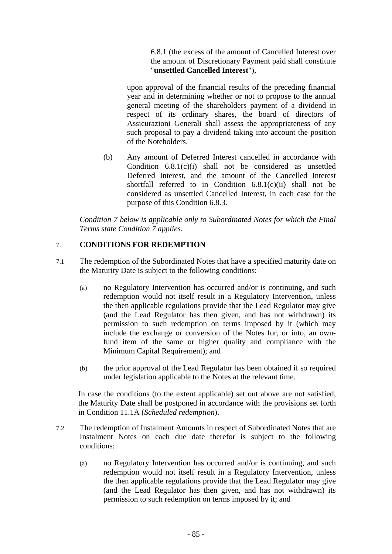6.8.1 (the excess of the amount of Cancelled Interest over the amount of Discretionary Payment paid shall constitute "**unsettled Cancelled Interest**"),

upon approval of the financial results of the preceding financial year and in determining whether or not to propose to the annual general meeting of the shareholders payment of a dividend in respect of its ordinary shares, the board of directors of Assicurazioni Generali shall assess the appropriateness of any such proposal to pay a dividend taking into account the position of the Noteholders.

(b) Any amount of Deferred Interest cancelled in accordance with Condition 6.8.1(c)(i) shall not be considered as unsettled Deferred Interest, and the amount of the Cancelled Interest shortfall referred to in Condition 6.8.1(c)(ii) shall not be considered as unsettled Cancelled Interest, in each case for the purpose of this Condition 6.8.3.

*Condition 7 below is applicable only to Subordinated Notes for which the Final Terms state Condition 7 applies.* 

# 7. **CONDITIONS FOR REDEMPTION**

- 7.1 The redemption of the Subordinated Notes that have a specified maturity date on the Maturity Date is subject to the following conditions:
	- (a) no Regulatory Intervention has occurred and/or is continuing, and such redemption would not itself result in a Regulatory Intervention, unless the then applicable regulations provide that the Lead Regulator may give (and the Lead Regulator has then given, and has not withdrawn) its permission to such redemption on terms imposed by it (which may include the exchange or conversion of the Notes for, or into, an ownfund item of the same or higher quality and compliance with the Minimum Capital Requirement); and
	- (b) the prior approval of the Lead Regulator has been obtained if so required under legislation applicable to the Notes at the relevant time.

In case the conditions (to the extent applicable) set out above are not satisfied, the Maturity Date shall be postponed in accordance with the provisions set forth in Condition 11.1A (*Scheduled redemption*).

- 7.2 The redemption of Instalment Amounts in respect of Subordinated Notes that are Instalment Notes on each due date therefor is subject to the following conditions:
	- (a) no Regulatory Intervention has occurred and/or is continuing, and such redemption would not itself result in a Regulatory Intervention, unless the then applicable regulations provide that the Lead Regulator may give (and the Lead Regulator has then given, and has not withdrawn) its permission to such redemption on terms imposed by it; and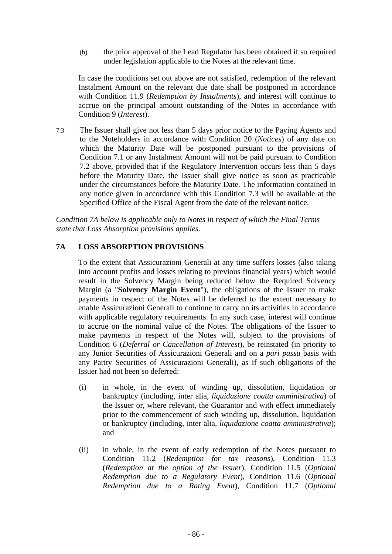(b) the prior approval of the Lead Regulator has been obtained if so required under legislation applicable to the Notes at the relevant time.

In case the conditions set out above are not satisfied, redemption of the relevant Instalment Amount on the relevant due date shall be postponed in accordance with Condition 11.9 (*Redemption by Instalments*), and interest will continue to accrue on the principal amount outstanding of the Notes in accordance with Condition 9 (*Interest*).

7.3 The Issuer shall give not less than 5 days prior notice to the Paying Agents and to the Noteholders in accordance with Condition 20 (*Notices*) of any date on which the Maturity Date will be postponed pursuant to the provisions of Condition 7.1 or any Instalment Amount will not be paid pursuant to Condition 7.2 above, provided that if the Regulatory Intervention occurs less than 5 days before the Maturity Date, the Issuer shall give notice as soon as practicable under the circumstances before the Maturity Date. The information contained in any notice given in accordance with this Condition 7.3 will be available at the Specified Office of the Fiscal Agent from the date of the relevant notice.

*Condition 7A below is applicable only to Notes in respect of which the Final Terms state that Loss Absorption provisions applies.* 

# **7A LOSS ABSORPTION PROVISIONS**

To the extent that Assicurazioni Generali at any time suffers losses (also taking into account profits and losses relating to previous financial years) which would result in the Solvency Margin being reduced below the Required Solvency Margin (a "**Solvency Margin Event**"), the obligations of the Issuer to make payments in respect of the Notes will be deferred to the extent necessary to enable Assicurazioni Generali to continue to carry on its activities in accordance with applicable regulatory requirements. In any such case, interest will continue to accrue on the nominal value of the Notes. The obligations of the Issuer to make payments in respect of the Notes will, subject to the provisions of Condition 6 (*Deferral or Cancellation of Interest*), be reinstated (in priority to any Junior Securities of Assicurazioni Generali and on a *pari passu* basis with any Parity Securities of Assicurazioni Generali), as if such obligations of the Issuer had not been so deferred:

- (i) in whole, in the event of winding up, dissolution, liquidation or bankruptcy (including, inter alia, *liquidazione coatta amministrativa*) of the Issuer or, where relevant, the Guarantor and with effect immediately prior to the commencement of such winding up, dissolution, liquidation or bankruptcy (including, inter alia, *liquidazione coatta amministrativa*); and
- (ii) in whole, in the event of early redemption of the Notes pursuant to Condition 11.2 (*Redemption for tax reasons*), Condition 11.3 (*Redemption at the option of the Issuer*), Condition 11.5 (*Optional Redemption due to a Regulatory Event*), Condition 11.6 (*Optional Redemption due to a Rating Event*), Condition 11.7 (*Optional*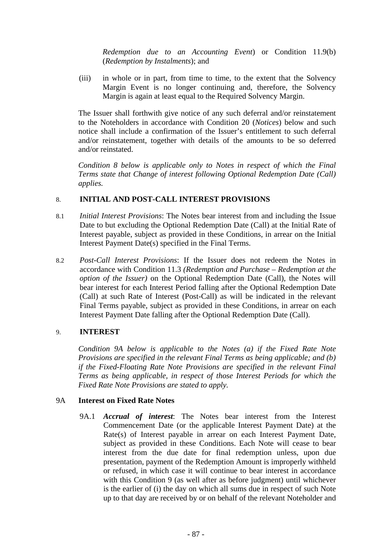*Redemption due to an Accounting Event*) or Condition 11.9(b) (*Redemption by Instalments*); and

(iii) in whole or in part, from time to time, to the extent that the Solvency Margin Event is no longer continuing and, therefore, the Solvency Margin is again at least equal to the Required Solvency Margin.

The Issuer shall forthwith give notice of any such deferral and/or reinstatement to the Noteholders in accordance with Condition 20 (*Notices*) below and such notice shall include a confirmation of the Issuer's entitlement to such deferral and/or reinstatement, together with details of the amounts to be so deferred and/or reinstated.

*Condition 8 below is applicable only to Notes in respect of which the Final Terms state that Change of interest following Optional Redemption Date (Call) applies.* 

# 8. **INITIAL AND POST-CALL INTEREST PROVISIONS**

- 8.1 *Initial Interest Provisions*: The Notes bear interest from and including the Issue Date to but excluding the Optional Redemption Date (Call) at the Initial Rate of Interest payable, subject as provided in these Conditions, in arrear on the Initial Interest Payment Date(s) specified in the Final Terms.
- 8.2 *Post-Call Interest Provisions*: If the Issuer does not redeem the Notes in accordance with Condition 11.3 *(Redemption and Purchase – Redemption at the option of the Issuer)* on the Optional Redemption Date (Call), the Notes will bear interest for each Interest Period falling after the Optional Redemption Date (Call) at such Rate of Interest (Post-Call) as will be indicated in the relevant Final Terms payable, subject as provided in these Conditions, in arrear on each Interest Payment Date falling after the Optional Redemption Date (Call).

# 9. **INTEREST**

*Condition 9A below is applicable to the Notes (a) if the Fixed Rate Note Provisions are specified in the relevant Final Terms as being applicable; and (b) if the Fixed-Floating Rate Note Provisions are specified in the relevant Final Terms as being applicable, in respect of those Interest Periods for which the Fixed Rate Note Provisions are stated to apply.* 

# 9A **Interest on Fixed Rate Notes**

9A.1 *Accrual of interest*: The Notes bear interest from the Interest Commencement Date (or the applicable Interest Payment Date) at the Rate(s) of Interest payable in arrear on each Interest Payment Date, subject as provided in these Conditions. Each Note will cease to bear interest from the due date for final redemption unless, upon due presentation, payment of the Redemption Amount is improperly withheld or refused, in which case it will continue to bear interest in accordance with this Condition 9 (as well after as before judgment) until whichever is the earlier of (i) the day on which all sums due in respect of such Note up to that day are received by or on behalf of the relevant Noteholder and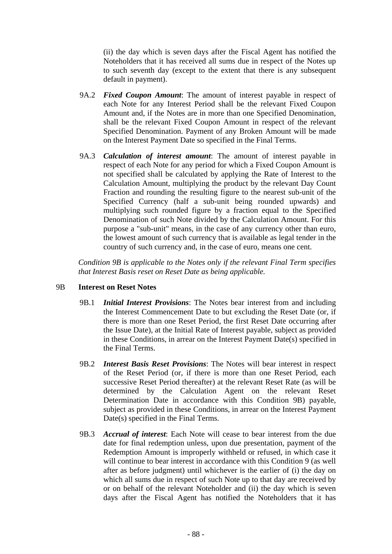(ii) the day which is seven days after the Fiscal Agent has notified the Noteholders that it has received all sums due in respect of the Notes up to such seventh day (except to the extent that there is any subsequent default in payment).

- 9A.2 *Fixed Coupon Amount*: The amount of interest payable in respect of each Note for any Interest Period shall be the relevant Fixed Coupon Amount and, if the Notes are in more than one Specified Denomination, shall be the relevant Fixed Coupon Amount in respect of the relevant Specified Denomination. Payment of any Broken Amount will be made on the Interest Payment Date so specified in the Final Terms.
- 9A.3 *Calculation of interest amount*: The amount of interest payable in respect of each Note for any period for which a Fixed Coupon Amount is not specified shall be calculated by applying the Rate of Interest to the Calculation Amount, multiplying the product by the relevant Day Count Fraction and rounding the resulting figure to the nearest sub-unit of the Specified Currency (half a sub-unit being rounded upwards) and multiplying such rounded figure by a fraction equal to the Specified Denomination of such Note divided by the Calculation Amount. For this purpose a "sub-unit" means, in the case of any currency other than euro, the lowest amount of such currency that is available as legal tender in the country of such currency and, in the case of euro, means one cent.

*Condition 9B is applicable to the Notes only if the relevant Final Term specifies that Interest Basis reset on Reset Date as being applicable.* 

#### 9B **Interest on Reset Notes**

- 9B.1 *Initial Interest Provisions*: The Notes bear interest from and including the Interest Commencement Date to but excluding the Reset Date (or, if there is more than one Reset Period, the first Reset Date occurring after the Issue Date), at the Initial Rate of Interest payable, subject as provided in these Conditions, in arrear on the Interest Payment Date(s) specified in the Final Terms.
- 9B.2 *Interest Basis Reset Provisions*: The Notes will bear interest in respect of the Reset Period (or, if there is more than one Reset Period, each successive Reset Period thereafter) at the relevant Reset Rate (as will be determined by the Calculation Agent on the relevant Reset Determination Date in accordance with this Condition 9B) payable, subject as provided in these Conditions, in arrear on the Interest Payment Date(s) specified in the Final Terms.
- 9B.3 *Accrual of interest*: Each Note will cease to bear interest from the due date for final redemption unless, upon due presentation, payment of the Redemption Amount is improperly withheld or refused, in which case it will continue to bear interest in accordance with this Condition 9 (as well after as before judgment) until whichever is the earlier of (i) the day on which all sums due in respect of such Note up to that day are received by or on behalf of the relevant Noteholder and (ii) the day which is seven days after the Fiscal Agent has notified the Noteholders that it has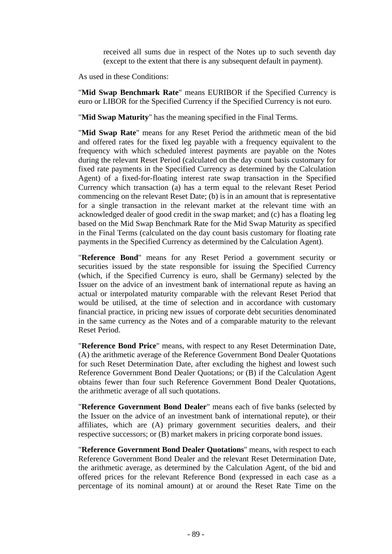received all sums due in respect of the Notes up to such seventh day (except to the extent that there is any subsequent default in payment).

As used in these Conditions:

"**Mid Swap Benchmark Rate**" means EURIBOR if the Specified Currency is euro or LIBOR for the Specified Currency if the Specified Currency is not euro.

"**Mid Swap Maturity**" has the meaning specified in the Final Terms.

"**Mid Swap Rate**" means for any Reset Period the arithmetic mean of the bid and offered rates for the fixed leg payable with a frequency equivalent to the frequency with which scheduled interest payments are payable on the Notes during the relevant Reset Period (calculated on the day count basis customary for fixed rate payments in the Specified Currency as determined by the Calculation Agent) of a fixed-for-floating interest rate swap transaction in the Specified Currency which transaction (a) has a term equal to the relevant Reset Period commencing on the relevant Reset Date; (b) is in an amount that is representative for a single transaction in the relevant market at the relevant time with an acknowledged dealer of good credit in the swap market; and (c) has a floating leg based on the Mid Swap Benchmark Rate for the Mid Swap Maturity as specified in the Final Terms (calculated on the day count basis customary for floating rate payments in the Specified Currency as determined by the Calculation Agent).

"**Reference Bond**" means for any Reset Period a government security or securities issued by the state responsible for issuing the Specified Currency (which, if the Specified Currency is euro, shall be Germany) selected by the Issuer on the advice of an investment bank of international repute as having an actual or interpolated maturity comparable with the relevant Reset Period that would be utilised, at the time of selection and in accordance with customary financial practice, in pricing new issues of corporate debt securities denominated in the same currency as the Notes and of a comparable maturity to the relevant Reset Period.

"**Reference Bond Price**" means, with respect to any Reset Determination Date, (A) the arithmetic average of the Reference Government Bond Dealer Quotations for such Reset Determination Date, after excluding the highest and lowest such Reference Government Bond Dealer Quotations; or (B) if the Calculation Agent obtains fewer than four such Reference Government Bond Dealer Quotations, the arithmetic average of all such quotations.

"**Reference Government Bond Dealer**" means each of five banks (selected by the Issuer on the advice of an investment bank of international repute), or their affiliates, which are (A) primary government securities dealers, and their respective successors; or (B) market makers in pricing corporate bond issues.

"**Reference Government Bond Dealer Quotations**" means, with respect to each Reference Government Bond Dealer and the relevant Reset Determination Date, the arithmetic average, as determined by the Calculation Agent, of the bid and offered prices for the relevant Reference Bond (expressed in each case as a percentage of its nominal amount) at or around the Reset Rate Time on the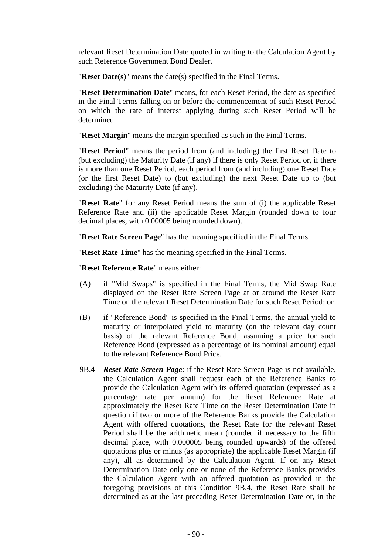relevant Reset Determination Date quoted in writing to the Calculation Agent by such Reference Government Bond Dealer.

"**Reset Date(s)**" means the date(s) specified in the Final Terms.

"**Reset Determination Date**" means, for each Reset Period, the date as specified in the Final Terms falling on or before the commencement of such Reset Period on which the rate of interest applying during such Reset Period will be determined.

"**Reset Margin**" means the margin specified as such in the Final Terms.

"**Reset Period**" means the period from (and including) the first Reset Date to (but excluding) the Maturity Date (if any) if there is only Reset Period or, if there is more than one Reset Period, each period from (and including) one Reset Date (or the first Reset Date) to (but excluding) the next Reset Date up to (but excluding) the Maturity Date (if any).

"**Reset Rate**" for any Reset Period means the sum of (i) the applicable Reset Reference Rate and (ii) the applicable Reset Margin (rounded down to four decimal places, with 0.00005 being rounded down).

"**Reset Rate Screen Page**" has the meaning specified in the Final Terms.

"**Reset Rate Time**" has the meaning specified in the Final Terms.

"**Reset Reference Rate**" means either:

- (A) if "Mid Swaps" is specified in the Final Terms, the Mid Swap Rate displayed on the Reset Rate Screen Page at or around the Reset Rate Time on the relevant Reset Determination Date for such Reset Period; or
- (B) if "Reference Bond" is specified in the Final Terms, the annual yield to maturity or interpolated yield to maturity (on the relevant day count basis) of the relevant Reference Bond, assuming a price for such Reference Bond (expressed as a percentage of its nominal amount) equal to the relevant Reference Bond Price.
- 9B.4 *Reset Rate Screen Page*: if the Reset Rate Screen Page is not available, the Calculation Agent shall request each of the Reference Banks to provide the Calculation Agent with its offered quotation (expressed as a percentage rate per annum) for the Reset Reference Rate at approximately the Reset Rate Time on the Reset Determination Date in question if two or more of the Reference Banks provide the Calculation Agent with offered quotations, the Reset Rate for the relevant Reset Period shall be the arithmetic mean (rounded if necessary to the fifth decimal place, with 0.000005 being rounded upwards) of the offered quotations plus or minus (as appropriate) the applicable Reset Margin (if any), all as determined by the Calculation Agent. If on any Reset Determination Date only one or none of the Reference Banks provides the Calculation Agent with an offered quotation as provided in the foregoing provisions of this Condition 9B.4, the Reset Rate shall be determined as at the last preceding Reset Determination Date or, in the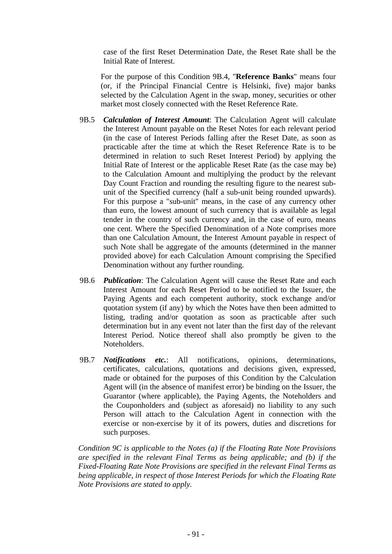case of the first Reset Determination Date, the Reset Rate shall be the Initial Rate of Interest.

For the purpose of this Condition 9B.4, "**Reference Banks**" means four (or, if the Principal Financial Centre is Helsinki, five) major banks selected by the Calculation Agent in the swap, money, securities or other market most closely connected with the Reset Reference Rate.

- 9B.5 *Calculation of Interest Amount*: The Calculation Agent will calculate the Interest Amount payable on the Reset Notes for each relevant period (in the case of Interest Periods falling after the Reset Date, as soon as practicable after the time at which the Reset Reference Rate is to be determined in relation to such Reset Interest Period) by applying the Initial Rate of Interest or the applicable Reset Rate (as the case may be) to the Calculation Amount and multiplying the product by the relevant Day Count Fraction and rounding the resulting figure to the nearest subunit of the Specified currency (half a sub-unit being rounded upwards). For this purpose a "sub-unit" means, in the case of any currency other than euro, the lowest amount of such currency that is available as legal tender in the country of such currency and, in the case of euro, means one cent. Where the Specified Denomination of a Note comprises more than one Calculation Amount, the Interest Amount payable in respect of such Note shall be aggregate of the amounts (determined in the manner provided above) for each Calculation Amount comprising the Specified Denomination without any further rounding.
- 9B.6 *Publication*: The Calculation Agent will cause the Reset Rate and each Interest Amount for each Reset Period to be notified to the Issuer, the Paying Agents and each competent authority, stock exchange and/or quotation system (if any) by which the Notes have then been admitted to listing, trading and/or quotation as soon as practicable after such determination but in any event not later than the first day of the relevant Interest Period. Notice thereof shall also promptly be given to the Noteholders.
- 9B.7 *Notifications etc.*: All notifications, opinions, determinations, certificates, calculations, quotations and decisions given, expressed, made or obtained for the purposes of this Condition by the Calculation Agent will (in the absence of manifest error) be binding on the Issuer, the Guarantor (where applicable), the Paying Agents, the Noteholders and the Couponholders and (subject as aforesaid) no liability to any such Person will attach to the Calculation Agent in connection with the exercise or non-exercise by it of its powers, duties and discretions for such purposes.

*Condition 9C is applicable to the Notes (a) if the Floating Rate Note Provisions are specified in the relevant Final Terms as being applicable; and (b) if the Fixed-Floating Rate Note Provisions are specified in the relevant Final Terms as being applicable, in respect of those Interest Periods for which the Floating Rate Note Provisions are stated to apply.*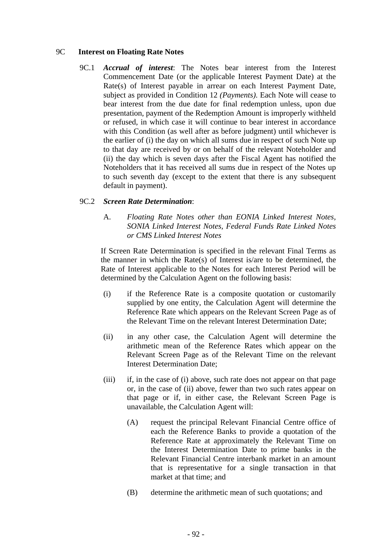# 9C **Interest on Floating Rate Notes**

9C.1 *Accrual of interest*: The Notes bear interest from the Interest Commencement Date (or the applicable Interest Payment Date) at the Rate(s) of Interest payable in arrear on each Interest Payment Date, subject as provided in Condition 12 *(Payments)*. Each Note will cease to bear interest from the due date for final redemption unless, upon due presentation, payment of the Redemption Amount is improperly withheld or refused, in which case it will continue to bear interest in accordance with this Condition (as well after as before judgment) until whichever is the earlier of (i) the day on which all sums due in respect of such Note up to that day are received by or on behalf of the relevant Noteholder and (ii) the day which is seven days after the Fiscal Agent has notified the Noteholders that it has received all sums due in respect of the Notes up to such seventh day (except to the extent that there is any subsequent default in payment).

## 9C.2 *Screen Rate Determination*:

A. *Floating Rate Notes other than EONIA Linked Interest Notes, SONIA Linked Interest Notes, Federal Funds Rate Linked Notes or CMS Linked Interest Notes*

If Screen Rate Determination is specified in the relevant Final Terms as the manner in which the Rate(s) of Interest is/are to be determined, the Rate of Interest applicable to the Notes for each Interest Period will be determined by the Calculation Agent on the following basis:

- (i) if the Reference Rate is a composite quotation or customarily supplied by one entity, the Calculation Agent will determine the Reference Rate which appears on the Relevant Screen Page as of the Relevant Time on the relevant Interest Determination Date;
- (ii) in any other case, the Calculation Agent will determine the arithmetic mean of the Reference Rates which appear on the Relevant Screen Page as of the Relevant Time on the relevant Interest Determination Date;
- (iii) if, in the case of (i) above, such rate does not appear on that page or, in the case of (ii) above, fewer than two such rates appear on that page or if, in either case, the Relevant Screen Page is unavailable, the Calculation Agent will:
	- (A) request the principal Relevant Financial Centre office of each the Reference Banks to provide a quotation of the Reference Rate at approximately the Relevant Time on the Interest Determination Date to prime banks in the Relevant Financial Centre interbank market in an amount that is representative for a single transaction in that market at that time; and
	- (B) determine the arithmetic mean of such quotations; and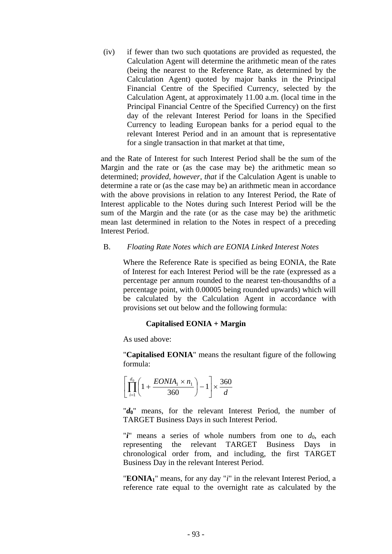(iv) if fewer than two such quotations are provided as requested, the Calculation Agent will determine the arithmetic mean of the rates (being the nearest to the Reference Rate, as determined by the Calculation Agent) quoted by major banks in the Principal Financial Centre of the Specified Currency, selected by the Calculation Agent, at approximately 11.00 a.m. (local time in the Principal Financial Centre of the Specified Currency) on the first day of the relevant Interest Period for loans in the Specified Currency to leading European banks for a period equal to the relevant Interest Period and in an amount that is representative for a single transaction in that market at that time,

and the Rate of Interest for such Interest Period shall be the sum of the Margin and the rate or (as the case may be) the arithmetic mean so determined; *provided, however, that* if the Calculation Agent is unable to determine a rate or (as the case may be) an arithmetic mean in accordance with the above provisions in relation to any Interest Period, the Rate of Interest applicable to the Notes during such Interest Period will be the sum of the Margin and the rate (or as the case may be) the arithmetic mean last determined in relation to the Notes in respect of a preceding Interest Period.

#### B. *Floating Rate Notes which are EONIA Linked Interest Notes*

Where the Reference Rate is specified as being EONIA, the Rate of Interest for each Interest Period will be the rate (expressed as a percentage per annum rounded to the nearest ten-thousandths of a percentage point, with 0.00005 being rounded upwards) which will be calculated by the Calculation Agent in accordance with provisions set out below and the following formula:

#### **Capitalised EONIA + Margin**

As used above:

"**Capitalised EONIA**" means the resultant figure of the following formula:

$$
\left[\prod_{i=1}^{d_0} \left(1 + \frac{EONIA_1 \times n_1}{360}\right) - 1\right] \times \frac{360}{d}
$$

"*d***0**" means, for the relevant Interest Period, the number of TARGET Business Days in such Interest Period.

"*i*" means a series of whole numbers from one to  $d_0$ , each representing the relevant TARGET Business Days in chronological order from, and including, the first TARGET Business Day in the relevant Interest Period.

"**EONIA1**" means, for any day "*i*" in the relevant Interest Period, a reference rate equal to the overnight rate as calculated by the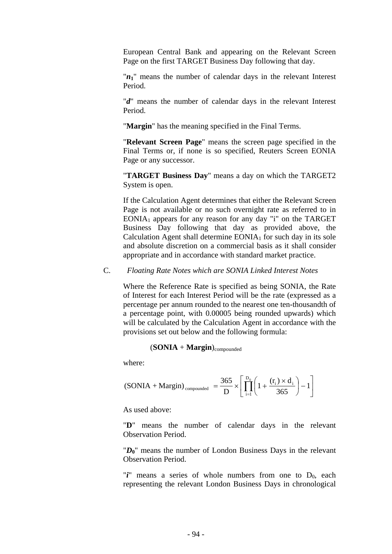European Central Bank and appearing on the Relevant Screen Page on the first TARGET Business Day following that day.

 $'n_1$ " means the number of calendar days in the relevant Interest Period.

"*d*" means the number of calendar days in the relevant Interest Period.

"**Margin**" has the meaning specified in the Final Terms.

"**Relevant Screen Page**" means the screen page specified in the Final Terms or, if none is so specified, Reuters Screen EONIA Page or any successor.

"**TARGET Business Day**" means a day on which the TARGET2 System is open.

If the Calculation Agent determines that either the Relevant Screen Page is not available or no such overnight rate as referred to in EONIA<sub>1</sub> appears for any reason for any day "i" on the TARGET Business Day following that day as provided above, the Calculation Agent shall determine  $EONIA<sub>1</sub>$  for such day in its sole and absolute discretion on a commercial basis as it shall consider appropriate and in accordance with standard market practice.

# C. *Floating Rate Notes which are SONIA Linked Interest Notes*

Where the Reference Rate is specified as being SONIA, the Rate of Interest for each Interest Period will be the rate (expressed as a percentage per annum rounded to the nearest one ten-thousandth of a percentage point, with 0.00005 being rounded upwards) which will be calculated by the Calculation Agent in accordance with the provisions set out below and the following formula:

#### $(SONIA + Margin)_{\text{compounded}}$

where:

$$
\text{(SONIA + Margin)}_{\text{compounded}} = \frac{365}{D} \times \left[ \prod_{i=1}^{D_0} \left( 1 + \frac{(r_i) \times d_i}{365} \right) - 1 \right]
$$

As used above:

"**D**" means the number of calendar days in the relevant Observation Period.

"*D***0**" means the number of London Business Days in the relevant Observation Period.

" $i$ " means a series of whole numbers from one to  $D_0$ , each representing the relevant London Business Days in chronological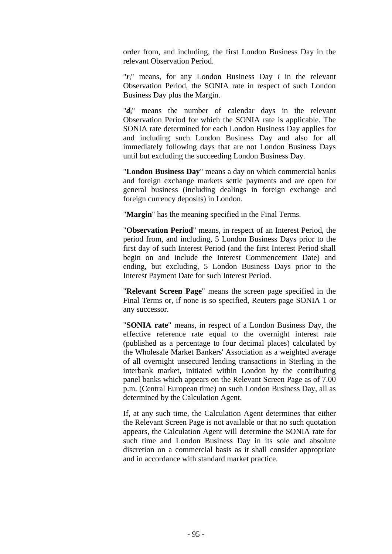order from, and including, the first London Business Day in the relevant Observation Period.

 $'r_i$  means, for any London Business Day *i* in the relevant Observation Period, the SONIA rate in respect of such London Business Day plus the Margin.

"*d***i**" means the number of calendar days in the relevant Observation Period for which the SONIA rate is applicable. The SONIA rate determined for each London Business Day applies for and including such London Business Day and also for all immediately following days that are not London Business Days until but excluding the succeeding London Business Day.

"**London Business Day**" means a day on which commercial banks and foreign exchange markets settle payments and are open for general business (including dealings in foreign exchange and foreign currency deposits) in London.

"**Margin**" has the meaning specified in the Final Terms.

"**Observation Period**" means, in respect of an Interest Period, the period from, and including, 5 London Business Days prior to the first day of such Interest Period (and the first Interest Period shall begin on and include the Interest Commencement Date) and ending, but excluding, 5 London Business Days prior to the Interest Payment Date for such Interest Period.

"**Relevant Screen Page**" means the screen page specified in the Final Terms or, if none is so specified, Reuters page SONIA 1 or any successor.

"**SONIA rate**" means, in respect of a London Business Day, the effective reference rate equal to the overnight interest rate (published as a percentage to four decimal places) calculated by the Wholesale Market Bankers' Association as a weighted average of all overnight unsecured lending transactions in Sterling in the interbank market, initiated within London by the contributing panel banks which appears on the Relevant Screen Page as of 7.00 p.m. (Central European time) on such London Business Day, all as determined by the Calculation Agent.

If, at any such time, the Calculation Agent determines that either the Relevant Screen Page is not available or that no such quotation appears, the Calculation Agent will determine the SONIA rate for such time and London Business Day in its sole and absolute discretion on a commercial basis as it shall consider appropriate and in accordance with standard market practice.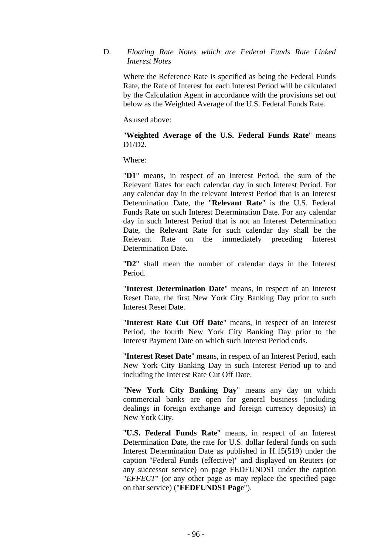# D. *Floating Rate Notes which are Federal Funds Rate Linked Interest Notes*

Where the Reference Rate is specified as being the Federal Funds Rate, the Rate of Interest for each Interest Period will be calculated by the Calculation Agent in accordance with the provisions set out below as the Weighted Average of the U.S. Federal Funds Rate.

As used above:

"**Weighted Average of the U.S. Federal Funds Rate**" means  $D1/D2$ .

Where:

"**D1**" means, in respect of an Interest Period, the sum of the Relevant Rates for each calendar day in such Interest Period. For any calendar day in the relevant Interest Period that is an Interest Determination Date, the "**Relevant Rate**" is the U.S. Federal Funds Rate on such Interest Determination Date. For any calendar day in such Interest Period that is not an Interest Determination Date, the Relevant Rate for such calendar day shall be the Relevant Rate on the immediately preceding Interest Determination Date.

"**D2**" shall mean the number of calendar days in the Interest Period.

"**Interest Determination Date**" means, in respect of an Interest Reset Date, the first New York City Banking Day prior to such Interest Reset Date.

"**Interest Rate Cut Off Date**" means, in respect of an Interest Period, the fourth New York City Banking Day prior to the Interest Payment Date on which such Interest Period ends.

"**Interest Reset Date**" means, in respect of an Interest Period, each New York City Banking Day in such Interest Period up to and including the Interest Rate Cut Off Date.

"**New York City Banking Day**" means any day on which commercial banks are open for general business (including dealings in foreign exchange and foreign currency deposits) in New York City.

"**U.S. Federal Funds Rate**" means, in respect of an Interest Determination Date, the rate for U.S. dollar federal funds on such Interest Determination Date as published in H.15(519) under the caption "Federal Funds (effective)" and displayed on Reuters (or any successor service) on page FEDFUNDS1 under the caption "*EFFECT*" (or any other page as may replace the specified page on that service) ("**FEDFUNDS1 Page**").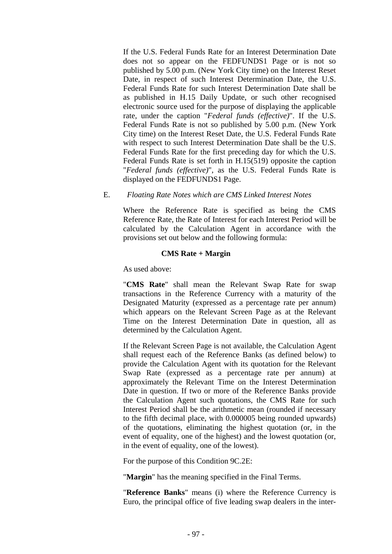If the U.S. Federal Funds Rate for an Interest Determination Date does not so appear on the FEDFUNDS1 Page or is not so published by 5.00 p.m. (New York City time) on the Interest Reset Date, in respect of such Interest Determination Date, the U.S. Federal Funds Rate for such Interest Determination Date shall be as published in H.15 Daily Update, or such other recognised electronic source used for the purpose of displaying the applicable rate, under the caption "*Federal funds (effective)*". If the U.S. Federal Funds Rate is not so published by 5.00 p.m. (New York City time) on the Interest Reset Date, the U.S. Federal Funds Rate with respect to such Interest Determination Date shall be the U.S. Federal Funds Rate for the first preceding day for which the U.S. Federal Funds Rate is set forth in H.15(519) opposite the caption "*Federal funds (effective)*", as the U.S. Federal Funds Rate is displayed on the FEDFUNDS1 Page.

## E. *Floating Rate Notes which are CMS Linked Interest Notes*

Where the Reference Rate is specified as being the CMS Reference Rate, the Rate of Interest for each Interest Period will be calculated by the Calculation Agent in accordance with the provisions set out below and the following formula:

# **CMS Rate + Margin**

As used above:

"**CMS Rate**" shall mean the Relevant Swap Rate for swap transactions in the Reference Currency with a maturity of the Designated Maturity (expressed as a percentage rate per annum) which appears on the Relevant Screen Page as at the Relevant Time on the Interest Determination Date in question, all as determined by the Calculation Agent.

If the Relevant Screen Page is not available, the Calculation Agent shall request each of the Reference Banks (as defined below) to provide the Calculation Agent with its quotation for the Relevant Swap Rate (expressed as a percentage rate per annum) at approximately the Relevant Time on the Interest Determination Date in question. If two or more of the Reference Banks provide the Calculation Agent such quotations, the CMS Rate for such Interest Period shall be the arithmetic mean (rounded if necessary to the fifth decimal place, with 0.000005 being rounded upwards) of the quotations, eliminating the highest quotation (or, in the event of equality, one of the highest) and the lowest quotation (or, in the event of equality, one of the lowest).

For the purpose of this Condition 9C.2E:

"**Margin**" has the meaning specified in the Final Terms.

"**Reference Banks**" means (i) where the Reference Currency is Euro, the principal office of five leading swap dealers in the inter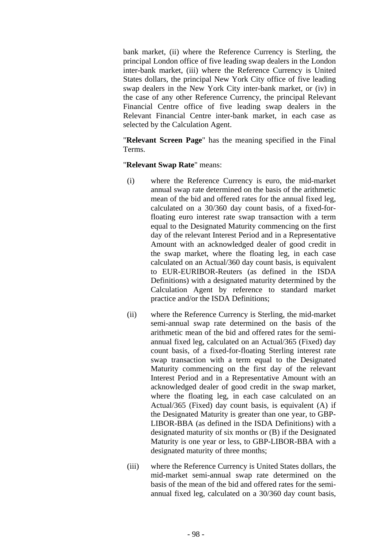bank market, (ii) where the Reference Currency is Sterling, the principal London office of five leading swap dealers in the London inter-bank market, (iii) where the Reference Currency is United States dollars, the principal New York City office of five leading swap dealers in the New York City inter-bank market, or (iv) in the case of any other Reference Currency, the principal Relevant Financial Centre office of five leading swap dealers in the Relevant Financial Centre inter-bank market, in each case as selected by the Calculation Agent.

"**Relevant Screen Page**" has the meaning specified in the Final Terms.

# "**Relevant Swap Rate**" means:

- (i) where the Reference Currency is euro, the mid-market annual swap rate determined on the basis of the arithmetic mean of the bid and offered rates for the annual fixed leg, calculated on a 30/360 day count basis, of a fixed-forfloating euro interest rate swap transaction with a term equal to the Designated Maturity commencing on the first day of the relevant Interest Period and in a Representative Amount with an acknowledged dealer of good credit in the swap market, where the floating leg, in each case calculated on an Actual/360 day count basis, is equivalent to EUR-EURIBOR-Reuters (as defined in the ISDA Definitions) with a designated maturity determined by the Calculation Agent by reference to standard market practice and/or the ISDA Definitions;
- (ii) where the Reference Currency is Sterling, the mid-market semi-annual swap rate determined on the basis of the arithmetic mean of the bid and offered rates for the semiannual fixed leg, calculated on an Actual/365 (Fixed) day count basis, of a fixed-for-floating Sterling interest rate swap transaction with a term equal to the Designated Maturity commencing on the first day of the relevant Interest Period and in a Representative Amount with an acknowledged dealer of good credit in the swap market, where the floating leg, in each case calculated on an Actual/365 (Fixed) day count basis, is equivalent (A) if the Designated Maturity is greater than one year, to GBP-LIBOR-BBA (as defined in the ISDA Definitions) with a designated maturity of six months or (B) if the Designated Maturity is one year or less, to GBP-LIBOR-BBA with a designated maturity of three months;
- (iii) where the Reference Currency is United States dollars, the mid-market semi-annual swap rate determined on the basis of the mean of the bid and offered rates for the semiannual fixed leg, calculated on a 30/360 day count basis,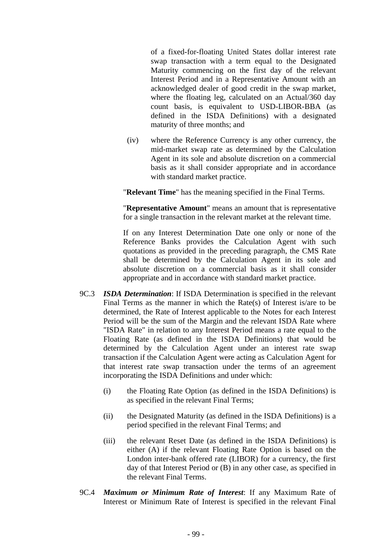of a fixed-for-floating United States dollar interest rate swap transaction with a term equal to the Designated Maturity commencing on the first day of the relevant Interest Period and in a Representative Amount with an acknowledged dealer of good credit in the swap market, where the floating leg, calculated on an Actual/360 day count basis, is equivalent to USD-LIBOR-BBA (as defined in the ISDA Definitions) with a designated maturity of three months; and

(iv) where the Reference Currency is any other currency, the mid-market swap rate as determined by the Calculation Agent in its sole and absolute discretion on a commercial basis as it shall consider appropriate and in accordance with standard market practice.

"**Relevant Time**" has the meaning specified in the Final Terms.

"**Representative Amount**" means an amount that is representative for a single transaction in the relevant market at the relevant time.

If on any Interest Determination Date one only or none of the Reference Banks provides the Calculation Agent with such quotations as provided in the preceding paragraph, the CMS Rate shall be determined by the Calculation Agent in its sole and absolute discretion on a commercial basis as it shall consider appropriate and in accordance with standard market practice.

- 9C.3 *ISDA Determination*: If ISDA Determination is specified in the relevant Final Terms as the manner in which the Rate(s) of Interest is/are to be determined, the Rate of Interest applicable to the Notes for each Interest Period will be the sum of the Margin and the relevant ISDA Rate where "ISDA Rate" in relation to any Interest Period means a rate equal to the Floating Rate (as defined in the ISDA Definitions) that would be determined by the Calculation Agent under an interest rate swap transaction if the Calculation Agent were acting as Calculation Agent for that interest rate swap transaction under the terms of an agreement incorporating the ISDA Definitions and under which:
	- (i) the Floating Rate Option (as defined in the ISDA Definitions) is as specified in the relevant Final Terms;
	- (ii) the Designated Maturity (as defined in the ISDA Definitions) is a period specified in the relevant Final Terms; and
	- (iii) the relevant Reset Date (as defined in the ISDA Definitions) is either (A) if the relevant Floating Rate Option is based on the London inter-bank offered rate (LIBOR) for a currency, the first day of that Interest Period or (B) in any other case, as specified in the relevant Final Terms.
- 9C.4 *Maximum or Minimum Rate of Interest*: If any Maximum Rate of Interest or Minimum Rate of Interest is specified in the relevant Final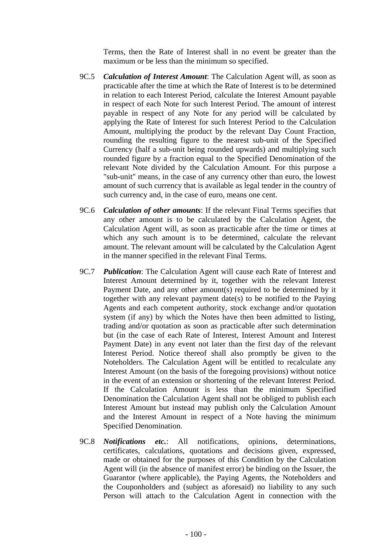Terms, then the Rate of Interest shall in no event be greater than the maximum or be less than the minimum so specified.

- 9C.5 *Calculation of Interest Amount*: The Calculation Agent will, as soon as practicable after the time at which the Rate of Interest is to be determined in relation to each Interest Period, calculate the Interest Amount payable in respect of each Note for such Interest Period. The amount of interest payable in respect of any Note for any period will be calculated by applying the Rate of Interest for such Interest Period to the Calculation Amount, multiplying the product by the relevant Day Count Fraction, rounding the resulting figure to the nearest sub-unit of the Specified Currency (half a sub-unit being rounded upwards) and multiplying such rounded figure by a fraction equal to the Specified Denomination of the relevant Note divided by the Calculation Amount. For this purpose a "sub-unit" means, in the case of any currency other than euro, the lowest amount of such currency that is available as legal tender in the country of such currency and, in the case of euro, means one cent.
- 9C.6 *Calculation of other amounts*: If the relevant Final Terms specifies that any other amount is to be calculated by the Calculation Agent, the Calculation Agent will, as soon as practicable after the time or times at which any such amount is to be determined, calculate the relevant amount. The relevant amount will be calculated by the Calculation Agent in the manner specified in the relevant Final Terms.
- 9C.7 *Publication*: The Calculation Agent will cause each Rate of Interest and Interest Amount determined by it, together with the relevant Interest Payment Date, and any other amount(s) required to be determined by it together with any relevant payment date(s) to be notified to the Paying Agents and each competent authority, stock exchange and/or quotation system (if any) by which the Notes have then been admitted to listing, trading and/or quotation as soon as practicable after such determination but (in the case of each Rate of Interest, Interest Amount and Interest Payment Date) in any event not later than the first day of the relevant Interest Period. Notice thereof shall also promptly be given to the Noteholders. The Calculation Agent will be entitled to recalculate any Interest Amount (on the basis of the foregoing provisions) without notice in the event of an extension or shortening of the relevant Interest Period. If the Calculation Amount is less than the minimum Specified Denomination the Calculation Agent shall not be obliged to publish each Interest Amount but instead may publish only the Calculation Amount and the Interest Amount in respect of a Note having the minimum Specified Denomination.
- 9C.8 *Notifications etc.*: All notifications, opinions, determinations, certificates, calculations, quotations and decisions given, expressed, made or obtained for the purposes of this Condition by the Calculation Agent will (in the absence of manifest error) be binding on the Issuer, the Guarantor (where applicable), the Paying Agents, the Noteholders and the Couponholders and (subject as aforesaid) no liability to any such Person will attach to the Calculation Agent in connection with the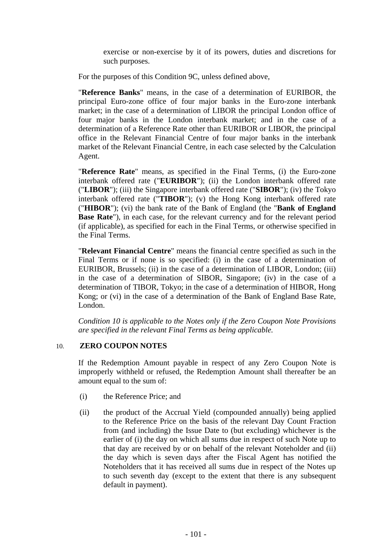exercise or non-exercise by it of its powers, duties and discretions for such purposes.

For the purposes of this Condition 9C, unless defined above,

"**Reference Banks**" means, in the case of a determination of EURIBOR, the principal Euro-zone office of four major banks in the Euro-zone interbank market; in the case of a determination of LIBOR the principal London office of four major banks in the London interbank market; and in the case of a determination of a Reference Rate other than EURIBOR or LIBOR, the principal office in the Relevant Financial Centre of four major banks in the interbank market of the Relevant Financial Centre, in each case selected by the Calculation Agent.

"**Reference Rate**" means, as specified in the Final Terms, (i) the Euro-zone interbank offered rate ("**EURIBOR**"); (ii) the London interbank offered rate ("**LIBOR**"); (iii) the Singapore interbank offered rate ("**SIBOR**"); (iv) the Tokyo interbank offered rate ("**TIBOR**"); (v) the Hong Kong interbank offered rate ("**HIBOR**"); (vi) the bank rate of the Bank of England (the "**Bank of England Base Rate**"), in each case, for the relevant currency and for the relevant period (if applicable), as specified for each in the Final Terms, or otherwise specified in the Final Terms.

"**Relevant Financial Centre**" means the financial centre specified as such in the Final Terms or if none is so specified: (i) in the case of a determination of EURIBOR, Brussels; (ii) in the case of a determination of LIBOR, London; (iii) in the case of a determination of SIBOR, Singapore; (iv) in the case of a determination of TIBOR, Tokyo; in the case of a determination of HIBOR, Hong Kong; or (vi) in the case of a determination of the Bank of England Base Rate, London.

*Condition 10 is applicable to the Notes only if the Zero Coupon Note Provisions are specified in the relevant Final Terms as being applicable.* 

# 10. **ZERO COUPON NOTES**

If the Redemption Amount payable in respect of any Zero Coupon Note is improperly withheld or refused, the Redemption Amount shall thereafter be an amount equal to the sum of:

- (i) the Reference Price; and
- (ii) the product of the Accrual Yield (compounded annually) being applied to the Reference Price on the basis of the relevant Day Count Fraction from (and including) the Issue Date to (but excluding) whichever is the earlier of (i) the day on which all sums due in respect of such Note up to that day are received by or on behalf of the relevant Noteholder and (ii) the day which is seven days after the Fiscal Agent has notified the Noteholders that it has received all sums due in respect of the Notes up to such seventh day (except to the extent that there is any subsequent default in payment).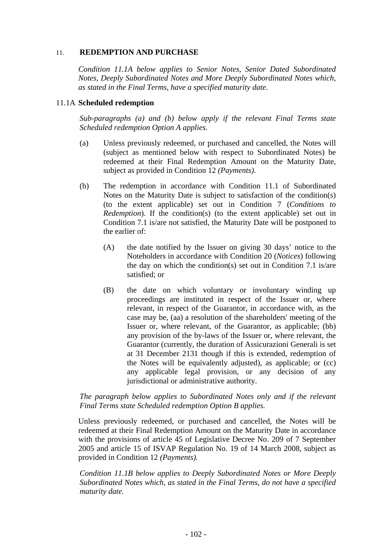# 11. **REDEMPTION AND PURCHASE**

*Condition 11.1A below applies to Senior Notes, Senior Dated Subordinated Notes, Deeply Subordinated Notes and More Deeply Subordinated Notes which, as stated in the Final Terms, have a specified maturity date.* 

## 11.1A **Scheduled redemption**

*Sub-paragraphs (a) and (b) below apply if the relevant Final Terms state Scheduled redemption Option A applies.*

- (a) Unless previously redeemed, or purchased and cancelled, the Notes will (subject as mentioned below with respect to Subordinated Notes) be redeemed at their Final Redemption Amount on the Maturity Date, subject as provided in Condition 12 *(Payments).*
- (b) The redemption in accordance with Condition 11.1 of Subordinated Notes on the Maturity Date is subject to satisfaction of the condition(s) (to the extent applicable) set out in Condition 7 (*Conditions to Redemption*). If the condition(s) (to the extent applicable) set out in Condition 7.1 is/are not satisfied, the Maturity Date will be postponed to the earlier of:
	- (A) the date notified by the Issuer on giving 30 days' notice to the Noteholders in accordance with Condition 20 (*Notices*) following the day on which the condition(s) set out in Condition 7.1 is/are satisfied; or
	- (B) the date on which voluntary or involuntary winding up proceedings are instituted in respect of the Issuer or, where relevant, in respect of the Guarantor, in accordance with, as the case may be, (aa) a resolution of the shareholders' meeting of the Issuer or, where relevant, of the Guarantor, as applicable; (bb) any provision of the by-laws of the Issuer or, where relevant, the Guarantor (currently, the duration of Assicurazioni Generali is set at 31 December 2131 though if this is extended, redemption of the Notes will be equivalently adjusted), as applicable; or (cc) any applicable legal provision, or any decision of any jurisdictional or administrative authority.

## *The paragraph below applies to Subordinated Notes only and if the relevant Final Terms state Scheduled redemption Option B applies.*

Unless previously redeemed, or purchased and cancelled, the Notes will be redeemed at their Final Redemption Amount on the Maturity Date in accordance with the provisions of article 45 of Legislative Decree No. 209 of 7 September 2005 and article 15 of ISVAP Regulation No. 19 of 14 March 2008, subject as provided in Condition 12 *(Payments).* 

*Condition 11.1B below applies to Deeply Subordinated Notes or More Deeply Subordinated Notes which, as stated in the Final Terms, do not have a specified maturity date.*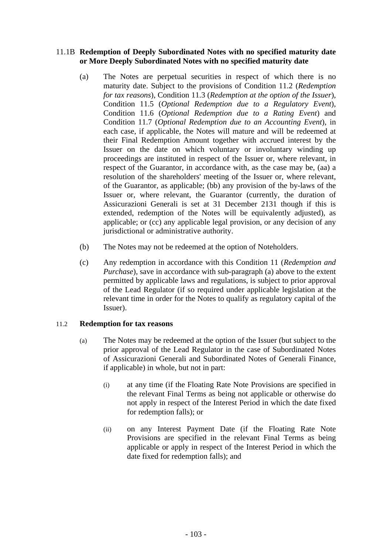# 11.1B **Redemption of Deeply Subordinated Notes with no specified maturity date or More Deeply Subordinated Notes with no specified maturity date**

- (a) The Notes are perpetual securities in respect of which there is no maturity date. Subject to the provisions of Condition 11.2 (*Redemption for tax reasons*), Condition 11.3 (*Redemption at the option of the Issuer*), Condition 11.5 (*Optional Redemption due to a Regulatory Event*), Condition 11.6 (*Optional Redemption due to a Rating Event*) and Condition 11.7 (*Optional Redemption due to an Accounting Event*), in each case, if applicable, the Notes will mature and will be redeemed at their Final Redemption Amount together with accrued interest by the Issuer on the date on which voluntary or involuntary winding up proceedings are instituted in respect of the Issuer or, where relevant, in respect of the Guarantor, in accordance with, as the case may be, (aa) a resolution of the shareholders' meeting of the Issuer or, where relevant, of the Guarantor, as applicable; (bb) any provision of the by-laws of the Issuer or, where relevant, the Guarantor (currently, the duration of Assicurazioni Generali is set at 31 December 2131 though if this is extended, redemption of the Notes will be equivalently adjusted), as applicable; or (cc) any applicable legal provision, or any decision of any jurisdictional or administrative authority.
- (b) The Notes may not be redeemed at the option of Noteholders.
- (c) Any redemption in accordance with this Condition 11 (*Redemption and Purchase*), save in accordance with sub-paragraph (a) above to the extent permitted by applicable laws and regulations, is subject to prior approval of the Lead Regulator (if so required under applicable legislation at the relevant time in order for the Notes to qualify as regulatory capital of the Issuer).

# 11.2 **Redemption for tax reasons**

- (a) The Notes may be redeemed at the option of the Issuer (but subject to the prior approval of the Lead Regulator in the case of Subordinated Notes of Assicurazioni Generali and Subordinated Notes of Generali Finance, if applicable) in whole, but not in part:
	- (i) at any time (if the Floating Rate Note Provisions are specified in the relevant Final Terms as being not applicable or otherwise do not apply in respect of the Interest Period in which the date fixed for redemption falls); or
	- (ii) on any Interest Payment Date (if the Floating Rate Note Provisions are specified in the relevant Final Terms as being applicable or apply in respect of the Interest Period in which the date fixed for redemption falls); and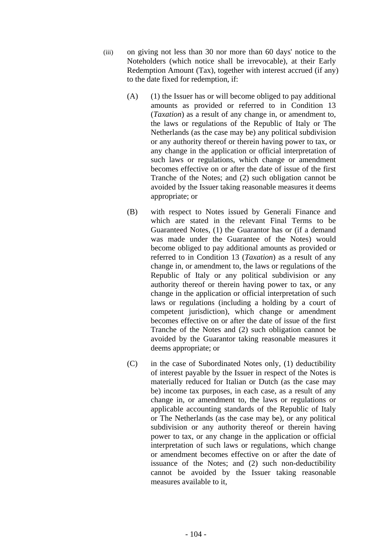- (iii) on giving not less than 30 nor more than 60 days' notice to the Noteholders (which notice shall be irrevocable), at their Early Redemption Amount (Tax), together with interest accrued (if any) to the date fixed for redemption, if:
	- $(A)$  (1) the Issuer has or will become obliged to pay additional amounts as provided or referred to in Condition 13 (*Taxation*) as a result of any change in, or amendment to, the laws or regulations of the Republic of Italy or The Netherlands (as the case may be) any political subdivision or any authority thereof or therein having power to tax, or any change in the application or official interpretation of such laws or regulations, which change or amendment becomes effective on or after the date of issue of the first Tranche of the Notes; and (2) such obligation cannot be avoided by the Issuer taking reasonable measures it deems appropriate; or
	- (B) with respect to Notes issued by Generali Finance and which are stated in the relevant Final Terms to be Guaranteed Notes, (1) the Guarantor has or (if a demand was made under the Guarantee of the Notes) would become obliged to pay additional amounts as provided or referred to in Condition 13 (*Taxation*) as a result of any change in, or amendment to, the laws or regulations of the Republic of Italy or any political subdivision or any authority thereof or therein having power to tax, or any change in the application or official interpretation of such laws or regulations (including a holding by a court of competent jurisdiction), which change or amendment becomes effective on or after the date of issue of the first Tranche of the Notes and (2) such obligation cannot be avoided by the Guarantor taking reasonable measures it deems appropriate; or
	- (C) in the case of Subordinated Notes only, (1) deductibility of interest payable by the Issuer in respect of the Notes is materially reduced for Italian or Dutch (as the case may be) income tax purposes, in each case, as a result of any change in, or amendment to, the laws or regulations or applicable accounting standards of the Republic of Italy or The Netherlands (as the case may be), or any political subdivision or any authority thereof or therein having power to tax, or any change in the application or official interpretation of such laws or regulations, which change or amendment becomes effective on or after the date of issuance of the Notes; and (2) such non-deductibility cannot be avoided by the Issuer taking reasonable measures available to it,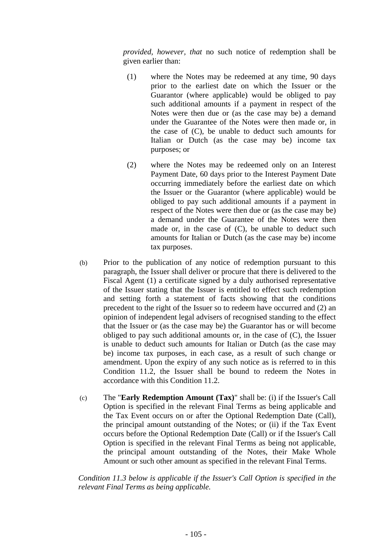*provided, however, that* no such notice of redemption shall be given earlier than:

- (1) where the Notes may be redeemed at any time, 90 days prior to the earliest date on which the Issuer or the Guarantor (where applicable) would be obliged to pay such additional amounts if a payment in respect of the Notes were then due or (as the case may be) a demand under the Guarantee of the Notes were then made or, in the case of (C), be unable to deduct such amounts for Italian or Dutch (as the case may be) income tax purposes; or
- (2) where the Notes may be redeemed only on an Interest Payment Date, 60 days prior to the Interest Payment Date occurring immediately before the earliest date on which the Issuer or the Guarantor (where applicable) would be obliged to pay such additional amounts if a payment in respect of the Notes were then due or (as the case may be) a demand under the Guarantee of the Notes were then made or, in the case of (C), be unable to deduct such amounts for Italian or Dutch (as the case may be) income tax purposes.
- (b) Prior to the publication of any notice of redemption pursuant to this paragraph, the Issuer shall deliver or procure that there is delivered to the Fiscal Agent (1) a certificate signed by a duly authorised representative of the Issuer stating that the Issuer is entitled to effect such redemption and setting forth a statement of facts showing that the conditions precedent to the right of the Issuer so to redeem have occurred and (2) an opinion of independent legal advisers of recognised standing to the effect that the Issuer or (as the case may be) the Guarantor has or will become obliged to pay such additional amounts or, in the case of (C), the Issuer is unable to deduct such amounts for Italian or Dutch (as the case may be) income tax purposes, in each case, as a result of such change or amendment. Upon the expiry of any such notice as is referred to in this Condition 11.2, the Issuer shall be bound to redeem the Notes in accordance with this Condition 11.2.
- (c) The "**Early Redemption Amount (Tax)**" shall be: (i) if the Issuer's Call Option is specified in the relevant Final Terms as being applicable and the Tax Event occurs on or after the Optional Redemption Date (Call), the principal amount outstanding of the Notes; or (ii) if the Tax Event occurs before the Optional Redemption Date (Call) or if the Issuer's Call Option is specified in the relevant Final Terms as being not applicable, the principal amount outstanding of the Notes, their Make Whole Amount or such other amount as specified in the relevant Final Terms.

*Condition 11.3 below is applicable if the Issuer's Call Option is specified in the relevant Final Terms as being applicable.*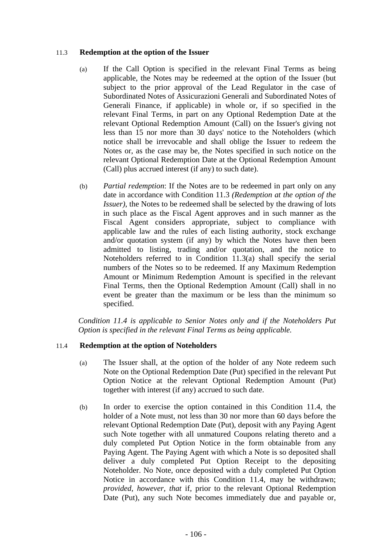## 11.3 **Redemption at the option of the Issuer**

- (a) If the Call Option is specified in the relevant Final Terms as being applicable, the Notes may be redeemed at the option of the Issuer (but subject to the prior approval of the Lead Regulator in the case of Subordinated Notes of Assicurazioni Generali and Subordinated Notes of Generali Finance, if applicable) in whole or, if so specified in the relevant Final Terms, in part on any Optional Redemption Date at the relevant Optional Redemption Amount (Call) on the Issuer's giving not less than 15 nor more than 30 days' notice to the Noteholders (which notice shall be irrevocable and shall oblige the Issuer to redeem the Notes or, as the case may be, the Notes specified in such notice on the relevant Optional Redemption Date at the Optional Redemption Amount (Call) plus accrued interest (if any) to such date).
- (b) *Partial redemption*: If the Notes are to be redeemed in part only on any date in accordance with Condition 11.3 *(Redemption at the option of the Issuer)*, the Notes to be redeemed shall be selected by the drawing of lots in such place as the Fiscal Agent approves and in such manner as the Fiscal Agent considers appropriate, subject to compliance with applicable law and the rules of each listing authority, stock exchange and/or quotation system (if any) by which the Notes have then been admitted to listing, trading and/or quotation, and the notice to Noteholders referred to in Condition 11.3(a) shall specify the serial numbers of the Notes so to be redeemed. If any Maximum Redemption Amount or Minimum Redemption Amount is specified in the relevant Final Terms, then the Optional Redemption Amount (Call) shall in no event be greater than the maximum or be less than the minimum so specified.

*Condition 11.4 is applicable to Senior Notes only and if the Noteholders Put Option is specified in the relevant Final Terms as being applicable.* 

# 11.4 **Redemption at the option of Noteholders**

- (a) The Issuer shall, at the option of the holder of any Note redeem such Note on the Optional Redemption Date (Put) specified in the relevant Put Option Notice at the relevant Optional Redemption Amount (Put) together with interest (if any) accrued to such date.
- (b) In order to exercise the option contained in this Condition 11.4, the holder of a Note must, not less than 30 nor more than 60 days before the relevant Optional Redemption Date (Put), deposit with any Paying Agent such Note together with all unmatured Coupons relating thereto and a duly completed Put Option Notice in the form obtainable from any Paying Agent. The Paying Agent with which a Note is so deposited shall deliver a duly completed Put Option Receipt to the depositing Noteholder. No Note, once deposited with a duly completed Put Option Notice in accordance with this Condition 11.4, may be withdrawn; *provided, however, that* if, prior to the relevant Optional Redemption Date (Put), any such Note becomes immediately due and payable or,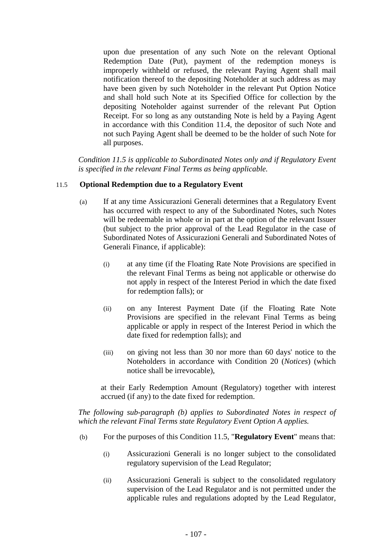upon due presentation of any such Note on the relevant Optional Redemption Date (Put), payment of the redemption moneys is improperly withheld or refused, the relevant Paying Agent shall mail notification thereof to the depositing Noteholder at such address as may have been given by such Noteholder in the relevant Put Option Notice and shall hold such Note at its Specified Office for collection by the depositing Noteholder against surrender of the relevant Put Option Receipt. For so long as any outstanding Note is held by a Paying Agent in accordance with this Condition 11.4, the depositor of such Note and not such Paying Agent shall be deemed to be the holder of such Note for all purposes.

*Condition 11.5 is applicable to Subordinated Notes only and if Regulatory Event is specified in the relevant Final Terms as being applicable.* 

## 11.5 **Optional Redemption due to a Regulatory Event**

- (a) If at any time Assicurazioni Generali determines that a Regulatory Event has occurred with respect to any of the Subordinated Notes, such Notes will be redeemable in whole or in part at the option of the relevant Issuer (but subject to the prior approval of the Lead Regulator in the case of Subordinated Notes of Assicurazioni Generali and Subordinated Notes of Generali Finance, if applicable):
	- (i) at any time (if the Floating Rate Note Provisions are specified in the relevant Final Terms as being not applicable or otherwise do not apply in respect of the Interest Period in which the date fixed for redemption falls); or
	- (ii) on any Interest Payment Date (if the Floating Rate Note Provisions are specified in the relevant Final Terms as being applicable or apply in respect of the Interest Period in which the date fixed for redemption falls); and
	- (iii) on giving not less than 30 nor more than 60 days' notice to the Noteholders in accordance with Condition 20 (*Notices*) (which notice shall be irrevocable),

at their Early Redemption Amount (Regulatory) together with interest accrued (if any) to the date fixed for redemption.

*The following sub-paragraph (b) applies to Subordinated Notes in respect of which the relevant Final Terms state Regulatory Event Option A applies.*

- (b) For the purposes of this Condition 11.5, "**Regulatory Event**" means that:
	- (i) Assicurazioni Generali is no longer subject to the consolidated regulatory supervision of the Lead Regulator;
	- (ii) Assicurazioni Generali is subject to the consolidated regulatory supervision of the Lead Regulator and is not permitted under the applicable rules and regulations adopted by the Lead Regulator,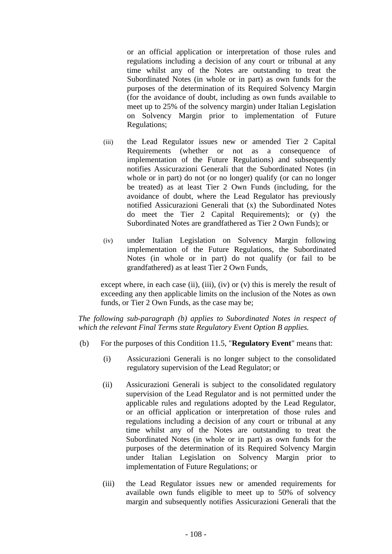or an official application or interpretation of those rules and regulations including a decision of any court or tribunal at any time whilst any of the Notes are outstanding to treat the Subordinated Notes (in whole or in part) as own funds for the purposes of the determination of its Required Solvency Margin (for the avoidance of doubt, including as own funds available to meet up to 25% of the solvency margin) under Italian Legislation on Solvency Margin prior to implementation of Future Regulations;

- (iii) the Lead Regulator issues new or amended Tier 2 Capital Requirements (whether or not as a consequence of implementation of the Future Regulations) and subsequently notifies Assicurazioni Generali that the Subordinated Notes (in whole or in part) do not (or no longer) qualify (or can no longer be treated) as at least Tier 2 Own Funds (including, for the avoidance of doubt, where the Lead Regulator has previously notified Assicurazioni Generali that (x) the Subordinated Notes do meet the Tier 2 Capital Requirements); or (y) the Subordinated Notes are grandfathered as Tier 2 Own Funds); or
- (iv) under Italian Legislation on Solvency Margin following implementation of the Future Regulations, the Subordinated Notes (in whole or in part) do not qualify (or fail to be grandfathered) as at least Tier 2 Own Funds,

except where, in each case (ii), (iii), (iv) or (v) this is merely the result of exceeding any then applicable limits on the inclusion of the Notes as own funds, or Tier 2 Own Funds, as the case may be;

*The following sub-paragraph (b) applies to Subordinated Notes in respect of which the relevant Final Terms state Regulatory Event Option B applies.* 

- (b) For the purposes of this Condition 11.5, "**Regulatory Event**" means that:
	- (i) Assicurazioni Generali is no longer subject to the consolidated regulatory supervision of the Lead Regulator; or
	- (ii) Assicurazioni Generali is subject to the consolidated regulatory supervision of the Lead Regulator and is not permitted under the applicable rules and regulations adopted by the Lead Regulator, or an official application or interpretation of those rules and regulations including a decision of any court or tribunal at any time whilst any of the Notes are outstanding to treat the Subordinated Notes (in whole or in part) as own funds for the purposes of the determination of its Required Solvency Margin under Italian Legislation on Solvency Margin prior to implementation of Future Regulations; or
	- (iii) the Lead Regulator issues new or amended requirements for available own funds eligible to meet up to 50% of solvency margin and subsequently notifies Assicurazioni Generali that the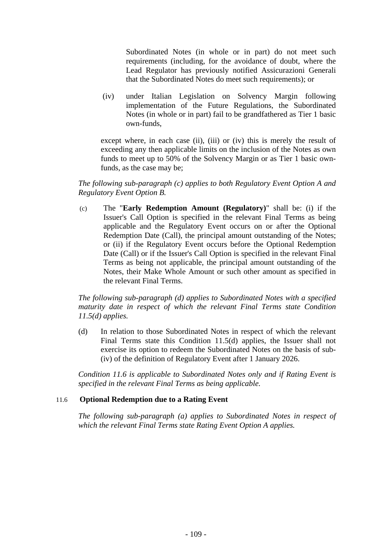Subordinated Notes (in whole or in part) do not meet such requirements (including, for the avoidance of doubt, where the Lead Regulator has previously notified Assicurazioni Generali that the Subordinated Notes do meet such requirements); or

(iv) under Italian Legislation on Solvency Margin following implementation of the Future Regulations, the Subordinated Notes (in whole or in part) fail to be grandfathered as Tier 1 basic own-funds,

except where, in each case (ii), (iii) or (iv) this is merely the result of exceeding any then applicable limits on the inclusion of the Notes as own funds to meet up to 50% of the Solvency Margin or as Tier 1 basic ownfunds, as the case may be;

## *The following sub-paragraph (c) applies to both Regulatory Event Option A and Regulatory Event Option B.*

(c) The "**Early Redemption Amount (Regulatory)**" shall be: (i) if the Issuer's Call Option is specified in the relevant Final Terms as being applicable and the Regulatory Event occurs on or after the Optional Redemption Date (Call), the principal amount outstanding of the Notes; or (ii) if the Regulatory Event occurs before the Optional Redemption Date (Call) or if the Issuer's Call Option is specified in the relevant Final Terms as being not applicable, the principal amount outstanding of the Notes, their Make Whole Amount or such other amount as specified in the relevant Final Terms.

*The following sub-paragraph (d) applies to Subordinated Notes with a specified maturity date in respect of which the relevant Final Terms state Condition 11.5(d) applies.* 

(d) In relation to those Subordinated Notes in respect of which the relevant Final Terms state this Condition 11.5(d) applies, the Issuer shall not exercise its option to redeem the Subordinated Notes on the basis of sub- (iv) of the definition of Regulatory Event after 1 January 2026.

*Condition 11.6 is applicable to Subordinated Notes only and if Rating Event is specified in the relevant Final Terms as being applicable.* 

## 11.6 **Optional Redemption due to a Rating Event**

*The following sub-paragraph (a) applies to Subordinated Notes in respect of which the relevant Final Terms state Rating Event Option A applies.*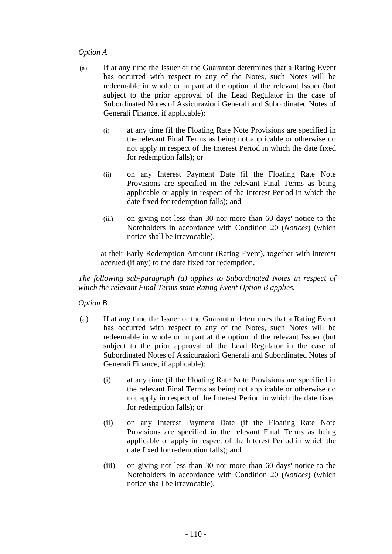## *Option A*

- (a) If at any time the Issuer or the Guarantor determines that a Rating Event has occurred with respect to any of the Notes, such Notes will be redeemable in whole or in part at the option of the relevant Issuer (but subject to the prior approval of the Lead Regulator in the case of Subordinated Notes of Assicurazioni Generali and Subordinated Notes of Generali Finance, if applicable):
	- (i) at any time (if the Floating Rate Note Provisions are specified in the relevant Final Terms as being not applicable or otherwise do not apply in respect of the Interest Period in which the date fixed for redemption falls); or
	- (ii) on any Interest Payment Date (if the Floating Rate Note Provisions are specified in the relevant Final Terms as being applicable or apply in respect of the Interest Period in which the date fixed for redemption falls); and
	- (iii) on giving not less than 30 nor more than 60 days' notice to the Noteholders in accordance with Condition 20 (*Notices*) (which notice shall be irrevocable),

at their Early Redemption Amount (Rating Event), together with interest accrued (if any) to the date fixed for redemption.

*The following sub-paragraph (a) applies to Subordinated Notes in respect of which the relevant Final Terms state Rating Event Option B applies.* 

# *Option B*

- (a) If at any time the Issuer or the Guarantor determines that a Rating Event has occurred with respect to any of the Notes, such Notes will be redeemable in whole or in part at the option of the relevant Issuer (but subject to the prior approval of the Lead Regulator in the case of Subordinated Notes of Assicurazioni Generali and Subordinated Notes of Generali Finance, if applicable):
	- (i) at any time (if the Floating Rate Note Provisions are specified in the relevant Final Terms as being not applicable or otherwise do not apply in respect of the Interest Period in which the date fixed for redemption falls); or
	- (ii) on any Interest Payment Date (if the Floating Rate Note Provisions are specified in the relevant Final Terms as being applicable or apply in respect of the Interest Period in which the date fixed for redemption falls); and
	- (iii) on giving not less than 30 nor more than 60 days' notice to the Noteholders in accordance with Condition 20 (*Notices*) (which notice shall be irrevocable),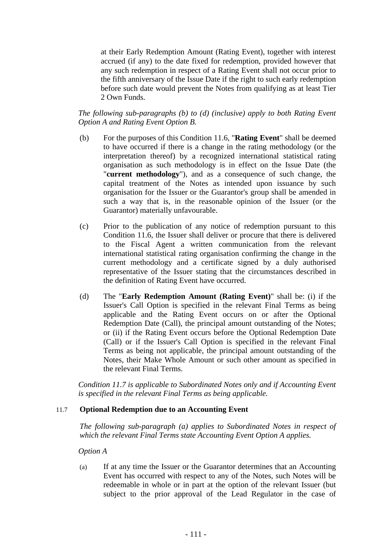at their Early Redemption Amount (Rating Event), together with interest accrued (if any) to the date fixed for redemption, provided however that any such redemption in respect of a Rating Event shall not occur prior to the fifth anniversary of the Issue Date if the right to such early redemption before such date would prevent the Notes from qualifying as at least Tier 2 Own Funds.

## *The following sub-paragraphs (b) to (d) (inclusive) apply to both Rating Event Option A and Rating Event Option B.*

- (b) For the purposes of this Condition 11.6, "**Rating Event**" shall be deemed to have occurred if there is a change in the rating methodology (or the interpretation thereof) by a recognized international statistical rating organisation as such methodology is in effect on the Issue Date (the "**current methodology**"), and as a consequence of such change, the capital treatment of the Notes as intended upon issuance by such organisation for the Issuer or the Guarantor's group shall be amended in such a way that is, in the reasonable opinion of the Issuer (or the Guarantor) materially unfavourable.
- (c) Prior to the publication of any notice of redemption pursuant to this Condition 11.6, the Issuer shall deliver or procure that there is delivered to the Fiscal Agent a written communication from the relevant international statistical rating organisation confirming the change in the current methodology and a certificate signed by a duly authorised representative of the Issuer stating that the circumstances described in the definition of Rating Event have occurred.
- (d) The "**Early Redemption Amount (Rating Event)**" shall be: (i) if the Issuer's Call Option is specified in the relevant Final Terms as being applicable and the Rating Event occurs on or after the Optional Redemption Date (Call), the principal amount outstanding of the Notes; or (ii) if the Rating Event occurs before the Optional Redemption Date (Call) or if the Issuer's Call Option is specified in the relevant Final Terms as being not applicable, the principal amount outstanding of the Notes, their Make Whole Amount or such other amount as specified in the relevant Final Terms.

*Condition 11.7 is applicable to Subordinated Notes only and if Accounting Event is specified in the relevant Final Terms as being applicable.* 

#### 11.7 **Optional Redemption due to an Accounting Event**

*The following sub-paragraph (a) applies to Subordinated Notes in respect of which the relevant Final Terms state Accounting Event Option A applies.* 

*Option A* 

(a) If at any time the Issuer or the Guarantor determines that an Accounting Event has occurred with respect to any of the Notes, such Notes will be redeemable in whole or in part at the option of the relevant Issuer (but subject to the prior approval of the Lead Regulator in the case of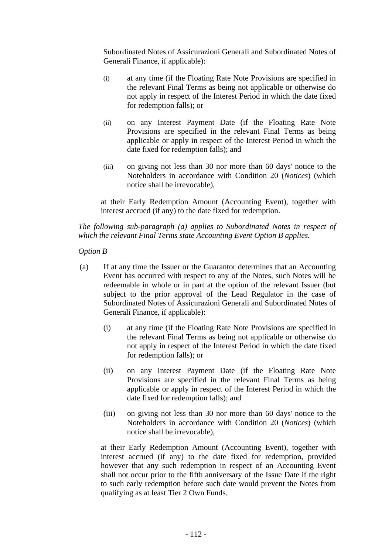Subordinated Notes of Assicurazioni Generali and Subordinated Notes of Generali Finance, if applicable):

- (i) at any time (if the Floating Rate Note Provisions are specified in the relevant Final Terms as being not applicable or otherwise do not apply in respect of the Interest Period in which the date fixed for redemption falls); or
- (ii) on any Interest Payment Date (if the Floating Rate Note Provisions are specified in the relevant Final Terms as being applicable or apply in respect of the Interest Period in which the date fixed for redemption falls); and
- (iii) on giving not less than 30 nor more than 60 days' notice to the Noteholders in accordance with Condition 20 (*Notices*) (which notice shall be irrevocable),

at their Early Redemption Amount (Accounting Event), together with interest accrued (if any) to the date fixed for redemption.

*The following sub-paragraph (a) applies to Subordinated Notes in respect of which the relevant Final Terms state Accounting Event Option B applies.* 

*Option B* 

- (a) If at any time the Issuer or the Guarantor determines that an Accounting Event has occurred with respect to any of the Notes, such Notes will be redeemable in whole or in part at the option of the relevant Issuer (but subject to the prior approval of the Lead Regulator in the case of Subordinated Notes of Assicurazioni Generali and Subordinated Notes of Generali Finance, if applicable):
	- (i) at any time (if the Floating Rate Note Provisions are specified in the relevant Final Terms as being not applicable or otherwise do not apply in respect of the Interest Period in which the date fixed for redemption falls); or
	- (ii) on any Interest Payment Date (if the Floating Rate Note Provisions are specified in the relevant Final Terms as being applicable or apply in respect of the Interest Period in which the date fixed for redemption falls); and
	- (iii) on giving not less than 30 nor more than 60 days' notice to the Noteholders in accordance with Condition 20 (*Notices*) (which notice shall be irrevocable),

at their Early Redemption Amount (Accounting Event), together with interest accrued (if any) to the date fixed for redemption, provided however that any such redemption in respect of an Accounting Event shall not occur prior to the fifth anniversary of the Issue Date if the right to such early redemption before such date would prevent the Notes from qualifying as at least Tier 2 Own Funds.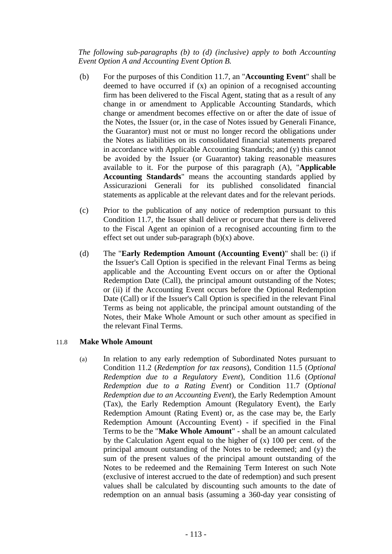*The following sub-paragraphs (b) to (d) (inclusive) apply to both Accounting Event Option A and Accounting Event Option B.* 

- (b) For the purposes of this Condition 11.7, an "**Accounting Event**" shall be deemed to have occurred if (x) an opinion of a recognised accounting firm has been delivered to the Fiscal Agent, stating that as a result of any change in or amendment to Applicable Accounting Standards, which change or amendment becomes effective on or after the date of issue of the Notes, the Issuer (or, in the case of Notes issued by Generali Finance, the Guarantor) must not or must no longer record the obligations under the Notes as liabilities on its consolidated financial statements prepared in accordance with Applicable Accounting Standards; and (y) this cannot be avoided by the Issuer (or Guarantor) taking reasonable measures available to it. For the purpose of this paragraph (A), "**Applicable Accounting Standards**" means the accounting standards applied by Assicurazioni Generali for its published consolidated financial statements as applicable at the relevant dates and for the relevant periods.
- (c) Prior to the publication of any notice of redemption pursuant to this Condition 11.7, the Issuer shall deliver or procure that there is delivered to the Fiscal Agent an opinion of a recognised accounting firm to the effect set out under sub-paragraph  $(b)(x)$  above.
- (d) The "**Early Redemption Amount (Accounting Event)**" shall be: (i) if the Issuer's Call Option is specified in the relevant Final Terms as being applicable and the Accounting Event occurs on or after the Optional Redemption Date (Call), the principal amount outstanding of the Notes; or (ii) if the Accounting Event occurs before the Optional Redemption Date (Call) or if the Issuer's Call Option is specified in the relevant Final Terms as being not applicable, the principal amount outstanding of the Notes, their Make Whole Amount or such other amount as specified in the relevant Final Terms.

## 11.8 **Make Whole Amount**

(a) In relation to any early redemption of Subordinated Notes pursuant to Condition 11.2 (*Redemption for tax reasons*), Condition 11.5 (*Optional Redemption due to a Regulatory Event*), Condition 11.6 (*Optional Redemption due to a Rating Event*) or Condition 11.7 (*Optional Redemption due to an Accounting Event*), the Early Redemption Amount (Tax), the Early Redemption Amount (Regulatory Event), the Early Redemption Amount (Rating Event) or, as the case may be, the Early Redemption Amount (Accounting Event) - if specified in the Final Terms to be the "**Make Whole Amount**" - shall be an amount calculated by the Calculation Agent equal to the higher of (x) 100 per cent. of the principal amount outstanding of the Notes to be redeemed; and (y) the sum of the present values of the principal amount outstanding of the Notes to be redeemed and the Remaining Term Interest on such Note (exclusive of interest accrued to the date of redemption) and such present values shall be calculated by discounting such amounts to the date of redemption on an annual basis (assuming a 360-day year consisting of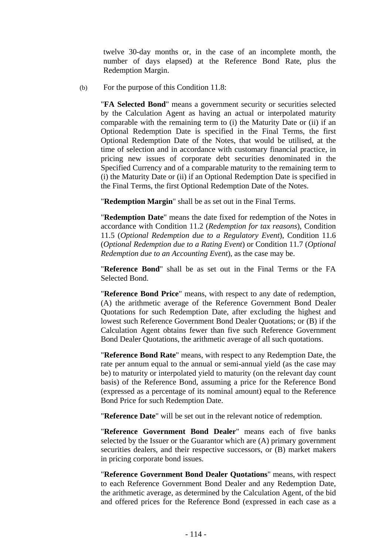twelve 30-day months or, in the case of an incomplete month, the number of days elapsed) at the Reference Bond Rate, plus the Redemption Margin.

(b) For the purpose of this Condition 11.8:

"**FA Selected Bond**" means a government security or securities selected by the Calculation Agent as having an actual or interpolated maturity comparable with the remaining term to (i) the Maturity Date or (ii) if an Optional Redemption Date is specified in the Final Terms, the first Optional Redemption Date of the Notes, that would be utilised, at the time of selection and in accordance with customary financial practice, in pricing new issues of corporate debt securities denominated in the Specified Currency and of a comparable maturity to the remaining term to (i) the Maturity Date or (ii) if an Optional Redemption Date is specified in the Final Terms, the first Optional Redemption Date of the Notes.

"**Redemption Margin**" shall be as set out in the Final Terms.

"**Redemption Date**" means the date fixed for redemption of the Notes in accordance with Condition 11.2 (*Redemption for tax reasons*), Condition 11.5 (*Optional Redemption due to a Regulatory Event*), Condition 11.6 (*Optional Redemption due to a Rating Event*) or Condition 11.7 (*Optional Redemption due to an Accounting Event*), as the case may be.

"**Reference Bond**" shall be as set out in the Final Terms or the FA Selected Bond.

"**Reference Bond Price**" means, with respect to any date of redemption, (A) the arithmetic average of the Reference Government Bond Dealer Quotations for such Redemption Date, after excluding the highest and lowest such Reference Government Bond Dealer Quotations; or (B) if the Calculation Agent obtains fewer than five such Reference Government Bond Dealer Quotations, the arithmetic average of all such quotations.

"**Reference Bond Rate**" means, with respect to any Redemption Date, the rate per annum equal to the annual or semi-annual yield (as the case may be) to maturity or interpolated yield to maturity (on the relevant day count basis) of the Reference Bond, assuming a price for the Reference Bond (expressed as a percentage of its nominal amount) equal to the Reference Bond Price for such Redemption Date.

"**Reference Date**" will be set out in the relevant notice of redemption.

"**Reference Government Bond Dealer**" means each of five banks selected by the Issuer or the Guarantor which are (A) primary government securities dealers, and their respective successors, or (B) market makers in pricing corporate bond issues.

"**Reference Government Bond Dealer Quotations**" means, with respect to each Reference Government Bond Dealer and any Redemption Date, the arithmetic average, as determined by the Calculation Agent, of the bid and offered prices for the Reference Bond (expressed in each case as a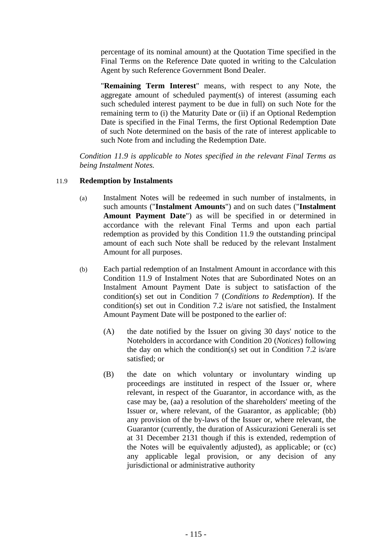percentage of its nominal amount) at the Quotation Time specified in the Final Terms on the Reference Date quoted in writing to the Calculation Agent by such Reference Government Bond Dealer.

"**Remaining Term Interest**" means, with respect to any Note, the aggregate amount of scheduled payment(s) of interest (assuming each such scheduled interest payment to be due in full) on such Note for the remaining term to (i) the Maturity Date or (ii) if an Optional Redemption Date is specified in the Final Terms, the first Optional Redemption Date of such Note determined on the basis of the rate of interest applicable to such Note from and including the Redemption Date.

*Condition 11.9 is applicable to Notes specified in the relevant Final Terms as being Instalment Notes.* 

## 11.9 **Redemption by Instalments**

- (a) Instalment Notes will be redeemed in such number of instalments, in such amounts ("**Instalment Amounts**") and on such dates ("**Instalment Amount Payment Date**") as will be specified in or determined in accordance with the relevant Final Terms and upon each partial redemption as provided by this Condition 11.9 the outstanding principal amount of each such Note shall be reduced by the relevant Instalment Amount for all purposes.
- (b) Each partial redemption of an Instalment Amount in accordance with this Condition 11.9 of Instalment Notes that are Subordinated Notes on an Instalment Amount Payment Date is subject to satisfaction of the condition(s) set out in Condition 7 (*Conditions to Redemption*). If the condition(s) set out in Condition 7.2 is/are not satisfied, the Instalment Amount Payment Date will be postponed to the earlier of:
	- (A) the date notified by the Issuer on giving 30 days' notice to the Noteholders in accordance with Condition 20 (*Notices*) following the day on which the condition(s) set out in Condition 7.2 is/are satisfied; or
	- (B) the date on which voluntary or involuntary winding up proceedings are instituted in respect of the Issuer or, where relevant, in respect of the Guarantor, in accordance with, as the case may be, (aa) a resolution of the shareholders' meeting of the Issuer or, where relevant, of the Guarantor, as applicable; (bb) any provision of the by-laws of the Issuer or, where relevant, the Guarantor (currently, the duration of Assicurazioni Generali is set at 31 December 2131 though if this is extended, redemption of the Notes will be equivalently adjusted), as applicable; or (cc) any applicable legal provision, or any decision of any jurisdictional or administrative authority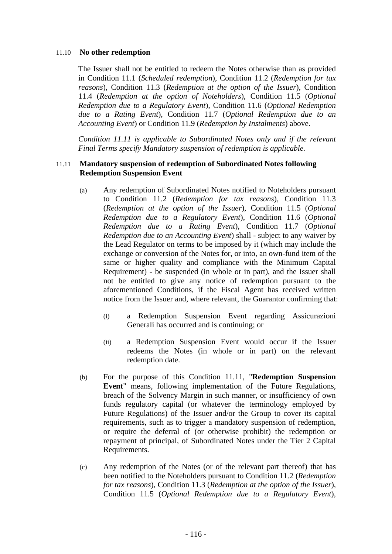#### 11.10 **No other redemption**

The Issuer shall not be entitled to redeem the Notes otherwise than as provided in Condition 11.1 (*Scheduled redemption*), Condition 11.2 (*Redemption for tax reasons*), Condition 11.3 (*Redemption at the option of the Issuer*), Condition 11.4 (*Redemption at the option of Noteholders*), Condition 11.5 (*Optional Redemption due to a Regulatory Event*), Condition 11.6 (*Optional Redemption due to a Rating Event*), Condition 11.7 (*Optional Redemption due to an Accounting Event*) or Condition 11.9 (*Redemption by Instalments*) above.

*Condition 11.11 is applicable to Subordinated Notes only and if the relevant Final Terms specify Mandatory suspension of redemption is applicable.* 

#### 11.11 **Mandatory suspension of redemption of Subordinated Notes following Redemption Suspension Event**

- (a) Any redemption of Subordinated Notes notified to Noteholders pursuant to Condition 11.2 (*Redemption for tax reasons*), Condition 11.3 (*Redemption at the option of the Issuer*), Condition 11.5 (*Optional Redemption due to a Regulatory Event*), Condition 11.6 (*Optional Redemption due to a Rating Event*), Condition 11.7 (*Optional Redemption due to an Accounting Event*) shall - subject to any waiver by the Lead Regulator on terms to be imposed by it (which may include the exchange or conversion of the Notes for, or into, an own-fund item of the same or higher quality and compliance with the Minimum Capital Requirement) - be suspended (in whole or in part), and the Issuer shall not be entitled to give any notice of redemption pursuant to the aforementioned Conditions, if the Fiscal Agent has received written notice from the Issuer and, where relevant, the Guarantor confirming that:
	- (i) a Redemption Suspension Event regarding Assicurazioni Generali has occurred and is continuing; or
	- (ii) a Redemption Suspension Event would occur if the Issuer redeems the Notes (in whole or in part) on the relevant redemption date.
- (b) For the purpose of this Condition 11.11, "**Redemption Suspension Event**" means, following implementation of the Future Regulations, breach of the Solvency Margin in such manner, or insufficiency of own funds regulatory capital (or whatever the terminology employed by Future Regulations) of the Issuer and/or the Group to cover its capital requirements, such as to trigger a mandatory suspension of redemption, or require the deferral of (or otherwise prohibit) the redemption or repayment of principal, of Subordinated Notes under the Tier 2 Capital Requirements.
- (c) Any redemption of the Notes (or of the relevant part thereof) that has been notified to the Noteholders pursuant to Condition 11.2 (*Redemption for tax reasons*), Condition 11.3 (*Redemption at the option of the Issuer*), Condition 11.5 (*Optional Redemption due to a Regulatory Event*),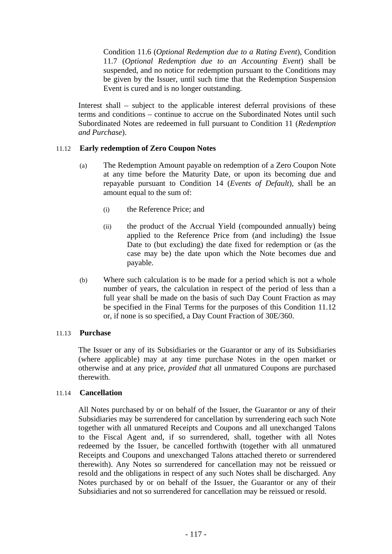Condition 11.6 (*Optional Redemption due to a Rating Event*), Condition 11.7 (*Optional Redemption due to an Accounting Event*) shall be suspended, and no notice for redemption pursuant to the Conditions may be given by the Issuer, until such time that the Redemption Suspension Event is cured and is no longer outstanding.

Interest shall – subject to the applicable interest deferral provisions of these terms and conditions – continue to accrue on the Subordinated Notes until such Subordinated Notes are redeemed in full pursuant to Condition 11 (*Redemption and Purchase*).

## 11.12 **Early redemption of Zero Coupon Notes**

- (a) The Redemption Amount payable on redemption of a Zero Coupon Note at any time before the Maturity Date, or upon its becoming due and repayable pursuant to Condition 14 (*Events of Default*), shall be an amount equal to the sum of:
	- (i) the Reference Price; and
	- (ii) the product of the Accrual Yield (compounded annually) being applied to the Reference Price from (and including) the Issue Date to (but excluding) the date fixed for redemption or (as the case may be) the date upon which the Note becomes due and payable.
- (b) Where such calculation is to be made for a period which is not a whole number of years, the calculation in respect of the period of less than a full year shall be made on the basis of such Day Count Fraction as may be specified in the Final Terms for the purposes of this Condition 11.12 or, if none is so specified, a Day Count Fraction of 30E/360.

## 11.13 **Purchase**

The Issuer or any of its Subsidiaries or the Guarantor or any of its Subsidiaries (where applicable) may at any time purchase Notes in the open market or otherwise and at any price, *provided that* all unmatured Coupons are purchased therewith.

## 11.14 **Cancellation**

All Notes purchased by or on behalf of the Issuer, the Guarantor or any of their Subsidiaries may be surrendered for cancellation by surrendering each such Note together with all unmatured Receipts and Coupons and all unexchanged Talons to the Fiscal Agent and, if so surrendered, shall, together with all Notes redeemed by the Issuer, be cancelled forthwith (together with all unmatured Receipts and Coupons and unexchanged Talons attached thereto or surrendered therewith). Any Notes so surrendered for cancellation may not be reissued or resold and the obligations in respect of any such Notes shall be discharged. Any Notes purchased by or on behalf of the Issuer, the Guarantor or any of their Subsidiaries and not so surrendered for cancellation may be reissued or resold.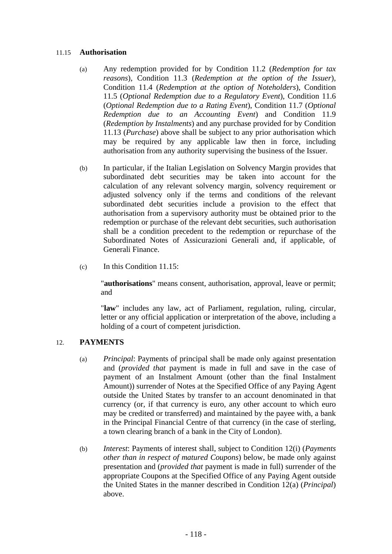## 11.15 **Authorisation**

- (a) Any redemption provided for by Condition 11.2 (*Redemption for tax reasons*), Condition 11.3 (*Redemption at the option of the Issuer*), Condition 11.4 (*Redemption at the option of Noteholders*), Condition 11.5 (*Optional Redemption due to a Regulatory Event*), Condition 11.6 (*Optional Redemption due to a Rating Event*), Condition 11.7 (*Optional Redemption due to an Accounting Event*) and Condition 11.9 (*Redemption by Instalments*) and any purchase provided for by Condition 11.13 (*Purchase*) above shall be subject to any prior authorisation which may be required by any applicable law then in force, including authorisation from any authority supervising the business of the Issuer.
- (b) In particular, if the Italian Legislation on Solvency Margin provides that subordinated debt securities may be taken into account for the calculation of any relevant solvency margin, solvency requirement or adjusted solvency only if the terms and conditions of the relevant subordinated debt securities include a provision to the effect that authorisation from a supervisory authority must be obtained prior to the redemption or purchase of the relevant debt securities, such authorisation shall be a condition precedent to the redemption or repurchase of the Subordinated Notes of Assicurazioni Generali and, if applicable, of Generali Finance.
- (c) In this Condition 11.15:

"**authorisations**" means consent, authorisation, approval, leave or permit; and

"**law**" includes any law, act of Parliament, regulation, ruling, circular, letter or any official application or interpretation of the above, including a holding of a court of competent jurisdiction.

# 12. **PAYMENTS**

- (a) *Principal*: Payments of principal shall be made only against presentation and (*provided that* payment is made in full and save in the case of payment of an Instalment Amount (other than the final Instalment Amount)) surrender of Notes at the Specified Office of any Paying Agent outside the United States by transfer to an account denominated in that currency (or, if that currency is euro, any other account to which euro may be credited or transferred) and maintained by the payee with, a bank in the Principal Financial Centre of that currency (in the case of sterling, a town clearing branch of a bank in the City of London).
- (b) *Interest*: Payments of interest shall, subject to Condition 12(i) (*Payments other than in respect of matured Coupons*) below, be made only against presentation and (*provided that* payment is made in full) surrender of the appropriate Coupons at the Specified Office of any Paying Agent outside the United States in the manner described in Condition 12(a) (*Principal*) above.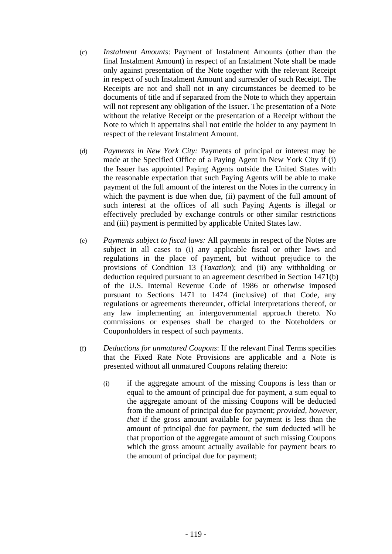- (c) *Instalment Amounts*: Payment of Instalment Amounts (other than the final Instalment Amount) in respect of an Instalment Note shall be made only against presentation of the Note together with the relevant Receipt in respect of such Instalment Amount and surrender of such Receipt. The Receipts are not and shall not in any circumstances be deemed to be documents of title and if separated from the Note to which they appertain will not represent any obligation of the Issuer. The presentation of a Note without the relative Receipt or the presentation of a Receipt without the Note to which it appertains shall not entitle the holder to any payment in respect of the relevant Instalment Amount.
- (d) *Payments in New York City:* Payments of principal or interest may be made at the Specified Office of a Paying Agent in New York City if (i) the Issuer has appointed Paying Agents outside the United States with the reasonable expectation that such Paying Agents will be able to make payment of the full amount of the interest on the Notes in the currency in which the payment is due when due, (ii) payment of the full amount of such interest at the offices of all such Paying Agents is illegal or effectively precluded by exchange controls or other similar restrictions and (iii) payment is permitted by applicable United States law.
- (e) *Payments subject to fiscal laws:* All payments in respect of the Notes are subject in all cases to (i) any applicable fiscal or other laws and regulations in the place of payment, but without prejudice to the provisions of Condition 13 (*Taxation*); and (ii) any withholding or deduction required pursuant to an agreement described in Section 1471(b) of the U.S. Internal Revenue Code of 1986 or otherwise imposed pursuant to Sections 1471 to 1474 (inclusive) of that Code, any regulations or agreements thereunder, official interpretations thereof, or any law implementing an intergovernmental approach thereto. No commissions or expenses shall be charged to the Noteholders or Couponholders in respect of such payments.
- (f) *Deductions for unmatured Coupons*: If the relevant Final Terms specifies that the Fixed Rate Note Provisions are applicable and a Note is presented without all unmatured Coupons relating thereto:
	- (i) if the aggregate amount of the missing Coupons is less than or equal to the amount of principal due for payment, a sum equal to the aggregate amount of the missing Coupons will be deducted from the amount of principal due for payment; *provided, however, that* if the gross amount available for payment is less than the amount of principal due for payment, the sum deducted will be that proportion of the aggregate amount of such missing Coupons which the gross amount actually available for payment bears to the amount of principal due for payment;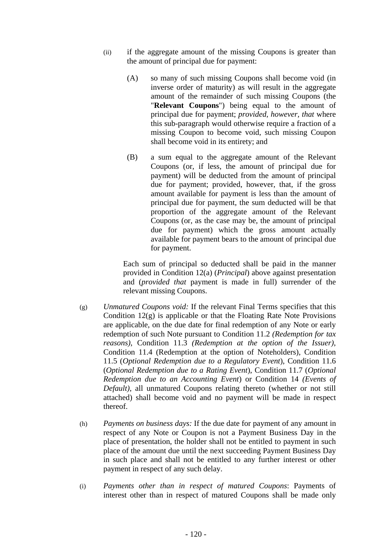- (ii) if the aggregate amount of the missing Coupons is greater than the amount of principal due for payment:
	- (A) so many of such missing Coupons shall become void (in inverse order of maturity) as will result in the aggregate amount of the remainder of such missing Coupons (the "**Relevant Coupons**") being equal to the amount of principal due for payment; *provided, however, that* where this sub-paragraph would otherwise require a fraction of a missing Coupon to become void, such missing Coupon shall become void in its entirety; and
	- (B) a sum equal to the aggregate amount of the Relevant Coupons (or, if less, the amount of principal due for payment) will be deducted from the amount of principal due for payment; provided, however, that, if the gross amount available for payment is less than the amount of principal due for payment, the sum deducted will be that proportion of the aggregate amount of the Relevant Coupons (or, as the case may be, the amount of principal due for payment) which the gross amount actually available for payment bears to the amount of principal due for payment.

Each sum of principal so deducted shall be paid in the manner provided in Condition 12(a) (*Principal*) above against presentation and (*provided that* payment is made in full) surrender of the relevant missing Coupons.

- (g) *Unmatured Coupons void:* If the relevant Final Terms specifies that this Condition 12(g) is applicable or that the Floating Rate Note Provisions are applicable, on the due date for final redemption of any Note or early redemption of such Note pursuant to Condition 11.2 *(Redemption for tax reasons)*, Condition 11.3 *(Redemption at the option of the Issuer)*, Condition 11.4 (Redemption at the option of Noteholders), Condition 11.5 (*Optional Redemption due to a Regulatory Event*), Condition 11.6 (*Optional Redemption due to a Rating Event*), Condition 11.7 (*Optional Redemption due to an Accounting Event*) or Condition 14 *(Events of Default)*, all unmatured Coupons relating thereto (whether or not still attached) shall become void and no payment will be made in respect thereof.
- (h) *Payments on business days:* If the due date for payment of any amount in respect of any Note or Coupon is not a Payment Business Day in the place of presentation, the holder shall not be entitled to payment in such place of the amount due until the next succeeding Payment Business Day in such place and shall not be entitled to any further interest or other payment in respect of any such delay.
- (i) *Payments other than in respect of matured Coupons*: Payments of interest other than in respect of matured Coupons shall be made only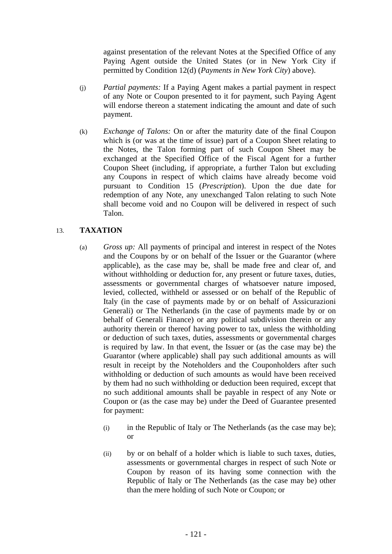against presentation of the relevant Notes at the Specified Office of any Paying Agent outside the United States (or in New York City if permitted by Condition 12(d) (*Payments in New York City*) above).

- (j) *Partial payments:* If a Paying Agent makes a partial payment in respect of any Note or Coupon presented to it for payment, such Paying Agent will endorse thereon a statement indicating the amount and date of such payment.
- (k) *Exchange of Talons:* On or after the maturity date of the final Coupon which is (or was at the time of issue) part of a Coupon Sheet relating to the Notes, the Talon forming part of such Coupon Sheet may be exchanged at the Specified Office of the Fiscal Agent for a further Coupon Sheet (including, if appropriate, a further Talon but excluding any Coupons in respect of which claims have already become void pursuant to Condition 15 (*Prescription*). Upon the due date for redemption of any Note, any unexchanged Talon relating to such Note shall become void and no Coupon will be delivered in respect of such Talon.

# 13. **TAXATION**

- (a) *Gross up:* All payments of principal and interest in respect of the Notes and the Coupons by or on behalf of the Issuer or the Guarantor (where applicable), as the case may be, shall be made free and clear of, and without withholding or deduction for, any present or future taxes, duties, assessments or governmental charges of whatsoever nature imposed, levied, collected, withheld or assessed or on behalf of the Republic of Italy (in the case of payments made by or on behalf of Assicurazioni Generali) or The Netherlands (in the case of payments made by or on behalf of Generali Finance) or any political subdivision therein or any authority therein or thereof having power to tax, unless the withholding or deduction of such taxes, duties, assessments or governmental charges is required by law. In that event, the Issuer or (as the case may be) the Guarantor (where applicable) shall pay such additional amounts as will result in receipt by the Noteholders and the Couponholders after such withholding or deduction of such amounts as would have been received by them had no such withholding or deduction been required, except that no such additional amounts shall be payable in respect of any Note or Coupon or (as the case may be) under the Deed of Guarantee presented for payment:
	- (i) in the Republic of Italy or The Netherlands (as the case may be); or
	- (ii) by or on behalf of a holder which is liable to such taxes, duties, assessments or governmental charges in respect of such Note or Coupon by reason of its having some connection with the Republic of Italy or The Netherlands (as the case may be) other than the mere holding of such Note or Coupon; or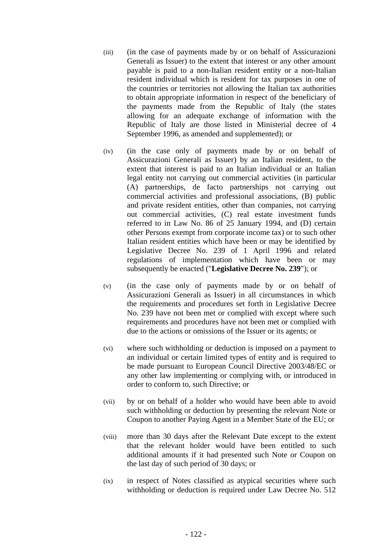- (iii) (in the case of payments made by or on behalf of Assicurazioni Generali as Issuer) to the extent that interest or any other amount payable is paid to a non-Italian resident entity or a non-Italian resident individual which is resident for tax purposes in one of the countries or territories not allowing the Italian tax authorities to obtain appropriate information in respect of the beneficiary of the payments made from the Republic of Italy (the states allowing for an adequate exchange of information with the Republic of Italy are those listed in Ministerial decree of 4 September 1996, as amended and supplemented); or
- (iv) (in the case only of payments made by or on behalf of Assicurazioni Generali as Issuer) by an Italian resident, to the extent that interest is paid to an Italian individual or an Italian legal entity not carrying out commercial activities (in particular (A) partnerships, de facto partnerships not carrying out commercial activities and professional associations, (B) public and private resident entities, other than companies, not carrying out commercial activities, (C) real estate investment funds referred to in Law No. 86 of 25 January 1994, and (D) certain other Persons exempt from corporate income tax) or to such other Italian resident entities which have been or may be identified by Legislative Decree No. 239 of 1 April 1996 and related regulations of implementation which have been or may subsequently be enacted ("**Legislative Decree No. 239**"); or
- (v) (in the case only of payments made by or on behalf of Assicurazioni Generali as Issuer) in all circumstances in which the requirements and procedures set forth in Legislative Decree No. 239 have not been met or complied with except where such requirements and procedures have not been met or complied with due to the actions or omissions of the Issuer or its agents; or
- (vi) where such withholding or deduction is imposed on a payment to an individual or certain limited types of entity and is required to be made pursuant to European Council Directive 2003/48/EC or any other law implementing or complying with, or introduced in order to conform to, such Directive; or
- (vii) by or on behalf of a holder who would have been able to avoid such withholding or deduction by presenting the relevant Note or Coupon to another Paying Agent in a Member State of the EU; or
- (viii) more than 30 days after the Relevant Date except to the extent that the relevant holder would have been entitled to such additional amounts if it had presented such Note or Coupon on the last day of such period of 30 days; or
- (ix) in respect of Notes classified as atypical securities where such withholding or deduction is required under Law Decree No. 512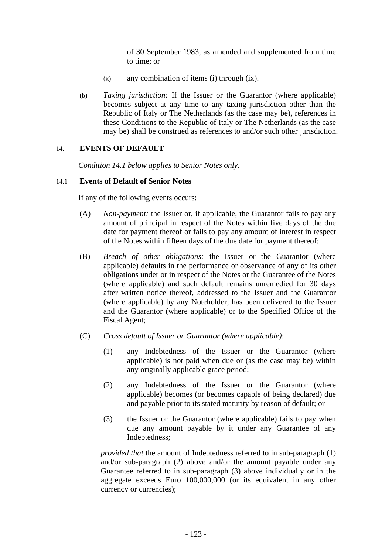of 30 September 1983, as amended and supplemented from time to time; or

- (x) any combination of items (i) through (ix).
- (b) *Taxing jurisdiction:* If the Issuer or the Guarantor (where applicable) becomes subject at any time to any taxing jurisdiction other than the Republic of Italy or The Netherlands (as the case may be), references in these Conditions to the Republic of Italy or The Netherlands (as the case may be) shall be construed as references to and/or such other jurisdiction.

## 14. **EVENTS OF DEFAULT**

*Condition 14.1 below applies to Senior Notes only.* 

## 14.1 **Events of Default of Senior Notes**

If any of the following events occurs:

- (A) *Non-payment:* the Issuer or, if applicable, the Guarantor fails to pay any amount of principal in respect of the Notes within five days of the due date for payment thereof or fails to pay any amount of interest in respect of the Notes within fifteen days of the due date for payment thereof;
- (B) *Breach of other obligations:* the Issuer or the Guarantor (where applicable) defaults in the performance or observance of any of its other obligations under or in respect of the Notes or the Guarantee of the Notes (where applicable) and such default remains unremedied for 30 days after written notice thereof, addressed to the Issuer and the Guarantor (where applicable) by any Noteholder, has been delivered to the Issuer and the Guarantor (where applicable) or to the Specified Office of the Fiscal Agent;
- (C) *Cross default of Issuer or Guarantor (where applicable)*:
	- (1) any Indebtedness of the Issuer or the Guarantor (where applicable) is not paid when due or (as the case may be) within any originally applicable grace period;
	- (2) any Indebtedness of the Issuer or the Guarantor (where applicable) becomes (or becomes capable of being declared) due and payable prior to its stated maturity by reason of default; or
	- (3) the Issuer or the Guarantor (where applicable) fails to pay when due any amount payable by it under any Guarantee of any Indebtedness;

*provided that* the amount of Indebtedness referred to in sub-paragraph (1) and/or sub-paragraph (2) above and/or the amount payable under any Guarantee referred to in sub-paragraph (3) above individually or in the aggregate exceeds Euro 100,000,000 (or its equivalent in any other currency or currencies);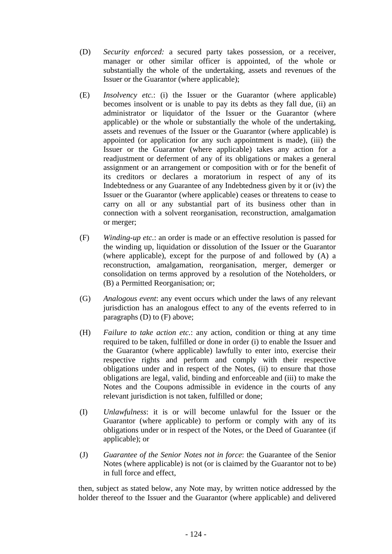- (D) *Security enforced:* a secured party takes possession, or a receiver, manager or other similar officer is appointed, of the whole or substantially the whole of the undertaking, assets and revenues of the Issuer or the Guarantor (where applicable);
- (E) *Insolvency etc.*: (i) the Issuer or the Guarantor (where applicable) becomes insolvent or is unable to pay its debts as they fall due, (ii) an administrator or liquidator of the Issuer or the Guarantor (where applicable) or the whole or substantially the whole of the undertaking, assets and revenues of the Issuer or the Guarantor (where applicable) is appointed (or application for any such appointment is made), (iii) the Issuer or the Guarantor (where applicable) takes any action for a readjustment or deferment of any of its obligations or makes a general assignment or an arrangement or composition with or for the benefit of its creditors or declares a moratorium in respect of any of its Indebtedness or any Guarantee of any Indebtedness given by it or (iv) the Issuer or the Guarantor (where applicable) ceases or threatens to cease to carry on all or any substantial part of its business other than in connection with a solvent reorganisation, reconstruction, amalgamation or merger;
- (F) *Winding-up etc.*: an order is made or an effective resolution is passed for the winding up, liquidation or dissolution of the Issuer or the Guarantor (where applicable), except for the purpose of and followed by (A) a reconstruction, amalgamation, reorganisation, merger, demerger or consolidation on terms approved by a resolution of the Noteholders, or (B) a Permitted Reorganisation; or;
- (G) *Analogous event*: any event occurs which under the laws of any relevant jurisdiction has an analogous effect to any of the events referred to in paragraphs (D) to (F) above;
- (H) *Failure to take action etc.*: any action, condition or thing at any time required to be taken, fulfilled or done in order (i) to enable the Issuer and the Guarantor (where applicable) lawfully to enter into, exercise their respective rights and perform and comply with their respective obligations under and in respect of the Notes, (ii) to ensure that those obligations are legal, valid, binding and enforceable and (iii) to make the Notes and the Coupons admissible in evidence in the courts of any relevant jurisdiction is not taken, fulfilled or done;
- (I) *Unlawfulness*: it is or will become unlawful for the Issuer or the Guarantor (where applicable) to perform or comply with any of its obligations under or in respect of the Notes, or the Deed of Guarantee (if applicable); or
- (J) *Guarantee of the Senior Notes not in force*: the Guarantee of the Senior Notes (where applicable) is not (or is claimed by the Guarantor not to be) in full force and effect,

then, subject as stated below, any Note may, by written notice addressed by the holder thereof to the Issuer and the Guarantor (where applicable) and delivered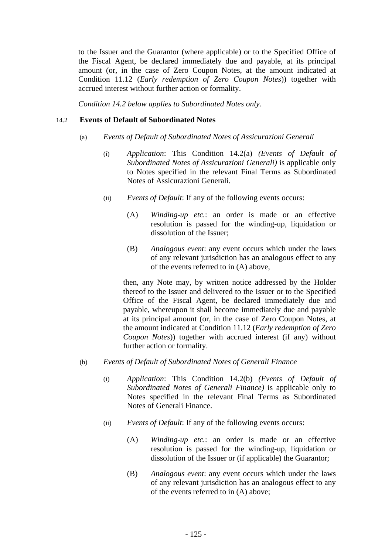to the Issuer and the Guarantor (where applicable) or to the Specified Office of the Fiscal Agent, be declared immediately due and payable, at its principal amount (or, in the case of Zero Coupon Notes, at the amount indicated at Condition 11.12 (*Early redemption of Zero Coupon Notes*)) together with accrued interest without further action or formality.

*Condition 14.2 below applies to Subordinated Notes only.* 

## 14.2 **Events of Default of Subordinated Notes**

- (a) *Events of Default of Subordinated Notes of Assicurazioni Generali* 
	- (i) *Application*: This Condition 14.2(a) *(Events of Default of Subordinated Notes of Assicurazioni Generali)* is applicable only to Notes specified in the relevant Final Terms as Subordinated Notes of Assicurazioni Generali.
	- (ii) *Events of Default*: If any of the following events occurs:
		- (A) *Winding-up etc.*: an order is made or an effective resolution is passed for the winding-up, liquidation or dissolution of the Issuer;
		- (B) *Analogous event*: any event occurs which under the laws of any relevant jurisdiction has an analogous effect to any of the events referred to in (A) above,

then, any Note may, by written notice addressed by the Holder thereof to the Issuer and delivered to the Issuer or to the Specified Office of the Fiscal Agent, be declared immediately due and payable, whereupon it shall become immediately due and payable at its principal amount (or, in the case of Zero Coupon Notes, at the amount indicated at Condition 11.12 (*Early redemption of Zero Coupon Notes*)) together with accrued interest (if any) without further action or formality.

- (b) *Events of Default of Subordinated Notes of Generali Finance* 
	- (i) *Application*: This Condition 14.2(b) *(Events of Default of Subordinated Notes of Generali Finance)* is applicable only to Notes specified in the relevant Final Terms as Subordinated Notes of Generali Finance.
	- (ii) *Events of Default*: If any of the following events occurs:
		- (A) *Winding-up etc.*: an order is made or an effective resolution is passed for the winding-up, liquidation or dissolution of the Issuer or (if applicable) the Guarantor;
		- (B) *Analogous event*: any event occurs which under the laws of any relevant jurisdiction has an analogous effect to any of the events referred to in (A) above;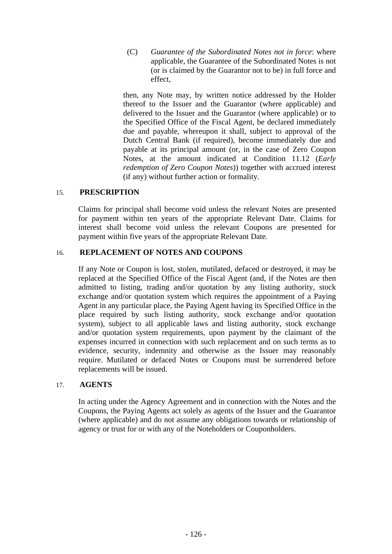(C) *Guarantee of the Subordinated Notes not in force*: where applicable, the Guarantee of the Subordinated Notes is not (or is claimed by the Guarantor not to be) in full force and effect,

then, any Note may, by written notice addressed by the Holder thereof to the Issuer and the Guarantor (where applicable) and delivered to the Issuer and the Guarantor (where applicable) or to the Specified Office of the Fiscal Agent, be declared immediately due and payable, whereupon it shall, subject to approval of the Dutch Central Bank (if required), become immediately due and payable at its principal amount (or, in the case of Zero Coupon Notes, at the amount indicated at Condition 11.12 (*Early redemption of Zero Coupon Notes*)) together with accrued interest (if any) without further action or formality.

## 15. **PRESCRIPTION**

Claims for principal shall become void unless the relevant Notes are presented for payment within ten years of the appropriate Relevant Date. Claims for interest shall become void unless the relevant Coupons are presented for payment within five years of the appropriate Relevant Date.

## 16. **REPLACEMENT OF NOTES AND COUPONS**

If any Note or Coupon is lost, stolen, mutilated, defaced or destroyed, it may be replaced at the Specified Office of the Fiscal Agent (and, if the Notes are then admitted to listing, trading and/or quotation by any listing authority, stock exchange and/or quotation system which requires the appointment of a Paying Agent in any particular place, the Paying Agent having its Specified Office in the place required by such listing authority, stock exchange and/or quotation system), subject to all applicable laws and listing authority, stock exchange and/or quotation system requirements, upon payment by the claimant of the expenses incurred in connection with such replacement and on such terms as to evidence, security, indemnity and otherwise as the Issuer may reasonably require. Mutilated or defaced Notes or Coupons must be surrendered before replacements will be issued.

## 17. **AGENTS**

In acting under the Agency Agreement and in connection with the Notes and the Coupons, the Paying Agents act solely as agents of the Issuer and the Guarantor (where applicable) and do not assume any obligations towards or relationship of agency or trust for or with any of the Noteholders or Couponholders.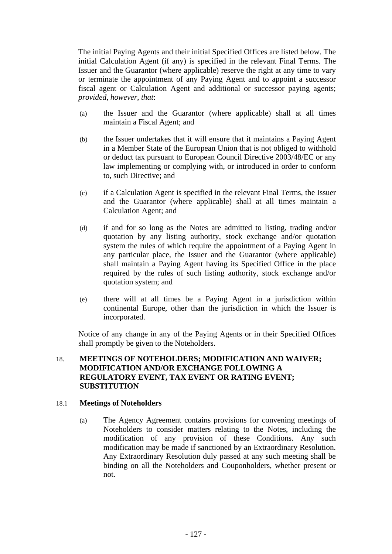The initial Paying Agents and their initial Specified Offices are listed below. The initial Calculation Agent (if any) is specified in the relevant Final Terms. The Issuer and the Guarantor (where applicable) reserve the right at any time to vary or terminate the appointment of any Paying Agent and to appoint a successor fiscal agent or Calculation Agent and additional or successor paying agents; *provided, however*, *that*:

- (a) the Issuer and the Guarantor (where applicable) shall at all times maintain a Fiscal Agent; and
- (b) the Issuer undertakes that it will ensure that it maintains a Paying Agent in a Member State of the European Union that is not obliged to withhold or deduct tax pursuant to European Council Directive 2003/48/EC or any law implementing or complying with, or introduced in order to conform to, such Directive; and
- (c) if a Calculation Agent is specified in the relevant Final Terms, the Issuer and the Guarantor (where applicable) shall at all times maintain a Calculation Agent; and
- (d) if and for so long as the Notes are admitted to listing, trading and/or quotation by any listing authority, stock exchange and/or quotation system the rules of which require the appointment of a Paying Agent in any particular place, the Issuer and the Guarantor (where applicable) shall maintain a Paying Agent having its Specified Office in the place required by the rules of such listing authority, stock exchange and/or quotation system; and
- (e) there will at all times be a Paying Agent in a jurisdiction within continental Europe, other than the jurisdiction in which the Issuer is incorporated.

Notice of any change in any of the Paying Agents or in their Specified Offices shall promptly be given to the Noteholders.

## 18. **MEETINGS OF NOTEHOLDERS; MODIFICATION AND WAIVER; MODIFICATION AND/OR EXCHANGE FOLLOWING A REGULATORY EVENT, TAX EVENT OR RATING EVENT; SUBSTITUTION**

## 18.1 **Meetings of Noteholders**

(a) The Agency Agreement contains provisions for convening meetings of Noteholders to consider matters relating to the Notes, including the modification of any provision of these Conditions. Any such modification may be made if sanctioned by an Extraordinary Resolution. Any Extraordinary Resolution duly passed at any such meeting shall be binding on all the Noteholders and Couponholders, whether present or not.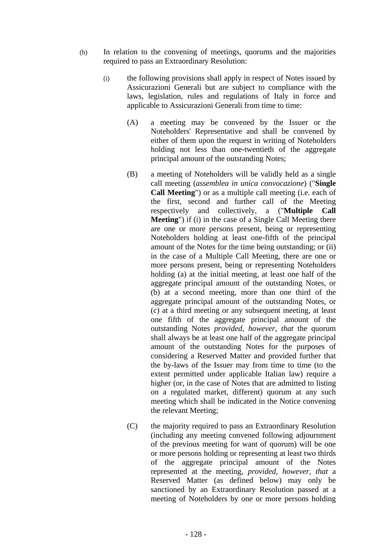- (b) In relation to the convening of meetings, quorums and the majorities required to pass an Extraordinary Resolution:
	- (i) the following provisions shall apply in respect of Notes issued by Assicurazioni Generali but are subject to compliance with the laws, legislation, rules and regulations of Italy in force and applicable to Assicurazioni Generali from time to time:
		- (A) a meeting may be convened by the Issuer or the Noteholders' Representative and shall be convened by either of them upon the request in writing of Noteholders holding not less than one-twentieth of the aggregate principal amount of the outstanding Notes;
		- (B) a meeting of Noteholders will be validly held as a single call meeting (*assemblea in unica convocazione*) ("**Single Call Meeting**") or as a multiple call meeting (i.e. each of the first, second and further call of the Meeting respectively and collectively, a ("**Multiple Call Meeting**") if (i) in the case of a Single Call Meeting there are one or more persons present, being or representing Noteholders holding at least one-fifth of the principal amount of the Notes for the time being outstanding; or (ii) in the case of a Multiple Call Meeting, there are one or more persons present, being or representing Noteholders holding (a) at the initial meeting, at least one half of the aggregate principal amount of the outstanding Notes, or (b) at a second meeting, more than one third of the aggregate principal amount of the outstanding Notes, or (c) at a third meeting or any subsequent meeting, at least one fifth of the aggregate principal amount of the outstanding Notes *provided, however, that* the quorum shall always be at least one half of the aggregate principal amount of the outstanding Notes for the purposes of considering a Reserved Matter and provided further that the by-laws of the Issuer may from time to time (to the extent permitted under applicable Italian law) require a higher (or, in the case of Notes that are admitted to listing on a regulated market, different) quorum at any such meeting which shall be indicated in the Notice convening the relevant Meeting;
		- (C) the majority required to pass an Extraordinary Resolution (including any meeting convened following adjournment of the previous meeting for want of quorum) will be one or more persons holding or representing at least two thirds of the aggregate principal amount of the Notes represented at the meeting, *provided, however, that* a Reserved Matter (as defined below) may only be sanctioned by an Extraordinary Resolution passed at a meeting of Noteholders by one or more persons holding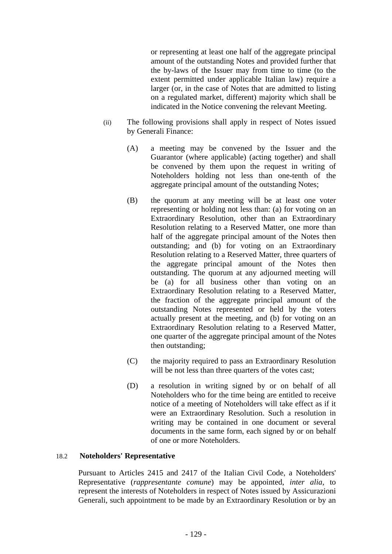or representing at least one half of the aggregate principal amount of the outstanding Notes and provided further that the by-laws of the Issuer may from time to time (to the extent permitted under applicable Italian law) require a larger (or, in the case of Notes that are admitted to listing on a regulated market, different) majority which shall be indicated in the Notice convening the relevant Meeting.

- (ii) The following provisions shall apply in respect of Notes issued by Generali Finance:
	- (A) a meeting may be convened by the Issuer and the Guarantor (where applicable) (acting together) and shall be convened by them upon the request in writing of Noteholders holding not less than one-tenth of the aggregate principal amount of the outstanding Notes;
	- (B) the quorum at any meeting will be at least one voter representing or holding not less than: (a) for voting on an Extraordinary Resolution, other than an Extraordinary Resolution relating to a Reserved Matter, one more than half of the aggregate principal amount of the Notes then outstanding; and (b) for voting on an Extraordinary Resolution relating to a Reserved Matter, three quarters of the aggregate principal amount of the Notes then outstanding. The quorum at any adjourned meeting will be (a) for all business other than voting on an Extraordinary Resolution relating to a Reserved Matter, the fraction of the aggregate principal amount of the outstanding Notes represented or held by the voters actually present at the meeting, and (b) for voting on an Extraordinary Resolution relating to a Reserved Matter, one quarter of the aggregate principal amount of the Notes then outstanding;
	- (C) the majority required to pass an Extraordinary Resolution will be not less than three quarters of the votes cast;
	- (D) a resolution in writing signed by or on behalf of all Noteholders who for the time being are entitled to receive notice of a meeting of Noteholders will take effect as if it were an Extraordinary Resolution. Such a resolution in writing may be contained in one document or several documents in the same form, each signed by or on behalf of one or more Noteholders.

## 18.2 **Noteholders' Representative**

Pursuant to Articles 2415 and 2417 of the Italian Civil Code, a Noteholders' Representative (*rappresentante comune*) may be appointed, *inter alia*, to represent the interests of Noteholders in respect of Notes issued by Assicurazioni Generali, such appointment to be made by an Extraordinary Resolution or by an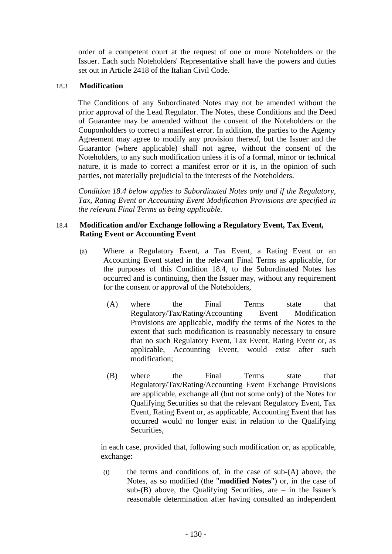order of a competent court at the request of one or more Noteholders or the Issuer. Each such Noteholders' Representative shall have the powers and duties set out in Article 2418 of the Italian Civil Code.

#### 18.3 **Modification**

The Conditions of any Subordinated Notes may not be amended without the prior approval of the Lead Regulator. The Notes, these Conditions and the Deed of Guarantee may be amended without the consent of the Noteholders or the Couponholders to correct a manifest error. In addition, the parties to the Agency Agreement may agree to modify any provision thereof, but the Issuer and the Guarantor (where applicable) shall not agree, without the consent of the Noteholders, to any such modification unless it is of a formal, minor or technical nature, it is made to correct a manifest error or it is, in the opinion of such parties, not materially prejudicial to the interests of the Noteholders.

*Condition 18.4 below applies to Subordinated Notes only and if the Regulatory, Tax, Rating Event or Accounting Event Modification Provisions are specified in the relevant Final Terms as being applicable.* 

## 18.4 **Modification and/or Exchange following a Regulatory Event, Tax Event, Rating Event or Accounting Event**

- (a) Where a Regulatory Event, a Tax Event, a Rating Event or an Accounting Event stated in the relevant Final Terms as applicable, for the purposes of this Condition 18.4, to the Subordinated Notes has occurred and is continuing, then the Issuer may, without any requirement for the consent or approval of the Noteholders,
	- (A) where the Final Terms state that Regulatory/Tax/Rating/Accounting Event Modification Provisions are applicable, modify the terms of the Notes to the extent that such modification is reasonably necessary to ensure that no such Regulatory Event, Tax Event, Rating Event or, as applicable, Accounting Event, would exist after such modification;
	- (B) where the Final Terms state that Regulatory/Tax/Rating/Accounting Event Exchange Provisions are applicable, exchange all (but not some only) of the Notes for Qualifying Securities so that the relevant Regulatory Event, Tax Event, Rating Event or, as applicable, Accounting Event that has occurred would no longer exist in relation to the Qualifying Securities,

in each case, provided that, following such modification or, as applicable, exchange:

(i) the terms and conditions of, in the case of sub-(A) above, the Notes, as so modified (the "**modified Notes**") or, in the case of sub- $(B)$  above, the Qualifying Securities, are – in the Issuer's reasonable determination after having consulted an independent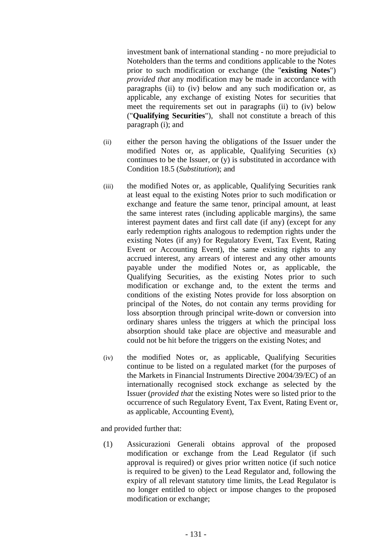investment bank of international standing - no more prejudicial to Noteholders than the terms and conditions applicable to the Notes prior to such modification or exchange (the "**existing Notes**") *provided that* any modification may be made in accordance with paragraphs (ii) to (iv) below and any such modification or, as applicable, any exchange of existing Notes for securities that meet the requirements set out in paragraphs (ii) to (iv) below ("**Qualifying Securities**"), shall not constitute a breach of this paragraph (i); and

- (ii) either the person having the obligations of the Issuer under the modified Notes or, as applicable, Qualifying Securities (x) continues to be the Issuer, or (y) is substituted in accordance with Condition 18.5 (*Substitution*); and
- (iii) the modified Notes or, as applicable, Qualifying Securities rank at least equal to the existing Notes prior to such modification or exchange and feature the same tenor, principal amount, at least the same interest rates (including applicable margins), the same interest payment dates and first call date (if any) (except for any early redemption rights analogous to redemption rights under the existing Notes (if any) for Regulatory Event, Tax Event, Rating Event or Accounting Event), the same existing rights to any accrued interest, any arrears of interest and any other amounts payable under the modified Notes or, as applicable, the Qualifying Securities, as the existing Notes prior to such modification or exchange and, to the extent the terms and conditions of the existing Notes provide for loss absorption on principal of the Notes, do not contain any terms providing for loss absorption through principal write-down or conversion into ordinary shares unless the triggers at which the principal loss absorption should take place are objective and measurable and could not be hit before the triggers on the existing Notes; and
- (iv) the modified Notes or, as applicable, Qualifying Securities continue to be listed on a regulated market (for the purposes of the Markets in Financial Instruments Directive 2004/39/EC) of an internationally recognised stock exchange as selected by the Issuer (*provided that* the existing Notes were so listed prior to the occurrence of such Regulatory Event, Tax Event, Rating Event or, as applicable, Accounting Event),

and provided further that:

(1) Assicurazioni Generali obtains approval of the proposed modification or exchange from the Lead Regulator (if such approval is required) or gives prior written notice (if such notice is required to be given) to the Lead Regulator and, following the expiry of all relevant statutory time limits, the Lead Regulator is no longer entitled to object or impose changes to the proposed modification or exchange;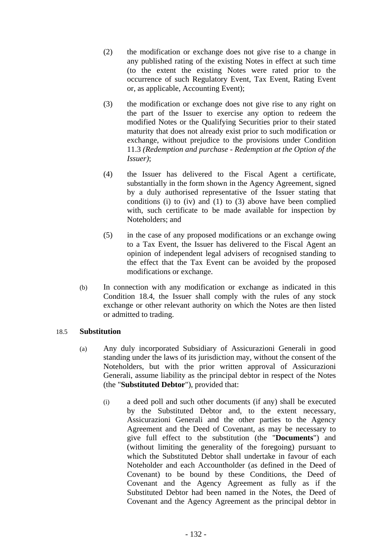- (2) the modification or exchange does not give rise to a change in any published rating of the existing Notes in effect at such time (to the extent the existing Notes were rated prior to the occurrence of such Regulatory Event, Tax Event, Rating Event or, as applicable, Accounting Event);
- (3) the modification or exchange does not give rise to any right on the part of the Issuer to exercise any option to redeem the modified Notes or the Qualifying Securities prior to their stated maturity that does not already exist prior to such modification or exchange, without prejudice to the provisions under Condition 11.3 *(Redemption and purchase - Redemption at the Option of the Issuer)*;
- (4) the Issuer has delivered to the Fiscal Agent a certificate, substantially in the form shown in the Agency Agreement, signed by a duly authorised representative of the Issuer stating that conditions (i) to (iv) and (1) to (3) above have been complied with, such certificate to be made available for inspection by Noteholders; and
- (5) in the case of any proposed modifications or an exchange owing to a Tax Event, the Issuer has delivered to the Fiscal Agent an opinion of independent legal advisers of recognised standing to the effect that the Tax Event can be avoided by the proposed modifications or exchange.
- (b) In connection with any modification or exchange as indicated in this Condition 18.4, the Issuer shall comply with the rules of any stock exchange or other relevant authority on which the Notes are then listed or admitted to trading.

## 18.5 **Substitution**

- (a) Any duly incorporated Subsidiary of Assicurazioni Generali in good standing under the laws of its jurisdiction may, without the consent of the Noteholders, but with the prior written approval of Assicurazioni Generali, assume liability as the principal debtor in respect of the Notes (the "**Substituted Debtor**"), provided that:
	- (i) a deed poll and such other documents (if any) shall be executed by the Substituted Debtor and, to the extent necessary, Assicurazioni Generali and the other parties to the Agency Agreement and the Deed of Covenant, as may be necessary to give full effect to the substitution (the "**Documents**") and (without limiting the generality of the foregoing) pursuant to which the Substituted Debtor shall undertake in favour of each Noteholder and each Accountholder (as defined in the Deed of Covenant) to be bound by these Conditions, the Deed of Covenant and the Agency Agreement as fully as if the Substituted Debtor had been named in the Notes, the Deed of Covenant and the Agency Agreement as the principal debtor in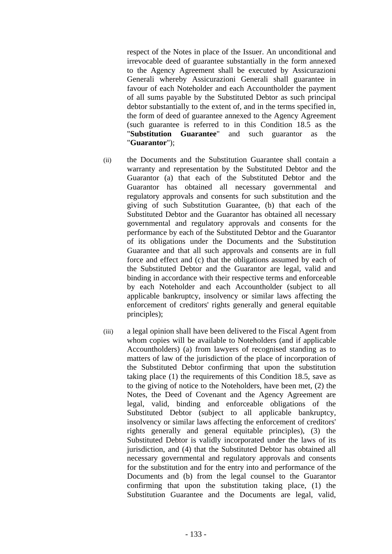respect of the Notes in place of the Issuer. An unconditional and irrevocable deed of guarantee substantially in the form annexed to the Agency Agreement shall be executed by Assicurazioni Generali whereby Assicurazioni Generali shall guarantee in favour of each Noteholder and each Accountholder the payment of all sums payable by the Substituted Debtor as such principal debtor substantially to the extent of, and in the terms specified in, the form of deed of guarantee annexed to the Agency Agreement (such guarantee is referred to in this Condition 18.5 as the "**Substitution Guarantee**" and such guarantor as the "**Guarantor**");

- (ii) the Documents and the Substitution Guarantee shall contain a warranty and representation by the Substituted Debtor and the Guarantor (a) that each of the Substituted Debtor and the Guarantor has obtained all necessary governmental and regulatory approvals and consents for such substitution and the giving of such Substitution Guarantee, (b) that each of the Substituted Debtor and the Guarantor has obtained all necessary governmental and regulatory approvals and consents for the performance by each of the Substituted Debtor and the Guarantor of its obligations under the Documents and the Substitution Guarantee and that all such approvals and consents are in full force and effect and (c) that the obligations assumed by each of the Substituted Debtor and the Guarantor are legal, valid and binding in accordance with their respective terms and enforceable by each Noteholder and each Accountholder (subject to all applicable bankruptcy, insolvency or similar laws affecting the enforcement of creditors' rights generally and general equitable principles);
- (iii) a legal opinion shall have been delivered to the Fiscal Agent from whom copies will be available to Noteholders (and if applicable Accountholders) (a) from lawyers of recognised standing as to matters of law of the jurisdiction of the place of incorporation of the Substituted Debtor confirming that upon the substitution taking place (1) the requirements of this Condition 18.5, save as to the giving of notice to the Noteholders, have been met, (2) the Notes, the Deed of Covenant and the Agency Agreement are legal, valid, binding and enforceable obligations of the Substituted Debtor (subject to all applicable bankruptcy, insolvency or similar laws affecting the enforcement of creditors' rights generally and general equitable principles), (3) the Substituted Debtor is validly incorporated under the laws of its jurisdiction, and (4) that the Substituted Debtor has obtained all necessary governmental and regulatory approvals and consents for the substitution and for the entry into and performance of the Documents and (b) from the legal counsel to the Guarantor confirming that upon the substitution taking place, (1) the Substitution Guarantee and the Documents are legal, valid,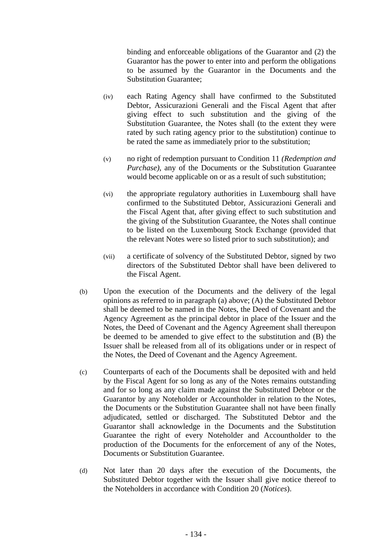binding and enforceable obligations of the Guarantor and (2) the Guarantor has the power to enter into and perform the obligations to be assumed by the Guarantor in the Documents and the Substitution Guarantee;

- (iv) each Rating Agency shall have confirmed to the Substituted Debtor, Assicurazioni Generali and the Fiscal Agent that after giving effect to such substitution and the giving of the Substitution Guarantee, the Notes shall (to the extent they were rated by such rating agency prior to the substitution) continue to be rated the same as immediately prior to the substitution;
- (v) no right of redemption pursuant to Condition 11 *(Redemption and Purchase)*, any of the Documents or the Substitution Guarantee would become applicable on or as a result of such substitution;
- (vi) the appropriate regulatory authorities in Luxembourg shall have confirmed to the Substituted Debtor, Assicurazioni Generali and the Fiscal Agent that, after giving effect to such substitution and the giving of the Substitution Guarantee, the Notes shall continue to be listed on the Luxembourg Stock Exchange (provided that the relevant Notes were so listed prior to such substitution); and
- (vii) a certificate of solvency of the Substituted Debtor, signed by two directors of the Substituted Debtor shall have been delivered to the Fiscal Agent.
- (b) Upon the execution of the Documents and the delivery of the legal opinions as referred to in paragraph (a) above; (A) the Substituted Debtor shall be deemed to be named in the Notes, the Deed of Covenant and the Agency Agreement as the principal debtor in place of the Issuer and the Notes, the Deed of Covenant and the Agency Agreement shall thereupon be deemed to be amended to give effect to the substitution and (B) the Issuer shall be released from all of its obligations under or in respect of the Notes, the Deed of Covenant and the Agency Agreement.
- (c) Counterparts of each of the Documents shall be deposited with and held by the Fiscal Agent for so long as any of the Notes remains outstanding and for so long as any claim made against the Substituted Debtor or the Guarantor by any Noteholder or Accountholder in relation to the Notes, the Documents or the Substitution Guarantee shall not have been finally adjudicated, settled or discharged. The Substituted Debtor and the Guarantor shall acknowledge in the Documents and the Substitution Guarantee the right of every Noteholder and Accountholder to the production of the Documents for the enforcement of any of the Notes, Documents or Substitution Guarantee.
- (d) Not later than 20 days after the execution of the Documents, the Substituted Debtor together with the Issuer shall give notice thereof to the Noteholders in accordance with Condition 20 (*Notices*).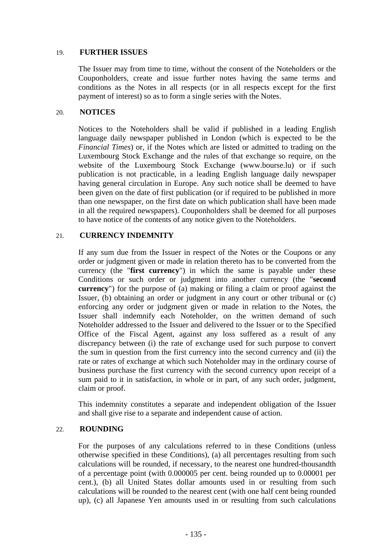## 19. **FURTHER ISSUES**

The Issuer may from time to time, without the consent of the Noteholders or the Couponholders, create and issue further notes having the same terms and conditions as the Notes in all respects (or in all respects except for the first payment of interest) so as to form a single series with the Notes.

## 20. **NOTICES**

Notices to the Noteholders shall be valid if published in a leading English language daily newspaper published in London (which is expected to be the *Financial Times*) or, if the Notes which are listed or admitted to trading on the Luxembourg Stock Exchange and the rules of that exchange so require, on the website of the Luxembourg Stock Exchange (www.bourse.lu) or if such publication is not practicable, in a leading English language daily newspaper having general circulation in Europe. Any such notice shall be deemed to have been given on the date of first publication (or if required to be published in more than one newspaper, on the first date on which publication shall have been made in all the required newspapers). Couponholders shall be deemed for all purposes to have notice of the contents of any notice given to the Noteholders.

## 21. **CURRENCY INDEMNITY**

If any sum due from the Issuer in respect of the Notes or the Coupons or any order or judgment given or made in relation thereto has to be converted from the currency (the "**first currency**") in which the same is payable under these Conditions or such order or judgment into another currency (the "**second currency**") for the purpose of (a) making or filing a claim or proof against the Issuer, (b) obtaining an order or judgment in any court or other tribunal or (c) enforcing any order or judgment given or made in relation to the Notes, the Issuer shall indemnify each Noteholder, on the written demand of such Noteholder addressed to the Issuer and delivered to the Issuer or to the Specified Office of the Fiscal Agent, against any loss suffered as a result of any discrepancy between (i) the rate of exchange used for such purpose to convert the sum in question from the first currency into the second currency and (ii) the rate or rates of exchange at which such Noteholder may in the ordinary course of business purchase the first currency with the second currency upon receipt of a sum paid to it in satisfaction, in whole or in part, of any such order, judgment, claim or proof.

This indemnity constitutes a separate and independent obligation of the Issuer and shall give rise to a separate and independent cause of action.

## 22. **ROUNDING**

For the purposes of any calculations referred to in these Conditions (unless otherwise specified in these Conditions), (a) all percentages resulting from such calculations will be rounded, if necessary, to the nearest one hundred-thousandth of a percentage point (with 0.000005 per cent. being rounded up to 0.00001 per cent.), (b) all United States dollar amounts used in or resulting from such calculations will be rounded to the nearest cent (with one half cent being rounded up), (c) all Japanese Yen amounts used in or resulting from such calculations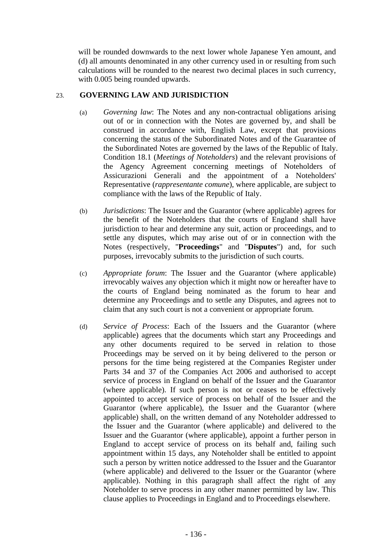will be rounded downwards to the next lower whole Japanese Yen amount, and (d) all amounts denominated in any other currency used in or resulting from such calculations will be rounded to the nearest two decimal places in such currency, with 0.005 being rounded upwards.

## 23. **GOVERNING LAW AND JURISDICTION**

- (a) *Governing law*: The Notes and any non-contractual obligations arising out of or in connection with the Notes are governed by, and shall be construed in accordance with, English Law, except that provisions concerning the status of the Subordinated Notes and of the Guarantee of the Subordinated Notes are governed by the laws of the Republic of Italy. Condition 18.1 (*Meetings of Noteholders*) and the relevant provisions of the Agency Agreement concerning meetings of Noteholders of Assicurazioni Generali and the appointment of a Noteholders' Representative (*rappresentante comune*), where applicable, are subject to compliance with the laws of the Republic of Italy.
- (b) *Jurisdictions*: The Issuer and the Guarantor (where applicable) agrees for the benefit of the Noteholders that the courts of England shall have jurisdiction to hear and determine any suit, action or proceedings, and to settle any disputes, which may arise out of or in connection with the Notes (respectively, "**Proceedings**" and "**Disputes**") and, for such purposes, irrevocably submits to the jurisdiction of such courts.
- (c) *Appropriate forum*: The Issuer and the Guarantor (where applicable) irrevocably waives any objection which it might now or hereafter have to the courts of England being nominated as the forum to hear and determine any Proceedings and to settle any Disputes, and agrees not to claim that any such court is not a convenient or appropriate forum.
- (d) *Service of Process*: Each of the Issuers and the Guarantor (where applicable) agrees that the documents which start any Proceedings and any other documents required to be served in relation to those Proceedings may be served on it by being delivered to the person or persons for the time being registered at the Companies Register under Parts 34 and 37 of the Companies Act 2006 and authorised to accept service of process in England on behalf of the Issuer and the Guarantor (where applicable). If such person is not or ceases to be effectively appointed to accept service of process on behalf of the Issuer and the Guarantor (where applicable), the Issuer and the Guarantor (where applicable) shall, on the written demand of any Noteholder addressed to the Issuer and the Guarantor (where applicable) and delivered to the Issuer and the Guarantor (where applicable), appoint a further person in England to accept service of process on its behalf and, failing such appointment within 15 days, any Noteholder shall be entitled to appoint such a person by written notice addressed to the Issuer and the Guarantor (where applicable) and delivered to the Issuer or the Guarantor (where applicable). Nothing in this paragraph shall affect the right of any Noteholder to serve process in any other manner permitted by law. This clause applies to Proceedings in England and to Proceedings elsewhere.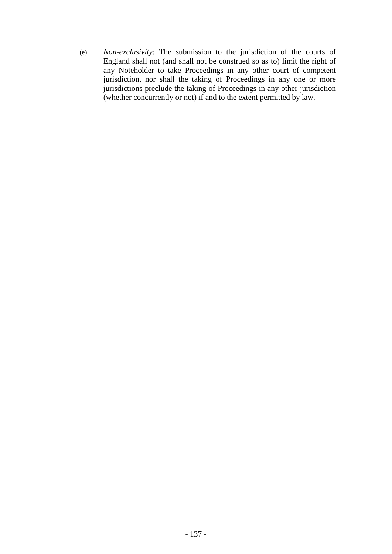(e) *Non-exclusivity*: The submission to the jurisdiction of the courts of England shall not (and shall not be construed so as to) limit the right of any Noteholder to take Proceedings in any other court of competent jurisdiction, nor shall the taking of Proceedings in any one or more jurisdictions preclude the taking of Proceedings in any other jurisdiction (whether concurrently or not) if and to the extent permitted by law.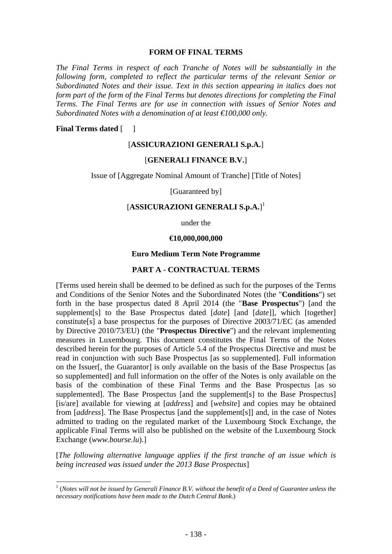#### **FORM OF FINAL TERMS**

*The Final Terms in respect of each Tranche of Notes will be substantially in the following form, completed to reflect the particular terms of the relevant Senior or Subordinated Notes and their issue. Text in this section appearing in italics does not form part of the form of the Final Terms but denotes directions for completing the Final Terms. The Final Terms are for use in connection with issues of Senior Notes and Subordinated Notes with a denomination of at least €100,000 only.* 

#### **Final Terms dated** []

#### [**ASSICURAZIONI GENERALI S.p.A.**]

#### [**GENERALI FINANCE B.V.**]

Issue of [Aggregate Nominal Amount of Tranche] [Title of Notes]

[Guaranteed by]

# [**ASSICURAZIONI GENERALI S.p.A.**] 1

under the

#### **€10,000,000,000**

#### **Euro Medium Term Note Programme**

#### **PART A - CONTRACTUAL TERMS**

[Terms used herein shall be deemed to be defined as such for the purposes of the Terms and Conditions of the Senior Notes and the Subordinated Notes (the "**Conditions**") set forth in the base prospectus dated 8 April 2014 (the "**Base Prospectus**") [and the supplement[s] to the Base Prospectus dated [*date*] [and [*date*]], which [together] constitute[s] a base prospectus for the purposes of Directive 2003/71/EC (as amended by Directive 2010/73/EU) (the "**Prospectus Directive**") and the relevant implementing measures in Luxembourg. This document constitutes the Final Terms of the Notes described herein for the purposes of Article 5.4 of the Prospectus Directive and must be read in conjunction with such Base Prospectus [as so supplemented]. Full information on the Issuer, the Guarantor is only available on the basis of the Base Prospectus [as so supplemented] and full information on the offer of the Notes is only available on the basis of the combination of these Final Terms and the Base Prospectus [as so supplemented]. The Base Prospectus [and the supplement[s] to the Base Prospectus] [is/are] available for viewing at [*address*] and [*website*] and copies may be obtained from [*address*]. The Base Prospectus [and the supplement[s]] and, in the case of Notes admitted to trading on the regulated market of the Luxembourg Stock Exchange, the applicable Final Terms will also be published on the website of the Luxembourg Stock Exchange (*www.bourse.lu*).]

[*The following alternative language applies if the first tranche of an issue which is being increased was issued under the 2013 Base Prospectus*]

 1 (*Notes will not be issued by Generali Finance B.V. without the benefit of a Deed of Guarantee unless the necessary notifications have been made to the Dutch Central Bank*.)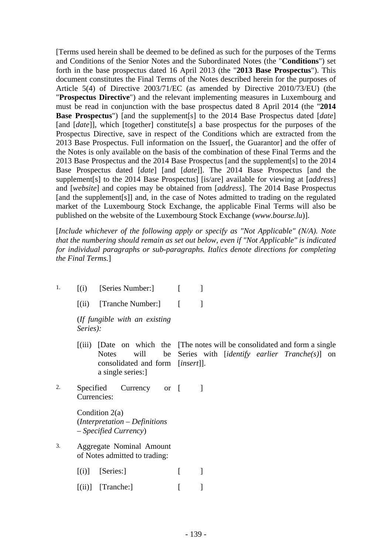[Terms used herein shall be deemed to be defined as such for the purposes of the Terms and Conditions of the Senior Notes and the Subordinated Notes (the "**Conditions**") set forth in the base prospectus dated 16 April 2013 (the "**2013 Base Prospectus**"). This document constitutes the Final Terms of the Notes described herein for the purposes of Article 5(4) of Directive 2003/71/EC (as amended by Directive 2010/73/EU) (the "**Prospectus Directive**") and the relevant implementing measures in Luxembourg and must be read in conjunction with the base prospectus dated 8 April 2014 (the "**2014 Base Prospectus**") [and the supplement[s] to the 2014 Base Prospectus dated [*date*] [and [*date*]], which [together] constitute[s] a base prospectus for the purposes of the Prospectus Directive, save in respect of the Conditions which are extracted from the 2013 Base Prospectus. Full information on the Issuer[, the Guarantor] and the offer of the Notes is only available on the basis of the combination of these Final Terms and the 2013 Base Prospectus and the 2014 Base Prospectus [and the supplement[s] to the 2014 Base Prospectus dated [*date*] [and [*date*]]. The 2014 Base Prospectus [and the supplement[s] to the 2014 Base Prospectus] [is/are] available for viewing at [*address*] and [*website*] and copies may be obtained from [*address*]. The 2014 Base Prospectus [and the supplement<sup>[s]]</sup> and, in the case of Notes admitted to trading on the regulated market of the Luxembourg Stock Exchange, the applicable Final Terms will also be published on the website of the Luxembourg Stock Exchange (*www.bourse.lu*)].

[*Include whichever of the following apply or specify as "Not Applicable" (N/A). Note that the numbering should remain as set out below, even if "Not Applicable" is indicated for individual paragraphs or sub-paragraphs. Italics denote directions for completing the Final Terms.*]

- 1.  $[(i)$  [Series Number:]  $[$  ]
	- $[(ii)$  [Tranche Number:] [ ]

(*If fungible with an existing Series):* 

- [(iii) [Date on which the [The notes will be consolidated and form a single Notes will consolidated and form [*insert*]]. a single series:] Series with [*identify earlier Tranche(s)*] on
- 2. Specified Currency Currencies: or  $\lceil$   $\rceil$

Condition 2(a) (*Interpretation – Definitions – Specified Currency*)

- 3. Aggregate Nominal Amount of Notes admitted to trading:
	- $[(i)]$  [Series:]  $[$
	- $[(ii)]$  [Tranche:] [ ]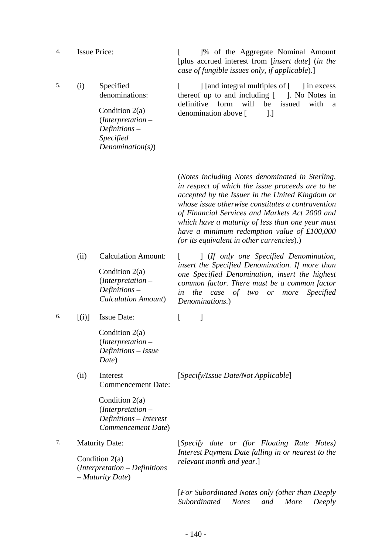| 4. | <b>Issue Price:</b>                                                                              |                                                                                                                                  | 1% of the Aggregate Nominal Amount<br>[plus accrued interest from [insert date] (in the<br>case of fungible issues only, if applicable).]                                                                                                                                                                                                                                                                       |
|----|--------------------------------------------------------------------------------------------------|----------------------------------------------------------------------------------------------------------------------------------|-----------------------------------------------------------------------------------------------------------------------------------------------------------------------------------------------------------------------------------------------------------------------------------------------------------------------------------------------------------------------------------------------------------------|
| 5. | (i)                                                                                              | Specified<br>denominations:<br>Condition $2(a)$<br>$(Interpretation -$<br>$Definitions -$<br>Specified<br>Denominator(s)         | ] [and integral multiples of [<br>in excess<br>$\mathbf{I}$<br>thereof up to and including [<br>. No Notes in<br>definitive<br>will<br>form<br>be<br>issued<br>with<br>a<br>denomination above [<br>$\lbrack . \rbrack$                                                                                                                                                                                         |
|    |                                                                                                  |                                                                                                                                  | (Notes including Notes denominated in Sterling,<br>in respect of which the issue proceeds are to be<br>accepted by the Issuer in the United Kingdom or<br>whose issue otherwise constitutes a contravention<br>of Financial Services and Markets Act 2000 and<br>which have a maturity of less than one year must<br>have a minimum redemption value of $£100,000$<br>(or its equivalent in other currencies).) |
|    | (ii)                                                                                             | <b>Calculation Amount:</b><br>Condition $2(a)$<br>$(Interpretation -$<br>$Definitions -$<br><b>Calculation Amount</b> )          | [ <i>If only one Specified Denomination</i> ,<br>insert the Specified Denomination. If more than<br>one Specified Denomination, insert the highest<br>common factor. There must be a common factor<br>in<br>the case of two or more<br><i>Specified</i><br>Denominations.)                                                                                                                                      |
| 6. | [(i)]                                                                                            | <b>Issue Date:</b><br>Condition $2(a)$<br>(Interpretation –<br>Definitions - Issue<br>Date)                                      | I<br>1                                                                                                                                                                                                                                                                                                                                                                                                          |
|    | (ii)                                                                                             | Interest<br><b>Commencement Date:</b><br>Condition $2(a)$<br>$(Interpretation -$<br>Definitions - Interest<br>Commencement Date) | [Specify/Issue Date/Not Applicable]                                                                                                                                                                                                                                                                                                                                                                             |
| 7. | <b>Maturity Date:</b><br>Condition $2(a)$<br>$(Interpretation - Definitions$<br>- Maturity Date) |                                                                                                                                  | [Specify date or (for Floating Rate Notes)<br>Interest Payment Date falling in or nearest to the<br>relevant month and year.]                                                                                                                                                                                                                                                                                   |
|    |                                                                                                  |                                                                                                                                  | [For Subordinated Notes only (other than Deeply<br>Subordinated<br><b>Notes</b><br>More<br>Deeply<br>and                                                                                                                                                                                                                                                                                                        |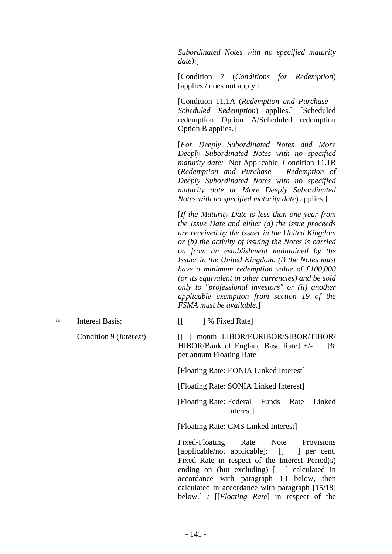*Subordinated Notes with no specified maturity date)*:]

[Condition 7 (*Conditions for Redemption*) [applies / does not apply.]

[Condition 11.1A (*Redemption and Purchase – Scheduled Redemption*) applies.] [Scheduled redemption Option A/Scheduled redemption Option B applies.]

 [*For Deeply Subordinated Notes and More Deeply Subordinated Notes with no specified maturity date:* Not Applicable. Condition 11.1B (*Redemption and Purchase – Redemption of Deeply Subordinated Notes with no specified maturity date or More Deeply Subordinated Notes with no specified maturity date*) applies.]

 [*If the Maturity Date is less than one year from the Issue Date and either (a) the issue proceeds are received by the Issuer in the United Kingdom or (b) the activity of issuing the Notes is carried on from an establishment maintained by the Issuer in the United Kingdom, (i) the Notes must have a minimum redemption value of £100,000 (or its equivalent in other currencies) and be sold only to "professional investors" or (ii) another applicable exemption from section 19 of the FSMA must be available.*]

8. Interest Basis: [[ ] % Fixed Rate]

Condition 9 (*Interest*) [[ ] month LIBOR/EURIBOR/SIBOR/TIBOR/ HIBOR/Bank of England Base Rate] +/- [ ]% per annum Floating Rate]

[Floating Rate: EONIA Linked Interest]

[Floating Rate: SONIA Linked Interest]

[Floating Rate: Federal Funds Rate Linked Interest]

[Floating Rate: CMS Linked Interest]

 Fixed-Floating Rate Note Provisions [applicable/not applicable]: [[ ] per cent. Fixed Rate in respect of the Interest Period(s) ending on (but excluding) [ ] calculated in accordance with paragraph 13 below, then calculated in accordance with paragraph [15/18] below.] / [[*Floating Rate*] in respect of the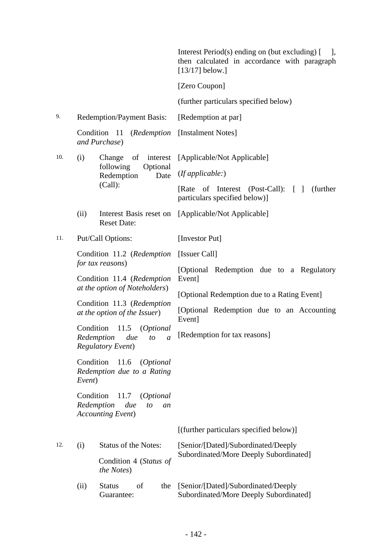|     |                                                |                                                                                        | Interest Period(s) ending on (but excluding) [<br>$\vert$ ,<br>then calculated in accordance with paragraph<br>$[13/17]$ below.] |
|-----|------------------------------------------------|----------------------------------------------------------------------------------------|----------------------------------------------------------------------------------------------------------------------------------|
|     |                                                |                                                                                        | [Zero Coupon]                                                                                                                    |
|     |                                                |                                                                                        | (further particulars specified below)                                                                                            |
| 9.  |                                                | <b>Redemption/Payment Basis:</b>                                                       | [Redemption at par]                                                                                                              |
|     |                                                | Condition 11 (Redemption<br>and Purchase)                                              | [Instalment Notes]                                                                                                               |
| 10. | (i)                                            | of<br>Change<br>interest                                                               | [Applicable/Not Applicable]                                                                                                      |
|     |                                                | following<br>Optional<br>Redemption<br>Date                                            | (If applicable.)                                                                                                                 |
|     |                                                | (Call):                                                                                | of Interest (Post-Call): $\lceil \; \rceil$<br>(further)<br>[Rate]<br>particulars specified below)]                              |
|     | (ii)                                           | Interest Basis reset on<br><b>Reset Date:</b>                                          | [Applicable/Not Applicable]                                                                                                      |
| 11. |                                                | Put/Call Options:                                                                      | [Investor Put]                                                                                                                   |
|     | Condition 11.2 (Redemption<br>for tax reasons) |                                                                                        | [Issuer Call]                                                                                                                    |
|     |                                                |                                                                                        | [Optional Redemption due to a Regulatory                                                                                         |
|     |                                                | Condition 11.4 (Redemption<br>at the option of Noteholders)                            | Event]<br>[Optional Redemption due to a Rating Event]                                                                            |
|     |                                                | Condition 11.3 (Redemption<br>at the option of the Issuer)                             | [Optional Redemption due to an Accounting                                                                                        |
|     | Condition                                      | 11.5 (Optional<br>Redemption<br>due<br>to<br>a<br><b>Regulatory Event)</b>             | Event]<br>[Redemption for tax reasons]                                                                                           |
|     | Condition<br>Event)                            | 11.6<br>( <i>Optional</i><br>Redemption due to a Rating                                |                                                                                                                                  |
|     | Condition                                      | 11.7<br><i>(Optional)</i><br>Redemption<br>due<br>to<br>an<br><b>Accounting Event)</b> |                                                                                                                                  |
|     |                                                |                                                                                        | [(further particulars specified below)]                                                                                          |
| 12. | (i)                                            | <b>Status of the Notes:</b>                                                            | [Senior/[Dated]/Subordinated/Deeply                                                                                              |
|     |                                                | Condition 4 (Status of<br>the Notes)                                                   | Subordinated/More Deeply Subordinated]                                                                                           |
|     | (ii)                                           | of<br><b>Status</b><br>the<br>Guarantee:                                               | [Senior/[Dated]/Subordinated/Deeply<br>Subordinated/More Deeply Subordinated]                                                    |
|     |                                                |                                                                                        |                                                                                                                                  |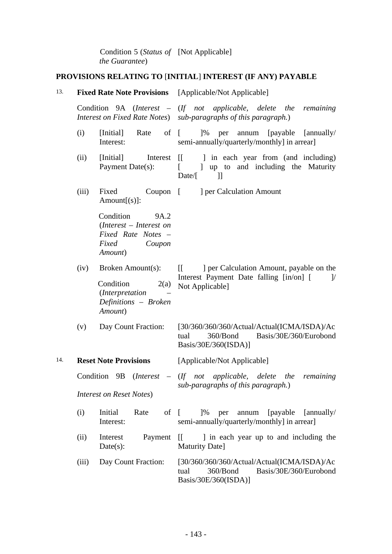Condition 5 (*Status of*  [Not Applicable] *the Guarantee*)

# **PROVISIONS RELATING TO** [**INITIAL**] **INTEREST (IF ANY) PAYABLE**

| 13. |       |                                                                                                             | <b>Fixed Rate Note Provisions</b> [Applicable/Not Applicable]                                                                                              |  |  |
|-----|-------|-------------------------------------------------------------------------------------------------------------|------------------------------------------------------------------------------------------------------------------------------------------------------------|--|--|
|     |       |                                                                                                             | Condition $9A$ (Interest – (If not applicable, delete the remaining<br>Interest on Fixed Rate Notes) sub-paragraphs of this paragraph.)                    |  |  |
|     | (i)   | [Initial]<br>Rate<br>Interest:                                                                              | of $\lceil$<br>$]$ % per<br>annum [payable [annually/<br>semi-annually/quarterly/monthly] in arrear]                                                       |  |  |
|     | (ii)  | [Initial]<br>Interest<br>Payment Date(s):                                                                   | in each year from (and including)<br>$\prod$<br>[ ] up to and including the Maturity<br>$Date/$ [<br>$\exists$                                             |  |  |
|     | (iii) | $Coupon$ $\lceil$<br>Fixed<br>$Amount[s]$ :                                                                 | ] per Calculation Amount                                                                                                                                   |  |  |
|     |       | Condition<br>9A.2<br>$(Interest - Interest \text{ } on$<br>Fixed Rate Notes -<br>Fixed<br>Coupon<br>Amount) |                                                                                                                                                            |  |  |
|     | (iv)  | Broken Amount(s):<br>Condition<br>2(a)<br>(Interpretation<br>Definitions - Broken<br>Amount)                | ] per Calculation Amount, payable on the<br>$\begin{bmatrix} \end{bmatrix}$<br>Interest Payment Date falling [in/on] [<br>$\mathcal{V}$<br>Not Applicable] |  |  |
|     | (v)   | Day Count Fraction:                                                                                         | [30/360/360/360/Actual/Actual(ICMA/ISDA)/Ac<br>Basis/30E/360/Eurobond<br>360/Bond<br>tual<br>Basis/30E/360(ISDA)]                                          |  |  |
| 14. |       | <b>Reset Note Provisions</b>                                                                                | [Applicable/Not Applicable]                                                                                                                                |  |  |
|     |       | <b>Interest on Reset Notes)</b>                                                                             | Condition $9B$ (Interest – (If not applicable, delete the remaining<br>sub-paragraphs of this paragraph.)                                                  |  |  |
|     | (i)   | Initial<br>Rate<br>of $\lceil$<br>Interest:                                                                 | $1\%$<br>per<br>annum<br>[payable]<br>[annually]<br>semi-annually/quarterly/monthly] in arrear]                                                            |  |  |
|     | (ii)  | Interest<br>Payment<br>Date(s):                                                                             | I in each year up to and including the<br>$\mathbf{H}$<br>Maturity Date]                                                                                   |  |  |
|     | (iii) | Day Count Fraction:                                                                                         | [30/360/360/360/Actual/Actual(ICMA/ISDA)/Ac<br>Basis/30E/360/Eurobond<br>360/Bond<br>tual<br>Basis/30E/360(ISDA)]                                          |  |  |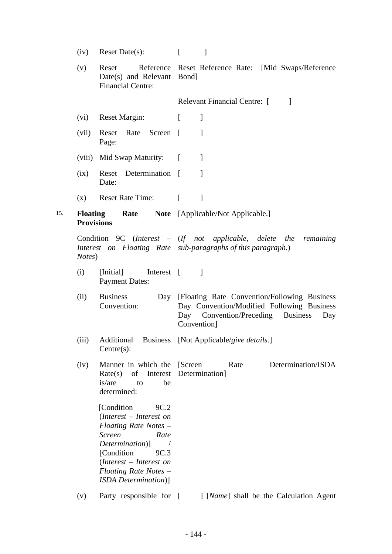|     | (iv)                                 | Reset Date(s):                                                                                                                                                                                                                           | $\lceil$<br>1                                                                                                                                             |
|-----|--------------------------------------|------------------------------------------------------------------------------------------------------------------------------------------------------------------------------------------------------------------------------------------|-----------------------------------------------------------------------------------------------------------------------------------------------------------|
|     | (v)                                  | Reset<br>Date(s) and Relevant Bond]<br><b>Financial Centre:</b>                                                                                                                                                                          | Reference Reset Reference Rate: [Mid Swaps/Reference                                                                                                      |
|     |                                      |                                                                                                                                                                                                                                          | Relevant Financial Centre: [<br>$\mathbf{1}$                                                                                                              |
|     | (vi)                                 | <b>Reset Margin:</b>                                                                                                                                                                                                                     | $\mathbf{I}$<br>$\lceil$                                                                                                                                  |
|     | (vii)                                | Reset Rate Screen [<br>Page:                                                                                                                                                                                                             | 1                                                                                                                                                         |
|     |                                      | (viii) Mid Swap Maturity: [                                                                                                                                                                                                              | $\mathcal{I}$                                                                                                                                             |
|     | (ix)                                 | Reset Determination [<br>Date:                                                                                                                                                                                                           | $\mathbf{1}$                                                                                                                                              |
|     | (x)                                  | <b>Reset Rate Time:</b>                                                                                                                                                                                                                  | $\lceil$<br>$\mathbf{I}$                                                                                                                                  |
| 15. | <b>Floating</b><br><b>Provisions</b> | <b>Rate</b>                                                                                                                                                                                                                              | <b>Note</b> [Applicable/Not Applicable.]                                                                                                                  |
|     | Notes)                               |                                                                                                                                                                                                                                          | Condition 9C (Interest $-$ (If not applicable, delete the remaining<br>Interest on Floating Rate sub-paragraphs of this paragraph.)                       |
|     | (i)                                  | Interest [<br>[Initial]<br><b>Payment Dates:</b>                                                                                                                                                                                         | $\mathbf{I}$                                                                                                                                              |
|     | (ii)                                 | <b>Business</b><br>Convention:                                                                                                                                                                                                           | Day [Floating Rate Convention/Following Business<br>Day Convention/Modified Following Business<br>Day Convention/Preceding Business<br>Day<br>Convention] |
|     | (iii)                                | Additional<br><b>Business</b><br>$Centre(s)$ :                                                                                                                                                                                           | [Not Applicable/give details.]                                                                                                                            |
|     | (iv)                                 | Manner in which the<br>Rate(s)<br>of<br>Interest<br>is/are<br>to<br>be<br>determined:                                                                                                                                                    | Determination/ISDA<br>[Screen]<br>Rate<br>Determination]                                                                                                  |
|     |                                      | [Condition]<br>9C.2<br>(Interest – Interest on<br>Floating Rate Notes -<br><b>Screen</b><br>Rate<br>Determination)]<br>[Condition]<br>9C.3<br>$(Interest - Interest \text{ } on$<br>Floating Rate Notes -<br><b>ISDA</b> Determination)] |                                                                                                                                                           |
|     | (v)                                  | Party responsible for                                                                                                                                                                                                                    | [ <i>Name</i> ] shall be the Calculation Agent<br>$\lceil$                                                                                                |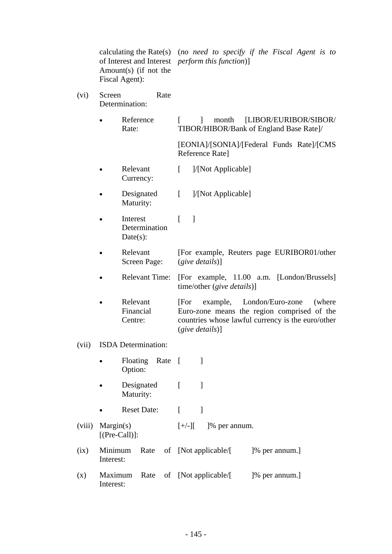calculating the Rate(s) (*no need to specify if the Fiscal Agent is to*  of Interest and Interest *perform this function*)] Amount(s) (if not the Fiscal Agent):

- (vi) Screen Rate Determination:
	- Reference Rate: [ ] month [LIBOR/EURIBOR/SIBOR/ TIBOR/HIBOR/Bank of England Base Rate]/

 [EONIA]/[SONIA]/[Federal Funds Rate]/[CMS Reference Rate]

- Relevant Currency: [ ]/[Not Applicable]
- Designated Maturity: [ ]/[Not Applicable]
- Interest Determination Date $(s)$ :  $\lceil \quad \rceil$
- Relevant Screen Page: [For example, Reuters page EURIBOR01/other (*give details*)]
- Relevant Time: [For example, 11.00 a.m. [London/Brussels] time/other (*give details*)]
- Relevant Financial Centre: [For example, London/Euro-zone (where Euro-zone means the region comprised of the countries whose lawful currency is the euro/other (*give details*)]
- (vii) ISDA Determination:

|      | $\bullet$            | Option:          |                    |              | Floating Rate [ ]                |  |                       |                |  |
|------|----------------------|------------------|--------------------|--------------|----------------------------------|--|-----------------------|----------------|--|
|      |                      | Maturity:        |                    | Designated [ |                                  |  |                       |                |  |
|      |                      |                  | <b>Reset Date:</b> |              | L                                |  |                       |                |  |
|      | (viii) Margin(s)     | $[$ (Pre-Call)]: |                    |              |                                  |  | $[+/][$ [% per annum. |                |  |
| (ix) | Minimum<br>Interest: |                  |                    |              | Rate of [Not applicable/[        |  |                       | [% per annum.] |  |
| (x)  | Interest:            |                  |                    |              | Maximum Rate of [Not applicable/ |  |                       | [% per annum.] |  |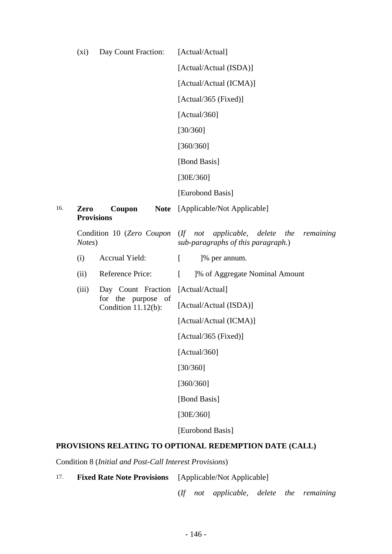|     | $(x_i)$                   | Day Count Fraction:                          | [Actual/Actual]                                                                              |  |  |
|-----|---------------------------|----------------------------------------------|----------------------------------------------------------------------------------------------|--|--|
|     |                           |                                              | [Actual/Actual (ISDA)]                                                                       |  |  |
|     |                           |                                              | [Actual/Actual (ICMA)]                                                                       |  |  |
|     |                           |                                              | [Actual/365 (Fixed)]                                                                         |  |  |
|     |                           |                                              | [Actual/360]                                                                                 |  |  |
|     |                           |                                              | [30/360]                                                                                     |  |  |
|     |                           |                                              | [360/360]                                                                                    |  |  |
|     |                           |                                              | [Bond Basis]                                                                                 |  |  |
|     |                           |                                              | [30E/360]                                                                                    |  |  |
|     |                           |                                              | [Eurobond Basis]                                                                             |  |  |
| 16. | Zero<br><b>Provisions</b> | Coupon<br><b>Note</b>                        | [Applicable/Not Applicable]                                                                  |  |  |
|     | Notes)                    | Condition 10 (Zero Coupon                    | $(If \tnot \t applied be, \tdelete \tthe$<br>remaining<br>sub-paragraphs of this paragraph.) |  |  |
|     | (i)                       | Accrual Yield:                               | $\Gamma$<br>]% per annum.                                                                    |  |  |
|     | (ii)                      | Reference Price:                             | $\Gamma$<br>1% of Aggregate Nominal Amount                                                   |  |  |
|     | (iii)                     | Day Count Fraction                           | [Actual/Actual]                                                                              |  |  |
|     |                           | for the purpose<br>of<br>Condition 11.12(b): | [Actual/Actual (ISDA)]                                                                       |  |  |
|     |                           |                                              | [Actual/Actual (ICMA)]                                                                       |  |  |
|     |                           |                                              | [Actual/365 (Fixed)]                                                                         |  |  |
|     |                           |                                              | [Actual/360]                                                                                 |  |  |
|     |                           |                                              | [30/360]                                                                                     |  |  |
|     |                           |                                              | [360/360]                                                                                    |  |  |
|     |                           |                                              | [Bond Basis]                                                                                 |  |  |
|     |                           |                                              | [30E/360]                                                                                    |  |  |
|     |                           |                                              | [Eurobond Basis]                                                                             |  |  |

# **PROVISIONS RELATING TO OPTIONAL REDEMPTION DATE (CALL)**

Condition 8 (*Initial and Post-Call Interest Provisions*)

17. **Fixed Rate Note Provisions** [Applicable/Not Applicable]

(*If not applicable, delete the remaining*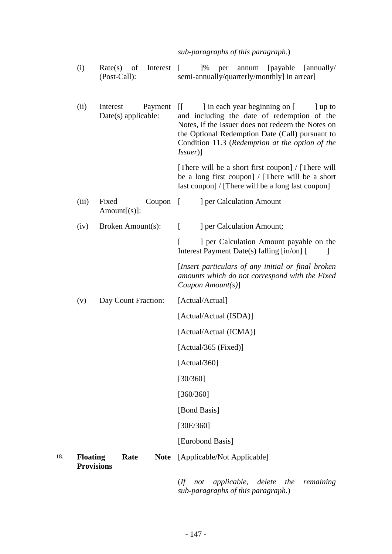#### *sub-paragraphs of this paragraph.*)

- (i) Rate(s) of Interest (Post-Call): [ ]% per annum [payable [annually/ semi-annually/quarterly/monthly] in arrear]
- (ii) Interest Payment II Date(s) applicable: l in each year beginning on [ ] up to and including the date of redemption of the Notes, if the Issuer does not redeem the Notes on the Optional Redemption Date (Call) pursuant to Condition 11.3 (*Redemption at the option of the Issuer*)]

 [There will be a short first coupon] / [There will be a long first coupon] / [There will be a short last coupon] / [There will be a long last coupon]

- (iii) Fixed Coupon Amount $[(s)]$ : [ ] per Calculation Amount
- (iv) Broken Amount(s): [ ] per Calculation Amount;

[ ] per Calculation Amount payable on the Interest Payment Date(s) falling [in/on] [

 [*Insert particulars of any initial or final broken amounts which do not correspond with the Fixed Coupon Amount(s)*]

(v) Day Count Fraction: [Actual/Actual]

[Actual/Actual (ISDA)]

[Actual/Actual (ICMA)]

[Actual/365 (Fixed)]

[Actual/360]

[30/360]

[360/360]

[Bond Basis]

[30E/360]

[Eurobond Basis]

18. **Floating Rate Provisions** Note [Applicable/Not Applicable]

> (*If not applicable, delete the remaining sub-paragraphs of this paragraph.*)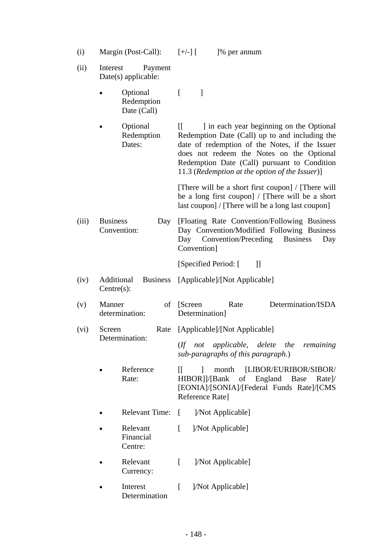| (i)   |                          | Margin (Post-Call):                   | $[+/$ ] $[$                                 | 1\% per annum                                                                                                                                                                                                                                                                               |                                          |                    |
|-------|--------------------------|---------------------------------------|---------------------------------------------|---------------------------------------------------------------------------------------------------------------------------------------------------------------------------------------------------------------------------------------------------------------------------------------------|------------------------------------------|--------------------|
| (ii)  | Interest                 | Payment<br>Date(s) applicable:        |                                             |                                                                                                                                                                                                                                                                                             |                                          |                    |
|       |                          | Optional<br>Redemption<br>Date (Call) | $\lceil$<br>$\mathbf{I}$                    |                                                                                                                                                                                                                                                                                             |                                          |                    |
|       |                          | Optional<br>Redemption<br>Dates:      | $\mathbb{I}$                                | I in each year beginning on the Optional<br>Redemption Date (Call) up to and including the<br>date of redemption of the Notes, if the Issuer<br>does not redeem the Notes on the Optional<br>Redemption Date (Call) pursuant to Condition<br>11.3 (Redemption at the option of the Issuer)] |                                          |                    |
|       |                          |                                       |                                             | [There will be a short first coupon] / [There will]<br>be a long first coupon] / [There will be a short<br>last coupon] / [There will be a long last coupon]                                                                                                                                |                                          |                    |
| (iii) | <b>Business</b>          | Day<br>Convention:                    | Day<br>Convention]                          | [Floating Rate Convention/Following Business]<br>Day Convention/Modified Following Business<br>Convention/Preceding                                                                                                                                                                         | <b>Business</b>                          | Day                |
|       |                          |                                       |                                             | [Specified Period: [                                                                                                                                                                                                                                                                        | $\mathcal{L}$                            |                    |
| (iv)  | Additional<br>Centre(s): | <b>Business</b>                       |                                             | [Applicable]/[Not Applicable]                                                                                                                                                                                                                                                               |                                          |                    |
| (v)   | Manner                   | of<br>determination:                  | [Screen]<br>Determination]                  | Rate                                                                                                                                                                                                                                                                                        |                                          | Determination/ISDA |
| (vi)  | Screen<br>Rate           |                                       |                                             | [Applicable]/[Not Applicable]                                                                                                                                                                                                                                                               |                                          |                    |
|       |                          | Determination:                        |                                             | (If not applicable, delete the remaining<br>sub-paragraphs of this paragraph.)                                                                                                                                                                                                              |                                          |                    |
|       |                          | Reference<br>Rate:                    | П<br>J.<br>HIBOR]]/[Bank<br>Reference Rate] | month<br>of<br>[EONIA]/[SONIA]/[Federal Funds Rate]/[CMS                                                                                                                                                                                                                                    | [LIBOR/EURIBOR/SIBOR/<br>England<br>Base | Rate               |
|       |                          | <b>Relevant Time:</b>                 | $\Gamma$                                    | ]/Not Applicable]                                                                                                                                                                                                                                                                           |                                          |                    |
|       |                          | Relevant<br>Financial<br>Centre:      | L                                           | [ <i>Not Applicable</i> ]                                                                                                                                                                                                                                                                   |                                          |                    |
|       |                          | Relevant<br>Currency:                 | $\lceil$                                    | [ <i>N</i> ot Applicable]                                                                                                                                                                                                                                                                   |                                          |                    |
|       |                          | Interest<br>Determination             | $\Gamma$                                    | [ <i>N</i> ot Applicable]                                                                                                                                                                                                                                                                   |                                          |                    |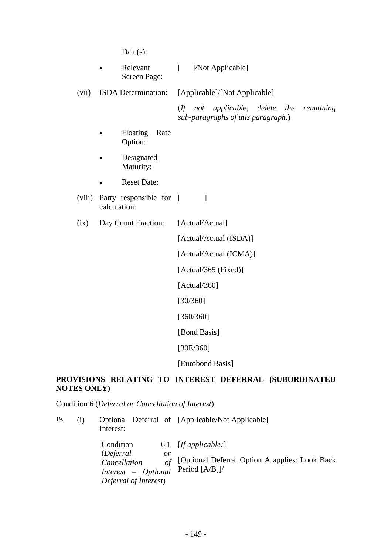Date(s):

| Relevant     | [ <i>Not Applicable</i> ] |
|--------------|---------------------------|
| Screen Page: |                           |

(vii) ISDA Determination: [Applicable]/[Not Applicable] (*If not applicable, delete the remaining* 

*sub-paragraphs of this paragraph.*)

- Floating Rate Option:
- Designated Maturity:
- Reset Date:
- (viii) Party responsible for [ calculation:
- (ix) Day Count Fraction: [Actual/Actual]

[Actual/Actual (ISDA)]

[Actual/Actual (ICMA)]

[Actual/365 (Fixed)]

[Actual/360]

[30/360]

[360/360]

[Bond Basis]

[30E/360]

[Eurobond Basis]

# **PROVISIONS RELATING TO INTEREST DEFERRAL (SUBORDINATED NOTES ONLY)**

Condition 6 (*Deferral or Cancellation of Interest*)

| 19. | (1) | Interest:                                                                                                  | Optional Deferral of [Applicable/Not Applicable]                                             |
|-----|-----|------------------------------------------------------------------------------------------------------------|----------------------------------------------------------------------------------------------|
|     |     | Condition<br><i>(Deferral)</i><br>or<br>of<br>Cancellation<br>Interest - Optional<br>Deferral of Interest) | 6.1 $[If applicable:]$<br>[Optional Deferral Option A applies: Look Back<br>Period $[A/B]]/$ |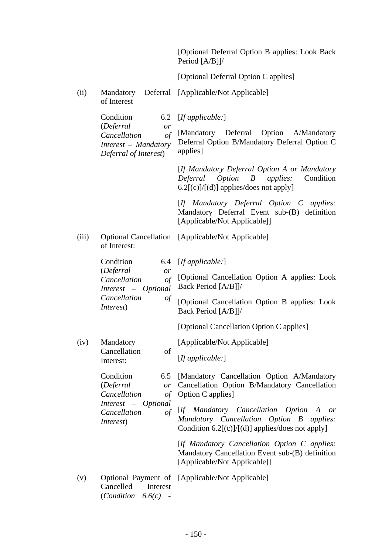[Optional Deferral Option B applies: Look Back Period [A/B]]/

[Optional Deferral Option C applies]

(ii) Mandatory of Interest Deferral [Applicable/Not Applicable]

|       | Condition                                                                                               | 6.2 $[If applicable:]$                                                                                                                        |
|-------|---------------------------------------------------------------------------------------------------------|-----------------------------------------------------------------------------------------------------------------------------------------------|
|       | (Deferral<br>or<br>of<br>Cancellation<br>Interest – Mandatory<br>Deferral of Interest)                  | [Mandatory Deferral Option A/Mandatory<br>Deferral Option B/Mandatory Deferral Option C<br>applies]                                           |
|       |                                                                                                         | [If Mandatory Deferral Option A or Mandatory<br>Deferral Option B<br><i>applies:</i><br>Condition<br>$6.2[(c)]/[(d)]$ applies/does not apply] |
|       |                                                                                                         | [If Mandatory Deferral Option C applies:<br>Mandatory Deferral Event sub-(B) definition<br>[Applicable/Not Applicable]]                       |
| (iii) | of Interest:                                                                                            | Optional Cancellation [Applicable/Not Applicable]                                                                                             |
|       | Condition                                                                                               | 6.4 $[If applicable:]$                                                                                                                        |
|       | (Deferral<br>or<br>Cancellation<br>$\sigma f$<br>Interest - Optional<br>Cancellation<br>of<br>Interest) | [Optional Cancellation Option A applies: Look<br>Back Period [A/B]]/                                                                          |
|       |                                                                                                         | [Optional Cancellation Option B applies: Look<br>Back Period [A/B]]/                                                                          |
|       |                                                                                                         | [Optional Cancellation Option C applies]                                                                                                      |
| (iv)  | Mandatory                                                                                               | [Applicable/Not Applicable]                                                                                                                   |
|       | Cancellation<br>of<br>Interest:                                                                         | [If applicable.]                                                                                                                              |
|       | Condition<br>6.5<br>(Deferral<br>or<br>Cancellation<br>of                                               | [Mandatory Cancellation Option A/Mandatory<br>Cancellation Option B/Mandatory Cancellation<br>Option C applies]                               |
|       | Interest – Optional<br>$\sigma f$<br>Cancellation<br><i>Interest</i> )                                  | [if Mandatory Cancellation Option A or<br>Mandatory Cancellation Option B applies:<br>Condition 6.2[(c)]/[(d)] applies/does not apply]        |
|       |                                                                                                         | [if Mandatory Cancellation Option C applies:<br>Mandatory Cancellation Event sub-(B) definition<br>[Applicable/Not Applicable]]               |
| (v)   | Optional Payment of<br>Cancelled<br>Interest<br>( <i>Condition</i> $6.6(c)$ -                           | [Applicable/Not Applicable]                                                                                                                   |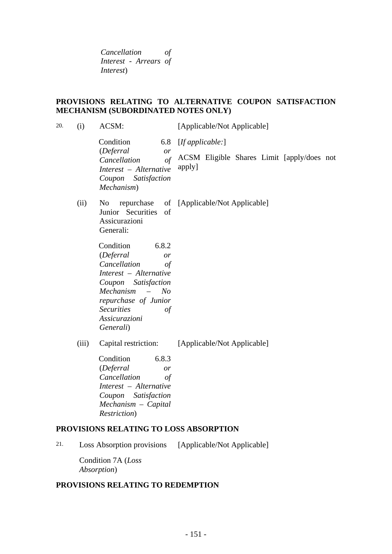*Cancellation of Interest - Arrears of Interest*)

# **PROVISIONS RELATING TO ALTERNATIVE COUPON SATISFACTION MECHANISM (SUBORDINATED NOTES ONLY)**

| 20. | (i)   | ACSM:                                                                                                                                                                                                                                       | [Applicable/Not Applicable]                          |
|-----|-------|---------------------------------------------------------------------------------------------------------------------------------------------------------------------------------------------------------------------------------------------|------------------------------------------------------|
|     |       | Condition<br>6.8<br>(Deferral<br>or                                                                                                                                                                                                         | [If applicable.]                                     |
|     |       | $\int$<br>Cancellation<br>Interest - Alternative<br>Coupon Satisfaction<br>Mechanism)                                                                                                                                                       | ACSM Eligible Shares Limit [apply/does not<br>apply] |
|     | (ii)  | No r<br>Junior Securities<br>of<br>Assicurazioni<br>Generali:                                                                                                                                                                               | repurchase of [Applicable/Not Applicable]            |
|     |       | Condition<br>6.8.2<br>(Deferral<br><sub>or</sub><br>Cancellation<br>$\sigma f$<br>Interest - Alternative<br>Coupon Satisfaction<br>Mechanism<br>No<br>repurchase of Junior<br><b>Securities</b><br>$\sigma f$<br>Assicurazioni<br>Generali) |                                                      |
|     | (iii) | Capital restriction:<br>Condition<br>6.8.3<br>(Deferral<br>or<br>Cancellation<br>$\sigma f$<br>Interest - Alternative<br>Coupon Satisfaction<br>$Mechanism - Capital$<br>Restriction)                                                       | [Applicable/Not Applicable]                          |
|     |       | PROVISIONS RELATING TO LOSS ABSORPTION                                                                                                                                                                                                      |                                                      |
| 21. |       | Loss Absorption provisions                                                                                                                                                                                                                  | [Applicable/Not Applicable]                          |
|     |       | $\cdots$                                                                                                                                                                                                                                    |                                                      |

Condition 7A (*Loss Absorption*)

# **PROVISIONS RELATING TO REDEMPTION**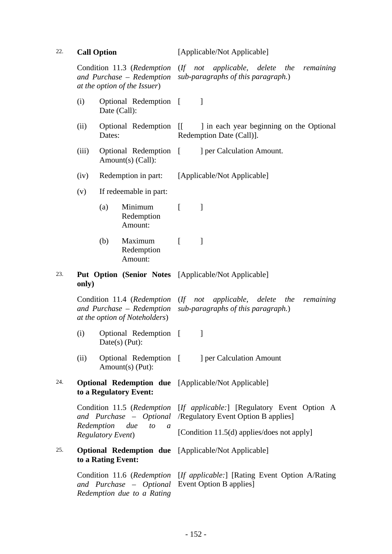22. **Call Option** [Applicable/Not Applicable]

Condition 11.3 (*Redemption and Purchase – Redemption at the option of the Issuer*) (*If not applicable, delete the remaining sub-paragraphs of this paragraph.*) (i) Optional Redemption [ ] Date (Call): (ii) Optional Redemption [[ Dates: [[ ] in each year beginning on the Optional Redemption Date (Call)]. (iii) Optional Redemption [ Amount(s) (Call): [ ] per Calculation Amount. (iv) Redemption in part: [Applicable/Not Applicable] (v) If redeemable in part: (a) Minimum Redemption Amount:  $\lceil$   $\rceil$ (b) Maximum Redemption Amount:  $[$   $]$ 23. **Put Option (Senior Notes**  [Applicable/Not Applicable] **only)** Condition 11.4 (*Redemption*  (*If not applicable, delete the remaining and Purchase – Redemption sub-paragraphs of this paragraph.*) *at the option of Noteholders*) (i) Optional Redemption [ ] Date(s) (Put): (ii) Optional Redemption [ Amount(s) (Put): [ ] per Calculation Amount 24. **Optional Redemption due**  [Applicable/Not Applicable] **to a Regulatory Event:** Condition 11.5 (*Redemption*  [*If applicable:*] [Regulatory Event Option A *and Purchase – Optional*  /Regulatory Event Option B applies] *Redemption due to a Regulatory Event*) [Condition 11.5(d) applies/does not apply] 25. **Optional Redemption due**  [Applicable/Not Applicable] **to a Rating Event:** Condition 11.6 (*Redemption*  [*If applicable:*] [Rating Event Option A/Rating *and Purchase – Optional*  Event Option B applies]*Redemption due to a Rating*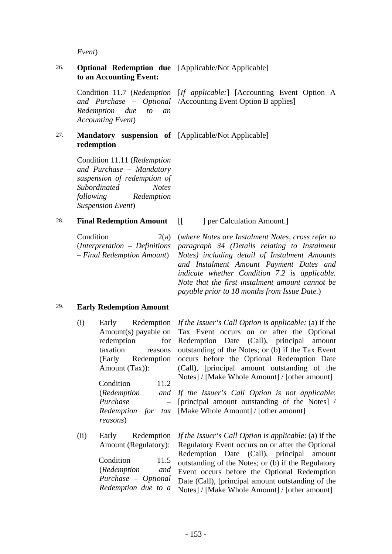*Event*)

#### 26. **Optional Redemption due**  [Applicable/Not Applicable] **to an Accounting Event:**

*and Purchase – Optional Redemption due to an Accounting Event*)

Condition 11.7 (*Redemption*  [*If applicable:*] [Accounting Event Option A /Accounting Event Option B applies]

# 27. **Mandatory suspension of**  [Applicable/Not Applicable] **redemption**

Condition 11.11 (*Redemption and Purchase – Mandatory suspension of redemption of Subordinated Notes following Redemption Suspension Event*)

#### 28. **Final Redemption Amount**  $\begin{bmatrix} \cdot & \cdot \\ \cdot & \cdot \end{bmatrix}$  per Calculation Amount.

Condition 2(a) (*Interpretation – Definitions – Final Redemption Amount*)

(*where Notes are Instalment Notes, cross refer to paragraph 34 (Details relating to Instalment Notes) including detail of Instalment Amounts and Instalment Amount Payment Dates and indicate whether Condition 7.2 is applicable. Note that the first instalment amount cannot be payable prior to 18 months from Issue Date.*)

#### 29. **Early Redemption Amount**

(i) Early Redemption Amount(s) payable on redemption for taxation reasons (Early Redemption Amount (Tax)):

> Condition 11.2 (*Redemption Purchase – reasons*)

(ii) Early Redemption

*If the Issuer's Call Option is applicable:* (a) if the Tax Event occurs on or after the Optional Redemption Date (Call), principal amount outstanding of the Notes; or (b) if the Tax Event occurs before the Optional Redemption Date (Call), [principal amount outstanding of the Notes] / [Make Whole Amount] / [other amount]

*Redemption for tax*  [Make Whole Amount] / [other amount] *If the Issuer's Call Option is not applicable*: [principal amount outstanding of the Notes] /

Amount (Regulatory): Condition 11.5 (*Redemption and Purchase – Optional Redemption due to a If the Issuer's Call Option is applicable*: (a) if the Regulatory Event occurs on or after the Optional Redemption Date (Call), principal amount outstanding of the Notes; or (b) if the Regulatory Event occurs before the Optional Redemption Date (Call), [principal amount outstanding of the Notes] / [Make Whole Amount] / [other amount]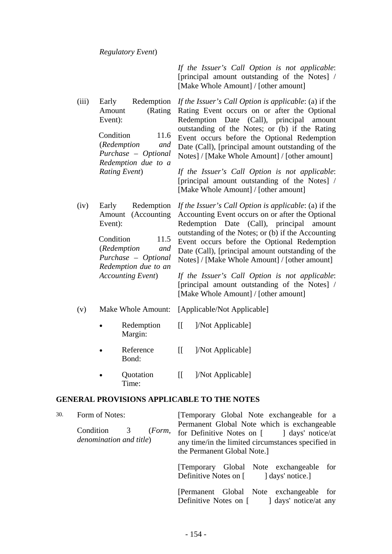*If the Issuer's Call Option is not applicable*: [principal amount outstanding of the Notes] / [Make Whole Amount] / [other amount]

(iii) Early Redemption Amount (Rating Event): Condition 11.6 (*Redemption and Purchase – Optional Redemption due to a Rating Event*) *If the Issuer's Call Option is applicable*: (a) if the Rating Event occurs on or after the Optional Redemption Date (Call), principal amount outstanding of the Notes; or (b) if the Rating Event occurs before the Optional Redemption Date (Call), [principal amount outstanding of the Notes] / [Make Whole Amount] / [other amount] *If the Issuer's Call Option is not applicable*:

> [principal amount outstanding of the Notes] / [Make Whole Amount] / [other amount]

(iv) Early Redemption Amount (Accounting Event): Condition 11.5 (*Redemption and Purchase – Optional Redemption due to an Accounting Event*) *If the Issuer's Call Option is applicable*: (a) if the Accounting Event occurs on or after the Optional Redemption Date (Call), principal amount outstanding of the Notes; or (b) if the Accounting Event occurs before the Optional Redemption Date (Call), [principal amount outstanding of the Notes] / [Make Whole Amount] / [other amount]

*If the Issuer's Call Option is not applicable*: [principal amount outstanding of the Notes] / [Make Whole Amount] / [other amount]

- (v) Make Whole Amount: [Applicable/Not Applicable]
	- Redemption Margin: [[ ]/Not Applicable]
	- Reference Bond: [[ ]/Not Applicable]
	- Quotation Time: [[ ]/Not Applicable]

#### **GENERAL PROVISIONS APPLICABLE TO THE NOTES**

| 30. | Form of Notes:<br>Condition 3<br>(Form,<br>denomination and title) | [Temporary Global Note exchangeable for a<br>Permanent Global Note which is exchangeable<br>for Definitive Notes on [ ] days' notice/at<br>any time/in the limited circumstances specified in<br>the Permanent Global Note.] |  |  |  |  |
|-----|--------------------------------------------------------------------|------------------------------------------------------------------------------------------------------------------------------------------------------------------------------------------------------------------------------|--|--|--|--|
|     |                                                                    | Temporary Global Note exchangeable for<br>Definitive Notes on [ ] days' notice.]                                                                                                                                             |  |  |  |  |
|     |                                                                    | [Permanent Global Note exchangeable for<br>Definitive Notes on [ ] days' notice/at any                                                                                                                                       |  |  |  |  |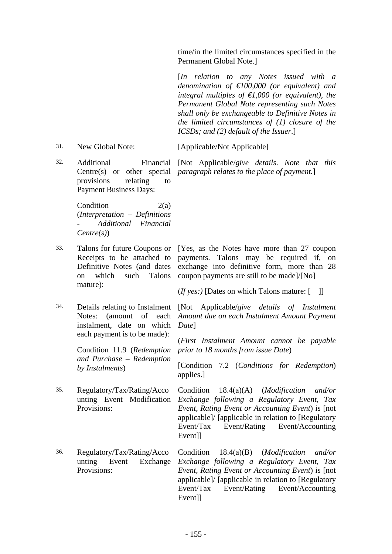time/in the limited circumstances specified in the Permanent Global Note.]

 [*In relation to any Notes issued with a denomination of €100,000 (or equivalent) and integral multiples of €1,000 (or equivalent), the Permanent Global Note representing such Notes shall only be exchangeable to Definitive Notes in the limited circumstances of (1) closure of the ICSDs; and (2) default of the Issuer*.]

31. New Global Note: [Applicable/Not Applicable]

32. Additional Centre(s) or other special *paragraph relates to the place of payment.*] provisions relating to Payment Business Days: [Not Applicable/*give details*. *Note that this* 

Condition 2(a) (*Interpretation – Definitions - Additional Financial Centre(s)*)

- Receipts to be attached to Definitive Notes (and dates on which such Talons mature):
- instalment, date on which each payment is to be made):

Condition 11.9 (*Redemption and Purchase – Redemption by Instalments*)

- 35. Regulatory/Tax/Rating/Acco unting Event Modification Provisions:
- 36. Regulatory/Tax/Rating/Acco unting Event Exchange Provisions:

33. Talons for future Coupons or [Yes, as the Notes have more than 27 coupon payments. Talons may be required if, on exchange into definitive form, more than 28 coupon payments are still to be made]/[No]

(*If yes:)* [Dates on which Talons mature: [ ]]

34. Details relating to Instalment [Not Applicable/*give details of Instalment*  Notes: (amount of each *Amount due on each Instalment Amount Payment Date*]

> (*First Instalment Amount cannot be payable prior to 18 months from issue Date*)

> [Condition 7.2 (*Conditions for Redemption*) applies.]

> Condition 18.4(a)(A) (*Modification and/or Exchange following a Regulatory Event, Tax Event, Rating Event or Accounting Event*) is [not applicable]/ [applicable in relation to [Regulatory Event/Tax Event/Rating Event/Accounting Event<sub>11</sub>

Condition 18.4(a)(B) (*Modification and/or Exchange following a Regulatory Event, Tax Event, Rating Event or Accounting Event*) is [not applicable]/ [applicable in relation to [Regulatory Event/Tax Event/Rating Event/Accounting Event]]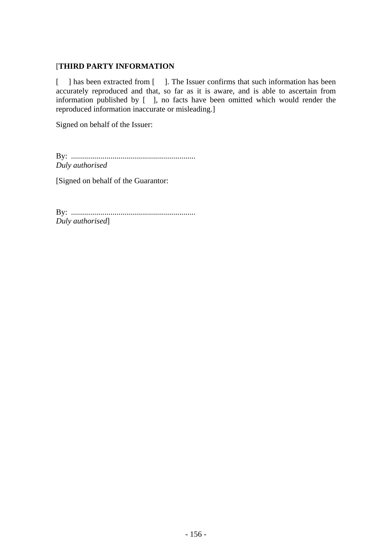# [**THIRD PARTY INFORMATION**

[ ] has been extracted from [ ]. The Issuer confirms that such information has been accurately reproduced and that, so far as it is aware, and is able to ascertain from information published by [ ], no facts have been omitted which would render the reproduced information inaccurate or misleading.]

Signed on behalf of the Issuer:

By: ............................................................... *Duly authorised* 

[Signed on behalf of the Guarantor:

By: ............................................................... *Duly authorised*]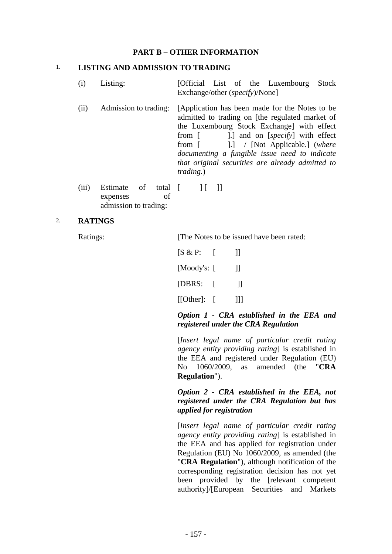#### **PART B – OTHER INFORMATION**

#### 1. **LISTING AND ADMISSION TO TRADING**

- (i) Listing: [Official List of the Luxembourg Stock Exchange/other (*specify*)/None]
- (ii) Admission to trading: [Application has been made for the Notes to be admitted to trading on [the regulated market of the Luxembourg Stock Exchange] with effect from [  $\qquad$  ].] and on [*specify*] with effect from [ ].] / [Not Applicable.] (*where documenting a fungible issue need to indicate that original securities are already admitted to trading.*)
- (iii) Estimate of total [ expenses of admission to trading:  $\|$   $\|$   $\|$

#### 2. **RATINGS**

Ratings: [The Notes to be issued have been rated:

| $[S \& P: \quad [$ |              |
|--------------------|--------------|
| [Moody's: [        | $\Box$       |
| [DBRS:             | $\mathbf{H}$ |
| $[[Other]:$ $[$    | Ш            |

#### *Option 1 - CRA established in the EEA and registered under the CRA Regulation*

 [*Insert legal name of particular credit rating agency entity providing rating*] is established in the EEA and registered under Regulation (EU) No 1060/2009, as amended (the "**CRA Regulation**").

# *Option 2 - CRA established in the EEA, not registered under the CRA Regulation but has applied for registration*

 [*Insert legal name of particular credit rating agency entity providing rating*] is established in the EEA and has applied for registration under Regulation (EU) No 1060/2009, as amended (the "**CRA Regulation**"), although notification of the corresponding registration decision has not yet been provided by the [relevant competent authority]/[European Securities and Markets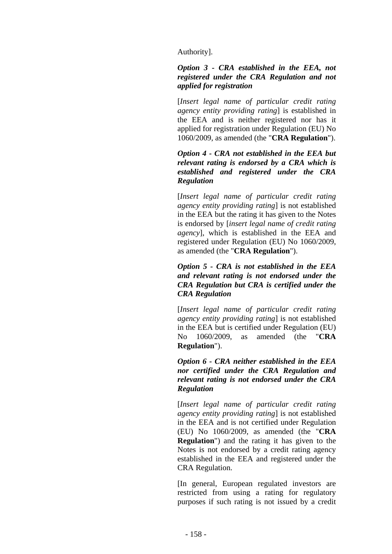Authority].

#### *Option 3 - CRA established in the EEA, not registered under the CRA Regulation and not applied for registration*

 [*Insert legal name of particular credit rating agency entity providing rating*] is established in the EEA and is neither registered nor has it applied for registration under Regulation (EU) No 1060/2009, as amended (the "**CRA Regulation**").

# *Option 4 - CRA not established in the EEA but relevant rating is endorsed by a CRA which is established and registered under the CRA Regulation*

 [*Insert legal name of particular credit rating agency entity providing rating*] is not established in the EEA but the rating it has given to the Notes is endorsed by [*insert legal name of credit rating agency*], which is established in the EEA and registered under Regulation (EU) No 1060/2009, as amended (the "**CRA Regulation**").

# *Option 5 - CRA is not established in the EEA and relevant rating is not endorsed under the CRA Regulation but CRA is certified under the CRA Regulation*

 [*Insert legal name of particular credit rating agency entity providing rating*] is not established in the EEA but is certified under Regulation (EU) No 1060/2009, as amended (the "**CRA Regulation**").

# *Option 6 - CRA neither established in the EEA nor certified under the CRA Regulation and relevant rating is not endorsed under the CRA Regulation*

 [*Insert legal name of particular credit rating agency entity providing rating*] is not established in the EEA and is not certified under Regulation (EU) No 1060/2009, as amended (the "**CRA Regulation**") and the rating it has given to the Notes is not endorsed by a credit rating agency established in the EEA and registered under the CRA Regulation.

 [In general, European regulated investors are restricted from using a rating for regulatory purposes if such rating is not issued by a credit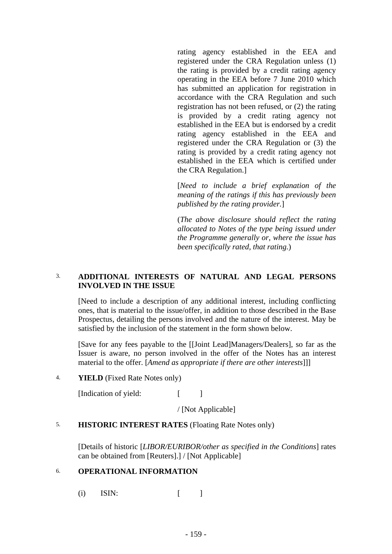rating agency established in the EEA and registered under the CRA Regulation unless (1) the rating is provided by a credit rating agency operating in the EEA before 7 June 2010 which has submitted an application for registration in accordance with the CRA Regulation and such registration has not been refused, or (2) the rating is provided by a credit rating agency not established in the EEA but is endorsed by a credit rating agency established in the EEA and registered under the CRA Regulation or (3) the rating is provided by a credit rating agency not established in the EEA which is certified under the CRA Regulation.]

 [*Need to include a brief explanation of the meaning of the ratings if this has previously been published by the rating provider.*]

 (*The above disclosure should reflect the rating allocated to Notes of the type being issued under the Programme generally or, where the issue has been specifically rated, that rating.*)

# 3. **ADDITIONAL INTERESTS OF NATURAL AND LEGAL PERSONS INVOLVED IN THE ISSUE**

[Need to include a description of any additional interest, including conflicting ones, that is material to the issue/offer, in addition to those described in the Base Prospectus, detailing the persons involved and the nature of the interest. May be satisfied by the inclusion of the statement in the form shown below.

[Save for any fees payable to the [[Joint Lead]Managers/Dealers], so far as the Issuer is aware, no person involved in the offer of the Notes has an interest material to the offer. [*Amend as appropriate if there are other interests*]]]

#### 4. **YIELD** (Fixed Rate Notes only)

[Indication of yield: [ ]

/ [Not Applicable]

#### 5. **HISTORIC INTEREST RATES** (Floating Rate Notes only)

[Details of historic [*LIBOR/EURIBOR/other as specified in the Conditions*] rates can be obtained from [Reuters].] / [Not Applicable]

#### 6. **OPERATIONAL INFORMATION**

(i) ISIN:  $\lceil \cdot \rceil$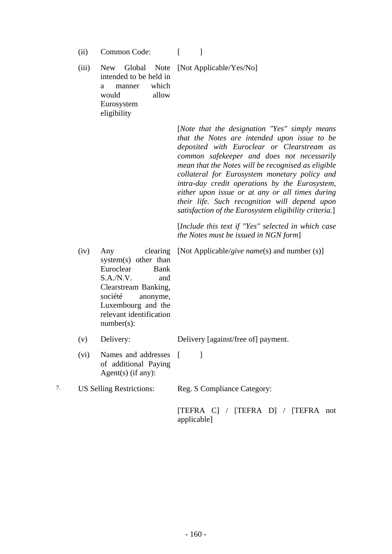(ii) Common Code: [ ]

(iii) New Global Note [Not Applicable/Yes/No] intended to be held in a manner which would allow Eurosystem eligibility

| [Note that the designation "Yes" simply means         |
|-------------------------------------------------------|
| that the Notes are intended upon issue to be          |
| deposited with Euroclear or Clearstream as            |
| common safekeeper and does not necessarily            |
| mean that the Notes will be recognised as eligible    |
| collateral for Eurosystem monetary policy and         |
| intra-day credit operations by the Eurosystem,        |
| either upon issue or at any or all times during       |
| their life. Such recognition will depend upon         |
| satisfaction of the Eurosystem eligibility criteria.] |

 [*Include this text if "Yes" selected in which case the Notes must be issued in NGN form*]

(iv) Any clearing system(s) other than Euroclear Bank S.A./N.V. and Clearstream Banking, société anonyme, Luxembourg and the relevant identification number(s): [Not Applicable/*give name*(s) and number (s)]

(v) Delivery: Delivery [against/free of] payment.

(vi) Names and addresses [ ] of additional Paying Agent(s) (if any):

7. US Selling Restrictions: Reg. S Compliance Category:

 [TEFRA C] / [TEFRA D] / [TEFRA not applicable]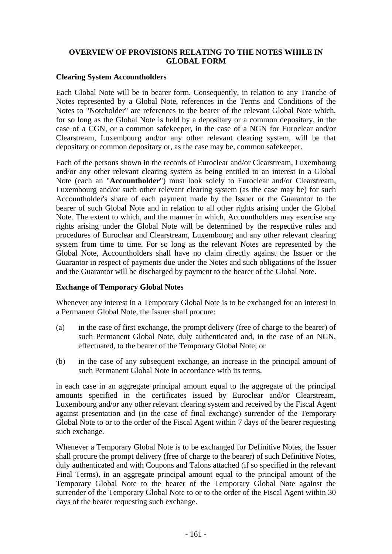# **OVERVIEW OF PROVISIONS RELATING TO THE NOTES WHILE IN GLOBAL FORM**

#### **Clearing System Accountholders**

Each Global Note will be in bearer form. Consequently, in relation to any Tranche of Notes represented by a Global Note, references in the Terms and Conditions of the Notes to "Noteholder" are references to the bearer of the relevant Global Note which, for so long as the Global Note is held by a depositary or a common depositary, in the case of a CGN, or a common safekeeper, in the case of a NGN for Euroclear and/or Clearstream, Luxembourg and/or any other relevant clearing system, will be that depositary or common depositary or, as the case may be, common safekeeper.

Each of the persons shown in the records of Euroclear and/or Clearstream, Luxembourg and/or any other relevant clearing system as being entitled to an interest in a Global Note (each an "**Accountholder**") must look solely to Euroclear and/or Clearstream, Luxembourg and/or such other relevant clearing system (as the case may be) for such Accountholder's share of each payment made by the Issuer or the Guarantor to the bearer of such Global Note and in relation to all other rights arising under the Global Note. The extent to which, and the manner in which, Accountholders may exercise any rights arising under the Global Note will be determined by the respective rules and procedures of Euroclear and Clearstream, Luxembourg and any other relevant clearing system from time to time. For so long as the relevant Notes are represented by the Global Note, Accountholders shall have no claim directly against the Issuer or the Guarantor in respect of payments due under the Notes and such obligations of the Issuer and the Guarantor will be discharged by payment to the bearer of the Global Note.

#### **Exchange of Temporary Global Notes**

Whenever any interest in a Temporary Global Note is to be exchanged for an interest in a Permanent Global Note, the Issuer shall procure:

- (a) in the case of first exchange, the prompt delivery (free of charge to the bearer) of such Permanent Global Note, duly authenticated and, in the case of an NGN, effectuated, to the bearer of the Temporary Global Note; or
- (b) in the case of any subsequent exchange, an increase in the principal amount of such Permanent Global Note in accordance with its terms,

in each case in an aggregate principal amount equal to the aggregate of the principal amounts specified in the certificates issued by Euroclear and/or Clearstream, Luxembourg and/or any other relevant clearing system and received by the Fiscal Agent against presentation and (in the case of final exchange) surrender of the Temporary Global Note to or to the order of the Fiscal Agent within 7 days of the bearer requesting such exchange.

Whenever a Temporary Global Note is to be exchanged for Definitive Notes, the Issuer shall procure the prompt delivery (free of charge to the bearer) of such Definitive Notes, duly authenticated and with Coupons and Talons attached (if so specified in the relevant Final Terms), in an aggregate principal amount equal to the principal amount of the Temporary Global Note to the bearer of the Temporary Global Note against the surrender of the Temporary Global Note to or to the order of the Fiscal Agent within 30 days of the bearer requesting such exchange.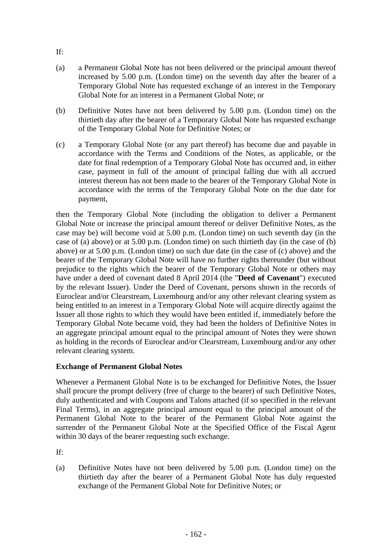- (a) a Permanent Global Note has not been delivered or the principal amount thereof increased by 5.00 p.m. (London time) on the seventh day after the bearer of a Temporary Global Note has requested exchange of an interest in the Temporary Global Note for an interest in a Permanent Global Note; or
- (b) Definitive Notes have not been delivered by 5.00 p.m. (London time) on the thirtieth day after the bearer of a Temporary Global Note has requested exchange of the Temporary Global Note for Definitive Notes; or
- (c) a Temporary Global Note (or any part thereof) has become due and payable in accordance with the Terms and Conditions of the Notes, as applicable, or the date for final redemption of a Temporary Global Note has occurred and, in either case, payment in full of the amount of principal falling due with all accrued interest thereon has not been made to the bearer of the Temporary Global Note in accordance with the terms of the Temporary Global Note on the due date for payment,

then the Temporary Global Note (including the obligation to deliver a Permanent Global Note or increase the principal amount thereof or deliver Definitive Notes, as the case may be) will become void at 5.00 p.m. (London time) on such seventh day (in the case of (a) above) or at 5.00 p.m. (London time) on such thirtieth day (in the case of (b) above) or at 5.00 p.m. (London time) on such due date (in the case of (c) above) and the bearer of the Temporary Global Note will have no further rights thereunder (but without prejudice to the rights which the bearer of the Temporary Global Note or others may have under a deed of covenant dated 8 April 2014 (the "**Deed of Covenant**") executed by the relevant Issuer). Under the Deed of Covenant, persons shown in the records of Euroclear and/or Clearstream, Luxembourg and/or any other relevant clearing system as being entitled to an interest in a Temporary Global Note will acquire directly against the Issuer all those rights to which they would have been entitled if, immediately before the Temporary Global Note became void, they had been the holders of Definitive Notes in an aggregate principal amount equal to the principal amount of Notes they were shown as holding in the records of Euroclear and/or Clearstream, Luxembourg and/or any other relevant clearing system.

# **Exchange of Permanent Global Notes**

Whenever a Permanent Global Note is to be exchanged for Definitive Notes, the Issuer shall procure the prompt delivery (free of charge to the bearer) of such Definitive Notes, duly authenticated and with Coupons and Talons attached (if so specified in the relevant Final Terms), in an aggregate principal amount equal to the principal amount of the Permanent Global Note to the bearer of the Permanent Global Note against the surrender of the Permanent Global Note at the Specified Office of the Fiscal Agent within 30 days of the bearer requesting such exchange.

If:

(a) Definitive Notes have not been delivered by 5.00 p.m. (London time) on the thirtieth day after the bearer of a Permanent Global Note has duly requested exchange of the Permanent Global Note for Definitive Notes; or

If: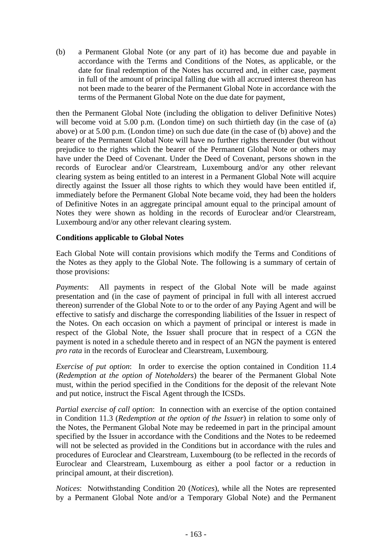(b) a Permanent Global Note (or any part of it) has become due and payable in accordance with the Terms and Conditions of the Notes, as applicable, or the date for final redemption of the Notes has occurred and, in either case, payment in full of the amount of principal falling due with all accrued interest thereon has not been made to the bearer of the Permanent Global Note in accordance with the terms of the Permanent Global Note on the due date for payment,

then the Permanent Global Note (including the obligation to deliver Definitive Notes) will become void at 5.00 p.m. (London time) on such thirtieth day (in the case of (a) above) or at 5.00 p.m. (London time) on such due date (in the case of (b) above) and the bearer of the Permanent Global Note will have no further rights thereunder (but without prejudice to the rights which the bearer of the Permanent Global Note or others may have under the Deed of Covenant. Under the Deed of Covenant, persons shown in the records of Euroclear and/or Clearstream, Luxembourg and/or any other relevant clearing system as being entitled to an interest in a Permanent Global Note will acquire directly against the Issuer all those rights to which they would have been entitled if, immediately before the Permanent Global Note became void, they had been the holders of Definitive Notes in an aggregate principal amount equal to the principal amount of Notes they were shown as holding in the records of Euroclear and/or Clearstream, Luxembourg and/or any other relevant clearing system.

# **Conditions applicable to Global Notes**

Each Global Note will contain provisions which modify the Terms and Conditions of the Notes as they apply to the Global Note. The following is a summary of certain of those provisions:

*Payments*: All payments in respect of the Global Note will be made against presentation and (in the case of payment of principal in full with all interest accrued thereon) surrender of the Global Note to or to the order of any Paying Agent and will be effective to satisfy and discharge the corresponding liabilities of the Issuer in respect of the Notes. On each occasion on which a payment of principal or interest is made in respect of the Global Note, the Issuer shall procure that in respect of a CGN the payment is noted in a schedule thereto and in respect of an NGN the payment is entered *pro rata* in the records of Euroclear and Clearstream, Luxembourg.

*Exercise of put option*: In order to exercise the option contained in Condition 11.4 (*Redemption at the option of Noteholders*) the bearer of the Permanent Global Note must, within the period specified in the Conditions for the deposit of the relevant Note and put notice, instruct the Fiscal Agent through the ICSDs.

*Partial exercise of call option*: In connection with an exercise of the option contained in Condition 11.3 (*Redemption at the option of the Issuer*) in relation to some only of the Notes, the Permanent Global Note may be redeemed in part in the principal amount specified by the Issuer in accordance with the Conditions and the Notes to be redeemed will not be selected as provided in the Conditions but in accordance with the rules and procedures of Euroclear and Clearstream, Luxembourg (to be reflected in the records of Euroclear and Clearstream, Luxembourg as either a pool factor or a reduction in principal amount, at their discretion).

*Notices*: Notwithstanding Condition 20 (*Notices*), while all the Notes are represented by a Permanent Global Note and/or a Temporary Global Note) and the Permanent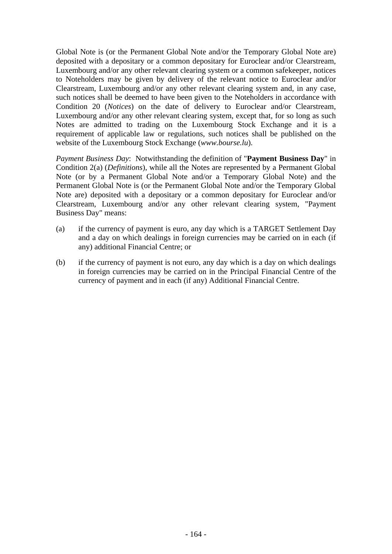Global Note is (or the Permanent Global Note and/or the Temporary Global Note are) deposited with a depositary or a common depositary for Euroclear and/or Clearstream, Luxembourg and/or any other relevant clearing system or a common safekeeper, notices to Noteholders may be given by delivery of the relevant notice to Euroclear and/or Clearstream, Luxembourg and/or any other relevant clearing system and, in any case, such notices shall be deemed to have been given to the Noteholders in accordance with Condition 20 (*Notices*) on the date of delivery to Euroclear and/or Clearstream, Luxembourg and/or any other relevant clearing system, except that, for so long as such Notes are admitted to trading on the Luxembourg Stock Exchange and it is a requirement of applicable law or regulations, such notices shall be published on the website of the Luxembourg Stock Exchange (*www.bourse.lu*).

*Payment Business Day*: Notwithstanding the definition of "**Payment Business Day**" in Condition 2(a) (*Definitions*), while all the Notes are represented by a Permanent Global Note (or by a Permanent Global Note and/or a Temporary Global Note) and the Permanent Global Note is (or the Permanent Global Note and/or the Temporary Global Note are) deposited with a depositary or a common depositary for Euroclear and/or Clearstream, Luxembourg and/or any other relevant clearing system, "Payment Business Day" means:

- (a) if the currency of payment is euro, any day which is a TARGET Settlement Day and a day on which dealings in foreign currencies may be carried on in each (if any) additional Financial Centre; or
- (b) if the currency of payment is not euro, any day which is a day on which dealings in foreign currencies may be carried on in the Principal Financial Centre of the currency of payment and in each (if any) Additional Financial Centre.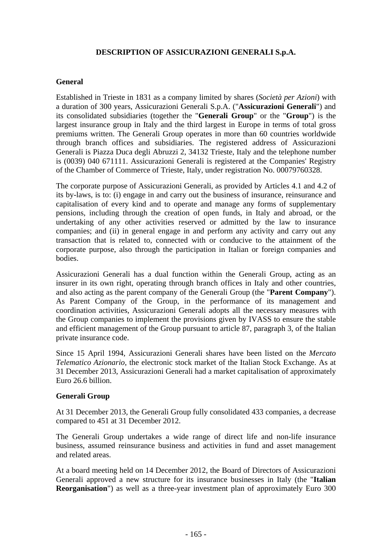# **DESCRIPTION OF ASSICURAZIONI GENERALI S.p.A.**

# **General**

Established in Trieste in 1831 as a company limited by shares (*Società per Azioni*) with a duration of 300 years, Assicurazioni Generali S.p.A. ("**Assicurazioni Generali**") and its consolidated subsidiaries (together the "**Generali Group**" or the "**Group**") is the largest insurance group in Italy and the third largest in Europe in terms of total gross premiums written. The Generali Group operates in more than 60 countries worldwide through branch offices and subsidiaries. The registered address of Assicurazioni Generali is Piazza Duca degli Abruzzi 2, 34132 Trieste, Italy and the telephone number is (0039) 040 671111. Assicurazioni Generali is registered at the Companies' Registry of the Chamber of Commerce of Trieste, Italy, under registration No. 00079760328.

The corporate purpose of Assicurazioni Generali, as provided by Articles 4.1 and 4.2 of its by-laws, is to: (i) engage in and carry out the business of insurance, reinsurance and capitalisation of every kind and to operate and manage any forms of supplementary pensions, including through the creation of open funds, in Italy and abroad, or the undertaking of any other activities reserved or admitted by the law to insurance companies; and (ii) in general engage in and perform any activity and carry out any transaction that is related to, connected with or conducive to the attainment of the corporate purpose, also through the participation in Italian or foreign companies and bodies.

Assicurazioni Generali has a dual function within the Generali Group, acting as an insurer in its own right, operating through branch offices in Italy and other countries, and also acting as the parent company of the Generali Group (the "**Parent Company**"). As Parent Company of the Group, in the performance of its management and coordination activities, Assicurazioni Generali adopts all the necessary measures with the Group companies to implement the provisions given by IVASS to ensure the stable and efficient management of the Group pursuant to article 87, paragraph 3, of the Italian private insurance code.

Since 15 April 1994, Assicurazioni Generali shares have been listed on the *Mercato Telematico Azionario*, the electronic stock market of the Italian Stock Exchange. As at 31 December 2013, Assicurazioni Generali had a market capitalisation of approximately Euro 26.6 billion.

#### **Generali Group**

At 31 December 2013, the Generali Group fully consolidated 433 companies, a decrease compared to 451 at 31 December 2012.

The Generali Group undertakes a wide range of direct life and non-life insurance business, assumed reinsurance business and activities in fund and asset management and related areas.

At a board meeting held on 14 December 2012, the Board of Directors of Assicurazioni Generali approved a new structure for its insurance businesses in Italy (the "**Italian Reorganisation**") as well as a three-year investment plan of approximately Euro 300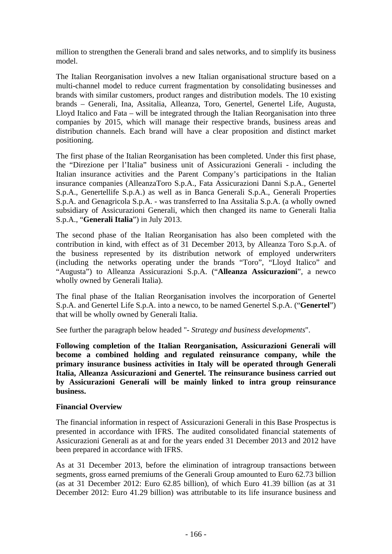million to strengthen the Generali brand and sales networks, and to simplify its business model.

The Italian Reorganisation involves a new Italian organisational structure based on a multi-channel model to reduce current fragmentation by consolidating businesses and brands with similar customers, product ranges and distribution models. The 10 existing brands – Generali, Ina, Assitalia, Alleanza, Toro, Genertel, Genertel Life, Augusta, Lloyd Italico and Fata – will be integrated through the Italian Reorganisation into three companies by 2015, which will manage their respective brands, business areas and distribution channels. Each brand will have a clear proposition and distinct market positioning.

The first phase of the Italian Reorganisation has been completed. Under this first phase, the "Direzione per l'Italia" business unit of Assicurazioni Generali - including the Italian insurance activities and the Parent Company's participations in the Italian insurance companies (AlleanzaToro S.p.A., Fata Assicurazioni Danni S.p.A., Genertel S.p.A., Genertellife S.p.A.) as well as in Banca Generali S.p.A., Generali Properties S.p.A. and Genagricola S.p.A. - was transferred to Ina Assitalia S.p.A. (a wholly owned subsidiary of Assicurazioni Generali, which then changed its name to Generali Italia S.p.A., "**Generali Italia**") in July 2013.

The second phase of the Italian Reorganisation has also been completed with the contribution in kind, with effect as of 31 December 2013, by Alleanza Toro S.p.A. of the business represented by its distribution network of employed underwriters (including the networks operating under the brands "Toro", "Lloyd Italico" and "Augusta") to Alleanza Assicurazioni S.p.A. ("**Alleanza Assicurazioni**", a newco wholly owned by Generali Italia).

The final phase of the Italian Reorganisation involves the incorporation of Genertel S.p.A. and Genertel Life S.p.A. into a newco, to be named Genertel S.p.A. ("**Genertel**") that will be wholly owned by Generali Italia.

See further the paragraph below headed "*- Strategy and business developments*".

**Following completion of the Italian Reorganisation, Assicurazioni Generali will become a combined holding and regulated reinsurance company, while the primary insurance business activities in Italy will be operated through Generali Italia, Alleanza Assicurazioni and Genertel. The reinsurance business carried out by Assicurazioni Generali will be mainly linked to intra group reinsurance business.** 

#### **Financial Overview**

The financial information in respect of Assicurazioni Generali in this Base Prospectus is presented in accordance with IFRS. The audited consolidated financial statements of Assicurazioni Generali as at and for the years ended 31 December 2013 and 2012 have been prepared in accordance with IFRS.

As at 31 December 2013, before the elimination of intragroup transactions between segments, gross earned premiums of the Generali Group amounted to Euro 62.73 billion (as at 31 December 2012: Euro 62.85 billion), of which Euro 41.39 billion (as at 31 December 2012: Euro 41.29 billion) was attributable to its life insurance business and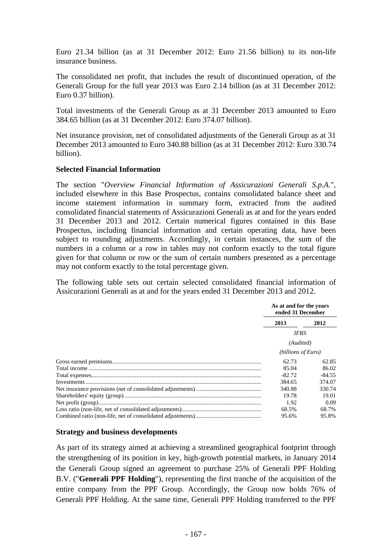Euro 21.34 billion (as at 31 December 2012: Euro 21.56 billion) to its non-life insurance business.

The consolidated net profit, that includes the result of discontinued operation, of the Generali Group for the full year 2013 was Euro 2.14 billion (as at 31 December 2012: Euro 0.37 billion).

Total investments of the Generali Group as at 31 December 2013 amounted to Euro 384.65 billion (as at 31 December 2012: Euro 374.07 billion).

Net insurance provision, net of consolidated adjustments of the Generali Group as at 31 December 2013 amounted to Euro 340.88 billion (as at 31 December 2012: Euro 330.74 billion).

# **Selected Financial Information**

The section "*Overview Financial Information of Assicurazioni Generali S.p.A.*", included elsewhere in this Base Prospectus, contains consolidated balance sheet and income statement information in summary form, extracted from the audited consolidated financial statements of Assicurazioni Generali as at and for the years ended 31 December 2013 and 2012. Certain numerical figures contained in this Base Prospectus, including financial information and certain operating data, have been subject to rounding adjustments. Accordingly, in certain instances, the sum of the numbers in a column or a row in tables may not conform exactly to the total figure given for that column or row or the sum of certain numbers presented as a percentage may not conform exactly to the total percentage given.

The following table sets out certain selected consolidated financial information of Assicurazioni Generali as at and for the years ended 31 December 2013 and 2012.

| As at and for the years<br>ended 31 December |          |
|----------------------------------------------|----------|
| 2013                                         | 2012     |
| <b>IFRS</b>                                  |          |
| (Audited)                                    |          |
| (billions of Euro)                           |          |
| 62.73                                        | 62.85    |
| 85.04                                        | 86.02    |
| $-82.72$                                     | $-84.55$ |
| 384.65                                       | 374.07   |
| 340.88                                       | 330.74   |
| 19.78                                        | 19.01    |
| 1.92                                         | 0.09     |
| 68.5%                                        | 68.7%    |
| 95.6%                                        | 95.8%    |

#### **Strategy and business developments**

As part of its strategy aimed at achieving a streamlined geographical footprint through the strengthening of its position in key, high-growth potential markets, in January 2014 the Generali Group signed an agreement to purchase 25% of Generali PPF Holding B.V. ("**Generali PPF Holding**"), representing the first tranche of the acquisition of the entire company from the PPF Group. Accordingly, the Group now holds 76% of Generali PPF Holding. At the same time, Generali PPF Holding transferred to the PPF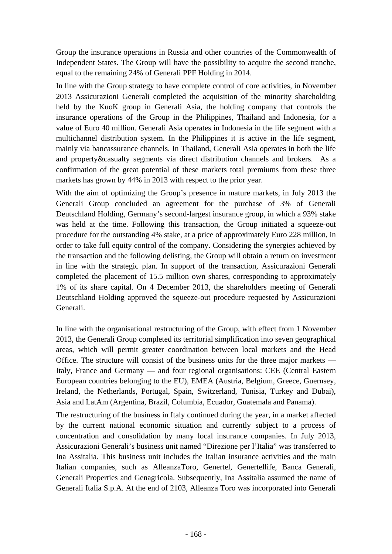Group the insurance operations in Russia and other countries of the Commonwealth of Independent States. The Group will have the possibility to acquire the second tranche, equal to the remaining 24% of Generali PPF Holding in 2014.

In line with the Group strategy to have complete control of core activities, in November 2013 Assicurazioni Generali completed the acquisition of the minority shareholding held by the KuoK group in Generali Asia, the holding company that controls the insurance operations of the Group in the Philippines, Thailand and Indonesia, for a value of Euro 40 million. Generali Asia operates in Indonesia in the life segment with a multichannel distribution system. In the Philippines it is active in the life segment, mainly via bancassurance channels. In Thailand, Generali Asia operates in both the life and property&casualty segments via direct distribution channels and brokers. As a confirmation of the great potential of these markets total premiums from these three markets has grown by 44% in 2013 with respect to the prior year.

With the aim of optimizing the Group's presence in mature markets, in July 2013 the Generali Group concluded an agreement for the purchase of 3% of Generali Deutschland Holding, Germany's second-largest insurance group, in which a 93% stake was held at the time. Following this transaction, the Group initiated a squeeze-out procedure for the outstanding 4% stake, at a price of approximately Euro 228 million, in order to take full equity control of the company. Considering the synergies achieved by the transaction and the following delisting, the Group will obtain a return on investment in line with the strategic plan. In support of the transaction, Assicurazioni Generali completed the placement of 15.5 million own shares, corresponding to approximately 1% of its share capital. On 4 December 2013, the shareholders meeting of Generali Deutschland Holding approved the squeeze-out procedure requested by Assicurazioni Generali.

In line with the organisational restructuring of the Group, with effect from 1 November 2013, the Generali Group completed its territorial simplification into seven geographical areas, which will permit greater coordination between local markets and the Head Office. The structure will consist of the business units for the three major markets — Italy, France and Germany — and four regional organisations: CEE (Central Eastern European countries belonging to the EU), EMEA (Austria, Belgium, Greece, Guernsey, Ireland, the Netherlands, Portugal, Spain, Switzerland, Tunisia, Turkey and Dubai), Asia and LatAm (Argentina, Brazil, Columbia, Ecuador, Guatemala and Panama).

The restructuring of the business in Italy continued during the year, in a market affected by the current national economic situation and currently subject to a process of concentration and consolidation by many local insurance companies. In July 2013, Assicurazioni Generali's business unit named "Direzione per l'Italia" was transferred to Ina Assitalia. This business unit includes the Italian insurance activities and the main Italian companies, such as AlleanzaToro, Genertel, Genertellife, Banca Generali, Generali Properties and Genagricola. Subsequently, Ina Assitalia assumed the name of Generali Italia S.p.A. At the end of 2103, Alleanza Toro was incorporated into Generali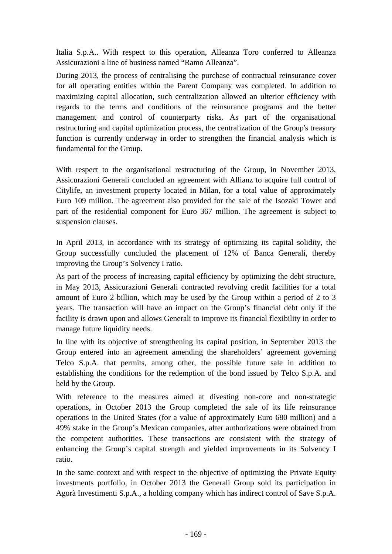Italia S.p.A.. With respect to this operation, Alleanza Toro conferred to Alleanza Assicurazioni a line of business named "Ramo Alleanza".

During 2013, the process of centralising the purchase of contractual reinsurance cover for all operating entities within the Parent Company was completed. In addition to maximizing capital allocation, such centralization allowed an ulterior efficiency with regards to the terms and conditions of the reinsurance programs and the better management and control of counterparty risks. As part of the organisational restructuring and capital optimization process, the centralization of the Group's treasury function is currently underway in order to strengthen the financial analysis which is fundamental for the Group.

With respect to the organisational restructuring of the Group, in November 2013, Assicurazioni Generali concluded an agreement with Allianz to acquire full control of Citylife, an investment property located in Milan, for a total value of approximately Euro 109 million. The agreement also provided for the sale of the Isozaki Tower and part of the residential component for Euro 367 million. The agreement is subject to suspension clauses.

In April 2013, in accordance with its strategy of optimizing its capital solidity, the Group successfully concluded the placement of 12% of Banca Generali, thereby improving the Group's Solvency I ratio.

As part of the process of increasing capital efficiency by optimizing the debt structure, in May 2013, Assicurazioni Generali contracted revolving credit facilities for a total amount of Euro 2 billion, which may be used by the Group within a period of 2 to 3 years. The transaction will have an impact on the Group's financial debt only if the facility is drawn upon and allows Generali to improve its financial flexibility in order to manage future liquidity needs.

In line with its objective of strengthening its capital position, in September 2013 the Group entered into an agreement amending the shareholders' agreement governing Telco S.p.A. that permits, among other, the possible future sale in addition to establishing the conditions for the redemption of the bond issued by Telco S.p.A. and held by the Group.

With reference to the measures aimed at divesting non-core and non-strategic operations, in October 2013 the Group completed the sale of its life reinsurance operations in the United States (for a value of approximately Euro 680 million) and a 49% stake in the Group's Mexican companies, after authorizations were obtained from the competent authorities. These transactions are consistent with the strategy of enhancing the Group's capital strength and yielded improvements in its Solvency I ratio.

In the same context and with respect to the objective of optimizing the Private Equity investments portfolio, in October 2013 the Generali Group sold its participation in Agorà Investimenti S.p.A., a holding company which has indirect control of Save S.p.A.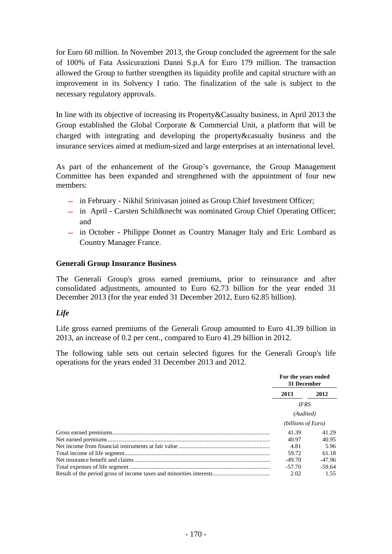for Euro 60 million. In November 2013, the Group concluded the agreement for the sale of 100% of Fata Assicurazioni Danni S.p.A for Euro 179 million. The transaction allowed the Group to further strengthen its liquidity profile and capital structure with an improvement in its Solvency I ratio. The finalization of the sale is subject to the necessary regulatory approvals.

In line with its objective of increasing its Property&Casualty business, in April 2013 the Group established the Global Corporate & Commercial Unit, a platform that will be charged with integrating and developing the property&casualty business and the insurance services aimed at medium-sized and large enterprises at an international level.

As part of the enhancement of the Group's governance, the Group Management Committee has been expanded and strengthened with the appointment of four new members:

- **―** in February Nikhil Srinivasan joined as Group Chief Investment Officer;
- **―** in April Carsten Schildknecht was nominated Group Chief Operating Officer; and
- **―** in October Philippe Donnet as Country Manager Italy and Eric Lombard as Country Manager France.

# **Generali Group Insurance Business**

The Generali Group's gross earned premiums, prior to reinsurance and after consolidated adjustments, amounted to Euro 62.73 billion for the year ended 31 December 2013 (for the year ended 31 December 2012, Euro 62.85 billion).

# *Life*

Life gross earned premiums of the Generali Group amounted to Euro 41.39 billion in 2013, an increase of 0.2 per cent., compared to Euro 41.29 billion in 2012.

The following table sets out certain selected figures for the Generali Group's life operations for the years ended 31 December 2013 and 2012.

| For the years ended<br>31 December |          |
|------------------------------------|----------|
| 2013                               | 2012     |
| <b>IFRS</b>                        |          |
| (Audited)                          |          |
| (billions of Euro)                 |          |
| 41.39                              | 41.29    |
| 40.97                              | 40.95    |
| 4.81                               | 5.96     |
| 59.72                              | 61.18    |
| $-49.70$                           | $-47.96$ |
| $-57.70$                           | -59.64   |
| 2.02                               | 1.55     |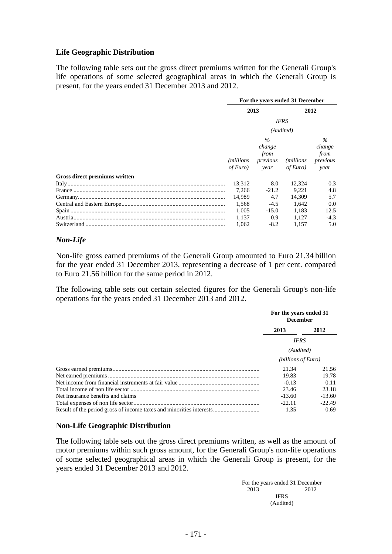# **Life Geographic Distribution**

The following table sets out the gross direct premiums written for the Generali Group's life operations of some selected geographical areas in which the Generali Group is present, for the years ended 31 December 2013 and 2012.

|                               | For the years ended 31 December |                                            |                               |                                            |
|-------------------------------|---------------------------------|--------------------------------------------|-------------------------------|--------------------------------------------|
|                               |                                 | 2013<br>2012                               |                               |                                            |
|                               | <b>IFRS</b>                     |                                            |                               |                                            |
|                               |                                 |                                            | (Audited)                     |                                            |
|                               | <i>(millions)</i><br>of Euro)   | $\%$<br>change<br>from<br>previous<br>year | <i>(millions)</i><br>of Euro) | $\%$<br>change<br>from<br>previous<br>year |
| Gross direct premiums written |                                 |                                            |                               |                                            |
|                               | 13,312                          | 8.0                                        | 12.324                        | 0.3                                        |
|                               | 7.266                           | $-21.2$                                    | 9.221                         | 4.8                                        |
|                               | 14.989                          | 4.7                                        | 14.309                        | 5.7                                        |
|                               | 1.568                           | $-4.5$                                     | 1.642                         | 0.0                                        |
|                               | 1.005                           | $-15.0$                                    | 1.183                         | 12.5                                       |
|                               | 1.137                           | 0.9 <sup>°</sup>                           | 1.127                         | $-4.3$                                     |
| Switzerland                   | 1.062                           | $-8.2$                                     | 1.157                         | 5.0                                        |

#### *Non-Life*

Non-life gross earned premiums of the Generali Group amounted to Euro 21.34 billion for the year ended 31 December 2013, representing a decrease of 1 per cent. compared to Euro 21.56 billion for the same period in 2012.

The following table sets out certain selected figures for the Generali Group's non-life operations for the years ended 31 December 2013 and 2012.

|                                   | For the years ended 31<br><b>December</b> |          |
|-----------------------------------|-------------------------------------------|----------|
|                                   | 2013                                      | 2012     |
|                                   | <b>IFRS</b>                               |          |
|                                   | (Audited)                                 |          |
|                                   | (billions of Euro)                        |          |
|                                   | 21.34                                     | 21.56    |
|                                   | 19.83                                     | 19.78    |
|                                   | $-0.13$                                   | 0.11     |
|                                   | 23.46                                     | 23.18    |
| Net Insurance benefits and claims | $-13.60$                                  | $-13.60$ |
|                                   | $-22.11$                                  | $-22.49$ |
|                                   | 1.35                                      | 0.69     |

# **Non-Life Geographic Distribution**

The following table sets out the gross direct premiums written, as well as the amount of motor premiums within such gross amount, for the Generali Group's non-life operations of some selected geographical areas in which the Generali Group is present, for the years ended 31 December 2013 and 2012.

> For the years ended 31 December 2013 2012 **IFRS** (Audited)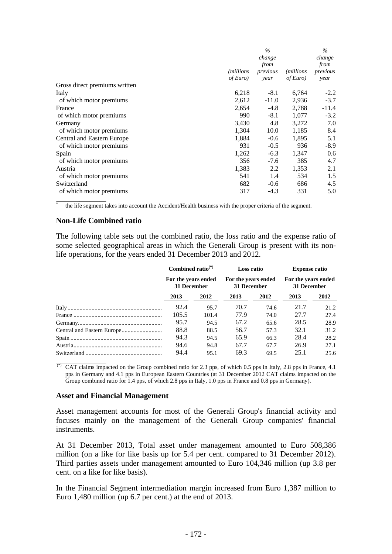|                               |                    | $\%$     |                   | $\%$     |
|-------------------------------|--------------------|----------|-------------------|----------|
|                               |                    | change   |                   | change   |
|                               |                    | from     |                   | from     |
|                               | <i>(millions</i> ) | previous | <i>(millions)</i> | previous |
|                               | of Euro)           | year     | of Euro)          | year     |
| Gross direct premiums written |                    |          |                   |          |
| Italy                         | 6,218              | $-8.1$   | 6,764             | $-2.2$   |
| of which motor premiums       | 2,612              | $-11.0$  | 2,936             | $-3.7$   |
| France                        | 2,654              | $-4.8$   | 2,788             | $-11.4$  |
| of which motor premiums       | 990                | $-8.1$   | 1,077             | $-3.2$   |
| Germany                       | 3,430              | 4.8      | 3,272             | 7.0      |
| of which motor premiums       | 1,304              | 10.0     | 1,185             | 8.4      |
| Central and Eastern Europe    | 1,884              | $-0.6$   | 1,895             | 5.1      |
| of which motor premiums       | 931                | $-0.5$   | 936               | $-8.9$   |
| Spain                         | 1,262              | $-6.3$   | 1,347             | 0.6      |
| of which motor premiums       | 356                | $-7.6$   | 385               | 4.7      |
| Austria                       | 1,383              | 2.2      | 1,353             | 2.1      |
| of which motor premiums       | 541                | 1.4      | 534               | 1.5      |
| Switzerland                   | 682                | $-0.6$   | 686               | 4.5      |
| of which motor premiums       | 317                | $-4.3$   | 331               | 5.0      |

 $\overline{\phantom{a}}$   $\overline{\phantom{a}}$   $\overline{\phantom{a}}$   $\overline{\phantom{a}}$   $\overline{\phantom{a}}$   $\overline{\phantom{a}}$   $\overline{\phantom{a}}$   $\overline{\phantom{a}}$   $\overline{\phantom{a}}$   $\overline{\phantom{a}}$   $\overline{\phantom{a}}$   $\overline{\phantom{a}}$   $\overline{\phantom{a}}$   $\overline{\phantom{a}}$   $\overline{\phantom{a}}$   $\overline{\phantom{a}}$   $\overline{\phantom{a}}$   $\overline{\phantom{a}}$   $\overline{\$ \* the life segment takes into account the Accident/Health business with the proper criteria of the segment.

#### **Non-Life Combined ratio**

The following table sets out the combined ratio, the loss ratio and the expense ratio of some selected geographical areas in which the Generali Group is present with its nonlife operations, for the years ended 31 December 2013 and 2012.

|  | Combined ratio $(*)$<br>For the years ended<br>31 December |       | Loss ratio<br>For the years ended<br>31 December |      | <b>Expense ratio</b><br>For the years ended<br>31 December |      |
|--|------------------------------------------------------------|-------|--------------------------------------------------|------|------------------------------------------------------------|------|
|  |                                                            |       |                                                  |      |                                                            |      |
|  | 2013                                                       | 2012  | 2013                                             | 2012 | 2013                                                       | 2012 |
|  | 92.4                                                       | 95.7  | 70.7                                             | 74.6 | 21.7                                                       | 21.2 |
|  | 105.5                                                      | 101.4 | 77.9                                             | 74.0 | 27.7                                                       | 27.4 |
|  | 95.7                                                       | 94.5  | 67.2                                             | 65.6 | 28.5                                                       | 28.9 |
|  | 88.8                                                       | 88.5  | 56.7                                             | 57.3 | 32.1                                                       | 31.2 |
|  | 94.3                                                       | 94.5  | 65.9                                             | 66.3 | 28.4                                                       | 28.2 |
|  | 94.6                                                       | 94.8  | 67.7                                             | 67.7 | 26.9                                                       | 27.1 |
|  | 94.4                                                       | 95.1  | 69.3                                             | 69.5 | 25.1                                                       | 25.6 |

(\*) CAT claims impacted on the Group combined ratio for 2.3 pps, of which 0.5 pps in Italy, 2.8 pps in France, 4.1 pps in Germany and 4.1 pps in European Eastern Countries (at 31 December 2012 CAT claims impacted on the Group combined ratio for 1.4 pps, of which 2.8 pps in Italy, 1.0 pps in France and 0.8 pps in Germany).

#### **Asset and Financial Management**

Asset management accounts for most of the Generali Group's financial activity and focuses mainly on the management of the Generali Group companies' financial instruments.

At 31 December 2013, Total asset under management amounted to Euro 508,386 million (on a like for like basis up for 5.4 per cent. compared to 31 December 2012). Third parties assets under management amounted to Euro 104,346 million (up 3.8 per cent. on a like for like basis).

In the Financial Segment intermediation margin increased from Euro 1,387 million to Euro 1,480 million (up 6.7 per cent.) at the end of 2013.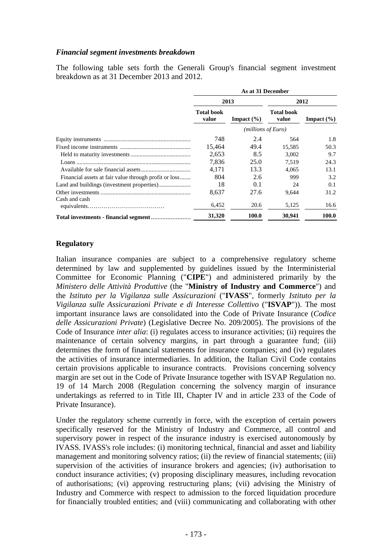# *Financial segment investments breakdown*

The following table sets forth the Generali Group's financial segment investment breakdown as at 31 December 2013 and 2012.

|                                                       | As at 31 December          |                |                            |                |
|-------------------------------------------------------|----------------------------|----------------|----------------------------|----------------|
|                                                       | 2013                       |                |                            | 2012           |
|                                                       | <b>Total book</b><br>value | Impact $(\% )$ | <b>Total book</b><br>value | Impact $(\% )$ |
|                                                       |                            |                | (millions of Euro)         |                |
|                                                       | 748                        | 2.4            | 564                        | 1.8            |
|                                                       | 15,464                     | 49.4           | 15,585                     | 50.3           |
|                                                       | 2,653                      | 8.5            | 3.002                      | 9.7            |
|                                                       | 7,836                      | 25.0           | 7.519                      | 24.3           |
|                                                       | 4,171                      | 13.3           | 4.065                      | 13.1           |
| Financial assets at fair value through profit or loss | 804                        | 2.6            | 999                        | 3.2            |
|                                                       | 18                         | 0.1            | 24                         | 0.1            |
|                                                       | 8,637                      | 27.6           | 9,644                      | 31.2           |
| Cash and cash                                         | 6.452                      | 20.6           | 5,125                      | 16.6           |
|                                                       | 31,320                     | 100.0          | 30,941                     | 100.0          |

#### **Regulatory**

Italian insurance companies are subject to a comprehensive regulatory scheme determined by law and supplemented by guidelines issued by the Interministerial Committee for Economic Planning ("**CIPE**") and administered primarily by the *Ministero delle Attività Produttive* (the "**Ministry of Industry and Commerce**") and the *Istituto per la Vigilanza sulle Assicurazioni* ("**IVASS**", formerly *Istituto per la Vigilanza sulle Assicurazioni Private e di Interesse Collettivo* ("**ISVAP**")). The most important insurance laws are consolidated into the Code of Private Insurance (*Codice delle Assicurazioni Private*) (Legislative Decree No. 209/2005). The provisions of the Code of Insurance *inter alia*: (i) regulates access to insurance activities; (ii) requires the maintenance of certain solvency margins, in part through a guarantee fund; (iii) determines the form of financial statements for insurance companies; and (iv) regulates the activities of insurance intermediaries. In addition, the Italian Civil Code contains certain provisions applicable to insurance contracts. Provisions concerning solvency margin are set out in the Code of Private Insurance together with ISVAP Regulation no. 19 of 14 March 2008 (Regulation concerning the solvency margin of insurance undertakings as referred to in Title III, Chapter IV and in article 233 of the Code of Private Insurance).

Under the regulatory scheme currently in force, with the exception of certain powers specifically reserved for the Ministry of Industry and Commerce, all control and supervisory power in respect of the insurance industry is exercised autonomously by IVASS. IVASS's role includes: (i) monitoring technical, financial and asset and liability management and monitoring solvency ratios; (ii) the review of financial statements; (iii) supervision of the activities of insurance brokers and agencies; (iv) authorisation to conduct insurance activities; (v) proposing disciplinary measures, including revocation of authorisations; (vi) approving restructuring plans; (vii) advising the Ministry of Industry and Commerce with respect to admission to the forced liquidation procedure for financially troubled entities; and (viii) communicating and collaborating with other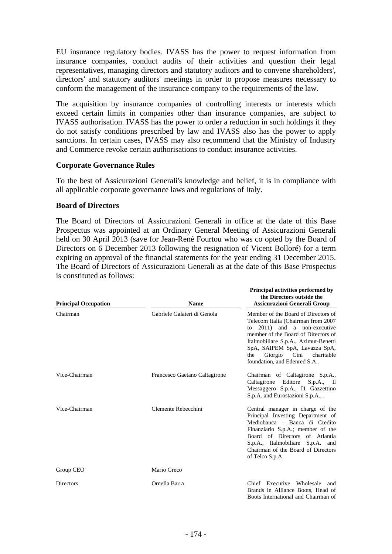EU insurance regulatory bodies. IVASS has the power to request information from insurance companies, conduct audits of their activities and question their legal representatives, managing directors and statutory auditors and to convene shareholders', directors' and statutory auditors' meetings in order to propose measures necessary to conform the management of the insurance company to the requirements of the law.

The acquisition by insurance companies of controlling interests or interests which exceed certain limits in companies other than insurance companies, are subject to IVASS authorisation. IVASS has the power to order a reduction in such holdings if they do not satisfy conditions prescribed by law and IVASS also has the power to apply sanctions. In certain cases, IVASS may also recommend that the Ministry of Industry and Commerce revoke certain authorisations to conduct insurance activities.

# **Corporate Governance Rules**

To the best of Assicurazioni Generali's knowledge and belief, it is in compliance with all applicable corporate governance laws and regulations of Italy.

# **Board of Directors**

The Board of Directors of Assicurazioni Generali in office at the date of this Base Prospectus was appointed at an Ordinary General Meeting of Assicurazioni Generali held on 30 April 2013 (save for Jean-René Fourtou who was co opted by the Board of Directors on 6 December 2013 following the resignation of Vicent Bolloré) for a term expiring on approval of the financial statements for the year ending 31 December 2015. The Board of Directors of Assicurazioni Generali as at the date of this Base Prospectus is constituted as follows:

| <b>Principal Occupation</b> | <b>Name</b>                   | <b>Principal activities performed by</b><br>the Directors outside the<br><b>Assicurazioni Generali Group</b>                                                                                                                                                                                     |
|-----------------------------|-------------------------------|--------------------------------------------------------------------------------------------------------------------------------------------------------------------------------------------------------------------------------------------------------------------------------------------------|
| Chairman                    | Gabriele Galateri di Genola   | Member of the Board of Directors of<br>Telecom Italia (Chairman from 2007<br>2011) and a non-executive<br>to<br>member of the Board of Directors of<br>Italmobiliare S.p.A., Azimut-Benetti<br>SpA, SAIPEM SpA, Lavazza SpA,<br>Giorgio Cini<br>the<br>charitable<br>foundation, and Edenred S.A |
| Vice-Chairman               | Francesco Gaetano Caltagirone | Chairman of Caltagirone S.p.A.,<br>Caltagirone Editore S.p.A., Il<br>Messaggero S.p.A., Il Gazzettino<br>S.p.A. and Eurostazioni S.p.A.,.                                                                                                                                                        |
| Vice-Chairman               | Clemente Rebecchini           | Central manager in charge of the<br>Principal Investing Department of<br>Mediobanca - Banca di Credito<br>Finanziario S.p.A.; member of the<br>Board of Directors of Atlantia<br>S.p.A., Italmobiliare S.p.A. and<br>Chairman of the Board of Directors<br>of Telco S.p.A.                       |
| Group CEO                   | Mario Greco                   |                                                                                                                                                                                                                                                                                                  |
| <b>Directors</b>            | Ornella Barra                 | Chief Executive Wholesale<br>and<br>Brands in Alliance Boots, Head of<br>Boots International and Chairman of                                                                                                                                                                                     |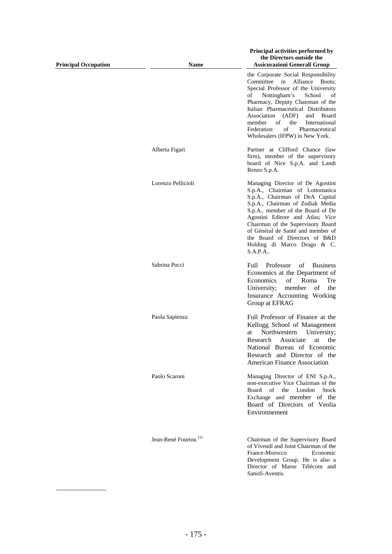| <b>Principal Occupation</b> | <b>Name</b>                      | Principal activities performed by<br>the Directors outside the<br><b>Assicurazioni Generali Group</b>                                                                                                                                                                                                                                                                          |
|-----------------------------|----------------------------------|--------------------------------------------------------------------------------------------------------------------------------------------------------------------------------------------------------------------------------------------------------------------------------------------------------------------------------------------------------------------------------|
|                             |                                  | the Corporate Social Responsibility<br>Committee in Alliance Boots;<br>Special Professor of the University<br>Nottingham's<br>of<br>School<br>οf<br>Pharmacy, Deputy Chairman of the<br>Italian Pharmaceutical Distributors<br>Association (ADF)<br>and Board<br>of<br>the<br>member<br>International<br>of<br>Federation<br>Pharmaceutical<br>Wholesalers (IFPW) in New York. |
|                             | Alberta Figari                   | Partner at Clifford Chance (law<br>firm), member of the supervisory<br>board of Nice S.p.A. and Landi<br>Renzo S.p.A.                                                                                                                                                                                                                                                          |
|                             | Lorenzo Pellicioli               | Managing Director of De Agostini<br>S.p.A., Chairman of Lottomatica<br>S.p.A., Chairman of DeA Capital<br>S.p.A., Chairman of Zodiak Media<br>S.p.A member of the Board of De<br>Agostini Editore and Atlas; Vice<br>Chairman of the Supervisory Board<br>of Général de Santé and member of<br>the Board of Directors of B&D<br>Holding di Marco Drago & C.<br>S.A.P.A         |
|                             | Sabrina Pucci                    | Professor<br>of<br><b>Business</b><br>Full<br>Economics at the Department of<br>Economics<br>οf<br>Roma<br>Tre<br>University;<br>member<br>of<br>the<br>Insurance Accounting Working<br>Group at EFRAG                                                                                                                                                                         |
|                             | Paola Sapienza                   | Full Professor of Finance at the<br>Kellogg School of Management<br>Northwestern<br>University;<br>at<br>Research Associate<br>at the<br>National Bureau of Economic<br>Research and Director of the<br><b>American Finance Association</b>                                                                                                                                    |
|                             | Paolo Scaroni                    | Managing Director of ENI S.p.A.,<br>non-executive Vice Chairman of the<br>Board<br>of the London<br>Stock<br>Exchange and member of the<br>Board of Directors of Veolia<br>Environnement                                                                                                                                                                                       |
|                             | Jean-René Fourtou <sup>(1)</sup> | Chairman of the Supervisory Board<br>of Vivendi and Joint Chairman of the<br>France-Morocco<br>Economic<br>Development Group. He is also a<br>Director of Maroc Télécom and<br>Sanofi-Aventis.                                                                                                                                                                                 |

\_\_\_\_\_\_\_\_\_\_\_\_\_\_\_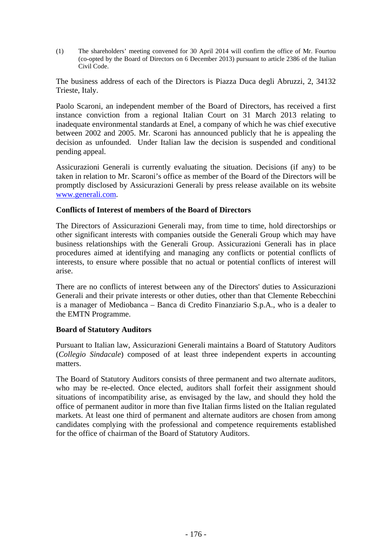(1) The shareholders' meeting convened for 30 April 2014 will confirm the office of Mr. Fourtou (co-opted by the Board of Directors on 6 December 2013) pursuant to article 2386 of the Italian Civil Code.

The business address of each of the Directors is Piazza Duca degli Abruzzi, 2, 34132 Trieste, Italy.

Paolo Scaroni, an independent member of the Board of Directors, has received a first instance conviction from a regional Italian Court on 31 March 2013 relating to inadequate environmental standards at Enel, a company of which he was chief executive between 2002 and 2005. Mr. Scaroni has announced publicly that he is appealing the decision as unfounded. Under Italian law the decision is suspended and conditional pending appeal.

Assicurazioni Generali is currently evaluating the situation. Decisions (if any) to be taken in relation to Mr. Scaroni's office as member of the Board of the Directors will be promptly disclosed by Assicurazioni Generali by press release available on its website www.generali.com.

# **Conflicts of Interest of members of the Board of Directors**

The Directors of Assicurazioni Generali may, from time to time, hold directorships or other significant interests with companies outside the Generali Group which may have business relationships with the Generali Group. Assicurazioni Generali has in place procedures aimed at identifying and managing any conflicts or potential conflicts of interests, to ensure where possible that no actual or potential conflicts of interest will arise.

There are no conflicts of interest between any of the Directors' duties to Assicurazioni Generali and their private interests or other duties, other than that Clemente Rebecchini is a manager of Mediobanca – Banca di Credito Finanziario S.p.A., who is a dealer to the EMTN Programme.

# **Board of Statutory Auditors**

Pursuant to Italian law, Assicurazioni Generali maintains a Board of Statutory Auditors (*Collegio Sindacale*) composed of at least three independent experts in accounting matters.

The Board of Statutory Auditors consists of three permanent and two alternate auditors, who may be re-elected. Once elected, auditors shall forfeit their assignment should situations of incompatibility arise, as envisaged by the law, and should they hold the office of permanent auditor in more than five Italian firms listed on the Italian regulated markets. At least one third of permanent and alternate auditors are chosen from among candidates complying with the professional and competence requirements established for the office of chairman of the Board of Statutory Auditors.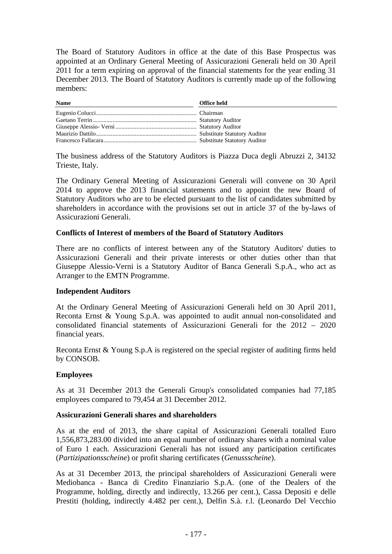The Board of Statutory Auditors in office at the date of this Base Prospectus was appointed at an Ordinary General Meeting of Assicurazioni Generali held on 30 April 2011 for a term expiring on approval of the financial statements for the year ending 31 December 2013. The Board of Statutory Auditors is currently made up of the following members:

| <b>Name</b> | Office held |
|-------------|-------------|
|             |             |
|             |             |
|             |             |
|             |             |
|             |             |

The business address of the Statutory Auditors is Piazza Duca degli Abruzzi 2, 34132 Trieste, Italy.

The Ordinary General Meeting of Assicurazioni Generali will convene on 30 April 2014 to approve the 2013 financial statements and to appoint the new Board of Statutory Auditors who are to be elected pursuant to the list of candidates submitted by shareholders in accordance with the provisions set out in article 37 of the by-laws of Assicurazioni Generali.

#### **Conflicts of Interest of members of the Board of Statutory Auditors**

There are no conflicts of interest between any of the Statutory Auditors' duties to Assicurazioni Generali and their private interests or other duties other than that Giuseppe Alessio-Verni is a Statutory Auditor of Banca Generali S.p.A., who act as Arranger to the EMTN Programme.

#### **Independent Auditors**

At the Ordinary General Meeting of Assicurazioni Generali held on 30 April 2011, Reconta Ernst & Young S.p.A. was appointed to audit annual non-consolidated and consolidated financial statements of Assicurazioni Generali for the 2012 – 2020 financial years.

Reconta Ernst & Young S.p.A is registered on the special register of auditing firms held by CONSOB.

#### **Employees**

As at 31 December 2013 the Generali Group's consolidated companies had 77,185 employees compared to 79,454 at 31 December 2012.

#### **Assicurazioni Generali shares and shareholders**

As at the end of 2013, the share capital of Assicurazioni Generali totalled Euro 1,556,873,283.00 divided into an equal number of ordinary shares with a nominal value of Euro 1 each. Assicurazioni Generali has not issued any participation certificates (*Partizipationsscheine*) or profit sharing certificates (*Genussscheine*).

As at 31 December 2013, the principal shareholders of Assicurazioni Generali were Mediobanca - Banca di Credito Finanziario S.p.A. (one of the Dealers of the Programme, holding, directly and indirectly, 13.266 per cent.), Cassa Depositi e delle Prestiti (holding, indirectly 4.482 per cent.), Delfin S.à. r.l. (Leonardo Del Vecchio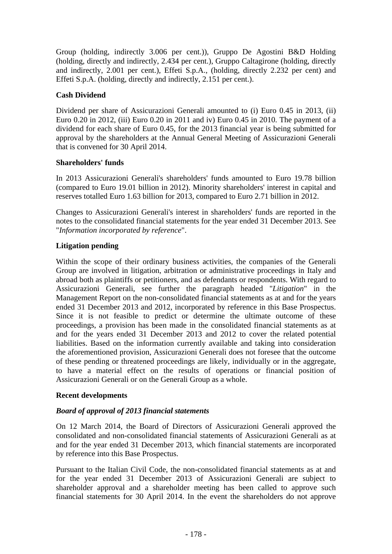Group (holding, indirectly 3.006 per cent.)), Gruppo De Agostini B&D Holding (holding, directly and indirectly, 2.434 per cent.), Gruppo Caltagirone (holding, directly and indirectly, 2.001 per cent.), Effeti S.p.A., (holding, directly 2.232 per cent) and Effeti S.p.A. (holding, directly and indirectly, 2.151 per cent.).

#### **Cash Dividend**

Dividend per share of Assicurazioni Generali amounted to (i) Euro 0.45 in 2013, (ii) Euro 0.20 in 2012, (iii) Euro 0.20 in 2011 and iv) Euro 0.45 in 2010. The payment of a dividend for each share of Euro 0.45, for the 2013 financial year is being submitted for approval by the shareholders at the Annual General Meeting of Assicurazioni Generali that is convened for 30 April 2014.

#### **Shareholders' funds**

In 2013 Assicurazioni Generali's shareholders' funds amounted to Euro 19.78 billion (compared to Euro 19.01 billion in 2012). Minority shareholders' interest in capital and reserves totalled Euro 1.63 billion for 2013, compared to Euro 2.71 billion in 2012.

Changes to Assicurazioni Generali's interest in shareholders' funds are reported in the notes to the consolidated financial statements for the year ended 31 December 2013. See "*Information incorporated by reference*".

# **Litigation pending**

Within the scope of their ordinary business activities, the companies of the Generali Group are involved in litigation, arbitration or administrative proceedings in Italy and abroad both as plaintiffs or petitioners, and as defendants or respondents. With regard to Assicurazioni Generali, see further the paragraph headed "*Litigation*" in the Management Report on the non-consolidated financial statements as at and for the years ended 31 December 2013 and 2012, incorporated by reference in this Base Prospectus. Since it is not feasible to predict or determine the ultimate outcome of these proceedings, a provision has been made in the consolidated financial statements as at and for the years ended 31 December 2013 and 2012 to cover the related potential liabilities. Based on the information currently available and taking into consideration the aforementioned provision, Assicurazioni Generali does not foresee that the outcome of these pending or threatened proceedings are likely, individually or in the aggregate, to have a material effect on the results of operations or financial position of Assicurazioni Generali or on the Generali Group as a whole.

#### **Recent developments**

# *Board of approval of 2013 financial statements*

On 12 March 2014, the Board of Directors of Assicurazioni Generali approved the consolidated and non-consolidated financial statements of Assicurazioni Generali as at and for the year ended 31 December 2013, which financial statements are incorporated by reference into this Base Prospectus.

Pursuant to the Italian Civil Code, the non-consolidated financial statements as at and for the year ended 31 December 2013 of Assicurazioni Generali are subject to shareholder approval and a shareholder meeting has been called to approve such financial statements for 30 April 2014. In the event the shareholders do not approve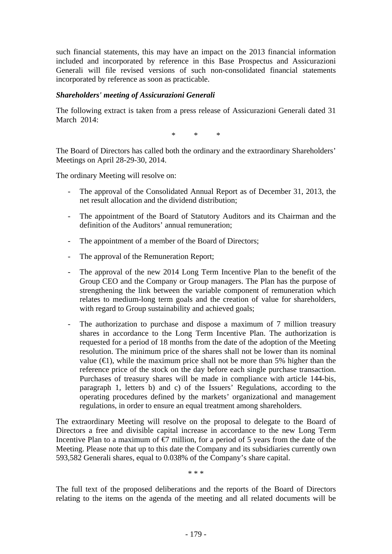such financial statements, this may have an impact on the 2013 financial information included and incorporated by reference in this Base Prospectus and Assicurazioni Generali will file revised versions of such non-consolidated financial statements incorporated by reference as soon as practicable.

#### *Shareholders' meeting of Assicurazioni Generali*

The following extract is taken from a press release of Assicurazioni Generali dated 31 March 2014:

\* \* \*

The Board of Directors has called both the ordinary and the extraordinary Shareholders' Meetings on April 28-29-30, 2014.

The ordinary Meeting will resolve on:

- The approval of the Consolidated Annual Report as of December 31, 2013, the net result allocation and the dividend distribution;
- The appointment of the Board of Statutory Auditors and its Chairman and the definition of the Auditors' annual remuneration;
- The appointment of a member of the Board of Directors;
- The approval of the Remuneration Report;
- The approval of the new 2014 Long Term Incentive Plan to the benefit of the Group CEO and the Company or Group managers. The Plan has the purpose of strengthening the link between the variable component of remuneration which relates to medium-long term goals and the creation of value for shareholders, with regard to Group sustainability and achieved goals;
- The authorization to purchase and dispose a maximum of 7 million treasury shares in accordance to the Long Term Incentive Plan. The authorization is requested for a period of 18 months from the date of the adoption of the Meeting resolution. The minimum price of the shares shall not be lower than its nominal value  $(\epsilon)$ , while the maximum price shall not be more than 5% higher than the reference price of the stock on the day before each single purchase transaction. Purchases of treasury shares will be made in compliance with article 144-bis, paragraph 1, letters b) and c) of the Issuers' Regulations, according to the operating procedures defined by the markets' organizational and management regulations, in order to ensure an equal treatment among shareholders.

The extraordinary Meeting will resolve on the proposal to delegate to the Board of Directors a free and divisible capital increase in accordance to the new Long Term Incentive Plan to a maximum of  $\epsilon$  million, for a period of 5 years from the date of the Meeting. Please note that up to this date the Company and its subsidiaries currently own 593,582 Generali shares, equal to 0.038% of the Company's share capital.

\* \* \*

The full text of the proposed deliberations and the reports of the Board of Directors relating to the items on the agenda of the meeting and all related documents will be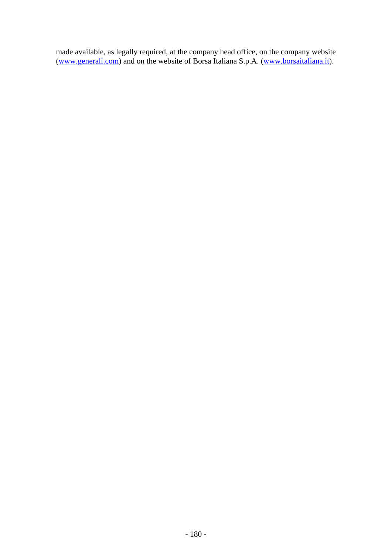made available, as legally required, at the company head office, on the company website (www.generali.com) and on the website of Borsa Italiana S.p.A. (www.borsaitaliana.it).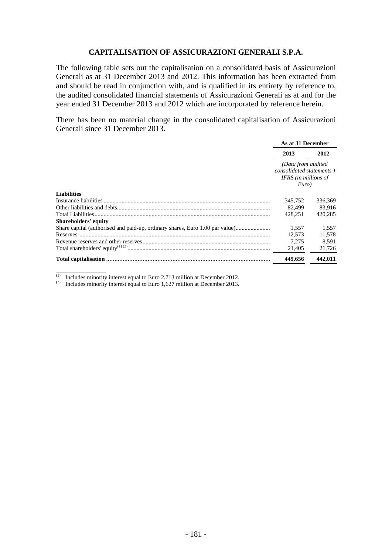#### **CAPITALISATION OF ASSICURAZIONI GENERALI S.P.A.**

The following table sets out the capitalisation on a consolidated basis of Assicurazioni Generali as at 31 December 2013 and 2012. This information has been extracted from and should be read in conjunction with, and is qualified in its entirety by reference to, the audited consolidated financial statements of Assicurazioni Generali as at and for the year ended 31 December 2013 and 2012 which are incorporated by reference herein.

There has been no material change in the consolidated capitalisation of Assicurazioni Generali since 31 December 2013.

|                                                                              | As at 31 December                                                                |         |  |
|------------------------------------------------------------------------------|----------------------------------------------------------------------------------|---------|--|
|                                                                              | 2013                                                                             | 2012    |  |
|                                                                              | (Data from audited)<br>consolidated statements)<br>IFRS (in millions of<br>Euro) |         |  |
| <b>Liabilities</b>                                                           |                                                                                  |         |  |
|                                                                              | 345,752                                                                          | 336,369 |  |
|                                                                              | 82.499                                                                           | 83.916  |  |
|                                                                              | 428.251                                                                          | 420.285 |  |
| <b>Shareholders' equity</b>                                                  |                                                                                  |         |  |
| Share capital (authorised and paid-up, ordinary shares, Euro 1.00 par value) | 1.557                                                                            | 1.557   |  |
| Reserves                                                                     | 12,573                                                                           | 11,578  |  |
|                                                                              | 7.275                                                                            | 8.591   |  |
|                                                                              | 21,405                                                                           | 21,726  |  |
| <b>Total capitalisation</b>                                                  | 449,656                                                                          | 442.011 |  |

 $(1)$  Includes minority interest equal to Euro 2,713 million at December 2012.

 $\overline{\phantom{a}}$   $\overline{\phantom{a}}$   $\overline{\phantom{a}}$   $\overline{\phantom{a}}$   $\overline{\phantom{a}}$   $\overline{\phantom{a}}$   $\overline{\phantom{a}}$   $\overline{\phantom{a}}$   $\overline{\phantom{a}}$   $\overline{\phantom{a}}$   $\overline{\phantom{a}}$   $\overline{\phantom{a}}$   $\overline{\phantom{a}}$   $\overline{\phantom{a}}$   $\overline{\phantom{a}}$   $\overline{\phantom{a}}$   $\overline{\phantom{a}}$   $\overline{\phantom{a}}$   $\overline{\$ 

 $^{(2)}$  Includes minority interest equal to Euro 1,627 million at December 2013.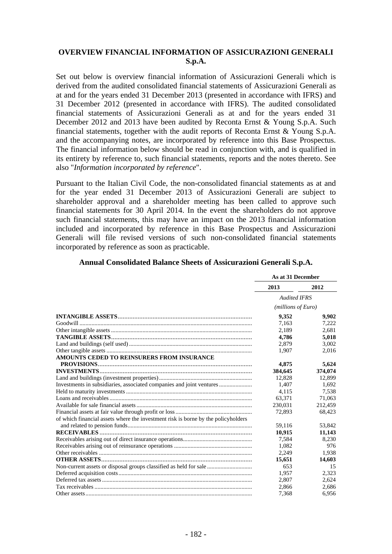#### **OVERVIEW FINANCIAL INFORMATION OF ASSICURAZIONI GENERALI S.p.A.**

Set out below is overview financial information of Assicurazioni Generali which is derived from the audited consolidated financial statements of Assicurazioni Generali as at and for the years ended 31 December 2013 (presented in accordance with IFRS) and 31 December 2012 (presented in accordance with IFRS). The audited consolidated financial statements of Assicurazioni Generali as at and for the years ended 31 December 2012 and 2013 have been audited by Reconta Ernst & Young S.p.A. Such financial statements, together with the audit reports of Reconta Ernst & Young S.p.A. and the accompanying notes, are incorporated by reference into this Base Prospectus. The financial information below should be read in conjunction with, and is qualified in its entirety by reference to, such financial statements, reports and the notes thereto. See also "*Information incorporated by reference*".

Pursuant to the Italian Civil Code, the non-consolidated financial statements as at and for the year ended 31 December 2013 of Assicurazioni Generali are subject to shareholder approval and a shareholder meeting has been called to approve such financial statements for 30 April 2014. In the event the shareholders do not approve such financial statements, this may have an impact on the 2013 financial information included and incorporated by reference in this Base Prospectus and Assicurazioni Generali will file revised versions of such non-consolidated financial statements incorporated by reference as soon as practicable.

|                                                                                   | As at 31 December   |         |
|-----------------------------------------------------------------------------------|---------------------|---------|
|                                                                                   | 2013                | 2012    |
|                                                                                   | <b>Audited IFRS</b> |         |
|                                                                                   | (millions of Euro)  |         |
|                                                                                   | 9,352               | 9,902   |
|                                                                                   | 7,163               | 7,222   |
|                                                                                   | 2,189               | 2,681   |
|                                                                                   | 4.786               | 5,018   |
|                                                                                   | 2,879               | 3,002   |
|                                                                                   | 1,907               | 2,016   |
| AMOUNTS CEDED TO REINSURERS FROM INSURANCE                                        |                     |         |
|                                                                                   | 4,875               | 5,624   |
|                                                                                   | 384,645             | 374,074 |
|                                                                                   | 12,828              | 12,899  |
| Investments in subsidiaries, associated companies and joint ventures              | 1,407               | 1,692   |
|                                                                                   | 4,115               | 7,538   |
|                                                                                   | 63,371              | 71,063  |
|                                                                                   | 230,031             | 212,459 |
|                                                                                   | 72,893              | 68,423  |
| of which financial assets where the investment risk is borne by the policyholders |                     |         |
|                                                                                   | 59,116              | 53,842  |
|                                                                                   | 10,915              | 11,143  |
|                                                                                   | 7,584               | 8,230   |
|                                                                                   | 1,082               | 976     |
|                                                                                   | 2,249               | 1,938   |
|                                                                                   | 15,651              | 14,603  |
| Non-current assets or disposal groups classified as held for sale                 | 653                 | 15      |
|                                                                                   | 1,957               | 2,323   |
|                                                                                   | 2,807               | 2,624   |
|                                                                                   | 2,866               | 2,686   |
|                                                                                   | 7,368               | 6,956   |

#### **Annual Consolidated Balance Sheets of Assicurazioni Generali S.p.A.**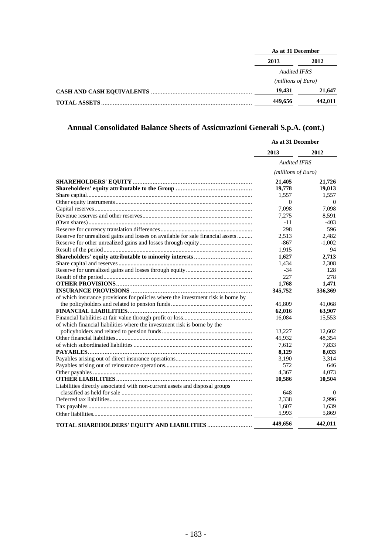| As at 31 December           |         |  |
|-----------------------------|---------|--|
| 2013                        | 2012    |  |
| <b>Audited IFRS</b>         |         |  |
| ( <i>millions of Euro</i> ) |         |  |
| 19.431                      | 21,647  |  |
| 449,656                     | 442.011 |  |

# **Annual Consolidated Balance Sheets of Assicurazioni Generali S.p.A. (cont.)**

|                                                                                  | As at 31 December   |          |
|----------------------------------------------------------------------------------|---------------------|----------|
|                                                                                  | 2013                | 2012     |
|                                                                                  | <b>Audited IFRS</b> |          |
|                                                                                  | (millions of Euro)  |          |
|                                                                                  | 21,405              | 21,726   |
|                                                                                  | 19,778              | 19,013   |
|                                                                                  | 1,557               | 1,557    |
|                                                                                  | $\Omega$            | $\Omega$ |
|                                                                                  | 7,098               | 7,098    |
|                                                                                  | 7,275               | 8.591    |
|                                                                                  | $-11$               | $-403$   |
|                                                                                  | 298                 | 596      |
| Reserve for unrealized gains and losses on available for sale financial assets   | 2,513               | 2,482    |
|                                                                                  | $-867$              | $-1.002$ |
|                                                                                  | 1,915               | 94       |
|                                                                                  | 1,627               | 2,713    |
|                                                                                  | 1,434               | 2,308    |
|                                                                                  | $-34$               | 128      |
|                                                                                  | 227                 | 278      |
|                                                                                  | 1,768               | 1.471    |
|                                                                                  | 345,752             | 336,369  |
| of which insurance provisions for policies where the investment risk is borne by |                     |          |
|                                                                                  | 45,809              | 41,068   |
|                                                                                  | 62,016              | 63,907   |
|                                                                                  | 16,084              | 15,553   |
| of which financial liabilities where the investment risk is borne by the         |                     |          |
|                                                                                  | 13,227              | 12,602   |
|                                                                                  | 45,932              | 48,354   |
|                                                                                  | 7,612               | 7,833    |
|                                                                                  | 8,129               | 8,033    |
|                                                                                  | 3,190               | 3,314    |
|                                                                                  | 572                 | 646      |
|                                                                                  | 4,367               | 4,073    |
|                                                                                  | 10,586              | 10,504   |
| Liabilities directly associated with non-current assets and disposal groups      |                     |          |
|                                                                                  | 648                 | $\theta$ |
|                                                                                  | 2,338               | 2,996    |
|                                                                                  | 1,607               | 1,639    |
|                                                                                  | 5.993               | 5,869    |
| TOTAL SHAREHOLDERS' EQUITY AND LIABILITIES                                       | 449,656             | 442,011  |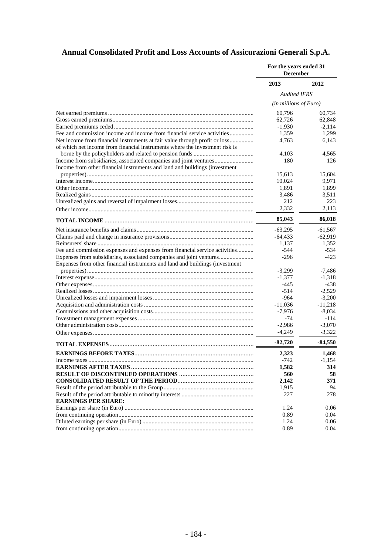# **Annual Consolidated Profit and Loss Accounts of Assicurazioni Generali S.p.A.**

|                                                                              | For the years ended 31<br><b>December</b> |           |
|------------------------------------------------------------------------------|-------------------------------------------|-----------|
|                                                                              | 2013                                      | 2012      |
|                                                                              | <b>Audited IFRS</b>                       |           |
|                                                                              | $(in$ millions of Euro)                   |           |
|                                                                              | 60,796                                    | 60,734    |
|                                                                              | 62,726                                    | 62,848    |
|                                                                              | $-1,930$                                  | $-2,114$  |
| Fee and commission income and income from financial service activities       | 1,359                                     | 1,299     |
|                                                                              | 4,763                                     | 6,143     |
| of which net income from financial instruments where the investment risk is  |                                           |           |
|                                                                              | 4,103                                     | 4,565     |
| Income from subsidiaries, associated companies and joint ventures            | 180                                       | 126       |
| Income from other financial instruments and land and buildings (investment   |                                           |           |
|                                                                              | 15,613                                    | 15,604    |
|                                                                              | 10,024                                    | 9,971     |
|                                                                              | 1,891                                     | 1,899     |
|                                                                              | 3,486                                     | 3,511     |
|                                                                              | 212                                       | 223       |
|                                                                              | 2,332                                     | 2.113     |
|                                                                              | 85,043                                    | 86,018    |
|                                                                              | $-63,295$                                 | $-61,567$ |
|                                                                              | $-64,433$                                 | $-62,919$ |
|                                                                              | 1,137                                     | 1,352     |
| Fee and commission expenses and expenses from financial service activities   | $-544$                                    | $-534$    |
|                                                                              | $-296$                                    | $-423$    |
| Expenses from other financial instruments and land and buildings (investment |                                           |           |
|                                                                              | $-3,299$                                  | $-7,486$  |
|                                                                              | $-1,377$                                  | $-1,318$  |
|                                                                              | $-445$                                    | -438      |
|                                                                              | $-514$                                    | $-2,529$  |
|                                                                              | $-964$                                    | $-3,200$  |
|                                                                              | $-11,036$                                 | $-11,218$ |
|                                                                              | $-7,976$                                  | -8,034    |
|                                                                              | -74                                       | $-114$    |
|                                                                              | $-2,986$                                  | $-3,070$  |
|                                                                              | $-4,249$                                  | $-3,322$  |
|                                                                              | $-82,720$                                 | $-84,550$ |
|                                                                              | 2,323                                     | 1,468     |
|                                                                              | $-742$                                    | -1,154    |
|                                                                              | 1,582                                     | 314       |
|                                                                              | 560                                       | 58        |
|                                                                              | 2,142                                     | 371       |
|                                                                              | 1,915                                     | 94        |
|                                                                              | 227                                       | 278       |
| <b>EARNINGS PER SHARE:</b>                                                   |                                           |           |
|                                                                              | 1.24                                      | 0.06      |
|                                                                              | 0.89                                      | 0.04      |
|                                                                              | 1.24                                      | 0.06      |
|                                                                              | 0.89                                      | 0.04      |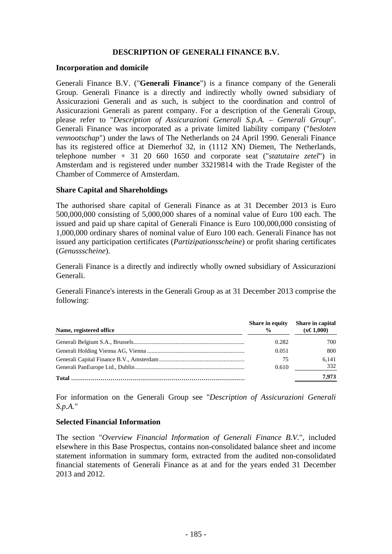#### **DESCRIPTION OF GENERALI FINANCE B.V.**

#### **Incorporation and domicile**

Generali Finance B.V. ("**Generali Finance**") is a finance company of the Generali Group. Generali Finance is a directly and indirectly wholly owned subsidiary of Assicurazioni Generali and as such, is subject to the coordination and control of Assicurazioni Generali as parent company. For a description of the Generali Group, please refer to "*Description of Assicurazioni Generali S.p.A. – Generali Group*". Generali Finance was incorporated as a private limited liability company ("*besloten vennootschap*") under the laws of The Netherlands on 24 April 1990. Generali Finance has its registered office at Diemerhof 32, in (1112 XN) Diemen, The Netherlands, telephone number + 31 20 660 1650 and corporate seat ("*statutaire zetel*") in Amsterdam and is registered under number 33219814 with the Trade Register of the Chamber of Commerce of Amsterdam.

#### **Share Capital and Shareholdings**

The authorised share capital of Generali Finance as at 31 December 2013 is Euro 500,000,000 consisting of 5,000,000 shares of a nominal value of Euro 100 each. The issued and paid up share capital of Generali Finance is Euro 100,000,000 consisting of 1,000,000 ordinary shares of nominal value of Euro 100 each. Generali Finance has not issued any participation certificates (*Partizipationsscheine*) or profit sharing certificates (*Genussscheine*).

Generali Finance is a directly and indirectly wholly owned subsidiary of Assicurazioni Generali.

Generali Finance's interests in the Generali Group as at 31 December 2013 comprise the following:

| Name, registered office | Share in equity<br>$\frac{0}{0}$ | Share in capital<br>$(x \in 1,000)$ |
|-------------------------|----------------------------------|-------------------------------------|
|                         | 0.282                            | 700                                 |
|                         | 0.051                            | 800                                 |
|                         | -75                              | 6.141                               |
|                         | 0.610                            | 332                                 |
| Total                   |                                  | 7.973                               |

For information on the Generali Group see "*Description of Assicurazioni Generali S.p.A.*"

#### **Selected Financial Information**

The section "*Overview Financial Information of Generali Finance B.V.*", included elsewhere in this Base Prospectus, contains non-consolidated balance sheet and income statement information in summary form, extracted from the audited non-consolidated financial statements of Generali Finance as at and for the years ended 31 December 2013 and 2012.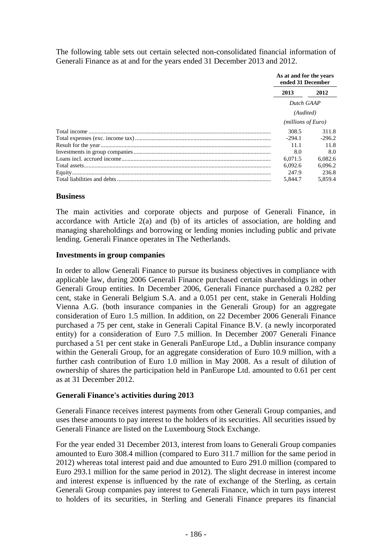The following table sets out certain selected non-consolidated financial information of Generali Finance as at and for the years ended 31 December 2013 and 2012.

|  | As at and for the years<br>ended 31 December |                    |
|--|----------------------------------------------|--------------------|
|  | 2013<br>2012<br>Dutch GAAP<br>(Audited)      |                    |
|  |                                              |                    |
|  |                                              |                    |
|  |                                              | (millions of Euro) |
|  | 308.5                                        | 311.8              |
|  | $-294.1$                                     | $-296.2$           |
|  | 11.1                                         | 11.8               |
|  | 8.0                                          | 8.0                |
|  | 6.071.5                                      | 6.082.6            |
|  | 6.092.6                                      | 6.096.2            |
|  | 247.9                                        | 236.8              |
|  | 5.844.7                                      | 5.859.4            |

#### **Business**

The main activities and corporate objects and purpose of Generali Finance, in accordance with Article 2(a) and (b) of its articles of association, are holding and managing shareholdings and borrowing or lending monies including public and private lending. Generali Finance operates in The Netherlands.

#### **Investments in group companies**

In order to allow Generali Finance to pursue its business objectives in compliance with applicable law, during 2006 Generali Finance purchased certain shareholdings in other Generali Group entities. In December 2006, Generali Finance purchased a 0.282 per cent, stake in Generali Belgium S.A. and a 0.051 per cent, stake in Generali Holding Vienna A.G. (both insurance companies in the Generali Group) for an aggregate consideration of Euro 1.5 million. In addition, on 22 December 2006 Generali Finance purchased a 75 per cent, stake in Generali Capital Finance B.V. (a newly incorporated entity) for a consideration of Euro 7.5 million. In December 2007 Generali Finance purchased a 51 per cent stake in Generali PanEurope Ltd., a Dublin insurance company within the Generali Group, for an aggregate consideration of Euro 10.9 million, with a further cash contribution of Euro 1.0 million in May 2008. As a result of dilution of ownership of shares the participation held in PanEurope Ltd. amounted to 0.61 per cent as at 31 December 2012.

#### **Generali Finance's activities during 2013**

Generali Finance receives interest payments from other Generali Group companies, and uses these amounts to pay interest to the holders of its securities. All securities issued by Generali Finance are listed on the Luxembourg Stock Exchange.

For the year ended 31 December 2013, interest from loans to Generali Group companies amounted to Euro 308.4 million (compared to Euro 311.7 million for the same period in 2012) whereas total interest paid and due amounted to Euro 291.0 million (compared to Euro 293.1 million for the same period in 2012). The slight decrease in interest income and interest expense is influenced by the rate of exchange of the Sterling, as certain Generali Group companies pay interest to Generali Finance, which in turn pays interest to holders of its securities, in Sterling and Generali Finance prepares its financial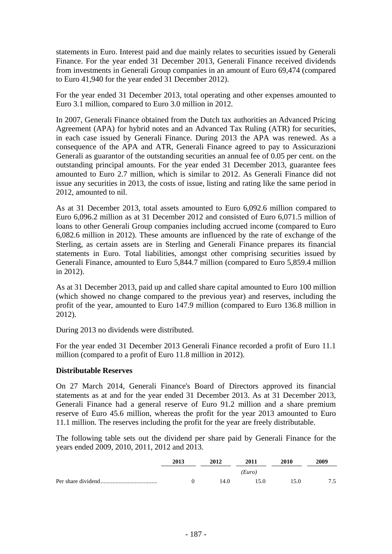statements in Euro. Interest paid and due mainly relates to securities issued by Generali Finance. For the year ended 31 December 2013, Generali Finance received dividends from investments in Generali Group companies in an amount of Euro 69,474 (compared to Euro 41,940 for the year ended 31 December 2012).

For the year ended 31 December 2013, total operating and other expenses amounted to Euro 3.1 million, compared to Euro 3.0 million in 2012.

In 2007, Generali Finance obtained from the Dutch tax authorities an Advanced Pricing Agreement (APA) for hybrid notes and an Advanced Tax Ruling (ATR) for securities, in each case issued by Generali Finance. During 2013 the APA was renewed. As a consequence of the APA and ATR, Generali Finance agreed to pay to Assicurazioni Generali as guarantor of the outstanding securities an annual fee of 0.05 per cent. on the outstanding principal amounts. For the year ended 31 December 2013, guarantee fees amounted to Euro 2.7 million, which is similar to 2012. As Generali Finance did not issue any securities in 2013, the costs of issue, listing and rating like the same period in 2012, amounted to nil.

As at 31 December 2013, total assets amounted to Euro 6,092.6 million compared to Euro 6,096.2 million as at 31 December 2012 and consisted of Euro 6,071.5 million of loans to other Generali Group companies including accrued income (compared to Euro 6,082.6 million in 2012). These amounts are influenced by the rate of exchange of the Sterling, as certain assets are in Sterling and Generali Finance prepares its financial statements in Euro. Total liabilities, amongst other comprising securities issued by Generali Finance, amounted to Euro 5,844.7 million (compared to Euro 5,859.4 million in 2012).

As at 31 December 2013, paid up and called share capital amounted to Euro 100 million (which showed no change compared to the previous year) and reserves, including the profit of the year, amounted to Euro 147.9 million (compared to Euro 136.8 million in 2012).

During 2013 no dividends were distributed.

For the year ended 31 December 2013 Generali Finance recorded a profit of Euro 11.1 million (compared to a profit of Euro 11.8 million in 2012).

#### **Distributable Reserves**

On 27 March 2014, Generali Finance's Board of Directors approved its financial statements as at and for the year ended 31 December 2013. As at 31 December 2013, Generali Finance had a general reserve of Euro 91.2 million and a share premium reserve of Euro 45.6 million, whereas the profit for the year 2013 amounted to Euro 11.1 million. The reserves including the profit for the year are freely distributable.

The following table sets out the dividend per share paid by Generali Finance for the years ended 2009, 2010, 2011, 2012 and 2013.

| 2013 | 2012 | 2011   | 2010 | 2009 |
|------|------|--------|------|------|
|      |      | (Euro) |      |      |
|      | 14.0 | 15 O   | 15 O | 75   |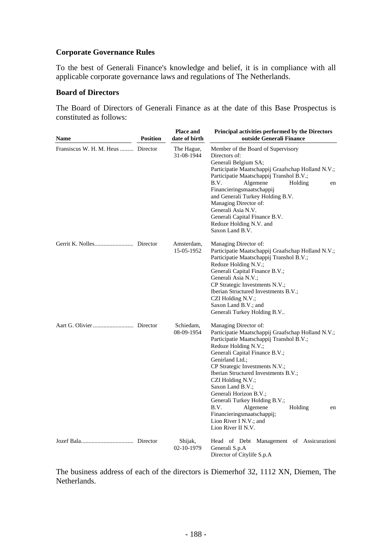## **Corporate Governance Rules**

To the best of Generali Finance's knowledge and belief, it is in compliance with all applicable corporate governance laws and regulations of The Netherlands.

#### **Board of Directors**

The Board of Directors of Generali Finance as at the date of this Base Prospectus is constituted as follows:

| <b>Name</b>                        | <b>Position</b> | <b>Place and</b><br>date of birth | Principal activities performed by the Directors<br>outside Generali Finance                                                                                                                                                                                                                                                                                                                                                                                                                           |
|------------------------------------|-----------------|-----------------------------------|-------------------------------------------------------------------------------------------------------------------------------------------------------------------------------------------------------------------------------------------------------------------------------------------------------------------------------------------------------------------------------------------------------------------------------------------------------------------------------------------------------|
| Fransiscus W. H. M. Heus  Director |                 | The Hague,<br>31-08-1944          | Member of the Board of Supervisory<br>Directors of:<br>Generali Belgium SA;<br>Participatie Maatschappij Graafschap Holland N.V.;<br>Participatie Maatschappij Transhol B.V.;<br>B.V.<br>Algemene<br>Holding<br>en<br>Financieringsmaatschappij<br>and Generali Turkey Holding B.V.<br>Managing Director of:<br>Generali Asia N.V.<br>Generali Capital Finance B.V.<br>Redoze Holding N.V. and<br>Saxon Land B.V.                                                                                     |
|                                    |                 | Amsterdam,<br>15-05-1952          | Managing Director of:<br>Participatie Maatschappij Graafschap Holland N.V.;<br>Participatie Maatschappij Transhol B.V.;<br>Redoze Holding N.V.;<br>Generali Capital Finance B.V.;<br>Generali Asia N.V.;<br>CP Strategic Investments N.V.;<br>Iberian Structured Investments B.V.;<br>CZI Holding N.V.;<br>Saxon Land B.V.; and<br>Generali Turkey Holding B.V                                                                                                                                        |
|                                    |                 | Schiedam,<br>08-09-1954           | Managing Director of:<br>Participatie Maatschappij Graafschap Holland N.V.;<br>Participatie Maatschappij Transhol B.V.;<br>Redoze Holding N.V.;<br>Generali Capital Finance B.V.;<br>Genirland Ltd.;<br>CP Strategic Investments N.V.;<br>Iberian Structured Investments B.V.;<br>CZI Holding N.V.;<br>Saxon Land B.V.;<br>Generali Horizon B.V.;<br>Generali Turkey Holding B.V.;<br>B.V.<br>Algemene<br>Holding<br>en<br>Financieringsmaatschappij;<br>Lion River I N.V.; and<br>Lion River II N.V. |
|                                    |                 | Shijak,<br>02-10-1979             | Head of Debt Management of Assicurazioni<br>Generali S.p.A<br>Director of Citylife S.p.A                                                                                                                                                                                                                                                                                                                                                                                                              |

The business address of each of the directors is Diemerhof 32, 1112 XN, Diemen, The **Netherlands**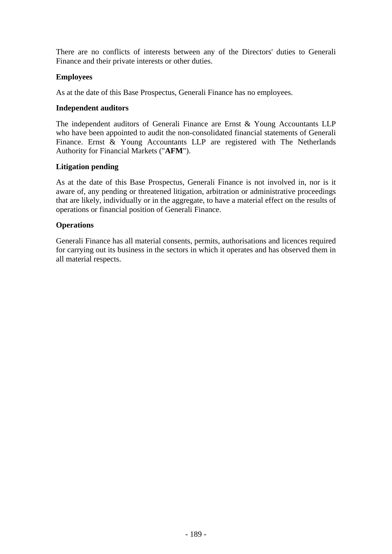There are no conflicts of interests between any of the Directors' duties to Generali Finance and their private interests or other duties.

#### **Employees**

As at the date of this Base Prospectus, Generali Finance has no employees.

#### **Independent auditors**

The independent auditors of Generali Finance are Ernst & Young Accountants LLP who have been appointed to audit the non-consolidated financial statements of Generali Finance. Ernst & Young Accountants LLP are registered with The Netherlands Authority for Financial Markets ("**AFM**").

#### **Litigation pending**

As at the date of this Base Prospectus, Generali Finance is not involved in, nor is it aware of, any pending or threatened litigation, arbitration or administrative proceedings that are likely, individually or in the aggregate, to have a material effect on the results of operations or financial position of Generali Finance.

#### **Operations**

Generali Finance has all material consents, permits, authorisations and licences required for carrying out its business in the sectors in which it operates and has observed them in all material respects.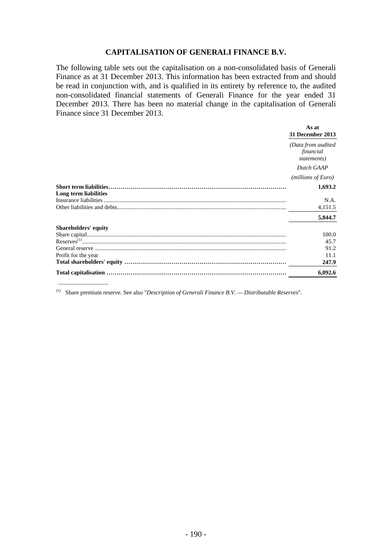#### **CAPITALISATION OF GENERALI FINANCE B.V.**

The following table sets out the capitalisation on a non-consolidated basis of Generali Finance as at 31 December 2013. This information has been extracted from and should be read in conjunction with, and is qualified in its entirety by reference to, the audited non-consolidated financial statements of Generali Finance for the year ended 31 December 2013. There has been no material change in the capitalisation of Generali Finance since 31 December 2013.

|                       | As at<br>31 December 2013                       |
|-----------------------|-------------------------------------------------|
|                       | (Data from audited)<br>financial<br>statements) |
|                       | Dutch GAAP                                      |
|                       | ( <i>millions of Euro</i> )                     |
| Long term liabilities | 1,693.2                                         |
|                       | N.A.                                            |
|                       | 4,151.5                                         |
|                       | 5,844.7                                         |
| Shareholders' equity  |                                                 |
|                       | 100.0                                           |
|                       | 45.7                                            |
|                       | 91.2                                            |
| Profit for the year   | 11.1                                            |
|                       | 247.9                                           |
|                       | 6.092.6                                         |

(1) Share premium reserve. See also "*Description of Generali Finance B.V. — Distributable Reserves*".

 $\frac{1}{2}$  ,  $\frac{1}{2}$  ,  $\frac{1}{2}$  ,  $\frac{1}{2}$  ,  $\frac{1}{2}$  ,  $\frac{1}{2}$  ,  $\frac{1}{2}$  ,  $\frac{1}{2}$  ,  $\frac{1}{2}$  ,  $\frac{1}{2}$  ,  $\frac{1}{2}$  ,  $\frac{1}{2}$  ,  $\frac{1}{2}$  ,  $\frac{1}{2}$  ,  $\frac{1}{2}$  ,  $\frac{1}{2}$  ,  $\frac{1}{2}$  ,  $\frac{1}{2}$  ,  $\frac{1$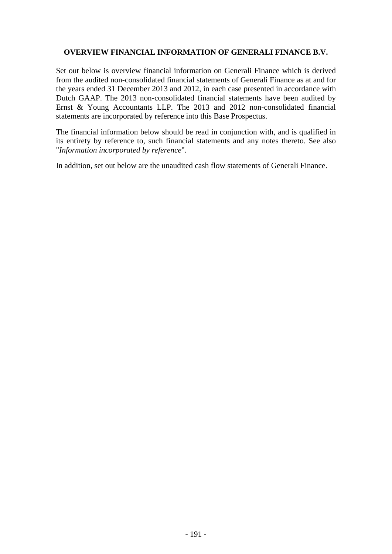#### **OVERVIEW FINANCIAL INFORMATION OF GENERALI FINANCE B.V.**

Set out below is overview financial information on Generali Finance which is derived from the audited non-consolidated financial statements of Generali Finance as at and for the years ended 31 December 2013 and 2012, in each case presented in accordance with Dutch GAAP. The 2013 non-consolidated financial statements have been audited by Ernst & Young Accountants LLP. The 2013 and 2012 non-consolidated financial statements are incorporated by reference into this Base Prospectus.

The financial information below should be read in conjunction with, and is qualified in its entirety by reference to, such financial statements and any notes thereto. See also "*Information incorporated by reference*".

In addition, set out below are the unaudited cash flow statements of Generali Finance.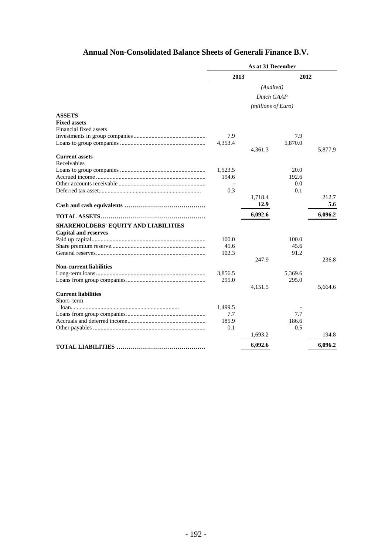# **Annual Non-Consolidated Balance Sheets of Generali Finance B.V.**

|                                      | As at 31 December |                    |         |         |
|--------------------------------------|-------------------|--------------------|---------|---------|
|                                      | 2013              |                    | 2012    |         |
|                                      |                   | (Audited)          |         |         |
|                                      |                   | Dutch GAAP         |         |         |
|                                      |                   | (millions of Euro) |         |         |
| <b>ASSETS</b>                        |                   |                    |         |         |
| <b>Fixed assets</b>                  |                   |                    |         |         |
| Financial fixed assets               |                   |                    |         |         |
|                                      | 7.9               |                    | 7.9     |         |
|                                      | 4,353.4           |                    | 5,870.0 |         |
|                                      |                   | 4,361.3            |         | 5,877,9 |
| <b>Current assets</b>                |                   |                    |         |         |
| Receivables                          |                   |                    |         |         |
|                                      | 1,523.5           |                    | 20.0    |         |
|                                      | 194.6             |                    | 192.6   |         |
|                                      |                   |                    | 0.0     |         |
|                                      | 0.3               |                    | 0.1     |         |
|                                      |                   | 1,718.4            |         | 212.7   |
|                                      |                   | 12.9               |         | 5.6     |
|                                      |                   | 6,092.6            |         | 6,096.2 |
| SHAREHOLDERS' EQUITY AND LIABILITIES |                   |                    |         |         |
| <b>Capital and reserves</b>          |                   |                    |         |         |
|                                      | 100.0             |                    | 100.0   |         |
|                                      | 45.6              |                    | 45.6    |         |
|                                      | 102.3             |                    | 91.2    |         |
|                                      |                   | 247.9              |         | 236.8   |
| <b>Non-current liabilities</b>       |                   |                    |         |         |
|                                      | 3,856.5           |                    | 5,369.6 |         |
|                                      | 295.0             |                    | 295.0   |         |
|                                      |                   | 4,151.5            |         | 5.664.6 |
| <b>Current liabilities</b>           |                   |                    |         |         |
| Short-term                           |                   |                    |         |         |
|                                      | 1,499.5           |                    |         |         |
|                                      | 7.7               |                    | 7.7     |         |
|                                      | 185.9             |                    | 186.6   |         |
|                                      | 0.1               |                    | 0.5     |         |
|                                      |                   | 1,693.2            |         | 194.8   |
|                                      |                   | 6,092.6            |         | 6,096.2 |
|                                      |                   |                    |         |         |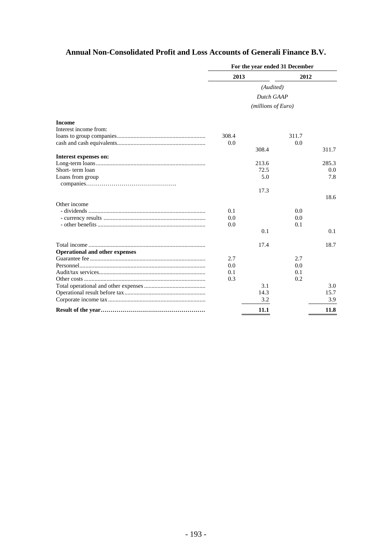# **Annual Non-Consolidated Profit and Loss Accounts of Generali Finance B.V.**

|                                       | For the year ended 31 December |       |       |       |
|---------------------------------------|--------------------------------|-------|-------|-------|
|                                       | 2013                           |       | 2012  |       |
|                                       | (Audited)<br>Dutch GAAP        |       |       |       |
|                                       |                                |       |       |       |
|                                       | (millions of Euro)             |       |       |       |
| <b>Income</b>                         |                                |       |       |       |
| Interest income from:                 |                                |       |       |       |
|                                       | 308.4                          |       | 311.7 |       |
|                                       | 0.0                            |       | 0.0   |       |
|                                       |                                | 308.4 |       | 311.7 |
| Interest expenses on:                 |                                |       |       |       |
|                                       |                                | 213.6 |       | 285.3 |
| Short-term loan                       |                                | 72.5  |       | 0.0   |
| Loans from group                      |                                | 5.0   |       | 7.8   |
|                                       |                                |       |       |       |
|                                       |                                | 17.3  |       |       |
|                                       |                                |       |       | 18.6  |
| Other income                          |                                |       |       |       |
|                                       | 0.1                            |       | 0.0   |       |
|                                       | 0.0                            |       | 0.0   |       |
|                                       | 0.0                            |       | 0.1   |       |
|                                       |                                | 0.1   |       | 0.1   |
|                                       |                                | 17.4  |       | 18.7  |
| <b>Operational and other expenses</b> |                                |       |       |       |
|                                       | 2.7                            |       | 2.7   |       |
|                                       | 0.0                            |       | 0.0   |       |
|                                       | 0.1                            |       | 0.1   |       |
|                                       | 0.3                            |       | 0.2   |       |
|                                       |                                | 3.1   |       | 3.0   |
|                                       |                                | 14.3  |       | 15.7  |
|                                       |                                | 3.2   |       | 3.9   |
|                                       |                                |       |       |       |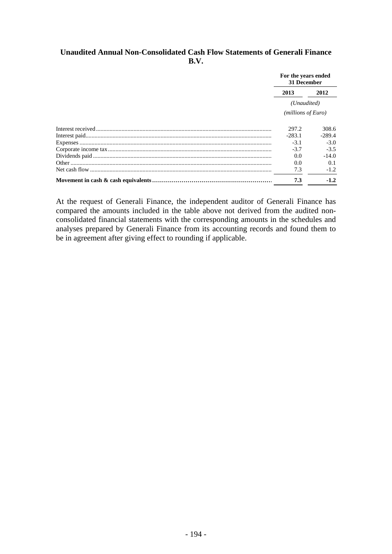#### **Unaudited Annual Non-Consolidated Cash Flow Statements of Generali Finance B.V.**

|  | For the years ended<br>31 December |          |  |
|--|------------------------------------|----------|--|
|  | 2013                               | 2012     |  |
|  | (Unaudited)<br>(millions of Euro)  |          |  |
|  |                                    |          |  |
|  | 297.2                              | 308.6    |  |
|  | $-283.1$                           | $-289.4$ |  |
|  | $-3.1$                             | $-3.0$   |  |
|  | $-3.7$                             | $-3.5$   |  |
|  | 0.0                                | $-14.0$  |  |
|  | 0.0                                | 0.1      |  |
|  | 7.3                                | $-1.2$   |  |
|  | 7.3                                | $-1.2$   |  |

At the request of Generali Finance, the independent auditor of Generali Finance has compared the amounts included in the table above not derived from the audited nonconsolidated financial statements with the corresponding amounts in the schedules and analyses prepared by Generali Finance from its accounting records and found them to be in agreement after giving effect to rounding if applicable.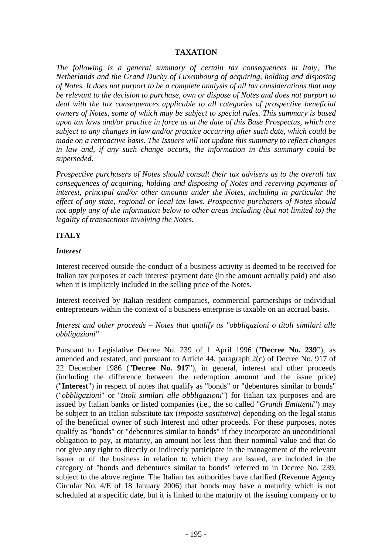#### **TAXATION**

*The following is a general summary of certain tax consequences in Italy, The Netherlands and the Grand Duchy of Luxembourg of acquiring, holding and disposing of Notes. It does not purport to be a complete analysis of all tax considerations that may be relevant to the decision to purchase, own or dispose of Notes and does not purport to deal with the tax consequences applicable to all categories of prospective beneficial owners of Notes, some of which may be subject to special rules. This summary is based upon tax laws and/or practice in force as at the date of this Base Prospectus, which are subject to any changes in law and/or practice occurring after such date, which could be made on a retroactive basis. The Issuers will not update this summary to reflect changes in law and, if any such change occurs, the information in this summary could be superseded.* 

*Prospective purchasers of Notes should consult their tax advisers as to the overall tax consequences of acquiring, holding and disposing of Notes and receiving payments of interest, principal and/or other amounts under the Notes, including in particular the effect of any state, regional or local tax laws. Prospective purchasers of Notes should not apply any of the information below to other areas including (but not limited to) the legality of transactions involving the Notes.* 

#### **ITALY**

#### *Interest*

Interest received outside the conduct of a business activity is deemed to be received for Italian tax purposes at each interest payment date (in the amount actually paid) and also when it is implicitly included in the selling price of the Notes.

Interest received by Italian resident companies, commercial partnerships or individual entrepreneurs within the context of a business enterprise is taxable on an accrual basis.

#### *Interest and other proceeds – Notes that qualify as "obbligazioni o titoli similari alle obbligazioni"*

Pursuant to Legislative Decree No. 239 of 1 April 1996 (''**Decree No. 239'**'), as amended and restated, and pursuant to Article 44, paragraph 2(c) of Decree No. 917 of 22 December 1986 ("**Decree No. 917**"), in general, interest and other proceeds (including the difference between the redemption amount and the issue price) ("**Interest**") in respect of notes that qualify as "bonds" or "debentures similar to bonds" ("*obbligazioni*" or "*titoli similari alle obbligazioni*") for Italian tax purposes and are issued by Italian banks or listed companies (i.e., the so called "*Grandi Emittenti*") may be subject to an Italian substitute tax (*imposta sostitutiva*) depending on the legal status of the beneficial owner of such Interest and other proceeds. For these purposes, notes qualify as "bonds" or "debentures similar to bonds" if they incorporate an unconditional obligation to pay, at maturity, an amount not less than their nominal value and that do not give any right to directly or indirectly participate in the management of the relevant issuer or of the business in relation to which they are issued, are included in the category of "bonds and debentures similar to bonds" referred to in Decree No. 239, subject to the above regime. The Italian tax authorities have clarified (Revenue Agency Circular No. 4/E of 18 January 2006) that bonds may have a maturity which is not scheduled at a specific date, but it is linked to the maturity of the issuing company or to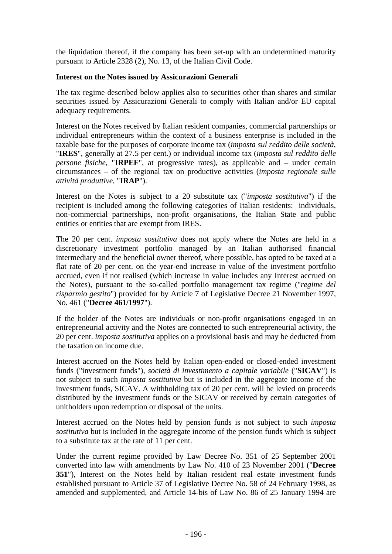the liquidation thereof, if the company has been set-up with an undetermined maturity pursuant to Article 2328 (2), No. 13, of the Italian Civil Code.

#### **Interest on the Notes issued by Assicurazioni Generali**

The tax regime described below applies also to securities other than shares and similar securities issued by Assicurazioni Generali to comply with Italian and/or EU capital adequacy requirements.

Interest on the Notes received by Italian resident companies, commercial partnerships or individual entrepreneurs within the context of a business enterprise is included in the taxable base for the purposes of corporate income tax (*imposta sul reddito delle società*, "**IRES**", generally at 27.5 per cent.) or individual income tax (*imposta sul reddito delle persone fisiche*, "**IRPEF**", at progressive rates), as applicable and – under certain circumstances – of the regional tax on productive activities (*imposta regionale sulle attività produttive*, "**IRAP**").

Interest on the Notes is subject to a 20 substitute tax ("*imposta sostitutiva*") if the recipient is included among the following categories of Italian residents: individuals, non-commercial partnerships, non-profit organisations, the Italian State and public entities or entities that are exempt from IRES.

The 20 per cent. *imposta sostitutiva* does not apply where the Notes are held in a discretionary investment portfolio managed by an Italian authorised financial intermediary and the beneficial owner thereof, where possible, has opted to be taxed at a flat rate of 20 per cent. on the year-end increase in value of the investment portfolio accrued, even if not realised (which increase in value includes any Interest accrued on the Notes), pursuant to the so-called portfolio management tax regime ("*regime del risparmio gestito*") provided for by Article 7 of Legislative Decree 21 November 1997, No. 461 ("**Decree 461/1997**").

If the holder of the Notes are individuals or non-profit organisations engaged in an entrepreneurial activity and the Notes are connected to such entrepreneurial activity, the 20 per cent. *imposta sostitutiva* applies on a provisional basis and may be deducted from the taxation on income due.

Interest accrued on the Notes held by Italian open-ended or closed-ended investment funds ("investment funds"), *società di investimento a capitale variabile* ("**SICAV**") is not subject to such *imposta sostitutiva* but is included in the aggregate income of the investment funds, SICAV. A withholding tax of 20 per cent. will be levied on proceeds distributed by the investment funds or the SICAV or received by certain categories of unitholders upon redemption or disposal of the units.

Interest accrued on the Notes held by pension funds is not subject to such *imposta sostitutiva* but is included in the aggregate income of the pension funds which is subject to a substitute tax at the rate of 11 per cent.

Under the current regime provided by Law Decree No. 351 of 25 September 2001 converted into law with amendments by Law No. 410 of 23 November 2001 ("**Decree 351**"), Interest on the Notes held by Italian resident real estate investment funds established pursuant to Article 37 of Legislative Decree No. 58 of 24 February 1998, as amended and supplemented, and Article 14-bis of Law No. 86 of 25 January 1994 are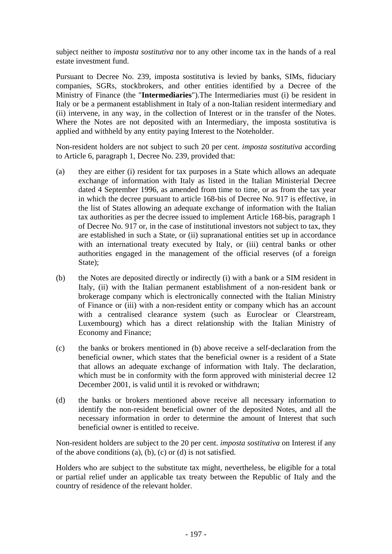subject neither to *imposta sostitutiva* nor to any other income tax in the hands of a real estate investment fund.

Pursuant to Decree No. 239, imposta sostitutiva is levied by banks, SIMs, fiduciary companies, SGRs, stockbrokers, and other entities identified by a Decree of the Ministry of Finance (the "**Intermediaries**").The Intermediaries must (i) be resident in Italy or be a permanent establishment in Italy of a non-Italian resident intermediary and (ii) intervene, in any way, in the collection of Interest or in the transfer of the Notes. Where the Notes are not deposited with an Intermediary, the imposta sostitutiva is applied and withheld by any entity paying Interest to the Noteholder.

Non-resident holders are not subject to such 20 per cent. *imposta sostitutiva* according to Article 6, paragraph 1, Decree No. 239, provided that:

- (a) they are either (i) resident for tax purposes in a State which allows an adequate exchange of information with Italy as listed in the Italian Ministerial Decree dated 4 September 1996, as amended from time to time, or as from the tax year in which the decree pursuant to article 168-bis of Decree No. 917 is effective, in the list of States allowing an adequate exchange of information with the Italian tax authorities as per the decree issued to implement Article 168-bis, paragraph 1 of Decree No. 917 or, in the case of institutional investors not subject to tax, they are established in such a State, or (ii) supranational entities set up in accordance with an international treaty executed by Italy, or (iii) central banks or other authorities engaged in the management of the official reserves (of a foreign State):
- (b) the Notes are deposited directly or indirectly (i) with a bank or a SIM resident in Italy, (ii) with the Italian permanent establishment of a non-resident bank or brokerage company which is electronically connected with the Italian Ministry of Finance or (iii) with a non-resident entity or company which has an account with a centralised clearance system (such as Euroclear or Clearstream, Luxembourg) which has a direct relationship with the Italian Ministry of Economy and Finance;
- (c) the banks or brokers mentioned in (b) above receive a self-declaration from the beneficial owner, which states that the beneficial owner is a resident of a State that allows an adequate exchange of information with Italy. The declaration, which must be in conformity with the form approved with ministerial decree 12 December 2001, is valid until it is revoked or withdrawn;
- (d) the banks or brokers mentioned above receive all necessary information to identify the non-resident beneficial owner of the deposited Notes, and all the necessary information in order to determine the amount of Interest that such beneficial owner is entitled to receive.

Non-resident holders are subject to the 20 per cent. *imposta sostitutiva* on Interest if any of the above conditions (a), (b), (c) or (d) is not satisfied.

Holders who are subject to the substitute tax might, nevertheless, be eligible for a total or partial relief under an applicable tax treaty between the Republic of Italy and the country of residence of the relevant holder.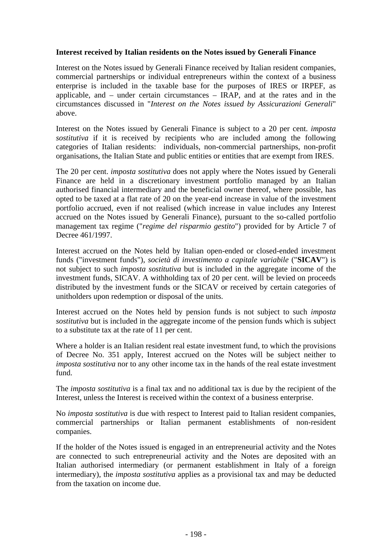#### **Interest received by Italian residents on the Notes issued by Generali Finance**

Interest on the Notes issued by Generali Finance received by Italian resident companies, commercial partnerships or individual entrepreneurs within the context of a business enterprise is included in the taxable base for the purposes of IRES or IRPEF, as applicable, and – under certain circumstances – IRAP, and at the rates and in the circumstances discussed in "*Interest on the Notes issued by Assicurazioni Generali*" above.

Interest on the Notes issued by Generali Finance is subject to a 20 per cent. *imposta sostitutiva* if it is received by recipients who are included among the following categories of Italian residents: individuals, non-commercial partnerships, non-profit organisations, the Italian State and public entities or entities that are exempt from IRES.

The 20 per cent. *imposta sostitutiva* does not apply where the Notes issued by Generali Finance are held in a discretionary investment portfolio managed by an Italian authorised financial intermediary and the beneficial owner thereof, where possible, has opted to be taxed at a flat rate of 20 on the year-end increase in value of the investment portfolio accrued, even if not realised (which increase in value includes any Interest accrued on the Notes issued by Generali Finance), pursuant to the so-called portfolio management tax regime ("*regime del risparmio gestito*") provided for by Article 7 of Decree 461/1997.

Interest accrued on the Notes held by Italian open-ended or closed-ended investment funds ("investment funds"), *società di investimento a capitale variabile* ("**SICAV**") is not subject to such *imposta sostitutiva* but is included in the aggregate income of the investment funds, SICAV. A withholding tax of 20 per cent. will be levied on proceeds distributed by the investment funds or the SICAV or received by certain categories of unitholders upon redemption or disposal of the units.

Interest accrued on the Notes held by pension funds is not subject to such *imposta sostitutiva* but is included in the aggregate income of the pension funds which is subject to a substitute tax at the rate of 11 per cent.

Where a holder is an Italian resident real estate investment fund, to which the provisions of Decree No. 351 apply, Interest accrued on the Notes will be subject neither to *imposta sostitutiva* nor to any other income tax in the hands of the real estate investment fund.

The *imposta sostitutiva* is a final tax and no additional tax is due by the recipient of the Interest, unless the Interest is received within the context of a business enterprise.

No *imposta sostitutiva* is due with respect to Interest paid to Italian resident companies, commercial partnerships or Italian permanent establishments of non-resident companies.

If the holder of the Notes issued is engaged in an entrepreneurial activity and the Notes are connected to such entrepreneurial activity and the Notes are deposited with an Italian authorised intermediary (or permanent establishment in Italy of a foreign intermediary), the *imposta sostitutiva* applies as a provisional tax and may be deducted from the taxation on income due.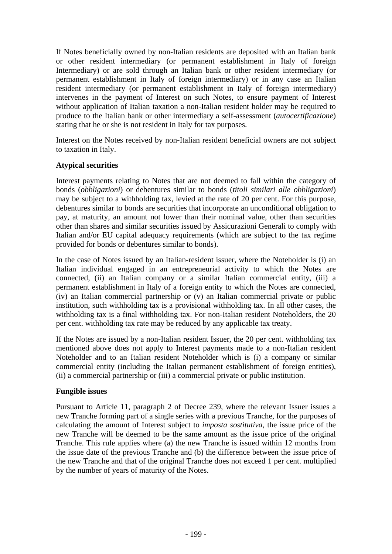If Notes beneficially owned by non-Italian residents are deposited with an Italian bank or other resident intermediary (or permanent establishment in Italy of foreign Intermediary) or are sold through an Italian bank or other resident intermediary (or permanent establishment in Italy of foreign intermediary) or in any case an Italian resident intermediary (or permanent establishment in Italy of foreign intermediary) intervenes in the payment of Interest on such Notes, to ensure payment of Interest without application of Italian taxation a non-Italian resident holder may be required to produce to the Italian bank or other intermediary a self-assessment (*autocertificazione*) stating that he or she is not resident in Italy for tax purposes.

Interest on the Notes received by non-Italian resident beneficial owners are not subject to taxation in Italy.

#### **Atypical securities**

Interest payments relating to Notes that are not deemed to fall within the category of bonds (*obbligazioni*) or debentures similar to bonds (*titoli similari alle obbligazioni*) may be subject to a withholding tax, levied at the rate of 20 per cent. For this purpose, debentures similar to bonds are securities that incorporate an unconditional obligation to pay, at maturity, an amount not lower than their nominal value, other than securities other than shares and similar securities issued by Assicurazioni Generali to comply with Italian and/or EU capital adequacy requirements (which are subject to the tax regime provided for bonds or debentures similar to bonds).

In the case of Notes issued by an Italian-resident issuer, where the Noteholder is (i) an Italian individual engaged in an entrepreneurial activity to which the Notes are connected, (ii) an Italian company or a similar Italian commercial entity, (iii) a permanent establishment in Italy of a foreign entity to which the Notes are connected, (iv) an Italian commercial partnership or (v) an Italian commercial private or public institution, such withholding tax is a provisional withholding tax. In all other cases, the withholding tax is a final withholding tax. For non-Italian resident Noteholders, the 20 per cent. withholding tax rate may be reduced by any applicable tax treaty.

If the Notes are issued by a non-Italian resident Issuer, the 20 per cent. withholding tax mentioned above does not apply to Interest payments made to a non-Italian resident Noteholder and to an Italian resident Noteholder which is (i) a company or similar commercial entity (including the Italian permanent establishment of foreign entities), (ii) a commercial partnership or (iii) a commercial private or public institution.

#### **Fungible issues**

Pursuant to Article 11, paragraph 2 of Decree 239, where the relevant Issuer issues a new Tranche forming part of a single series with a previous Tranche, for the purposes of calculating the amount of Interest subject to *imposta sostitutiva*, the issue price of the new Tranche will be deemed to be the same amount as the issue price of the original Tranche. This rule applies where (a) the new Tranche is issued within 12 months from the issue date of the previous Tranche and (b) the difference between the issue price of the new Tranche and that of the original Tranche does not exceed 1 per cent. multiplied by the number of years of maturity of the Notes.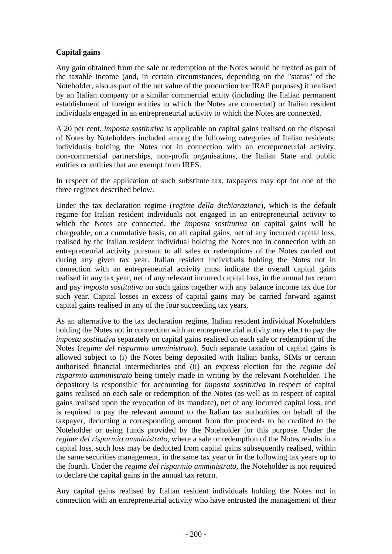# **Capital gains**

Any gain obtained from the sale or redemption of the Notes would be treated as part of the taxable income (and, in certain circumstances, depending on the "status" of the Noteholder, also as part of the net value of the production for IRAP purposes) if realised by an Italian company or a similar commercial entity (including the Italian permanent establishment of foreign entities to which the Notes are connected) or Italian resident individuals engaged in an entrepreneurial activity to which the Notes are connected.

A 20 per cent. *imposta sostitutiva* is applicable on capital gains realised on the disposal of Notes by Noteholders included among the following categories of Italian residents: individuals holding the Notes not in connection with an entrepreneurial activity, non-commercial partnerships, non-profit organisations, the Italian State and public entities or entities that are exempt from IRES.

In respect of the application of such substitute tax, taxpayers may opt for one of the three regimes described below.

Under the tax declaration regime (*regime della dichiarazione*), which is the default regime for Italian resident individuals not engaged in an entrepreneurial activity to which the Notes are connected, the *imposta sostitutiva* on capital gains will be chargeable, on a cumulative basis, on all capital gains, net of any incurred capital loss, realised by the Italian resident individual holding the Notes not in connection with an entrepreneurial activity pursuant to all sales or redemptions of the Notes carried out during any given tax year. Italian resident individuals holding the Notes not in connection with an entrepreneurial activity must indicate the overall capital gains realised in any tax year, net of any relevant incurred capital loss, in the annual tax return and pay *imposta sostitutiva* on such gains together with any balance income tax due for such year. Capital losses in excess of capital gains may be carried forward against capital gains realised in any of the four succeeding tax years.

As an alternative to the tax declaration regime, Italian resident individual Noteholders holding the Notes not in connection with an entrepreneurial activity may elect to pay the *imposta sostitutiva* separately on capital gains realised on each sale or redemption of the Notes (*regime del risparmio amministrato*). Such separate taxation of capital gains is allowed subject to (i) the Notes being deposited with Italian banks, SIMs or certain authorised financial intermediaries and (ii) an express election for the *regime del risparmio amministrato* being timely made in writing by the relevant Noteholder. The depository is responsible for accounting for *imposta sostitutiva* in respect of capital gains realised on each sale or redemption of the Notes (as well as in respect of capital gains realised upon the revocation of its mandate), net of any incurred capital loss, and is required to pay the relevant amount to the Italian tax authorities on behalf of the taxpayer, deducting a corresponding amount from the proceeds to be credited to the Noteholder or using funds provided by the Noteholder for this purpose. Under the *regime del risparmio amministrato*, where a sale or redemption of the Notes results in a capital loss, such loss may be deducted from capital gains subsequently realised, within the same securities management, in the same tax year or in the following tax years up to the fourth. Under the *regime del risparmio amministrato*, the Noteholder is not required to declare the capital gains in the annual tax return.

Any capital gains realised by Italian resident individuals holding the Notes not in connection with an entrepreneurial activity who have entrusted the management of their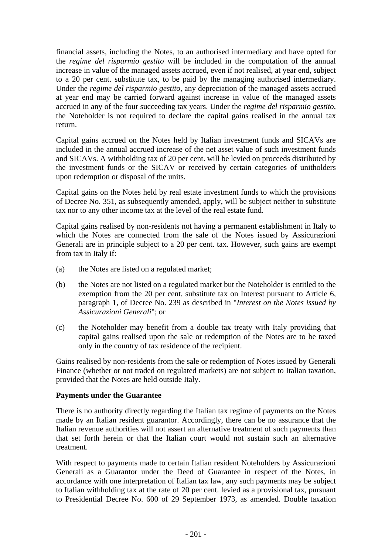financial assets, including the Notes, to an authorised intermediary and have opted for the *regime del risparmio gestito* will be included in the computation of the annual increase in value of the managed assets accrued, even if not realised, at year end, subject to a 20 per cent. substitute tax, to be paid by the managing authorised intermediary. Under the *regime del risparmio gestito*, any depreciation of the managed assets accrued at year end may be carried forward against increase in value of the managed assets accrued in any of the four succeeding tax years. Under the *regime del risparmio gestito*, the Noteholder is not required to declare the capital gains realised in the annual tax return.

Capital gains accrued on the Notes held by Italian investment funds and SICAVs are included in the annual accrued increase of the net asset value of such investment funds and SICAVs. A withholding tax of 20 per cent. will be levied on proceeds distributed by the investment funds or the SICAV or received by certain categories of unitholders upon redemption or disposal of the units.

Capital gains on the Notes held by real estate investment funds to which the provisions of Decree No. 351, as subsequently amended, apply, will be subject neither to substitute tax nor to any other income tax at the level of the real estate fund.

Capital gains realised by non-residents not having a permanent establishment in Italy to which the Notes are connected from the sale of the Notes issued by Assicurazioni Generali are in principle subject to a 20 per cent. tax. However, such gains are exempt from tax in Italy if:

- (a) the Notes are listed on a regulated market;
- (b) the Notes are not listed on a regulated market but the Noteholder is entitled to the exemption from the 20 per cent. substitute tax on Interest pursuant to Article 6, paragraph 1, of Decree No. 239 as described in "*Interest on the Notes issued by Assicurazioni Generali*"; or
- (c) the Noteholder may benefit from a double tax treaty with Italy providing that capital gains realised upon the sale or redemption of the Notes are to be taxed only in the country of tax residence of the recipient.

Gains realised by non-residents from the sale or redemption of Notes issued by Generali Finance (whether or not traded on regulated markets) are not subject to Italian taxation, provided that the Notes are held outside Italy.

#### **Payments under the Guarantee**

There is no authority directly regarding the Italian tax regime of payments on the Notes made by an Italian resident guarantor. Accordingly, there can be no assurance that the Italian revenue authorities will not assert an alternative treatment of such payments than that set forth herein or that the Italian court would not sustain such an alternative treatment.

With respect to payments made to certain Italian resident Noteholders by Assicurazioni Generali as a Guarantor under the Deed of Guarantee in respect of the Notes, in accordance with one interpretation of Italian tax law, any such payments may be subject to Italian withholding tax at the rate of 20 per cent. levied as a provisional tax, pursuant to Presidential Decree No. 600 of 29 September 1973, as amended. Double taxation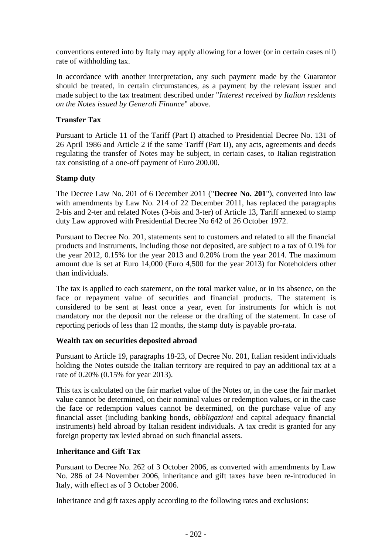conventions entered into by Italy may apply allowing for a lower (or in certain cases nil) rate of withholding tax.

In accordance with another interpretation, any such payment made by the Guarantor should be treated, in certain circumstances, as a payment by the relevant issuer and made subject to the tax treatment described under "*Interest received by Italian residents on the Notes issued by Generali Finance*" above.

#### **Transfer Tax**

Pursuant to Article 11 of the Tariff (Part I) attached to Presidential Decree No. 131 of 26 April 1986 and Article 2 if the same Tariff (Part II), any acts, agreements and deeds regulating the transfer of Notes may be subject, in certain cases, to Italian registration tax consisting of a one-off payment of Euro 200.00.

#### **Stamp duty**

The Decree Law No. 201 of 6 December 2011 ("**Decree No. 201**"), converted into law with amendments by Law No. 214 of 22 December 2011, has replaced the paragraphs 2-bis and 2-ter and related Notes (3-bis and 3-ter) of Article 13, Tariff annexed to stamp duty Law approved with Presidential Decree No 642 of 26 October 1972.

Pursuant to Decree No. 201, statements sent to customers and related to all the financial products and instruments, including those not deposited, are subject to a tax of 0.1% for the year 2012, 0.15% for the year 2013 and 0.20% from the year 2014. The maximum amount due is set at Euro 14,000 (Euro 4,500 for the year 2013) for Noteholders other than individuals.

The tax is applied to each statement, on the total market value, or in its absence, on the face or repayment value of securities and financial products. The statement is considered to be sent at least once a year, even for instruments for which is not mandatory nor the deposit nor the release or the drafting of the statement. In case of reporting periods of less than 12 months, the stamp duty is payable pro-rata.

#### **Wealth tax on securities deposited abroad**

Pursuant to Article 19, paragraphs 18-23, of Decree No. 201, Italian resident individuals holding the Notes outside the Italian territory are required to pay an additional tax at a rate of 0.20% (0.15% for year 2013).

This tax is calculated on the fair market value of the Notes or, in the case the fair market value cannot be determined, on their nominal values or redemption values, or in the case the face or redemption values cannot be determined, on the purchase value of any financial asset (including banking bonds, *obbligazioni* and capital adequacy financial instruments) held abroad by Italian resident individuals. A tax credit is granted for any foreign property tax levied abroad on such financial assets.

#### **Inheritance and Gift Tax**

Pursuant to Decree No. 262 of 3 October 2006, as converted with amendments by Law No. 286 of 24 November 2006, inheritance and gift taxes have been re-introduced in Italy, with effect as of 3 October 2006.

Inheritance and gift taxes apply according to the following rates and exclusions: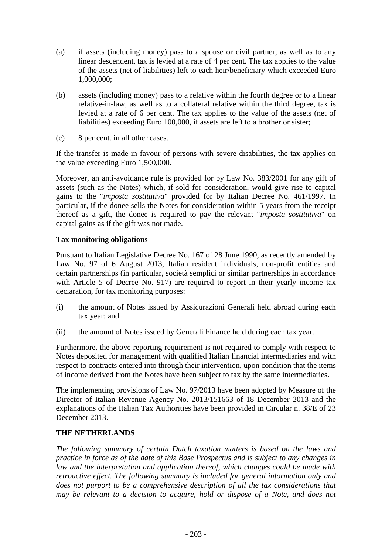- (a) if assets (including money) pass to a spouse or civil partner, as well as to any linear descendent, tax is levied at a rate of 4 per cent. The tax applies to the value of the assets (net of liabilities) left to each heir/beneficiary which exceeded Euro 1,000,000;
- (b) assets (including money) pass to a relative within the fourth degree or to a linear relative-in-law, as well as to a collateral relative within the third degree, tax is levied at a rate of 6 per cent. The tax applies to the value of the assets (net of liabilities) exceeding Euro 100,000, if assets are left to a brother or sister;
- (c) 8 per cent. in all other cases.

If the transfer is made in favour of persons with severe disabilities, the tax applies on the value exceeding Euro 1,500,000.

Moreover, an anti-avoidance rule is provided for by Law No. 383/2001 for any gift of assets (such as the Notes) which, if sold for consideration, would give rise to capital gains to the "*imposta sostitutiva*" provided for by Italian Decree No. 461/1997. In particular, if the donee sells the Notes for consideration within 5 years from the receipt thereof as a gift, the donee is required to pay the relevant "*imposta sostitutiva*" on capital gains as if the gift was not made.

#### **Tax monitoring obligations**

Pursuant to Italian Legislative Decree No. 167 of 28 June 1990, as recently amended by Law No. 97 of 6 August 2013, Italian resident individuals, non-profit entities and certain partnerships (in particular, società semplici or similar partnerships in accordance with Article 5 of Decree No. 917) are required to report in their yearly income tax declaration, for tax monitoring purposes:

- (i) the amount of Notes issued by Assicurazioni Generali held abroad during each tax year; and
- (ii) the amount of Notes issued by Generali Finance held during each tax year.

Furthermore, the above reporting requirement is not required to comply with respect to Notes deposited for management with qualified Italian financial intermediaries and with respect to contracts entered into through their intervention, upon condition that the items of income derived from the Notes have been subject to tax by the same intermediaries.

The implementing provisions of Law No. 97/2013 have been adopted by Measure of the Director of Italian Revenue Agency No. 2013/151663 of 18 December 2013 and the explanations of the Italian Tax Authorities have been provided in Circular n. 38/E of 23 December 2013.

#### **THE NETHERLANDS**

*The following summary of certain Dutch taxation matters is based on the laws and practice in force as of the date of this Base Prospectus and is subject to any changes in law and the interpretation and application thereof, which changes could be made with retroactive effect. The following summary is included for general information only and*  does not purport to be a comprehensive description of all the tax considerations that *may be relevant to a decision to acquire, hold or dispose of a Note, and does not*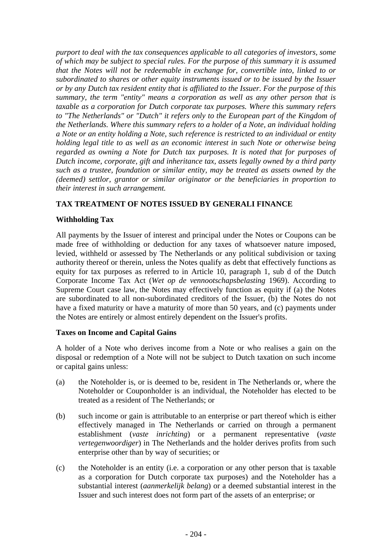*purport to deal with the tax consequences applicable to all categories of investors, some of which may be subject to special rules. For the purpose of this summary it is assumed that the Notes will not be redeemable in exchange for, convertible into, linked to or subordinated to shares or other equity instruments issued or to be issued by the Issuer or by any Dutch tax resident entity that is affiliated to the Issuer. For the purpose of this summary, the term "entity" means a corporation as well as any other person that is taxable as a corporation for Dutch corporate tax purposes. Where this summary refers*  to "The Netherlands" or "Dutch" it refers only to the European part of the Kingdom of *the Netherlands. Where this summary refers to a holder of a Note, an individual holding a Note or an entity holding a Note, such reference is restricted to an individual or entity holding legal title to as well as an economic interest in such Note or otherwise being regarded as owning a Note for Dutch tax purposes. It is noted that for purposes of Dutch income, corporate, gift and inheritance tax, assets legally owned by a third party such as a trustee, foundation or similar entity, may be treated as assets owned by the (deemed) settlor, grantor or similar originator or the beneficiaries in proportion to their interest in such arrangement.* 

## **TAX TREATMENT OF NOTES ISSUED BY GENERALI FINANCE**

#### **Withholding Tax**

All payments by the Issuer of interest and principal under the Notes or Coupons can be made free of withholding or deduction for any taxes of whatsoever nature imposed, levied, withheld or assessed by The Netherlands or any political subdivision or taxing authority thereof or therein, unless the Notes qualify as debt that effectively functions as equity for tax purposes as referred to in Article 10, paragraph 1, sub d of the Dutch Corporate Income Tax Act (*Wet op de vennootschapsbelasting* 1969). According to Supreme Court case law, the Notes may effectively function as equity if (a) the Notes are subordinated to all non-subordinated creditors of the Issuer, (b) the Notes do not have a fixed maturity or have a maturity of more than 50 years, and (c) payments under the Notes are entirely or almost entirely dependent on the Issuer's profits.

#### **Taxes on Income and Capital Gains**

A holder of a Note who derives income from a Note or who realises a gain on the disposal or redemption of a Note will not be subject to Dutch taxation on such income or capital gains unless:

- (a) the Noteholder is, or is deemed to be, resident in The Netherlands or, where the Noteholder or Couponholder is an individual, the Noteholder has elected to be treated as a resident of The Netherlands; or
- (b) such income or gain is attributable to an enterprise or part thereof which is either effectively managed in The Netherlands or carried on through a permanent establishment (*vaste inrichting*) or a permanent representative (*vaste vertegenwoordiger*) in The Netherlands and the holder derives profits from such enterprise other than by way of securities; or
- (c) the Noteholder is an entity (i.e. a corporation or any other person that is taxable as a corporation for Dutch corporate tax purposes) and the Noteholder has a substantial interest (*aanmerkelijk belang*) or a deemed substantial interest in the Issuer and such interest does not form part of the assets of an enterprise; or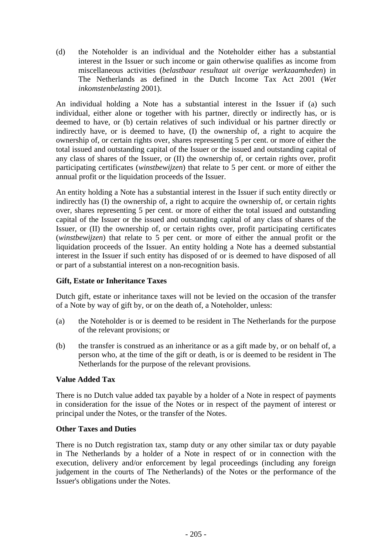(d) the Noteholder is an individual and the Noteholder either has a substantial interest in the Issuer or such income or gain otherwise qualifies as income from miscellaneous activities (*belastbaar resultaat uit overige werkzaamheden*) in The Netherlands as defined in the Dutch Income Tax Act 2001 (*Wet inkomstenbelasting* 2001).

An individual holding a Note has a substantial interest in the Issuer if (a) such individual, either alone or together with his partner, directly or indirectly has, or is deemed to have, or (b) certain relatives of such individual or his partner directly or indirectly have, or is deemed to have, (I) the ownership of, a right to acquire the ownership of, or certain rights over, shares representing 5 per cent. or more of either the total issued and outstanding capital of the Issuer or the issued and outstanding capital of any class of shares of the Issuer, or (II) the ownership of, or certain rights over, profit participating certificates (*winstbewijzen*) that relate to 5 per cent. or more of either the annual profit or the liquidation proceeds of the Issuer.

An entity holding a Note has a substantial interest in the Issuer if such entity directly or indirectly has (I) the ownership of, a right to acquire the ownership of, or certain rights over, shares representing 5 per cent. or more of either the total issued and outstanding capital of the Issuer or the issued and outstanding capital of any class of shares of the Issuer, or (II) the ownership of, or certain rights over, profit participating certificates (*winstbewijzen*) that relate to 5 per cent. or more of either the annual profit or the liquidation proceeds of the Issuer. An entity holding a Note has a deemed substantial interest in the Issuer if such entity has disposed of or is deemed to have disposed of all or part of a substantial interest on a non-recognition basis.

# **Gift, Estate or Inheritance Taxes**

Dutch gift, estate or inheritance taxes will not be levied on the occasion of the transfer of a Note by way of gift by, or on the death of, a Noteholder, unless:

- (a) the Noteholder is or is deemed to be resident in The Netherlands for the purpose of the relevant provisions; or
- (b) the transfer is construed as an inheritance or as a gift made by, or on behalf of, a person who, at the time of the gift or death, is or is deemed to be resident in The Netherlands for the purpose of the relevant provisions.

#### **Value Added Tax**

There is no Dutch value added tax payable by a holder of a Note in respect of payments in consideration for the issue of the Notes or in respect of the payment of interest or principal under the Notes, or the transfer of the Notes.

#### **Other Taxes and Duties**

There is no Dutch registration tax, stamp duty or any other similar tax or duty payable in The Netherlands by a holder of a Note in respect of or in connection with the execution, delivery and/or enforcement by legal proceedings (including any foreign judgement in the courts of The Netherlands) of the Notes or the performance of the Issuer's obligations under the Notes.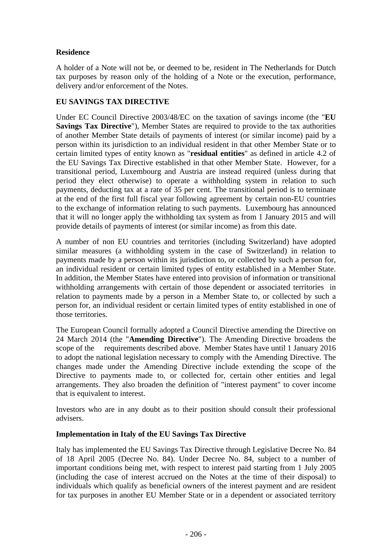## **Residence**

A holder of a Note will not be, or deemed to be, resident in The Netherlands for Dutch tax purposes by reason only of the holding of a Note or the execution, performance, delivery and/or enforcement of the Notes.

#### **EU SAVINGS TAX DIRECTIVE**

Under EC Council Directive 2003/48/EC on the taxation of savings income (the "**EU Savings Tax Directive"), Member States are required to provide to the tax authorities** of another Member State details of payments of interest (or similar income) paid by a person within its jurisdiction to an individual resident in that other Member State or to certain limited types of entity known as "**residual entities**" as defined in article 4.2 of the EU Savings Tax Directive established in that other Member State. However, for a transitional period, Luxembourg and Austria are instead required (unless during that period they elect otherwise) to operate a withholding system in relation to such payments, deducting tax at a rate of 35 per cent. The transitional period is to terminate at the end of the first full fiscal year following agreement by certain non-EU countries to the exchange of information relating to such payments. Luxembourg has announced that it will no longer apply the withholding tax system as from 1 January 2015 and will provide details of payments of interest (or similar income) as from this date.

A number of non EU countries and territories (including Switzerland) have adopted similar measures (a withholding system in the case of Switzerland) in relation to payments made by a person within its jurisdiction to, or collected by such a person for, an individual resident or certain limited types of entity established in a Member State. In addition, the Member States have entered into provision of information or transitional withholding arrangements with certain of those dependent or associated territories in relation to payments made by a person in a Member State to, or collected by such a person for, an individual resident or certain limited types of entity established in one of those territories.

The European Council formally adopted a Council Directive amending the Directive on 24 March 2014 (the "**Amending Directive**"). The Amending Directive broadens the scope of the requirements described above. Member States have until 1 January 2016 to adopt the national legislation necessary to comply with the Amending Directive. The changes made under the Amending Directive include extending the scope of the Directive to payments made to, or collected for, certain other entities and legal arrangements. They also broaden the definition of "interest payment" to cover income that is equivalent to interest.

Investors who are in any doubt as to their position should consult their professional advisers.

#### **Implementation in Italy of the EU Savings Tax Directive**

Italy has implemented the EU Savings Tax Directive through Legislative Decree No. 84 of 18 April 2005 (Decree No. 84). Under Decree No. 84, subject to a number of important conditions being met, with respect to interest paid starting from 1 July 2005 (including the case of interest accrued on the Notes at the time of their disposal) to individuals which qualify as beneficial owners of the interest payment and are resident for tax purposes in another EU Member State or in a dependent or associated territory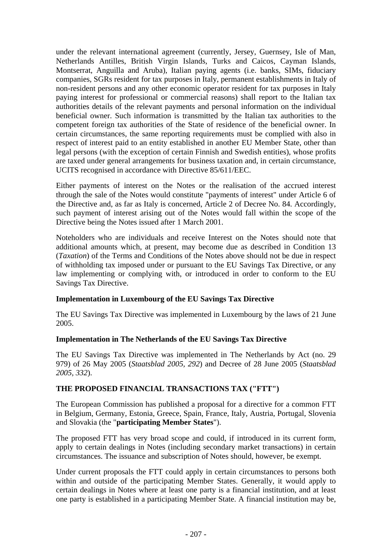under the relevant international agreement (currently, Jersey, Guernsey, Isle of Man, Netherlands Antilles, British Virgin Islands, Turks and Caicos, Cayman Islands, Montserrat, Anguilla and Aruba), Italian paying agents (i.e. banks, SIMs, fiduciary companies, SGRs resident for tax purposes in Italy, permanent establishments in Italy of non-resident persons and any other economic operator resident for tax purposes in Italy paying interest for professional or commercial reasons) shall report to the Italian tax authorities details of the relevant payments and personal information on the individual beneficial owner. Such information is transmitted by the Italian tax authorities to the competent foreign tax authorities of the State of residence of the beneficial owner. In certain circumstances, the same reporting requirements must be complied with also in respect of interest paid to an entity established in another EU Member State, other than legal persons (with the exception of certain Finnish and Swedish entities), whose profits are taxed under general arrangements for business taxation and, in certain circumstance, UCITS recognised in accordance with Directive 85/611/EEC.

Either payments of interest on the Notes or the realisation of the accrued interest through the sale of the Notes would constitute "payments of interest" under Article 6 of the Directive and, as far as Italy is concerned, Article 2 of Decree No. 84. Accordingly, such payment of interest arising out of the Notes would fall within the scope of the Directive being the Notes issued after 1 March 2001.

Noteholders who are individuals and receive Interest on the Notes should note that additional amounts which, at present, may become due as described in Condition 13 (*Taxation*) of the Terms and Conditions of the Notes above should not be due in respect of withholding tax imposed under or pursuant to the EU Savings Tax Directive, or any law implementing or complying with, or introduced in order to conform to the EU Savings Tax Directive.

#### **Implementation in Luxembourg of the EU Savings Tax Directive**

The EU Savings Tax Directive was implemented in Luxembourg by the laws of 21 June 2005.

#### **Implementation in The Netherlands of the EU Savings Tax Directive**

The EU Savings Tax Directive was implemented in The Netherlands by Act (no. 29 979) of 26 May 2005 (*Staatsblad 2005, 292*) and Decree of 28 June 2005 (*Staatsblad 2005, 332*).

#### **THE PROPOSED FINANCIAL TRANSACTIONS TAX ("FTT")**

The European Commission has published a proposal for a directive for a common FTT in Belgium, Germany, Estonia, Greece, Spain, France, Italy, Austria, Portugal, Slovenia and Slovakia (the "**participating Member States**").

The proposed FTT has very broad scope and could, if introduced in its current form, apply to certain dealings in Notes (including secondary market transactions) in certain circumstances. The issuance and subscription of Notes should, however, be exempt.

Under current proposals the FTT could apply in certain circumstances to persons both within and outside of the participating Member States. Generally, it would apply to certain dealings in Notes where at least one party is a financial institution, and at least one party is established in a participating Member State. A financial institution may be,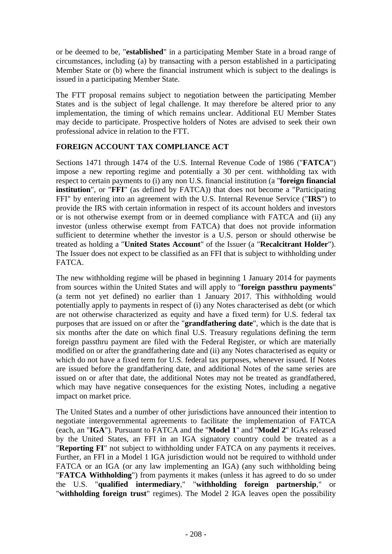or be deemed to be, "**established**" in a participating Member State in a broad range of circumstances, including (a) by transacting with a person established in a participating Member State or (b) where the financial instrument which is subject to the dealings is issued in a participating Member State.

The FTT proposal remains subject to negotiation between the participating Member States and is the subject of legal challenge. It may therefore be altered prior to any implementation, the timing of which remains unclear. Additional EU Member States may decide to participate. Prospective holders of Notes are advised to seek their own professional advice in relation to the FTT.

## **FOREIGN ACCOUNT TAX COMPLIANCE ACT**

Sections 1471 through 1474 of the U.S. Internal Revenue Code of 1986 ("**FATCA**") impose a new reporting regime and potentially a 30 per cent. withholding tax with respect to certain payments to (i) any non U.S. financial institution (a "**foreign financial institution**", or "**FFI**" (as defined by FATCA)) that does not become a "Participating FFI" by entering into an agreement with the U.S. Internal Revenue Service ("**IRS**") to provide the IRS with certain information in respect of its account holders and investors or is not otherwise exempt from or in deemed compliance with FATCA and (ii) any investor (unless otherwise exempt from FATCA) that does not provide information sufficient to determine whether the investor is a U.S. person or should otherwise be treated as holding a "**United States Account**" of the Issuer (a "**Recalcitrant Holder**"). The Issuer does not expect to be classified as an FFI that is subject to withholding under FATCA.

The new withholding regime will be phased in beginning 1 January 2014 for payments from sources within the United States and will apply to "**foreign passthru payments**" (a term not yet defined) no earlier than 1 January 2017. This withholding would potentially apply to payments in respect of (i) any Notes characterised as debt (or which are not otherwise characterized as equity and have a fixed term) for U.S. federal tax purposes that are issued on or after the "**grandfathering date**", which is the date that is six months after the date on which final U.S. Treasury regulations defining the term foreign passthru payment are filed with the Federal Register, or which are materially modified on or after the grandfathering date and (ii) any Notes characterised as equity or which do not have a fixed term for U.S. federal tax purposes, whenever issued. If Notes are issued before the grandfathering date, and additional Notes of the same series are issued on or after that date, the additional Notes may not be treated as grandfathered, which may have negative consequences for the existing Notes, including a negative impact on market price.

The United States and a number of other jurisdictions have announced their intention to negotiate intergovernmental agreements to facilitate the implementation of FATCA (each, an "**IGA**"). Pursuant to FATCA and the "**Model 1**" and "**Model 2**" IGAs released by the United States, an FFI in an IGA signatory country could be treated as a "**Reporting FI**" not subject to withholding under FATCA on any payments it receives. Further, an FFI in a Model 1 IGA jurisdiction would not be required to withhold under FATCA or an IGA (or any law implementing an IGA) (any such withholding being "**FATCA Withholding**") from payments it makes (unless it has agreed to do so under the U.S. "**qualified intermediary**," "**withholding foreign partnership**," or "**withholding foreign trust**" regimes). The Model 2 IGA leaves open the possibility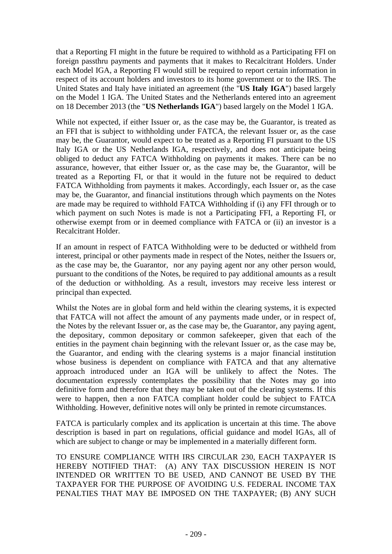that a Reporting FI might in the future be required to withhold as a Participating FFI on foreign passthru payments and payments that it makes to Recalcitrant Holders. Under each Model IGA, a Reporting FI would still be required to report certain information in respect of its account holders and investors to its home government or to the IRS. The United States and Italy have initiated an agreement (the "**US Italy IGA**") based largely on the Model 1 IGA. The United States and the Netherlands entered into an agreement on 18 December 2013 (the "**US Netherlands IGA**") based largely on the Model 1 IGA.

While not expected, if either Issuer or, as the case may be, the Guarantor, is treated as an FFI that is subject to withholding under FATCA, the relevant Issuer or, as the case may be, the Guarantor, would expect to be treated as a Reporting FI pursuant to the US Italy IGA or the US Netherlands IGA, respectively, and does not anticipate being obliged to deduct any FATCA Withholding on payments it makes. There can be no assurance, however, that either Issuer or, as the case may be, the Guarantor, will be treated as a Reporting FI, or that it would in the future not be required to deduct FATCA Withholding from payments it makes. Accordingly, each Issuer or, as the case may be, the Guarantor, and financial institutions through which payments on the Notes are made may be required to withhold FATCA Withholding if (i) any FFI through or to which payment on such Notes is made is not a Participating FFI, a Reporting FI, or otherwise exempt from or in deemed compliance with FATCA or (ii) an investor is a Recalcitrant Holder.

If an amount in respect of FATCA Withholding were to be deducted or withheld from interest, principal or other payments made in respect of the Notes, neither the Issuers or, as the case may be, the Guarantor, nor any paying agent nor any other person would, pursuant to the conditions of the Notes, be required to pay additional amounts as a result of the deduction or withholding. As a result, investors may receive less interest or principal than expected.

Whilst the Notes are in global form and held within the clearing systems, it is expected that FATCA will not affect the amount of any payments made under, or in respect of, the Notes by the relevant Issuer or, as the case may be, the Guarantor, any paying agent, the depositary, common depositary or common safekeeper, given that each of the entities in the payment chain beginning with the relevant Issuer or, as the case may be, the Guarantor, and ending with the clearing systems is a major financial institution whose business is dependent on compliance with FATCA and that any alternative approach introduced under an IGA will be unlikely to affect the Notes. The documentation expressly contemplates the possibility that the Notes may go into definitive form and therefore that they may be taken out of the clearing systems. If this were to happen, then a non FATCA compliant holder could be subject to FATCA Withholding. However, definitive notes will only be printed in remote circumstances.

FATCA is particularly complex and its application is uncertain at this time. The above description is based in part on regulations, official guidance and model IGAs, all of which are subject to change or may be implemented in a materially different form.

TO ENSURE COMPLIANCE WITH IRS CIRCULAR 230, EACH TAXPAYER IS HEREBY NOTIFIED THAT: (A) ANY TAX DISCUSSION HEREIN IS NOT INTENDED OR WRITTEN TO BE USED, AND CANNOT BE USED BY THE TAXPAYER FOR THE PURPOSE OF AVOIDING U.S. FEDERAL INCOME TAX PENALTIES THAT MAY BE IMPOSED ON THE TAXPAYER; (B) ANY SUCH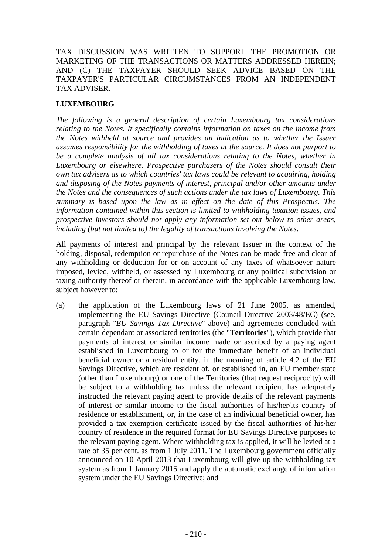TAX DISCUSSION WAS WRITTEN TO SUPPORT THE PROMOTION OR MARKETING OF THE TRANSACTIONS OR MATTERS ADDRESSED HEREIN; AND (C) THE TAXPAYER SHOULD SEEK ADVICE BASED ON THE TAXPAYER'S PARTICULAR CIRCUMSTANCES FROM AN INDEPENDENT TAX ADVISER.

# **LUXEMBOURG**

*The following is a general description of certain Luxembourg tax considerations relating to the Notes. It specifically contains information on taxes on the income from the Notes withheld at source and provides an indication as to whether the Issuer assumes responsibility for the withholding of taxes at the source. It does not purport to be a complete analysis of all tax considerations relating to the Notes, whether in Luxembourg or elsewhere. Prospective purchasers of the Notes should consult their own tax advisers as to which countries' tax laws could be relevant to acquiring, holding and disposing of the Notes payments of interest, principal and/or other amounts under the Notes and the consequences of such actions under the tax laws of Luxembourg. This summary is based upon the law as in effect on the date of this Prospectus. The information contained within this section is limited to withholding taxation issues, and prospective investors should not apply any information set out below to other areas, including (but not limited to) the legality of transactions involving the Notes.*

All payments of interest and principal by the relevant Issuer in the context of the holding, disposal, redemption or repurchase of the Notes can be made free and clear of any withholding or deduction for or on account of any taxes of whatsoever nature imposed, levied, withheld, or assessed by Luxembourg or any political subdivision or taxing authority thereof or therein, in accordance with the applicable Luxembourg law, subject however to:

(a) the application of the Luxembourg laws of 21 June 2005, as amended, implementing the EU Savings Directive (Council Directive 2003/48/EC) (see, paragraph "*EU Savings Tax Directive*" above) and agreements concluded with certain dependant or associated territories (the "**Territories**"), which provide that payments of interest or similar income made or ascribed by a paying agent established in Luxembourg to or for the immediate benefit of an individual beneficial owner or a residual entity, in the meaning of article 4.2 of the EU Savings Directive, which are resident of, or established in, an EU member state (other than Luxembourg) or one of the Territories (that request reciprocity) will be subject to a withholding tax unless the relevant recipient has adequately instructed the relevant paying agent to provide details of the relevant payments of interest or similar income to the fiscal authorities of his/her/its country of residence or establishment, or, in the case of an individual beneficial owner, has provided a tax exemption certificate issued by the fiscal authorities of his/her country of residence in the required format for EU Savings Directive purposes to the relevant paying agent. Where withholding tax is applied, it will be levied at a rate of 35 per cent. as from 1 July 2011. The Luxembourg government officially announced on 10 April 2013 that Luxembourg will give up the withholding tax system as from 1 January 2015 and apply the automatic exchange of information system under the EU Savings Directive; and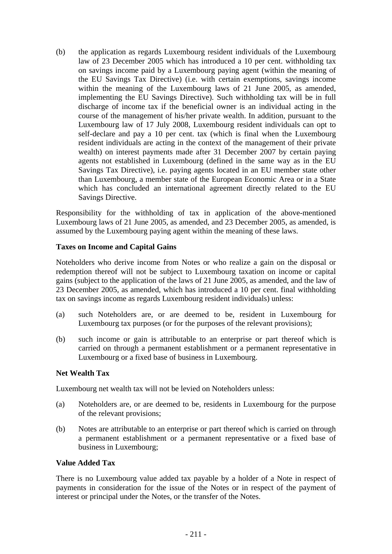(b) the application as regards Luxembourg resident individuals of the Luxembourg law of 23 December 2005 which has introduced a 10 per cent. withholding tax on savings income paid by a Luxembourg paying agent (within the meaning of the EU Savings Tax Directive) (i.e. with certain exemptions, savings income within the meaning of the Luxembourg laws of 21 June 2005, as amended, implementing the EU Savings Directive). Such withholding tax will be in full discharge of income tax if the beneficial owner is an individual acting in the course of the management of his/her private wealth. In addition, pursuant to the Luxembourg law of 17 July 2008, Luxembourg resident individuals can opt to self-declare and pay a 10 per cent. tax (which is final when the Luxembourg resident individuals are acting in the context of the management of their private wealth) on interest payments made after 31 December 2007 by certain paying agents not established in Luxembourg (defined in the same way as in the EU Savings Tax Directive), i.e. paying agents located in an EU member state other than Luxembourg, a member state of the European Economic Area or in a State which has concluded an international agreement directly related to the EU Savings Directive.

Responsibility for the withholding of tax in application of the above-mentioned Luxembourg laws of 21 June 2005, as amended, and 23 December 2005, as amended, is assumed by the Luxembourg paying agent within the meaning of these laws.

#### **Taxes on Income and Capital Gains**

Noteholders who derive income from Notes or who realize a gain on the disposal or redemption thereof will not be subject to Luxembourg taxation on income or capital gains (subject to the application of the laws of 21 June 2005, as amended, and the law of 23 December 2005, as amended, which has introduced a 10 per cent. final withholding tax on savings income as regards Luxembourg resident individuals) unless:

- (a) such Noteholders are, or are deemed to be, resident in Luxembourg for Luxembourg tax purposes (or for the purposes of the relevant provisions);
- (b) such income or gain is attributable to an enterprise or part thereof which is carried on through a permanent establishment or a permanent representative in Luxembourg or a fixed base of business in Luxembourg.

#### **Net Wealth Tax**

Luxembourg net wealth tax will not be levied on Noteholders unless:

- (a) Noteholders are, or are deemed to be, residents in Luxembourg for the purpose of the relevant provisions;
- (b) Notes are attributable to an enterprise or part thereof which is carried on through a permanent establishment or a permanent representative or a fixed base of business in Luxembourg;

#### **Value Added Tax**

There is no Luxembourg value added tax payable by a holder of a Note in respect of payments in consideration for the issue of the Notes or in respect of the payment of interest or principal under the Notes, or the transfer of the Notes.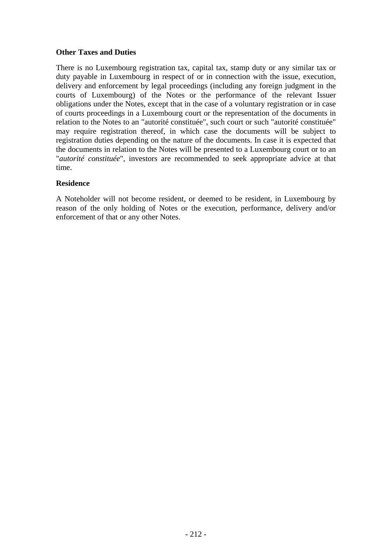#### **Other Taxes and Duties**

There is no Luxembourg registration tax, capital tax, stamp duty or any similar tax or duty payable in Luxembourg in respect of or in connection with the issue, execution, delivery and enforcement by legal proceedings (including any foreign judgment in the courts of Luxembourg) of the Notes or the performance of the relevant Issuer obligations under the Notes, except that in the case of a voluntary registration or in case of courts proceedings in a Luxembourg court or the representation of the documents in relation to the Notes to an "autorité constituée", such court or such "autorité constituée" may require registration thereof, in which case the documents will be subject to registration duties depending on the nature of the documents. In case it is expected that the documents in relation to the Notes will be presented to a Luxembourg court or to an "*autorité constituée*", investors are recommended to seek appropriate advice at that time.

#### **Residence**

A Noteholder will not become resident, or deemed to be resident, in Luxembourg by reason of the only holding of Notes or the execution, performance, delivery and/or enforcement of that or any other Notes.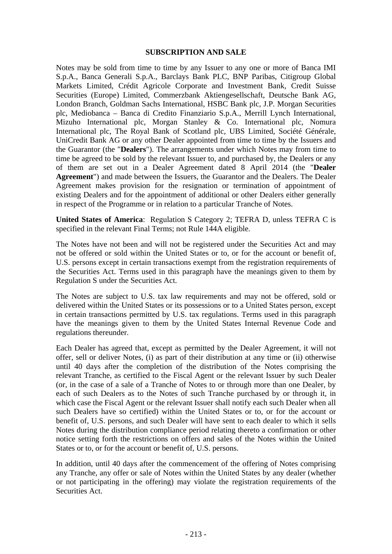#### **SUBSCRIPTION AND SALE**

Notes may be sold from time to time by any Issuer to any one or more of Banca IMI S.p.A., Banca Generali S.p.A., Barclays Bank PLC, BNP Paribas, Citigroup Global Markets Limited, Crédit Agricole Corporate and Investment Bank, Credit Suisse Securities (Europe) Limited, Commerzbank Aktiengesellschaft, Deutsche Bank AG, London Branch, Goldman Sachs International, HSBC Bank plc, J.P. Morgan Securities plc, Mediobanca – Banca di Credito Finanziario S.p.A., Merrill Lynch International, Mizuho International plc, Morgan Stanley & Co. International plc, Nomura International plc, The Royal Bank of Scotland plc, UBS Limited, Société Générale, UniCredit Bank AG or any other Dealer appointed from time to time by the Issuers and the Guarantor (the "**Dealers**"). The arrangements under which Notes may from time to time be agreed to be sold by the relevant Issuer to, and purchased by, the Dealers or any of them are set out in a Dealer Agreement dated 8 April 2014 (the "**Dealer Agreement**") and made between the Issuers, the Guarantor and the Dealers. The Dealer Agreement makes provision for the resignation or termination of appointment of existing Dealers and for the appointment of additional or other Dealers either generally in respect of the Programme or in relation to a particular Tranche of Notes.

**United States of America**: Regulation S Category 2; TEFRA D, unless TEFRA C is specified in the relevant Final Terms; not Rule 144A eligible.

The Notes have not been and will not be registered under the Securities Act and may not be offered or sold within the United States or to, or for the account or benefit of, U.S. persons except in certain transactions exempt from the registration requirements of the Securities Act. Terms used in this paragraph have the meanings given to them by Regulation S under the Securities Act.

The Notes are subject to U.S. tax law requirements and may not be offered, sold or delivered within the United States or its possessions or to a United States person, except in certain transactions permitted by U.S. tax regulations. Terms used in this paragraph have the meanings given to them by the United States Internal Revenue Code and regulations thereunder.

Each Dealer has agreed that, except as permitted by the Dealer Agreement, it will not offer, sell or deliver Notes, (i) as part of their distribution at any time or (ii) otherwise until 40 days after the completion of the distribution of the Notes comprising the relevant Tranche, as certified to the Fiscal Agent or the relevant Issuer by such Dealer (or, in the case of a sale of a Tranche of Notes to or through more than one Dealer, by each of such Dealers as to the Notes of such Tranche purchased by or through it, in which case the Fiscal Agent or the relevant Issuer shall notify each such Dealer when all such Dealers have so certified) within the United States or to, or for the account or benefit of, U.S. persons, and such Dealer will have sent to each dealer to which it sells Notes during the distribution compliance period relating thereto a confirmation or other notice setting forth the restrictions on offers and sales of the Notes within the United States or to, or for the account or benefit of, U.S. persons.

In addition, until 40 days after the commencement of the offering of Notes comprising any Tranche, any offer or sale of Notes within the United States by any dealer (whether or not participating in the offering) may violate the registration requirements of the Securities Act.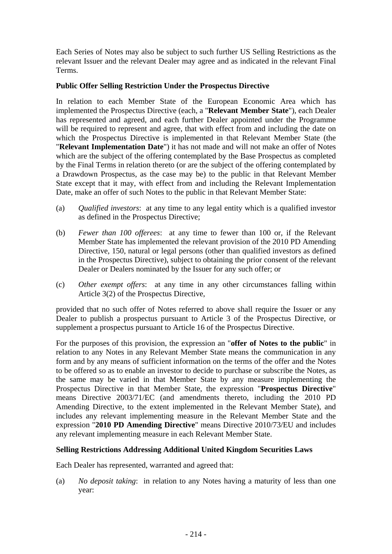Each Series of Notes may also be subject to such further US Selling Restrictions as the relevant Issuer and the relevant Dealer may agree and as indicated in the relevant Final Terms.

# **Public Offer Selling Restriction Under the Prospectus Directive**

In relation to each Member State of the European Economic Area which has implemented the Prospectus Directive (each, a "**Relevant Member State**"), each Dealer has represented and agreed, and each further Dealer appointed under the Programme will be required to represent and agree, that with effect from and including the date on which the Prospectus Directive is implemented in that Relevant Member State (the "**Relevant Implementation Date**") it has not made and will not make an offer of Notes which are the subject of the offering contemplated by the Base Prospectus as completed by the Final Terms in relation thereto (or are the subject of the offering contemplated by a Drawdown Prospectus, as the case may be) to the public in that Relevant Member State except that it may, with effect from and including the Relevant Implementation Date, make an offer of such Notes to the public in that Relevant Member State:

- (a) *Qualified investors*: at any time to any legal entity which is a qualified investor as defined in the Prospectus Directive;
- (b) *Fewer than 100 offerees*: at any time to fewer than 100 or, if the Relevant Member State has implemented the relevant provision of the 2010 PD Amending Directive, 150, natural or legal persons (other than qualified investors as defined in the Prospectus Directive), subject to obtaining the prior consent of the relevant Dealer or Dealers nominated by the Issuer for any such offer; or
- (c) *Other exempt offers*: at any time in any other circumstances falling within Article 3(2) of the Prospectus Directive,

provided that no such offer of Notes referred to above shall require the Issuer or any Dealer to publish a prospectus pursuant to Article 3 of the Prospectus Directive, or supplement a prospectus pursuant to Article 16 of the Prospectus Directive.

For the purposes of this provision, the expression an "**offer of Notes to the public**" in relation to any Notes in any Relevant Member State means the communication in any form and by any means of sufficient information on the terms of the offer and the Notes to be offered so as to enable an investor to decide to purchase or subscribe the Notes, as the same may be varied in that Member State by any measure implementing the Prospectus Directive in that Member State, the expression "**Prospectus Directive**" means Directive 2003/71/EC (and amendments thereto, including the 2010 PD Amending Directive, to the extent implemented in the Relevant Member State), and includes any relevant implementing measure in the Relevant Member State and the expression "**2010 PD Amending Directive**" means Directive 2010/73/EU and includes any relevant implementing measure in each Relevant Member State.

### **Selling Restrictions Addressing Additional United Kingdom Securities Laws**

Each Dealer has represented, warranted and agreed that:

(a) *No deposit taking*: in relation to any Notes having a maturity of less than one year: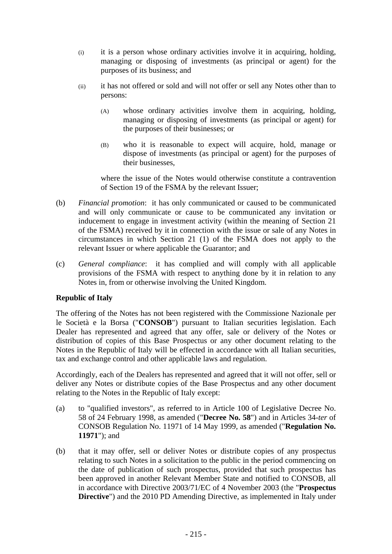- (i) it is a person whose ordinary activities involve it in acquiring, holding, managing or disposing of investments (as principal or agent) for the purposes of its business; and
- (ii) it has not offered or sold and will not offer or sell any Notes other than to persons:
	- (A) whose ordinary activities involve them in acquiring, holding, managing or disposing of investments (as principal or agent) for the purposes of their businesses; or
	- (B) who it is reasonable to expect will acquire, hold, manage or dispose of investments (as principal or agent) for the purposes of their businesses,

where the issue of the Notes would otherwise constitute a contravention of Section 19 of the FSMA by the relevant Issuer;

- (b) *Financial promotion*: it has only communicated or caused to be communicated and will only communicate or cause to be communicated any invitation or inducement to engage in investment activity (within the meaning of Section 21 of the FSMA) received by it in connection with the issue or sale of any Notes in circumstances in which Section 21 (1) of the FSMA does not apply to the relevant Issuer or where applicable the Guarantor; and
- (c) *General compliance*: it has complied and will comply with all applicable provisions of the FSMA with respect to anything done by it in relation to any Notes in, from or otherwise involving the United Kingdom.

# **Republic of Italy**

The offering of the Notes has not been registered with the Commissione Nazionale per le Società e la Borsa ("**CONSOB**") pursuant to Italian securities legislation. Each Dealer has represented and agreed that any offer, sale or delivery of the Notes or distribution of copies of this Base Prospectus or any other document relating to the Notes in the Republic of Italy will be effected in accordance with all Italian securities, tax and exchange control and other applicable laws and regulation.

Accordingly, each of the Dealers has represented and agreed that it will not offer, sell or deliver any Notes or distribute copies of the Base Prospectus and any other document relating to the Notes in the Republic of Italy except:

- (a) to "qualified investors", as referred to in Article 100 of Legislative Decree No. 58 of 24 February 1998, as amended ("**Decree No. 58**") and in Articles 34-*ter* of CONSOB Regulation No. 11971 of 14 May 1999, as amended ("**Regulation No. 11971**"); and
- (b) that it may offer, sell or deliver Notes or distribute copies of any prospectus relating to such Notes in a solicitation to the public in the period commencing on the date of publication of such prospectus, provided that such prospectus has been approved in another Relevant Member State and notified to CONSOB, all in accordance with Directive 2003/71/EC of 4 November 2003 (the "**Prospectus Directive**") and the 2010 PD Amending Directive, as implemented in Italy under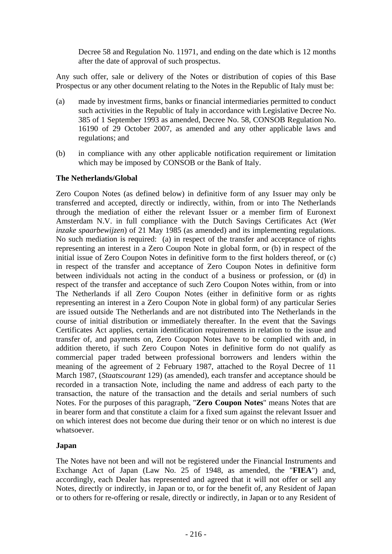Decree 58 and Regulation No. 11971, and ending on the date which is 12 months after the date of approval of such prospectus.

Any such offer, sale or delivery of the Notes or distribution of copies of this Base Prospectus or any other document relating to the Notes in the Republic of Italy must be:

- (a) made by investment firms, banks or financial intermediaries permitted to conduct such activities in the Republic of Italy in accordance with Legislative Decree No. 385 of 1 September 1993 as amended, Decree No. 58, CONSOB Regulation No. 16190 of 29 October 2007, as amended and any other applicable laws and regulations; and
- (b) in compliance with any other applicable notification requirement or limitation which may be imposed by CONSOB or the Bank of Italy.

# **The Netherlands/Global**

Zero Coupon Notes (as defined below) in definitive form of any Issuer may only be transferred and accepted, directly or indirectly, within, from or into The Netherlands through the mediation of either the relevant Issuer or a member firm of Euronext Amsterdam N.V. in full compliance with the Dutch Savings Certificates Act (*Wet inzake spaarbewijzen*) of 21 May 1985 (as amended) and its implementing regulations. No such mediation is required: (a) in respect of the transfer and acceptance of rights representing an interest in a Zero Coupon Note in global form, or (b) in respect of the initial issue of Zero Coupon Notes in definitive form to the first holders thereof, or (c) in respect of the transfer and acceptance of Zero Coupon Notes in definitive form between individuals not acting in the conduct of a business or profession, or (d) in respect of the transfer and acceptance of such Zero Coupon Notes within, from or into The Netherlands if all Zero Coupon Notes (either in definitive form or as rights representing an interest in a Zero Coupon Note in global form) of any particular Series are issued outside The Netherlands and are not distributed into The Netherlands in the course of initial distribution or immediately thereafter. In the event that the Savings Certificates Act applies, certain identification requirements in relation to the issue and transfer of, and payments on, Zero Coupon Notes have to be complied with and, in addition thereto, if such Zero Coupon Notes in definitive form do not qualify as commercial paper traded between professional borrowers and lenders within the meaning of the agreement of 2 February 1987, attached to the Royal Decree of 11 March 1987, (*Staatscourant* 129) (as amended), each transfer and acceptance should be recorded in a transaction Note, including the name and address of each party to the transaction, the nature of the transaction and the details and serial numbers of such Notes. For the purposes of this paragraph, "**Zero Coupon Notes**" means Notes that are in bearer form and that constitute a claim for a fixed sum against the relevant Issuer and on which interest does not become due during their tenor or on which no interest is due whatsoever.

# **Japan**

The Notes have not been and will not be registered under the Financial Instruments and Exchange Act of Japan (Law No. 25 of 1948, as amended, the "**FIEA**") and, accordingly, each Dealer has represented and agreed that it will not offer or sell any Notes, directly or indirectly, in Japan or to, or for the benefit of, any Resident of Japan or to others for re-offering or resale, directly or indirectly, in Japan or to any Resident of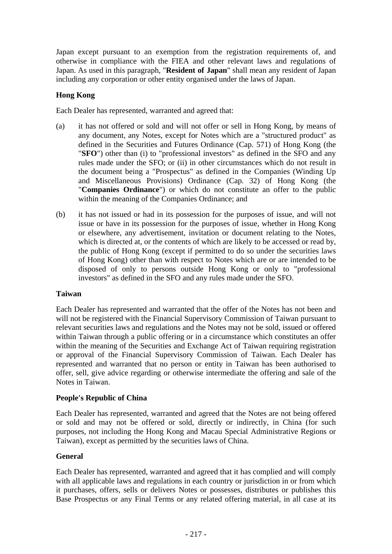Japan except pursuant to an exemption from the registration requirements of, and otherwise in compliance with the FIEA and other relevant laws and regulations of Japan. As used in this paragraph, "**Resident of Japan**" shall mean any resident of Japan including any corporation or other entity organised under the laws of Japan.

# **Hong Kong**

Each Dealer has represented, warranted and agreed that:

- (a) it has not offered or sold and will not offer or sell in Hong Kong, by means of any document, any Notes, except for Notes which are a "structured product" as defined in the Securities and Futures Ordinance (Cap. 571) of Hong Kong (the "**SFO**") other than (i) to "professional investors" as defined in the SFO and any rules made under the SFO; or (ii) in other circumstances which do not result in the document being a "Prospectus" as defined in the Companies (Winding Up and Miscellaneous Provisions) Ordinance (Cap. 32) of Hong Kong (the "**Companies Ordinance**") or which do not constitute an offer to the public within the meaning of the Companies Ordinance; and
- (b) it has not issued or had in its possession for the purposes of issue, and will not issue or have in its possession for the purposes of issue, whether in Hong Kong or elsewhere, any advertisement, invitation or document relating to the Notes, which is directed at, or the contents of which are likely to be accessed or read by, the public of Hong Kong (except if permitted to do so under the securities laws of Hong Kong) other than with respect to Notes which are or are intended to be disposed of only to persons outside Hong Kong or only to "professional investors" as defined in the SFO and any rules made under the SFO.

### **Taiwan**

Each Dealer has represented and warranted that the offer of the Notes has not been and will not be registered with the Financial Supervisory Commission of Taiwan pursuant to relevant securities laws and regulations and the Notes may not be sold, issued or offered within Taiwan through a public offering or in a circumstance which constitutes an offer within the meaning of the Securities and Exchange Act of Taiwan requiring registration or approval of the Financial Supervisory Commission of Taiwan. Each Dealer has represented and warranted that no person or entity in Taiwan has been authorised to offer, sell, give advice regarding or otherwise intermediate the offering and sale of the Notes in Taiwan.

### **People's Republic of China**

Each Dealer has represented, warranted and agreed that the Notes are not being offered or sold and may not be offered or sold, directly or indirectly, in China (for such purposes, not including the Hong Kong and Macau Special Administrative Regions or Taiwan), except as permitted by the securities laws of China.

# **General**

Each Dealer has represented, warranted and agreed that it has complied and will comply with all applicable laws and regulations in each country or jurisdiction in or from which it purchases, offers, sells or delivers Notes or possesses, distributes or publishes this Base Prospectus or any Final Terms or any related offering material, in all case at its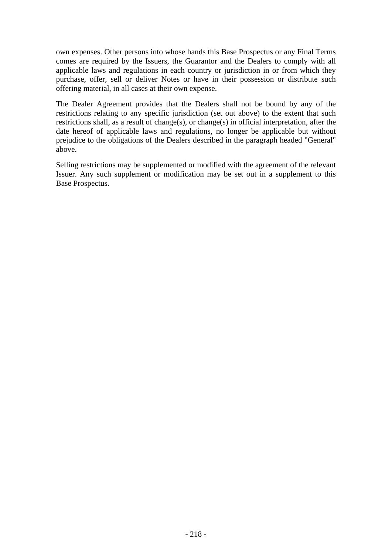own expenses. Other persons into whose hands this Base Prospectus or any Final Terms comes are required by the Issuers, the Guarantor and the Dealers to comply with all applicable laws and regulations in each country or jurisdiction in or from which they purchase, offer, sell or deliver Notes or have in their possession or distribute such offering material, in all cases at their own expense.

The Dealer Agreement provides that the Dealers shall not be bound by any of the restrictions relating to any specific jurisdiction (set out above) to the extent that such restrictions shall, as a result of change(s), or change(s) in official interpretation, after the date hereof of applicable laws and regulations, no longer be applicable but without prejudice to the obligations of the Dealers described in the paragraph headed "General" above.

Selling restrictions may be supplemented or modified with the agreement of the relevant Issuer. Any such supplement or modification may be set out in a supplement to this Base Prospectus.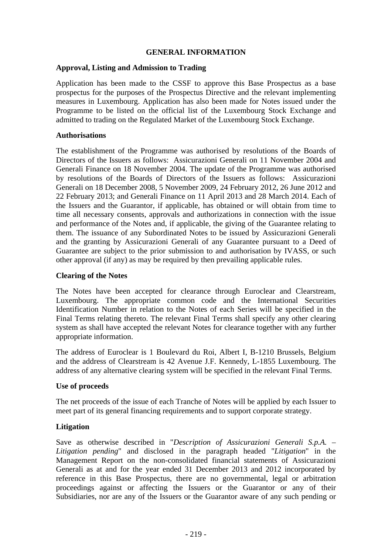# **GENERAL INFORMATION**

### **Approval, Listing and Admission to Trading**

Application has been made to the CSSF to approve this Base Prospectus as a base prospectus for the purposes of the Prospectus Directive and the relevant implementing measures in Luxembourg. Application has also been made for Notes issued under the Programme to be listed on the official list of the Luxembourg Stock Exchange and admitted to trading on the Regulated Market of the Luxembourg Stock Exchange.

### **Authorisations**

The establishment of the Programme was authorised by resolutions of the Boards of Directors of the Issuers as follows: Assicurazioni Generali on 11 November 2004 and Generali Finance on 18 November 2004. The update of the Programme was authorised by resolutions of the Boards of Directors of the Issuers as follows: Assicurazioni Generali on 18 December 2008, 5 November 2009, 24 February 2012, 26 June 2012 and 22 February 2013; and Generali Finance on 11 April 2013 and 28 March 2014. Each of the Issuers and the Guarantor, if applicable, has obtained or will obtain from time to time all necessary consents, approvals and authorizations in connection with the issue and performance of the Notes and, if applicable, the giving of the Guarantee relating to them. The issuance of any Subordinated Notes to be issued by Assicurazioni Generali and the granting by Assicurazioni Generali of any Guarantee pursuant to a Deed of Guarantee are subject to the prior submission to and authorisation by IVASS, or such other approval (if any) as may be required by then prevailing applicable rules.

# **Clearing of the Notes**

The Notes have been accepted for clearance through Euroclear and Clearstream, Luxembourg. The appropriate common code and the International Securities Identification Number in relation to the Notes of each Series will be specified in the Final Terms relating thereto. The relevant Final Terms shall specify any other clearing system as shall have accepted the relevant Notes for clearance together with any further appropriate information.

The address of Euroclear is 1 Boulevard du Roi, Albert I, B-1210 Brussels, Belgium and the address of Clearstream is 42 Avenue J.F. Kennedy, L-1855 Luxembourg. The address of any alternative clearing system will be specified in the relevant Final Terms.

### **Use of proceeds**

The net proceeds of the issue of each Tranche of Notes will be applied by each Issuer to meet part of its general financing requirements and to support corporate strategy.

# **Litigation**

Save as otherwise described in "*Description of Assicurazioni Generali S.p.A. – Litigation pending*" and disclosed in the paragraph headed "*Litigation*" in the Management Report on the non-consolidated financial statements of Assicurazioni Generali as at and for the year ended 31 December 2013 and 2012 incorporated by reference in this Base Prospectus, there are no governmental, legal or arbitration proceedings against or affecting the Issuers or the Guarantor or any of their Subsidiaries, nor are any of the Issuers or the Guarantor aware of any such pending or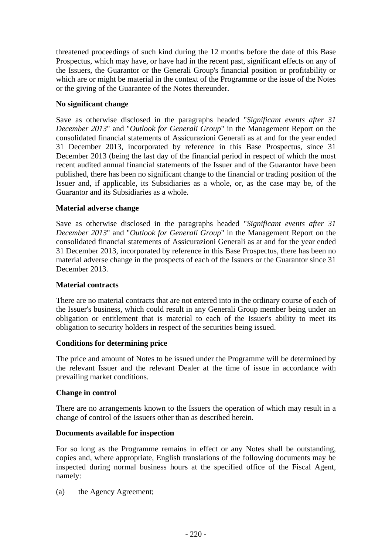threatened proceedings of such kind during the 12 months before the date of this Base Prospectus, which may have, or have had in the recent past, significant effects on any of the Issuers, the Guarantor or the Generali Group's financial position or profitability or which are or might be material in the context of the Programme or the issue of the Notes or the giving of the Guarantee of the Notes thereunder.

# **No significant change**

Save as otherwise disclosed in the paragraphs headed "*Significant events after 31 December 2013*" and "*Outlook for Generali Group*" in the Management Report on the consolidated financial statements of Assicurazioni Generali as at and for the year ended 31 December 2013, incorporated by reference in this Base Prospectus, since 31 December 2013 (being the last day of the financial period in respect of which the most recent audited annual financial statements of the Issuer and of the Guarantor have been published, there has been no significant change to the financial or trading position of the Issuer and, if applicable, its Subsidiaries as a whole, or, as the case may be, of the Guarantor and its Subsidiaries as a whole.

# **Material adverse change**

Save as otherwise disclosed in the paragraphs headed "*Significant events after 31 December 2013*" and "*Outlook for Generali Group*" in the Management Report on the consolidated financial statements of Assicurazioni Generali as at and for the year ended 31 December 2013, incorporated by reference in this Base Prospectus, there has been no material adverse change in the prospects of each of the Issuers or the Guarantor since 31 December 2013.

# **Material contracts**

There are no material contracts that are not entered into in the ordinary course of each of the Issuer's business, which could result in any Generali Group member being under an obligation or entitlement that is material to each of the Issuer's ability to meet its obligation to security holders in respect of the securities being issued.

# **Conditions for determining price**

The price and amount of Notes to be issued under the Programme will be determined by the relevant Issuer and the relevant Dealer at the time of issue in accordance with prevailing market conditions.

# **Change in control**

There are no arrangements known to the Issuers the operation of which may result in a change of control of the Issuers other than as described herein.

# **Documents available for inspection**

For so long as the Programme remains in effect or any Notes shall be outstanding, copies and, where appropriate, English translations of the following documents may be inspected during normal business hours at the specified office of the Fiscal Agent, namely:

(a) the Agency Agreement;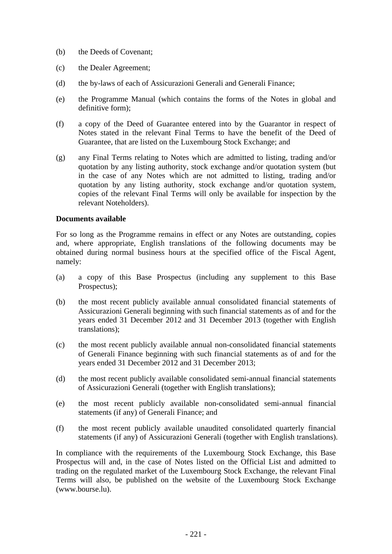- (b) the Deeds of Covenant;
- (c) the Dealer Agreement;
- (d) the by-laws of each of Assicurazioni Generali and Generali Finance;
- (e) the Programme Manual (which contains the forms of the Notes in global and definitive form);
- (f) a copy of the Deed of Guarantee entered into by the Guarantor in respect of Notes stated in the relevant Final Terms to have the benefit of the Deed of Guarantee, that are listed on the Luxembourg Stock Exchange; and
- (g) any Final Terms relating to Notes which are admitted to listing, trading and/or quotation by any listing authority, stock exchange and/or quotation system (but in the case of any Notes which are not admitted to listing, trading and/or quotation by any listing authority, stock exchange and/or quotation system, copies of the relevant Final Terms will only be available for inspection by the relevant Noteholders).

# **Documents available**

For so long as the Programme remains in effect or any Notes are outstanding, copies and, where appropriate, English translations of the following documents may be obtained during normal business hours at the specified office of the Fiscal Agent, namely:

- (a) a copy of this Base Prospectus (including any supplement to this Base Prospectus);
- (b) the most recent publicly available annual consolidated financial statements of Assicurazioni Generali beginning with such financial statements as of and for the years ended 31 December 2012 and 31 December 2013 (together with English translations);
- (c) the most recent publicly available annual non-consolidated financial statements of Generali Finance beginning with such financial statements as of and for the years ended 31 December 2012 and 31 December 2013;
- (d) the most recent publicly available consolidated semi-annual financial statements of Assicurazioni Generali (together with English translations);
- (e) the most recent publicly available non-consolidated semi-annual financial statements (if any) of Generali Finance; and
- (f) the most recent publicly available unaudited consolidated quarterly financial statements (if any) of Assicurazioni Generali (together with English translations).

In compliance with the requirements of the Luxembourg Stock Exchange, this Base Prospectus will and, in the case of Notes listed on the Official List and admitted to trading on the regulated market of the Luxembourg Stock Exchange, the relevant Final Terms will also, be published on the website of the Luxembourg Stock Exchange (www.bourse.lu).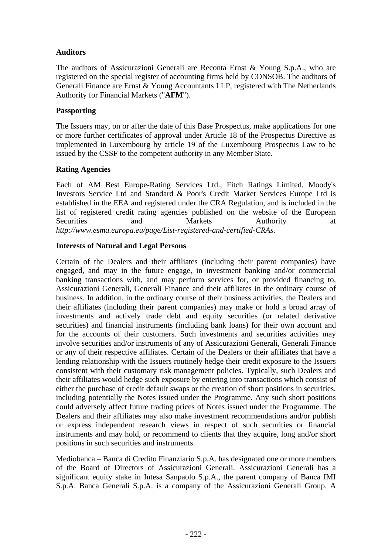# **Auditors**

The auditors of Assicurazioni Generali are Reconta Ernst & Young S.p.A., who are registered on the special register of accounting firms held by CONSOB. The auditors of Generali Finance are Ernst & Young Accountants LLP, registered with The Netherlands Authority for Financial Markets ("**AFM**").

# **Passporting**

The Issuers may, on or after the date of this Base Prospectus, make applications for one or more further certificates of approval under Article 18 of the Prospectus Directive as implemented in Luxembourg by article 19 of the Luxembourg Prospectus Law to be issued by the CSSF to the competent authority in any Member State.

# **Rating Agencies**

Each of AM Best Europe-Rating Services Ltd., Fitch Ratings Limited, Moody's Investors Service Ltd and Standard & Poor's Credit Market Services Europe Ltd is established in the EEA and registered under the CRA Regulation, and is included in the list of registered credit rating agencies published on the website of the European Securities and Markets Authority at *http://www.esma.europa.eu/page/List-registered-and-certified-CRAs*.

# **Interests of Natural and Legal Persons**

Certain of the Dealers and their affiliates (including their parent companies) have engaged, and may in the future engage, in investment banking and/or commercial banking transactions with, and may perform services for, or provided financing to, Assicurazioni Generali, Generali Finance and their affiliates in the ordinary course of business. In addition, in the ordinary course of their business activities, the Dealers and their affiliates (including their parent companies) may make or hold a broad array of investments and actively trade debt and equity securities (or related derivative securities) and financial instruments (including bank loans) for their own account and for the accounts of their customers. Such investments and securities activities may involve securities and/or instruments of any of Assicurazioni Generali, Generali Finance or any of their respective affiliates. Certain of the Dealers or their affiliates that have a lending relationship with the Issuers routinely hedge their credit exposure to the Issuers consistent with their customary risk management policies. Typically, such Dealers and their affiliates would hedge such exposure by entering into transactions which consist of either the purchase of credit default swaps or the creation of short positions in securities, including potentially the Notes issued under the Programme. Any such short positions could adversely affect future trading prices of Notes issued under the Programme. The Dealers and their affiliates may also make investment recommendations and/or publish or express independent research views in respect of such securities or financial instruments and may hold, or recommend to clients that they acquire, long and/or short positions in such securities and instruments.

Mediobanca – Banca di Credito Finanziario S.p.A. has designated one or more members of the Board of Directors of Assicurazioni Generali. Assicurazioni Generali has a significant equity stake in Intesa Sanpaolo S.p.A., the parent company of Banca IMI S.p.A. Banca Generali S.p.A. is a company of the Assicurazioni Generali Group. A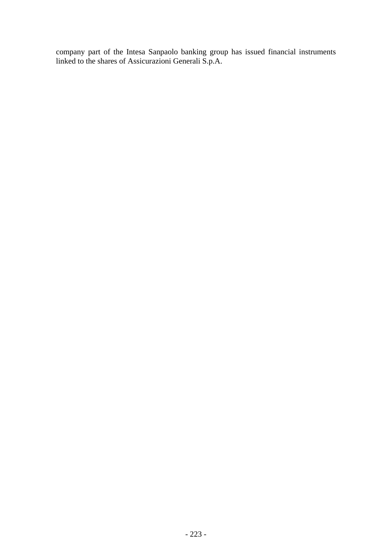company part of the Intesa Sanpaolo banking group has issued financial instruments linked to the shares of Assicurazioni Generali S.p.A.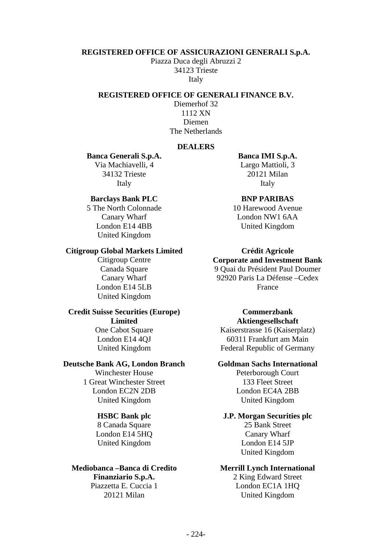#### **REGISTERED OFFICE OF ASSICURAZIONI GENERALI S.p.A.**

Piazza Duca degli Abruzzi 2 34123 Trieste Italy

# **REGISTERED OFFICE OF GENERALI FINANCE B.V.**

Diemerhof 32 1112 XN Diemen The Netherlands

#### **DEALERS**

#### **Banca Generali S.p.A. Banca IMI S.p.A.**

Via Machiavelli, 4 Largo Mattioli, 3 34132 Trieste 20121 Milan Italy **Italy** Italy

#### **Barclays Bank PLC BNP PARIBAS**

5 The North Colonnade 10 Harewood Avenue London E14 4BB United Kingdom United Kingdom

#### **Citigroup Global Markets Limited Crédit Agricole**

London E14 5LB France United Kingdom

#### **Credit Suisse Securities (Europe)**

**Limited**

# **Deutsche Bank AG, London Branch Goldman Sachs International**<br>Winchester House **Goldman Peterborough Court**

1 Great Winchester Street 133 Fleet Street London EC2N 2DB London EC4A 2BB United Kingdom United Kingdom

London E14 5HQ Canary Wharf United Kingdom London E14 5JP

# **Mediobanca –Banca di Credito Merrill Lynch International**

Canary Wharf London NW1 6AA

Citigroup Centre **Corporate and Investment Bank** Canada Square 9 Quai du Président Paul Doumer<br>
Canary Wharf 92920 Paris La Défense - Cedex 92920 Paris La Défense –Cedex

#### **Commerzbank Aktiengesellschaft**

One Cabot Square Kaiserstrasse 16 (Kaiserplatz) London E14 4OJ 60311 Frankfurt am Main United Kingdom Federal Republic of Germany

Peterborough Court

#### **HSBC Bank plc J.P. Morgan Securities plc** 8 Canada Square 25 Bank Street

United Kingdom

**Finanziario S.p.A.** 2 King Edward Street Piazzetta E. Cuccia 1 London EC1A 1HQ 20121 Milan United Kingdom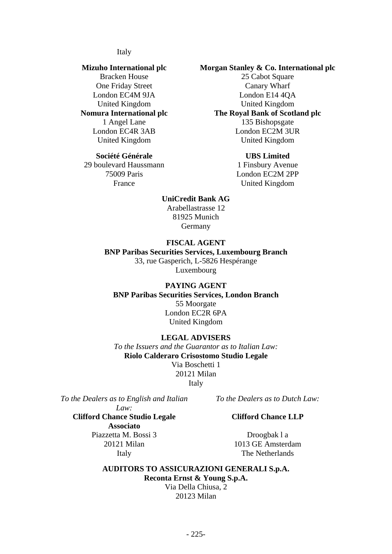#### Italy

# **Mizuho International plc**

Bracken House One Friday Street London EC4M 9JA United Kingdom

#### **Société Générale UBS Limited**

29 boulevard Haussmann 1 Finsbury Avenue

# **Morgan Stanley & Co. International plc**

25 Cabot Square Canary Wharf London E14 4QA United Kingdom **Nomura International plc The Royal Bank of Scotland plc** 1 Angel Lane 135 Bishopsgate London EC4R 3AB London EC2M 3UR United Kingdom United Kingdom

75009 Paris London EC2M 2PP France United Kingdom

#### **UniCredit Bank AG**

Arabellastrasse 12 81925 Munich Germany

### **FISCAL AGENT**

#### **BNP Paribas Securities Services, Luxembourg Branch** 33, rue Gasperich, L-5826 Hespérange

Luxembourg

## **PAYING AGENT**

**BNP Paribas Securities Services, London Branch** 55 Moorgate London EC2R 6PA United Kingdom

#### **LEGAL ADVISERS**

*To the Issuers and the Guarantor as to Italian Law:* **Riolo Calderaro Crisostomo Studio Legale** Via Boschetti 1 20121 Milan Italy

*To the Dealers as to English and Italian* 

**Clifford Chance Studio Legale Associato**

*Law:*

*To the Dealers as to Dutch Law:*

#### **Clifford Chance LLP**

Piazzetta M. Bossi 3 Droogbak l a 20121 Milan 1013 GE Amsterdam Italy The Netherlands

**AUDITORS TO ASSICURAZIONI GENERALI S.p.A. Reconta Ernst & Young S.p.A.** Via Della Chiusa, 2

20123 Milan